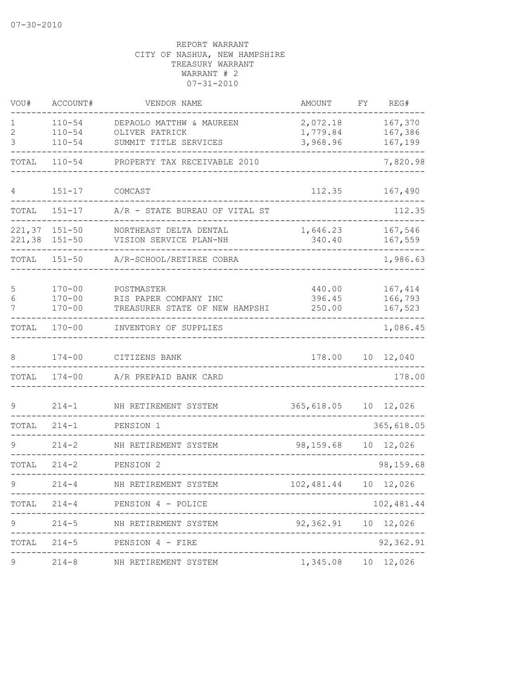| VOU#             | ACCOUNT#                               | VENDOR NAME                                                           | AMOUNT                     | FΥ | REG#                          |
|------------------|----------------------------------------|-----------------------------------------------------------------------|----------------------------|----|-------------------------------|
| 1<br>2           | $110 - 54$<br>$110 - 54$               | DEPAOLO MATTHW & MAUREEN<br>OLIVER PATRICK                            | 2,072.18<br>1,779.84       |    | 167,370<br>167,386            |
| 3                | $110 - 54$                             | SUMMIT TITLE SERVICES                                                 | 3,968.96                   |    | 167,199                       |
| TOTAL            | $110 - 54$                             | PROPERTY TAX RECEIVABLE 2010                                          |                            |    | 7,820.98                      |
| 4                | $151 - 17$                             | COMCAST                                                               | 112.35                     |    | 167,490                       |
| TOTAL            | $151 - 17$                             | A/R - STATE BUREAU OF VITAL ST                                        |                            |    | 112.35                        |
| 221,37<br>221,38 | $151 - 50$<br>$151 - 50$               | NORTHEAST DELTA DENTAL<br>VISION SERVICE PLAN-NH                      | 1,646.23<br>340.40         |    | 167,546<br>167,559            |
| TOTAL            | $151 - 50$                             | A/R-SCHOOL/RETIREE COBRA                                              |                            |    | 1,986.63                      |
| 5<br>6<br>7      | $170 - 00$<br>$170 - 00$<br>$170 - 00$ | POSTMASTER<br>RIS PAPER COMPANY INC<br>TREASURER STATE OF NEW HAMPSHI | 440.00<br>396.45<br>250.00 |    | 167,414<br>166,793<br>167,523 |
| TOTAL            | $170 - 00$                             | INVENTORY OF SUPPLIES                                                 |                            |    | 1,086.45                      |
| 8                | $174 - 00$                             | CITIZENS BANK                                                         | 178.00                     | 10 | 12,040                        |
| TOTAL            | $174 - 00$                             | A/R PREPAID BANK CARD                                                 |                            |    | 178.00                        |
| 9                | $214 - 1$                              | NH RETIREMENT SYSTEM                                                  | 365,618.05                 | 10 | 12,026                        |
| TOTAL            | $214 - 1$                              | PENSION 1                                                             |                            |    | 365,618.05                    |
| 9                | $214 - 2$                              | NH RETIREMENT SYSTEM                                                  | 98,159.68                  |    | 10 12,026                     |
| TOTAL            | $214 - 2$                              | PENSION <sub>2</sub>                                                  |                            |    | 98,159.68                     |
|                  | $214 - 4$                              | NH RETIREMENT SYSTEM<br>--------------------------------------        | 102,481.44                 |    | 10 12,026                     |
|                  |                                        | TOTAL 214-4 PENSION 4 - POLICE<br>--------------------------          |                            |    | 102,481.44                    |
| $\mathsf 9$      |                                        | 214-5 NH RETIREMENT SYSTEM                                            | 92,362.91  10  12,026      |    | ----------                    |
|                  |                                        | TOTAL 214-5 PENSION 4 - FIRE                                          |                            |    | 92,362.91                     |
| 9                |                                        | 214-8 MH RETIREMENT SYSTEM 1,345.08 10 12,026                         |                            |    |                               |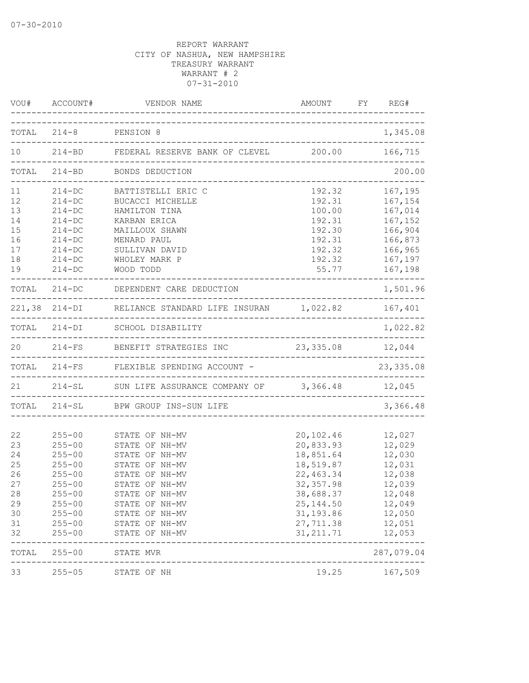|       | VOU# ACCOUNT#          | VENDOR NAME                                                   | AMOUNT FY<br>. _ _ _ _ _ _ _ _ _ _ _ _ _ |                 | REG#            |
|-------|------------------------|---------------------------------------------------------------|------------------------------------------|-----------------|-----------------|
|       |                        | TOTAL 214-8 PENSION 8                                         |                                          |                 | 1,345.08        |
| 10    |                        | 214-BD FEDERAL RESERVE BANK OF CLEVEL 200.00 166,715          |                                          |                 |                 |
| TOTAL |                        | 214-BD BONDS DEDUCTION                                        | ___________________________________      |                 | 200.00          |
| 11    | $214 - DC$             | BATTISTELLI ERIC C                                            | 192.32                                   |                 | 167,195         |
| 12    | $214 - DC$             | BUCACCI MICHELLE                                              | 192.31                                   |                 | 167,154         |
| 13    | $214 - DC$             | HAMILTON TINA                                                 | 100.00                                   |                 | 167,014         |
| 14    | $214 - DC$             | KARBAN ERICA                                                  | 192.31                                   |                 | 167,152         |
| 15    | $214 - DC$             | MAILLOUX SHAWN                                                | 192.30                                   |                 | 166,904         |
| 16    | $214-DC$               | MENARD PAUL                                                   | 192.31                                   |                 | 166,873         |
| 17    | $214 - DC$             | SULLIVAN DAVID                                                | 192.32                                   |                 | 166,965         |
| 18    | $214 - DC$             | WHOLEY MARK P                                                 | 192.32                                   |                 | 167,197         |
| 19    | $214 - DC$             | WOOD TODD                                                     | 55.77                                    |                 | 167,198         |
|       |                        | TOTAL 214-DC DEPENDENT CARE DEDUCTION                         |                                          |                 | 1,501.96        |
|       |                        | 221,38 214-DI RELIANCE STANDARD LIFE INSURAN 1,022.82 167,401 |                                          |                 | --------------- |
| TOTAL |                        | 214-DI SCHOOL DISABILITY                                      |                                          |                 | 1,022.82        |
| 20    |                        | 214-FS BENEFIT STRATEGIES INC                                 | 23, 335.08 12, 044                       |                 |                 |
|       |                        | TOTAL 214-FS FLEXIBLE SPENDING ACCOUNT -                      |                                          | $- - - - - - -$ | 23, 335.08      |
|       |                        | 21 214-SL SUN LIFE ASSURANCE COMPANY OF 3,366.48 12,045       |                                          |                 |                 |
|       |                        | TOTAL 214-SL BPW GROUP INS-SUN LIFE                           | -----------------------------            |                 | 3,366.48        |
|       |                        |                                                               |                                          |                 |                 |
| 22    | $255 - 00$             | STATE OF NH-MV                                                | 20,102.46                                |                 | 12,027          |
| 23    | $255 - 00$             | STATE OF NH-MV                                                | 20,833.93                                |                 | 12,029          |
| 24    | $255 - 00$             | STATE OF NH-MV                                                | 18,851.64                                |                 | 12,030          |
| 25    | $255 - 00$             | STATE OF NH-MV                                                | 18,519.87                                |                 | 12,031          |
| 26    | $255 - 00$             | STATE OF NH-MV                                                | 22, 463.34                               |                 | 12,038          |
| 27    | $255 - 00$             | STATE OF NH-MV                                                | 32, 357.98                               |                 | 12,039          |
| 28    | $255 - 00$             | STATE OF NH-MV                                                | 38,688.37                                |                 | 12,048          |
| 29    | $255 - 00$             | STATE OF NH-MV                                                | 25, 144.50                               |                 | 12,049          |
| 30    | $255 - 00$             | STATE OF NH-MV                                                | 31, 193.86                               |                 | 12,050          |
| 31    | $255 - 00$             | STATE OF NH-MV                                                | 27,711.38                                |                 | 12,051          |
| 32    | $255 - 00$             | STATE OF NH-MV                                                | 31, 211.71                               |                 | 12,053          |
| TOTAL | $255 - 00$             | STATE MVR                                                     |                                          |                 | 287,079.04      |
| 33    | --------<br>$255 - 05$ | STATE OF NH                                                   |                                          |                 | 19.25 167,509   |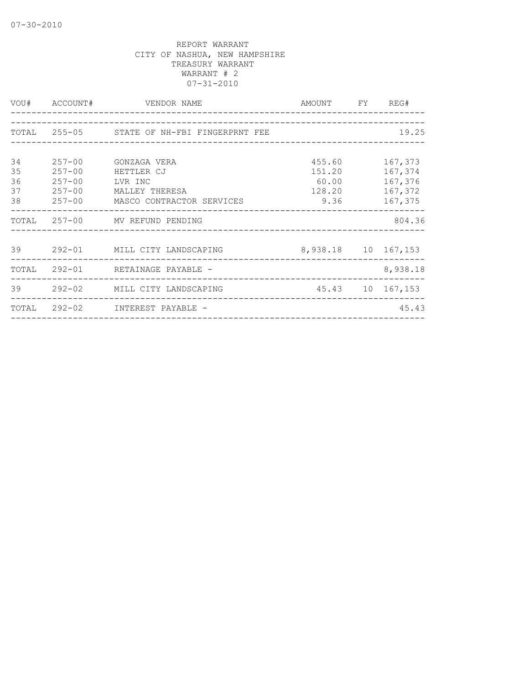|            |                             |                                                                                                                                                                                                                                                                                                                                   | 19.25                                                                                                            |
|------------|-----------------------------|-----------------------------------------------------------------------------------------------------------------------------------------------------------------------------------------------------------------------------------------------------------------------------------------------------------------------------------|------------------------------------------------------------------------------------------------------------------|
|            |                             |                                                                                                                                                                                                                                                                                                                                   |                                                                                                                  |
| $257 - 00$ |                             |                                                                                                                                                                                                                                                                                                                                   | 167,373                                                                                                          |
| $257 - 00$ | HETTLER CJ                  |                                                                                                                                                                                                                                                                                                                                   | 167,374                                                                                                          |
|            |                             |                                                                                                                                                                                                                                                                                                                                   | 167,376                                                                                                          |
|            |                             |                                                                                                                                                                                                                                                                                                                                   |                                                                                                                  |
|            |                             |                                                                                                                                                                                                                                                                                                                                   | 167,375                                                                                                          |
|            |                             |                                                                                                                                                                                                                                                                                                                                   | 804.36                                                                                                           |
|            |                             |                                                                                                                                                                                                                                                                                                                                   |                                                                                                                  |
|            |                             |                                                                                                                                                                                                                                                                                                                                   |                                                                                                                  |
|            |                             |                                                                                                                                                                                                                                                                                                                                   | 8,938.18                                                                                                         |
|            |                             |                                                                                                                                                                                                                                                                                                                                   |                                                                                                                  |
|            |                             |                                                                                                                                                                                                                                                                                                                                   | 45.43                                                                                                            |
|            | VOU# ACCOUNT#<br>$257 - 00$ | VENDOR NAME<br>TOTAL 255-05 STATE OF NH-FBI FINGERPRNT FEE<br>GONZAGA VERA<br>LVR INC<br>257-00 MALLEY THERESA<br>257-00 MASCO CONTRACTOR SERVICES<br>TOTAL 257-00 MV REFUND PENDING<br>39 292-01 MILL CITY LANDSCAPING<br>TOTAL 292-01 RETAINAGE PAYABLE -<br>39 292-02 MILL CITY LANDSCAPING<br>TOTAL 292-02 INTEREST PAYABLE - | AMOUNT FY REG#<br>455.60<br>151.20<br>60.00<br>128.20 167,372<br>9.36<br>8,938.18 10 167,153<br>45.43 10 167,153 |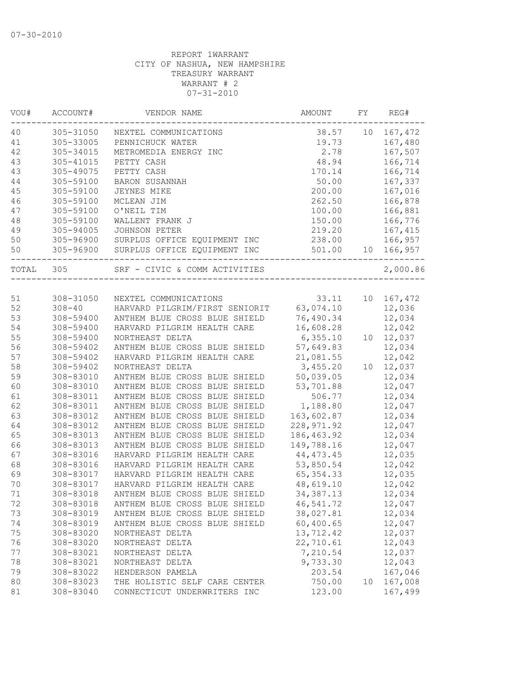| 167,472<br>40<br>305-31050<br>10<br>NEXTEL COMMUNICATIONS<br>38.57<br>41<br>305-33005<br>19.73<br>167,480<br>PENNICHUCK WATER<br>42<br>305-34015<br>2.78<br>167,507<br>METROMEDIA ENERGY INC<br>43<br>305-41015<br>48.94<br>166,714<br>PETTY CASH<br>43<br>305-49075<br>PETTY CASH<br>170.14<br>166,714<br>50.00<br>44<br>305-59100<br>167,337<br><b>BARON SUSANNAH</b><br>167,016<br>45<br>305-59100<br>200.00<br>JEYNES MIKE<br>46<br>305-59100<br>262.50<br>166,878<br>MCLEAN JIM<br>47<br>305-59100<br>O'NEIL TIM<br>100.00<br>166,881<br>48<br>305-59100<br>WALLENT FRANK J<br>150.00<br>166,776<br>49<br>305-94005<br><b>JOHNSON PETER</b><br>219.20<br>167,415<br>50<br>305-96900<br>SURPLUS OFFICE EQUIPMENT INC<br>238.00<br>166,957<br>50<br>305-96900<br>SURPLUS OFFICE EQUIPMENT INC<br>501.00<br>166,957<br>10<br>SRF - CIVIC & COMM ACTIVITIES<br>305<br>TOTAL<br>308-31050<br>33.11<br>10<br>167,472<br>51<br>NEXTEL COMMUNICATIONS<br>52<br>12,036<br>$308 - 40$<br>HARVARD PILGRIM/FIRST SENIORIT<br>63,074.10<br>12,034<br>53<br>308-59400<br>ANTHEM BLUE CROSS BLUE SHIELD<br>76,490.34<br>54<br>308-59400<br>16,608.28<br>12,042<br>HARVARD PILGRIM HEALTH CARE<br>55<br>308-59400<br>6, 355.10<br>12,037<br>NORTHEAST DELTA<br>10<br>56<br>57,649.83<br>12,034<br>308-59402<br>ANTHEM BLUE CROSS BLUE SHIELD<br>57<br>21,081.55<br>12,042<br>308-59402<br>HARVARD PILGRIM HEALTH CARE<br>58<br>3,455.20<br>12,037<br>308-59402<br>NORTHEAST DELTA<br>10<br>59<br>50,039.05<br>12,034<br>308-83010<br>ANTHEM BLUE CROSS BLUE SHIELD<br>60<br>12,047<br>308-83010<br>53,701.88<br>ANTHEM BLUE CROSS BLUE SHIELD<br>506.77<br>12,034<br>61<br>308-83011<br>ANTHEM BLUE CROSS BLUE SHIELD<br>62<br>12,047<br>308-83011<br>ANTHEM BLUE CROSS BLUE SHIELD<br>1,188.80<br>63<br>163,602.87<br>308-83012<br>ANTHEM BLUE CROSS BLUE SHIELD<br>12,034<br>228, 971.92<br>64<br>308-83012<br>ANTHEM BLUE CROSS BLUE SHIELD<br>12,047<br>65<br>308-83013<br>ANTHEM BLUE CROSS BLUE SHIELD<br>186, 463.92<br>12,034<br>66<br>149,788.16<br>12,047<br>308-83013<br>ANTHEM BLUE CROSS BLUE SHIELD<br>HARVARD PILGRIM HEALTH CARE<br>44, 473. 45<br>12,035<br>67<br>308-83016<br>53,850.54<br>12,042<br>68<br>308-83016<br>HARVARD PILGRIM HEALTH CARE<br>12,035<br>69<br>HARVARD PILGRIM HEALTH CARE<br>65, 354.33<br>308-83017<br>HARVARD PILGRIM HEALTH CARE<br>70<br>308-83017<br>48,619.10<br>12,042<br>71<br>308-83018<br>ANTHEM BLUE CROSS BLUE SHIELD<br>34, 387. 13<br>12,034<br>308-83018<br>46,541.72<br>12,047<br>72<br>ANTHEM BLUE CROSS BLUE SHIELD<br>73<br>308-83019<br>38,027.81<br>12,034<br>ANTHEM BLUE CROSS BLUE SHIELD<br>60,400.65<br>74<br>308-83019<br>ANTHEM BLUE CROSS BLUE SHIELD<br>12,047<br>75<br>308-83020<br>13,712.42<br>12,037<br>NORTHEAST DELTA<br>76<br>22,710.61<br>12,043<br>308-83020<br>NORTHEAST DELTA<br>7,210.54<br>12,037<br>77<br>308-83021<br>NORTHEAST DELTA<br>9,733.30<br>12,043<br>78<br>308-83021<br>NORTHEAST DELTA<br>167,046<br>79<br>308-83022<br>HENDERSON PAMELA<br>203.54<br>80<br>308-83023<br>THE HOLISTIC SELF CARE CENTER<br>750.00<br>167,008<br>10<br>308-83040<br>167,499<br>81<br>CONNECTICUT UNDERWRITERS INC<br>123.00 | VOU# | ACCOUNT# | VENDOR NAME | AMOUNT | FY. | REG#     |
|--------------------------------------------------------------------------------------------------------------------------------------------------------------------------------------------------------------------------------------------------------------------------------------------------------------------------------------------------------------------------------------------------------------------------------------------------------------------------------------------------------------------------------------------------------------------------------------------------------------------------------------------------------------------------------------------------------------------------------------------------------------------------------------------------------------------------------------------------------------------------------------------------------------------------------------------------------------------------------------------------------------------------------------------------------------------------------------------------------------------------------------------------------------------------------------------------------------------------------------------------------------------------------------------------------------------------------------------------------------------------------------------------------------------------------------------------------------------------------------------------------------------------------------------------------------------------------------------------------------------------------------------------------------------------------------------------------------------------------------------------------------------------------------------------------------------------------------------------------------------------------------------------------------------------------------------------------------------------------------------------------------------------------------------------------------------------------------------------------------------------------------------------------------------------------------------------------------------------------------------------------------------------------------------------------------------------------------------------------------------------------------------------------------------------------------------------------------------------------------------------------------------------------------------------------------------------------------------------------------------------------------------------------------------------------------------------------------------------------------------------------------------------------------------------------------------------------------------------------------------------------------------------------------------------------------------------------------------------------------------------------------------------------------------------------------------------------------------------------------------------------------------------------------------------------------------------|------|----------|-------------|--------|-----|----------|
|                                                                                                                                                                                                                                                                                                                                                                                                                                                                                                                                                                                                                                                                                                                                                                                                                                                                                                                                                                                                                                                                                                                                                                                                                                                                                                                                                                                                                                                                                                                                                                                                                                                                                                                                                                                                                                                                                                                                                                                                                                                                                                                                                                                                                                                                                                                                                                                                                                                                                                                                                                                                                                                                                                                                                                                                                                                                                                                                                                                                                                                                                                                                                                                                  |      |          |             |        |     |          |
|                                                                                                                                                                                                                                                                                                                                                                                                                                                                                                                                                                                                                                                                                                                                                                                                                                                                                                                                                                                                                                                                                                                                                                                                                                                                                                                                                                                                                                                                                                                                                                                                                                                                                                                                                                                                                                                                                                                                                                                                                                                                                                                                                                                                                                                                                                                                                                                                                                                                                                                                                                                                                                                                                                                                                                                                                                                                                                                                                                                                                                                                                                                                                                                                  |      |          |             |        |     |          |
|                                                                                                                                                                                                                                                                                                                                                                                                                                                                                                                                                                                                                                                                                                                                                                                                                                                                                                                                                                                                                                                                                                                                                                                                                                                                                                                                                                                                                                                                                                                                                                                                                                                                                                                                                                                                                                                                                                                                                                                                                                                                                                                                                                                                                                                                                                                                                                                                                                                                                                                                                                                                                                                                                                                                                                                                                                                                                                                                                                                                                                                                                                                                                                                                  |      |          |             |        |     |          |
|                                                                                                                                                                                                                                                                                                                                                                                                                                                                                                                                                                                                                                                                                                                                                                                                                                                                                                                                                                                                                                                                                                                                                                                                                                                                                                                                                                                                                                                                                                                                                                                                                                                                                                                                                                                                                                                                                                                                                                                                                                                                                                                                                                                                                                                                                                                                                                                                                                                                                                                                                                                                                                                                                                                                                                                                                                                                                                                                                                                                                                                                                                                                                                                                  |      |          |             |        |     |          |
|                                                                                                                                                                                                                                                                                                                                                                                                                                                                                                                                                                                                                                                                                                                                                                                                                                                                                                                                                                                                                                                                                                                                                                                                                                                                                                                                                                                                                                                                                                                                                                                                                                                                                                                                                                                                                                                                                                                                                                                                                                                                                                                                                                                                                                                                                                                                                                                                                                                                                                                                                                                                                                                                                                                                                                                                                                                                                                                                                                                                                                                                                                                                                                                                  |      |          |             |        |     |          |
|                                                                                                                                                                                                                                                                                                                                                                                                                                                                                                                                                                                                                                                                                                                                                                                                                                                                                                                                                                                                                                                                                                                                                                                                                                                                                                                                                                                                                                                                                                                                                                                                                                                                                                                                                                                                                                                                                                                                                                                                                                                                                                                                                                                                                                                                                                                                                                                                                                                                                                                                                                                                                                                                                                                                                                                                                                                                                                                                                                                                                                                                                                                                                                                                  |      |          |             |        |     |          |
|                                                                                                                                                                                                                                                                                                                                                                                                                                                                                                                                                                                                                                                                                                                                                                                                                                                                                                                                                                                                                                                                                                                                                                                                                                                                                                                                                                                                                                                                                                                                                                                                                                                                                                                                                                                                                                                                                                                                                                                                                                                                                                                                                                                                                                                                                                                                                                                                                                                                                                                                                                                                                                                                                                                                                                                                                                                                                                                                                                                                                                                                                                                                                                                                  |      |          |             |        |     |          |
|                                                                                                                                                                                                                                                                                                                                                                                                                                                                                                                                                                                                                                                                                                                                                                                                                                                                                                                                                                                                                                                                                                                                                                                                                                                                                                                                                                                                                                                                                                                                                                                                                                                                                                                                                                                                                                                                                                                                                                                                                                                                                                                                                                                                                                                                                                                                                                                                                                                                                                                                                                                                                                                                                                                                                                                                                                                                                                                                                                                                                                                                                                                                                                                                  |      |          |             |        |     |          |
|                                                                                                                                                                                                                                                                                                                                                                                                                                                                                                                                                                                                                                                                                                                                                                                                                                                                                                                                                                                                                                                                                                                                                                                                                                                                                                                                                                                                                                                                                                                                                                                                                                                                                                                                                                                                                                                                                                                                                                                                                                                                                                                                                                                                                                                                                                                                                                                                                                                                                                                                                                                                                                                                                                                                                                                                                                                                                                                                                                                                                                                                                                                                                                                                  |      |          |             |        |     |          |
|                                                                                                                                                                                                                                                                                                                                                                                                                                                                                                                                                                                                                                                                                                                                                                                                                                                                                                                                                                                                                                                                                                                                                                                                                                                                                                                                                                                                                                                                                                                                                                                                                                                                                                                                                                                                                                                                                                                                                                                                                                                                                                                                                                                                                                                                                                                                                                                                                                                                                                                                                                                                                                                                                                                                                                                                                                                                                                                                                                                                                                                                                                                                                                                                  |      |          |             |        |     |          |
|                                                                                                                                                                                                                                                                                                                                                                                                                                                                                                                                                                                                                                                                                                                                                                                                                                                                                                                                                                                                                                                                                                                                                                                                                                                                                                                                                                                                                                                                                                                                                                                                                                                                                                                                                                                                                                                                                                                                                                                                                                                                                                                                                                                                                                                                                                                                                                                                                                                                                                                                                                                                                                                                                                                                                                                                                                                                                                                                                                                                                                                                                                                                                                                                  |      |          |             |        |     |          |
|                                                                                                                                                                                                                                                                                                                                                                                                                                                                                                                                                                                                                                                                                                                                                                                                                                                                                                                                                                                                                                                                                                                                                                                                                                                                                                                                                                                                                                                                                                                                                                                                                                                                                                                                                                                                                                                                                                                                                                                                                                                                                                                                                                                                                                                                                                                                                                                                                                                                                                                                                                                                                                                                                                                                                                                                                                                                                                                                                                                                                                                                                                                                                                                                  |      |          |             |        |     |          |
|                                                                                                                                                                                                                                                                                                                                                                                                                                                                                                                                                                                                                                                                                                                                                                                                                                                                                                                                                                                                                                                                                                                                                                                                                                                                                                                                                                                                                                                                                                                                                                                                                                                                                                                                                                                                                                                                                                                                                                                                                                                                                                                                                                                                                                                                                                                                                                                                                                                                                                                                                                                                                                                                                                                                                                                                                                                                                                                                                                                                                                                                                                                                                                                                  |      |          |             |        |     |          |
|                                                                                                                                                                                                                                                                                                                                                                                                                                                                                                                                                                                                                                                                                                                                                                                                                                                                                                                                                                                                                                                                                                                                                                                                                                                                                                                                                                                                                                                                                                                                                                                                                                                                                                                                                                                                                                                                                                                                                                                                                                                                                                                                                                                                                                                                                                                                                                                                                                                                                                                                                                                                                                                                                                                                                                                                                                                                                                                                                                                                                                                                                                                                                                                                  |      |          |             |        |     | 2,000.86 |
|                                                                                                                                                                                                                                                                                                                                                                                                                                                                                                                                                                                                                                                                                                                                                                                                                                                                                                                                                                                                                                                                                                                                                                                                                                                                                                                                                                                                                                                                                                                                                                                                                                                                                                                                                                                                                                                                                                                                                                                                                                                                                                                                                                                                                                                                                                                                                                                                                                                                                                                                                                                                                                                                                                                                                                                                                                                                                                                                                                                                                                                                                                                                                                                                  |      |          |             |        |     |          |
|                                                                                                                                                                                                                                                                                                                                                                                                                                                                                                                                                                                                                                                                                                                                                                                                                                                                                                                                                                                                                                                                                                                                                                                                                                                                                                                                                                                                                                                                                                                                                                                                                                                                                                                                                                                                                                                                                                                                                                                                                                                                                                                                                                                                                                                                                                                                                                                                                                                                                                                                                                                                                                                                                                                                                                                                                                                                                                                                                                                                                                                                                                                                                                                                  |      |          |             |        |     |          |
|                                                                                                                                                                                                                                                                                                                                                                                                                                                                                                                                                                                                                                                                                                                                                                                                                                                                                                                                                                                                                                                                                                                                                                                                                                                                                                                                                                                                                                                                                                                                                                                                                                                                                                                                                                                                                                                                                                                                                                                                                                                                                                                                                                                                                                                                                                                                                                                                                                                                                                                                                                                                                                                                                                                                                                                                                                                                                                                                                                                                                                                                                                                                                                                                  |      |          |             |        |     |          |
|                                                                                                                                                                                                                                                                                                                                                                                                                                                                                                                                                                                                                                                                                                                                                                                                                                                                                                                                                                                                                                                                                                                                                                                                                                                                                                                                                                                                                                                                                                                                                                                                                                                                                                                                                                                                                                                                                                                                                                                                                                                                                                                                                                                                                                                                                                                                                                                                                                                                                                                                                                                                                                                                                                                                                                                                                                                                                                                                                                                                                                                                                                                                                                                                  |      |          |             |        |     |          |
|                                                                                                                                                                                                                                                                                                                                                                                                                                                                                                                                                                                                                                                                                                                                                                                                                                                                                                                                                                                                                                                                                                                                                                                                                                                                                                                                                                                                                                                                                                                                                                                                                                                                                                                                                                                                                                                                                                                                                                                                                                                                                                                                                                                                                                                                                                                                                                                                                                                                                                                                                                                                                                                                                                                                                                                                                                                                                                                                                                                                                                                                                                                                                                                                  |      |          |             |        |     |          |
|                                                                                                                                                                                                                                                                                                                                                                                                                                                                                                                                                                                                                                                                                                                                                                                                                                                                                                                                                                                                                                                                                                                                                                                                                                                                                                                                                                                                                                                                                                                                                                                                                                                                                                                                                                                                                                                                                                                                                                                                                                                                                                                                                                                                                                                                                                                                                                                                                                                                                                                                                                                                                                                                                                                                                                                                                                                                                                                                                                                                                                                                                                                                                                                                  |      |          |             |        |     |          |
|                                                                                                                                                                                                                                                                                                                                                                                                                                                                                                                                                                                                                                                                                                                                                                                                                                                                                                                                                                                                                                                                                                                                                                                                                                                                                                                                                                                                                                                                                                                                                                                                                                                                                                                                                                                                                                                                                                                                                                                                                                                                                                                                                                                                                                                                                                                                                                                                                                                                                                                                                                                                                                                                                                                                                                                                                                                                                                                                                                                                                                                                                                                                                                                                  |      |          |             |        |     |          |
|                                                                                                                                                                                                                                                                                                                                                                                                                                                                                                                                                                                                                                                                                                                                                                                                                                                                                                                                                                                                                                                                                                                                                                                                                                                                                                                                                                                                                                                                                                                                                                                                                                                                                                                                                                                                                                                                                                                                                                                                                                                                                                                                                                                                                                                                                                                                                                                                                                                                                                                                                                                                                                                                                                                                                                                                                                                                                                                                                                                                                                                                                                                                                                                                  |      |          |             |        |     |          |
|                                                                                                                                                                                                                                                                                                                                                                                                                                                                                                                                                                                                                                                                                                                                                                                                                                                                                                                                                                                                                                                                                                                                                                                                                                                                                                                                                                                                                                                                                                                                                                                                                                                                                                                                                                                                                                                                                                                                                                                                                                                                                                                                                                                                                                                                                                                                                                                                                                                                                                                                                                                                                                                                                                                                                                                                                                                                                                                                                                                                                                                                                                                                                                                                  |      |          |             |        |     |          |
|                                                                                                                                                                                                                                                                                                                                                                                                                                                                                                                                                                                                                                                                                                                                                                                                                                                                                                                                                                                                                                                                                                                                                                                                                                                                                                                                                                                                                                                                                                                                                                                                                                                                                                                                                                                                                                                                                                                                                                                                                                                                                                                                                                                                                                                                                                                                                                                                                                                                                                                                                                                                                                                                                                                                                                                                                                                                                                                                                                                                                                                                                                                                                                                                  |      |          |             |        |     |          |
|                                                                                                                                                                                                                                                                                                                                                                                                                                                                                                                                                                                                                                                                                                                                                                                                                                                                                                                                                                                                                                                                                                                                                                                                                                                                                                                                                                                                                                                                                                                                                                                                                                                                                                                                                                                                                                                                                                                                                                                                                                                                                                                                                                                                                                                                                                                                                                                                                                                                                                                                                                                                                                                                                                                                                                                                                                                                                                                                                                                                                                                                                                                                                                                                  |      |          |             |        |     |          |
|                                                                                                                                                                                                                                                                                                                                                                                                                                                                                                                                                                                                                                                                                                                                                                                                                                                                                                                                                                                                                                                                                                                                                                                                                                                                                                                                                                                                                                                                                                                                                                                                                                                                                                                                                                                                                                                                                                                                                                                                                                                                                                                                                                                                                                                                                                                                                                                                                                                                                                                                                                                                                                                                                                                                                                                                                                                                                                                                                                                                                                                                                                                                                                                                  |      |          |             |        |     |          |
|                                                                                                                                                                                                                                                                                                                                                                                                                                                                                                                                                                                                                                                                                                                                                                                                                                                                                                                                                                                                                                                                                                                                                                                                                                                                                                                                                                                                                                                                                                                                                                                                                                                                                                                                                                                                                                                                                                                                                                                                                                                                                                                                                                                                                                                                                                                                                                                                                                                                                                                                                                                                                                                                                                                                                                                                                                                                                                                                                                                                                                                                                                                                                                                                  |      |          |             |        |     |          |
|                                                                                                                                                                                                                                                                                                                                                                                                                                                                                                                                                                                                                                                                                                                                                                                                                                                                                                                                                                                                                                                                                                                                                                                                                                                                                                                                                                                                                                                                                                                                                                                                                                                                                                                                                                                                                                                                                                                                                                                                                                                                                                                                                                                                                                                                                                                                                                                                                                                                                                                                                                                                                                                                                                                                                                                                                                                                                                                                                                                                                                                                                                                                                                                                  |      |          |             |        |     |          |
|                                                                                                                                                                                                                                                                                                                                                                                                                                                                                                                                                                                                                                                                                                                                                                                                                                                                                                                                                                                                                                                                                                                                                                                                                                                                                                                                                                                                                                                                                                                                                                                                                                                                                                                                                                                                                                                                                                                                                                                                                                                                                                                                                                                                                                                                                                                                                                                                                                                                                                                                                                                                                                                                                                                                                                                                                                                                                                                                                                                                                                                                                                                                                                                                  |      |          |             |        |     |          |
|                                                                                                                                                                                                                                                                                                                                                                                                                                                                                                                                                                                                                                                                                                                                                                                                                                                                                                                                                                                                                                                                                                                                                                                                                                                                                                                                                                                                                                                                                                                                                                                                                                                                                                                                                                                                                                                                                                                                                                                                                                                                                                                                                                                                                                                                                                                                                                                                                                                                                                                                                                                                                                                                                                                                                                                                                                                                                                                                                                                                                                                                                                                                                                                                  |      |          |             |        |     |          |
|                                                                                                                                                                                                                                                                                                                                                                                                                                                                                                                                                                                                                                                                                                                                                                                                                                                                                                                                                                                                                                                                                                                                                                                                                                                                                                                                                                                                                                                                                                                                                                                                                                                                                                                                                                                                                                                                                                                                                                                                                                                                                                                                                                                                                                                                                                                                                                                                                                                                                                                                                                                                                                                                                                                                                                                                                                                                                                                                                                                                                                                                                                                                                                                                  |      |          |             |        |     |          |
|                                                                                                                                                                                                                                                                                                                                                                                                                                                                                                                                                                                                                                                                                                                                                                                                                                                                                                                                                                                                                                                                                                                                                                                                                                                                                                                                                                                                                                                                                                                                                                                                                                                                                                                                                                                                                                                                                                                                                                                                                                                                                                                                                                                                                                                                                                                                                                                                                                                                                                                                                                                                                                                                                                                                                                                                                                                                                                                                                                                                                                                                                                                                                                                                  |      |          |             |        |     |          |
|                                                                                                                                                                                                                                                                                                                                                                                                                                                                                                                                                                                                                                                                                                                                                                                                                                                                                                                                                                                                                                                                                                                                                                                                                                                                                                                                                                                                                                                                                                                                                                                                                                                                                                                                                                                                                                                                                                                                                                                                                                                                                                                                                                                                                                                                                                                                                                                                                                                                                                                                                                                                                                                                                                                                                                                                                                                                                                                                                                                                                                                                                                                                                                                                  |      |          |             |        |     |          |
|                                                                                                                                                                                                                                                                                                                                                                                                                                                                                                                                                                                                                                                                                                                                                                                                                                                                                                                                                                                                                                                                                                                                                                                                                                                                                                                                                                                                                                                                                                                                                                                                                                                                                                                                                                                                                                                                                                                                                                                                                                                                                                                                                                                                                                                                                                                                                                                                                                                                                                                                                                                                                                                                                                                                                                                                                                                                                                                                                                                                                                                                                                                                                                                                  |      |          |             |        |     |          |
|                                                                                                                                                                                                                                                                                                                                                                                                                                                                                                                                                                                                                                                                                                                                                                                                                                                                                                                                                                                                                                                                                                                                                                                                                                                                                                                                                                                                                                                                                                                                                                                                                                                                                                                                                                                                                                                                                                                                                                                                                                                                                                                                                                                                                                                                                                                                                                                                                                                                                                                                                                                                                                                                                                                                                                                                                                                                                                                                                                                                                                                                                                                                                                                                  |      |          |             |        |     |          |
|                                                                                                                                                                                                                                                                                                                                                                                                                                                                                                                                                                                                                                                                                                                                                                                                                                                                                                                                                                                                                                                                                                                                                                                                                                                                                                                                                                                                                                                                                                                                                                                                                                                                                                                                                                                                                                                                                                                                                                                                                                                                                                                                                                                                                                                                                                                                                                                                                                                                                                                                                                                                                                                                                                                                                                                                                                                                                                                                                                                                                                                                                                                                                                                                  |      |          |             |        |     |          |
|                                                                                                                                                                                                                                                                                                                                                                                                                                                                                                                                                                                                                                                                                                                                                                                                                                                                                                                                                                                                                                                                                                                                                                                                                                                                                                                                                                                                                                                                                                                                                                                                                                                                                                                                                                                                                                                                                                                                                                                                                                                                                                                                                                                                                                                                                                                                                                                                                                                                                                                                                                                                                                                                                                                                                                                                                                                                                                                                                                                                                                                                                                                                                                                                  |      |          |             |        |     |          |
|                                                                                                                                                                                                                                                                                                                                                                                                                                                                                                                                                                                                                                                                                                                                                                                                                                                                                                                                                                                                                                                                                                                                                                                                                                                                                                                                                                                                                                                                                                                                                                                                                                                                                                                                                                                                                                                                                                                                                                                                                                                                                                                                                                                                                                                                                                                                                                                                                                                                                                                                                                                                                                                                                                                                                                                                                                                                                                                                                                                                                                                                                                                                                                                                  |      |          |             |        |     |          |
|                                                                                                                                                                                                                                                                                                                                                                                                                                                                                                                                                                                                                                                                                                                                                                                                                                                                                                                                                                                                                                                                                                                                                                                                                                                                                                                                                                                                                                                                                                                                                                                                                                                                                                                                                                                                                                                                                                                                                                                                                                                                                                                                                                                                                                                                                                                                                                                                                                                                                                                                                                                                                                                                                                                                                                                                                                                                                                                                                                                                                                                                                                                                                                                                  |      |          |             |        |     |          |
|                                                                                                                                                                                                                                                                                                                                                                                                                                                                                                                                                                                                                                                                                                                                                                                                                                                                                                                                                                                                                                                                                                                                                                                                                                                                                                                                                                                                                                                                                                                                                                                                                                                                                                                                                                                                                                                                                                                                                                                                                                                                                                                                                                                                                                                                                                                                                                                                                                                                                                                                                                                                                                                                                                                                                                                                                                                                                                                                                                                                                                                                                                                                                                                                  |      |          |             |        |     |          |
|                                                                                                                                                                                                                                                                                                                                                                                                                                                                                                                                                                                                                                                                                                                                                                                                                                                                                                                                                                                                                                                                                                                                                                                                                                                                                                                                                                                                                                                                                                                                                                                                                                                                                                                                                                                                                                                                                                                                                                                                                                                                                                                                                                                                                                                                                                                                                                                                                                                                                                                                                                                                                                                                                                                                                                                                                                                                                                                                                                                                                                                                                                                                                                                                  |      |          |             |        |     |          |
|                                                                                                                                                                                                                                                                                                                                                                                                                                                                                                                                                                                                                                                                                                                                                                                                                                                                                                                                                                                                                                                                                                                                                                                                                                                                                                                                                                                                                                                                                                                                                                                                                                                                                                                                                                                                                                                                                                                                                                                                                                                                                                                                                                                                                                                                                                                                                                                                                                                                                                                                                                                                                                                                                                                                                                                                                                                                                                                                                                                                                                                                                                                                                                                                  |      |          |             |        |     |          |
|                                                                                                                                                                                                                                                                                                                                                                                                                                                                                                                                                                                                                                                                                                                                                                                                                                                                                                                                                                                                                                                                                                                                                                                                                                                                                                                                                                                                                                                                                                                                                                                                                                                                                                                                                                                                                                                                                                                                                                                                                                                                                                                                                                                                                                                                                                                                                                                                                                                                                                                                                                                                                                                                                                                                                                                                                                                                                                                                                                                                                                                                                                                                                                                                  |      |          |             |        |     |          |
|                                                                                                                                                                                                                                                                                                                                                                                                                                                                                                                                                                                                                                                                                                                                                                                                                                                                                                                                                                                                                                                                                                                                                                                                                                                                                                                                                                                                                                                                                                                                                                                                                                                                                                                                                                                                                                                                                                                                                                                                                                                                                                                                                                                                                                                                                                                                                                                                                                                                                                                                                                                                                                                                                                                                                                                                                                                                                                                                                                                                                                                                                                                                                                                                  |      |          |             |        |     |          |
|                                                                                                                                                                                                                                                                                                                                                                                                                                                                                                                                                                                                                                                                                                                                                                                                                                                                                                                                                                                                                                                                                                                                                                                                                                                                                                                                                                                                                                                                                                                                                                                                                                                                                                                                                                                                                                                                                                                                                                                                                                                                                                                                                                                                                                                                                                                                                                                                                                                                                                                                                                                                                                                                                                                                                                                                                                                                                                                                                                                                                                                                                                                                                                                                  |      |          |             |        |     |          |
|                                                                                                                                                                                                                                                                                                                                                                                                                                                                                                                                                                                                                                                                                                                                                                                                                                                                                                                                                                                                                                                                                                                                                                                                                                                                                                                                                                                                                                                                                                                                                                                                                                                                                                                                                                                                                                                                                                                                                                                                                                                                                                                                                                                                                                                                                                                                                                                                                                                                                                                                                                                                                                                                                                                                                                                                                                                                                                                                                                                                                                                                                                                                                                                                  |      |          |             |        |     |          |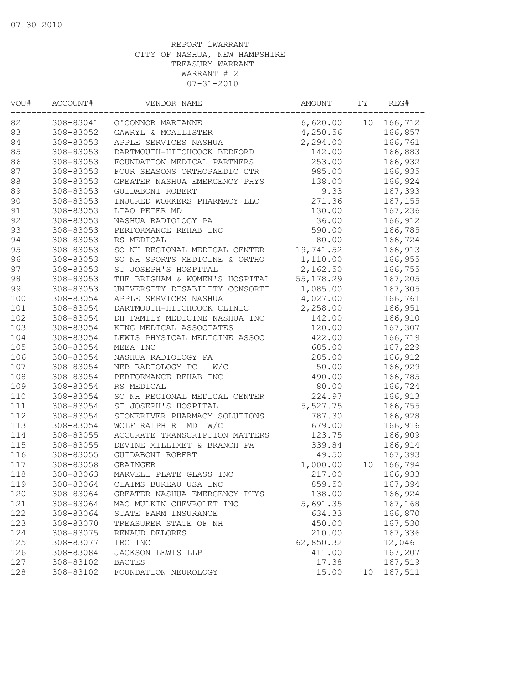| 10<br>166,712<br>308-83041<br>O'CONNOR MARIANNE<br>6,620.00<br>308-83052<br>166,857<br>GAWRYL & MCALLISTER<br>4,250.56<br>84<br>308-83053<br>2,294.00<br>166,761<br>APPLE SERVICES NASHUA<br>85<br>308-83053<br>166,883<br>DARTMOUTH-HITCHCOCK BEDFORD<br>142.00<br>86<br>253.00<br>308-83053<br>FOUNDATION MEDICAL PARTNERS<br>166,932<br>87<br>308-83053<br>FOUR SEASONS ORTHOPAEDIC CTR<br>985.00<br>166,935<br>$8\,8$<br>308-83053<br>GREATER NASHUA EMERGENCY PHYS<br>138.00<br>166,924<br>89<br>9.33<br>167,393<br>308-83053<br>GUIDABONI ROBERT<br>$90$<br>271.36<br>308-83053<br>INJURED WORKERS PHARMACY LLC<br>167,155<br>91<br>308-83053<br>LIAO PETER MD<br>130.00<br>167,236<br>92<br>308-83053<br>NASHUA RADIOLOGY PA<br>36.00<br>166,912<br>93<br>590.00<br>166,785<br>308-83053<br>PERFORMANCE REHAB INC<br>94<br>80.00<br>308-83053<br>RS MEDICAL<br>166,724<br>95<br>SO NH REGIONAL MEDICAL CENTER<br>19,741.52<br>308-83053<br>166,913<br>96<br>1,110.00<br>308-83053<br>SO NH SPORTS MEDICINE & ORTHO<br>166,955<br>97<br>2,162.50<br>308-83053<br>ST JOSEPH'S HOSPITAL<br>166,755<br>98<br>308-83053<br>THE BRIGHAM & WOMEN'S HOSPITAL<br>55, 178.29<br>167,205<br>1,085.00<br>167,305<br>308-83053<br>UNIVERSITY DISABILITY CONSORTI<br>4,027.00<br>308-83054<br>166,761<br>APPLE SERVICES NASHUA<br>308-83054<br>DARTMOUTH-HITCHCOCK CLINIC<br>2,258.00<br>166,951<br>DH FAMILY MEDICINE NASHUA INC<br>308-83054<br>142.00<br>166,910<br>KING MEDICAL ASSOCIATES<br>120.00<br>308-83054<br>167,307<br>422.00<br>308-83054<br>LEWIS PHYSICAL MEDICINE ASSOC<br>166,719<br>308-83054<br>685.00<br>167,229<br>MEEA INC<br>308-83054<br>NASHUA RADIOLOGY PA<br>285.00<br>166,912<br>308-83054<br>50.00<br>166,929<br>NEB RADIOLOGY PC<br>W/C<br>490.00<br>166,785<br>308-83054<br>PERFORMANCE REHAB INC<br>80.00<br>308-83054<br>RS MEDICAL<br>166,724<br>308-83054<br>SO NH REGIONAL MEDICAL CENTER<br>224.97<br>166,913<br>308-83054<br>ST JOSEPH'S HOSPITAL<br>5,527.75<br>166,755<br>308-83054<br>166,928<br>STONERIVER PHARMACY SOLUTIONS<br>787.30<br>WOLF RALPH R MD W/C<br>679.00<br>308-83054<br>166,916<br>308-83055<br>ACCURATE TRANSCRIPTION MATTERS<br>123.75<br>166,909<br>308-83055<br>DEVINE MILLIMET & BRANCH PA<br>339.84<br>166,914<br>308-83055<br>49.50<br>167,393<br>GUIDABONI ROBERT<br>1,000.00<br>166,794<br>308-83058<br>GRAINGER<br>10<br>308-83063<br>MARVELL PLATE GLASS INC<br>217.00<br>166,933<br>308-83064<br>CLAIMS BUREAU USA INC<br>859.50<br>167,394<br>308-83064<br>GREATER NASHUA EMERGENCY PHYS<br>138.00<br>166,924<br>308-83064<br>5,691.35<br>167,168<br>MAC MULKIN CHEVROLET INC<br>308-83064<br>634.33<br>166,870<br>STATE FARM INSURANCE<br>167,530<br>308-83070<br>450.00<br>TREASURER STATE OF NH<br>167,336<br>308-83075<br>RENAUD DELORES<br>210.00<br>62,850.32<br>IRC INC<br>12,046<br>308-83077<br>308-83084<br>411.00<br>167,207<br>JACKSON LEWIS LLP<br>308-83102<br>17.38<br>167,519<br><b>BACTES</b><br>308-83102<br>15.00<br>167,511<br>FOUNDATION NEUROLOGY<br>10 | VOU# | ACCOUNT# | VENDOR NAME | AMOUNT | FΥ | REG# |
|-------------------------------------------------------------------------------------------------------------------------------------------------------------------------------------------------------------------------------------------------------------------------------------------------------------------------------------------------------------------------------------------------------------------------------------------------------------------------------------------------------------------------------------------------------------------------------------------------------------------------------------------------------------------------------------------------------------------------------------------------------------------------------------------------------------------------------------------------------------------------------------------------------------------------------------------------------------------------------------------------------------------------------------------------------------------------------------------------------------------------------------------------------------------------------------------------------------------------------------------------------------------------------------------------------------------------------------------------------------------------------------------------------------------------------------------------------------------------------------------------------------------------------------------------------------------------------------------------------------------------------------------------------------------------------------------------------------------------------------------------------------------------------------------------------------------------------------------------------------------------------------------------------------------------------------------------------------------------------------------------------------------------------------------------------------------------------------------------------------------------------------------------------------------------------------------------------------------------------------------------------------------------------------------------------------------------------------------------------------------------------------------------------------------------------------------------------------------------------------------------------------------------------------------------------------------------------------------------------------------------------------------------------------------------------------------------------------------------------------------------------------------------------------------------------------------------------------------------------------------------------------------------------------------------------------------------------------------------------------------------------------------------------------------------|------|----------|-------------|--------|----|------|
|                                                                                                                                                                                                                                                                                                                                                                                                                                                                                                                                                                                                                                                                                                                                                                                                                                                                                                                                                                                                                                                                                                                                                                                                                                                                                                                                                                                                                                                                                                                                                                                                                                                                                                                                                                                                                                                                                                                                                                                                                                                                                                                                                                                                                                                                                                                                                                                                                                                                                                                                                                                                                                                                                                                                                                                                                                                                                                                                                                                                                                                 | 82   |          |             |        |    |      |
|                                                                                                                                                                                                                                                                                                                                                                                                                                                                                                                                                                                                                                                                                                                                                                                                                                                                                                                                                                                                                                                                                                                                                                                                                                                                                                                                                                                                                                                                                                                                                                                                                                                                                                                                                                                                                                                                                                                                                                                                                                                                                                                                                                                                                                                                                                                                                                                                                                                                                                                                                                                                                                                                                                                                                                                                                                                                                                                                                                                                                                                 | 83   |          |             |        |    |      |
|                                                                                                                                                                                                                                                                                                                                                                                                                                                                                                                                                                                                                                                                                                                                                                                                                                                                                                                                                                                                                                                                                                                                                                                                                                                                                                                                                                                                                                                                                                                                                                                                                                                                                                                                                                                                                                                                                                                                                                                                                                                                                                                                                                                                                                                                                                                                                                                                                                                                                                                                                                                                                                                                                                                                                                                                                                                                                                                                                                                                                                                 |      |          |             |        |    |      |
|                                                                                                                                                                                                                                                                                                                                                                                                                                                                                                                                                                                                                                                                                                                                                                                                                                                                                                                                                                                                                                                                                                                                                                                                                                                                                                                                                                                                                                                                                                                                                                                                                                                                                                                                                                                                                                                                                                                                                                                                                                                                                                                                                                                                                                                                                                                                                                                                                                                                                                                                                                                                                                                                                                                                                                                                                                                                                                                                                                                                                                                 |      |          |             |        |    |      |
|                                                                                                                                                                                                                                                                                                                                                                                                                                                                                                                                                                                                                                                                                                                                                                                                                                                                                                                                                                                                                                                                                                                                                                                                                                                                                                                                                                                                                                                                                                                                                                                                                                                                                                                                                                                                                                                                                                                                                                                                                                                                                                                                                                                                                                                                                                                                                                                                                                                                                                                                                                                                                                                                                                                                                                                                                                                                                                                                                                                                                                                 |      |          |             |        |    |      |
|                                                                                                                                                                                                                                                                                                                                                                                                                                                                                                                                                                                                                                                                                                                                                                                                                                                                                                                                                                                                                                                                                                                                                                                                                                                                                                                                                                                                                                                                                                                                                                                                                                                                                                                                                                                                                                                                                                                                                                                                                                                                                                                                                                                                                                                                                                                                                                                                                                                                                                                                                                                                                                                                                                                                                                                                                                                                                                                                                                                                                                                 |      |          |             |        |    |      |
|                                                                                                                                                                                                                                                                                                                                                                                                                                                                                                                                                                                                                                                                                                                                                                                                                                                                                                                                                                                                                                                                                                                                                                                                                                                                                                                                                                                                                                                                                                                                                                                                                                                                                                                                                                                                                                                                                                                                                                                                                                                                                                                                                                                                                                                                                                                                                                                                                                                                                                                                                                                                                                                                                                                                                                                                                                                                                                                                                                                                                                                 |      |          |             |        |    |      |
|                                                                                                                                                                                                                                                                                                                                                                                                                                                                                                                                                                                                                                                                                                                                                                                                                                                                                                                                                                                                                                                                                                                                                                                                                                                                                                                                                                                                                                                                                                                                                                                                                                                                                                                                                                                                                                                                                                                                                                                                                                                                                                                                                                                                                                                                                                                                                                                                                                                                                                                                                                                                                                                                                                                                                                                                                                                                                                                                                                                                                                                 |      |          |             |        |    |      |
|                                                                                                                                                                                                                                                                                                                                                                                                                                                                                                                                                                                                                                                                                                                                                                                                                                                                                                                                                                                                                                                                                                                                                                                                                                                                                                                                                                                                                                                                                                                                                                                                                                                                                                                                                                                                                                                                                                                                                                                                                                                                                                                                                                                                                                                                                                                                                                                                                                                                                                                                                                                                                                                                                                                                                                                                                                                                                                                                                                                                                                                 |      |          |             |        |    |      |
|                                                                                                                                                                                                                                                                                                                                                                                                                                                                                                                                                                                                                                                                                                                                                                                                                                                                                                                                                                                                                                                                                                                                                                                                                                                                                                                                                                                                                                                                                                                                                                                                                                                                                                                                                                                                                                                                                                                                                                                                                                                                                                                                                                                                                                                                                                                                                                                                                                                                                                                                                                                                                                                                                                                                                                                                                                                                                                                                                                                                                                                 |      |          |             |        |    |      |
|                                                                                                                                                                                                                                                                                                                                                                                                                                                                                                                                                                                                                                                                                                                                                                                                                                                                                                                                                                                                                                                                                                                                                                                                                                                                                                                                                                                                                                                                                                                                                                                                                                                                                                                                                                                                                                                                                                                                                                                                                                                                                                                                                                                                                                                                                                                                                                                                                                                                                                                                                                                                                                                                                                                                                                                                                                                                                                                                                                                                                                                 |      |          |             |        |    |      |
|                                                                                                                                                                                                                                                                                                                                                                                                                                                                                                                                                                                                                                                                                                                                                                                                                                                                                                                                                                                                                                                                                                                                                                                                                                                                                                                                                                                                                                                                                                                                                                                                                                                                                                                                                                                                                                                                                                                                                                                                                                                                                                                                                                                                                                                                                                                                                                                                                                                                                                                                                                                                                                                                                                                                                                                                                                                                                                                                                                                                                                                 |      |          |             |        |    |      |
|                                                                                                                                                                                                                                                                                                                                                                                                                                                                                                                                                                                                                                                                                                                                                                                                                                                                                                                                                                                                                                                                                                                                                                                                                                                                                                                                                                                                                                                                                                                                                                                                                                                                                                                                                                                                                                                                                                                                                                                                                                                                                                                                                                                                                                                                                                                                                                                                                                                                                                                                                                                                                                                                                                                                                                                                                                                                                                                                                                                                                                                 |      |          |             |        |    |      |
|                                                                                                                                                                                                                                                                                                                                                                                                                                                                                                                                                                                                                                                                                                                                                                                                                                                                                                                                                                                                                                                                                                                                                                                                                                                                                                                                                                                                                                                                                                                                                                                                                                                                                                                                                                                                                                                                                                                                                                                                                                                                                                                                                                                                                                                                                                                                                                                                                                                                                                                                                                                                                                                                                                                                                                                                                                                                                                                                                                                                                                                 |      |          |             |        |    |      |
|                                                                                                                                                                                                                                                                                                                                                                                                                                                                                                                                                                                                                                                                                                                                                                                                                                                                                                                                                                                                                                                                                                                                                                                                                                                                                                                                                                                                                                                                                                                                                                                                                                                                                                                                                                                                                                                                                                                                                                                                                                                                                                                                                                                                                                                                                                                                                                                                                                                                                                                                                                                                                                                                                                                                                                                                                                                                                                                                                                                                                                                 |      |          |             |        |    |      |
|                                                                                                                                                                                                                                                                                                                                                                                                                                                                                                                                                                                                                                                                                                                                                                                                                                                                                                                                                                                                                                                                                                                                                                                                                                                                                                                                                                                                                                                                                                                                                                                                                                                                                                                                                                                                                                                                                                                                                                                                                                                                                                                                                                                                                                                                                                                                                                                                                                                                                                                                                                                                                                                                                                                                                                                                                                                                                                                                                                                                                                                 |      |          |             |        |    |      |
|                                                                                                                                                                                                                                                                                                                                                                                                                                                                                                                                                                                                                                                                                                                                                                                                                                                                                                                                                                                                                                                                                                                                                                                                                                                                                                                                                                                                                                                                                                                                                                                                                                                                                                                                                                                                                                                                                                                                                                                                                                                                                                                                                                                                                                                                                                                                                                                                                                                                                                                                                                                                                                                                                                                                                                                                                                                                                                                                                                                                                                                 |      |          |             |        |    |      |
|                                                                                                                                                                                                                                                                                                                                                                                                                                                                                                                                                                                                                                                                                                                                                                                                                                                                                                                                                                                                                                                                                                                                                                                                                                                                                                                                                                                                                                                                                                                                                                                                                                                                                                                                                                                                                                                                                                                                                                                                                                                                                                                                                                                                                                                                                                                                                                                                                                                                                                                                                                                                                                                                                                                                                                                                                                                                                                                                                                                                                                                 | 99   |          |             |        |    |      |
|                                                                                                                                                                                                                                                                                                                                                                                                                                                                                                                                                                                                                                                                                                                                                                                                                                                                                                                                                                                                                                                                                                                                                                                                                                                                                                                                                                                                                                                                                                                                                                                                                                                                                                                                                                                                                                                                                                                                                                                                                                                                                                                                                                                                                                                                                                                                                                                                                                                                                                                                                                                                                                                                                                                                                                                                                                                                                                                                                                                                                                                 | 100  |          |             |        |    |      |
|                                                                                                                                                                                                                                                                                                                                                                                                                                                                                                                                                                                                                                                                                                                                                                                                                                                                                                                                                                                                                                                                                                                                                                                                                                                                                                                                                                                                                                                                                                                                                                                                                                                                                                                                                                                                                                                                                                                                                                                                                                                                                                                                                                                                                                                                                                                                                                                                                                                                                                                                                                                                                                                                                                                                                                                                                                                                                                                                                                                                                                                 | 101  |          |             |        |    |      |
|                                                                                                                                                                                                                                                                                                                                                                                                                                                                                                                                                                                                                                                                                                                                                                                                                                                                                                                                                                                                                                                                                                                                                                                                                                                                                                                                                                                                                                                                                                                                                                                                                                                                                                                                                                                                                                                                                                                                                                                                                                                                                                                                                                                                                                                                                                                                                                                                                                                                                                                                                                                                                                                                                                                                                                                                                                                                                                                                                                                                                                                 | 102  |          |             |        |    |      |
|                                                                                                                                                                                                                                                                                                                                                                                                                                                                                                                                                                                                                                                                                                                                                                                                                                                                                                                                                                                                                                                                                                                                                                                                                                                                                                                                                                                                                                                                                                                                                                                                                                                                                                                                                                                                                                                                                                                                                                                                                                                                                                                                                                                                                                                                                                                                                                                                                                                                                                                                                                                                                                                                                                                                                                                                                                                                                                                                                                                                                                                 | 103  |          |             |        |    |      |
|                                                                                                                                                                                                                                                                                                                                                                                                                                                                                                                                                                                                                                                                                                                                                                                                                                                                                                                                                                                                                                                                                                                                                                                                                                                                                                                                                                                                                                                                                                                                                                                                                                                                                                                                                                                                                                                                                                                                                                                                                                                                                                                                                                                                                                                                                                                                                                                                                                                                                                                                                                                                                                                                                                                                                                                                                                                                                                                                                                                                                                                 | 104  |          |             |        |    |      |
|                                                                                                                                                                                                                                                                                                                                                                                                                                                                                                                                                                                                                                                                                                                                                                                                                                                                                                                                                                                                                                                                                                                                                                                                                                                                                                                                                                                                                                                                                                                                                                                                                                                                                                                                                                                                                                                                                                                                                                                                                                                                                                                                                                                                                                                                                                                                                                                                                                                                                                                                                                                                                                                                                                                                                                                                                                                                                                                                                                                                                                                 | 105  |          |             |        |    |      |
|                                                                                                                                                                                                                                                                                                                                                                                                                                                                                                                                                                                                                                                                                                                                                                                                                                                                                                                                                                                                                                                                                                                                                                                                                                                                                                                                                                                                                                                                                                                                                                                                                                                                                                                                                                                                                                                                                                                                                                                                                                                                                                                                                                                                                                                                                                                                                                                                                                                                                                                                                                                                                                                                                                                                                                                                                                                                                                                                                                                                                                                 | 106  |          |             |        |    |      |
|                                                                                                                                                                                                                                                                                                                                                                                                                                                                                                                                                                                                                                                                                                                                                                                                                                                                                                                                                                                                                                                                                                                                                                                                                                                                                                                                                                                                                                                                                                                                                                                                                                                                                                                                                                                                                                                                                                                                                                                                                                                                                                                                                                                                                                                                                                                                                                                                                                                                                                                                                                                                                                                                                                                                                                                                                                                                                                                                                                                                                                                 | 107  |          |             |        |    |      |
|                                                                                                                                                                                                                                                                                                                                                                                                                                                                                                                                                                                                                                                                                                                                                                                                                                                                                                                                                                                                                                                                                                                                                                                                                                                                                                                                                                                                                                                                                                                                                                                                                                                                                                                                                                                                                                                                                                                                                                                                                                                                                                                                                                                                                                                                                                                                                                                                                                                                                                                                                                                                                                                                                                                                                                                                                                                                                                                                                                                                                                                 | 108  |          |             |        |    |      |
|                                                                                                                                                                                                                                                                                                                                                                                                                                                                                                                                                                                                                                                                                                                                                                                                                                                                                                                                                                                                                                                                                                                                                                                                                                                                                                                                                                                                                                                                                                                                                                                                                                                                                                                                                                                                                                                                                                                                                                                                                                                                                                                                                                                                                                                                                                                                                                                                                                                                                                                                                                                                                                                                                                                                                                                                                                                                                                                                                                                                                                                 | 109  |          |             |        |    |      |
|                                                                                                                                                                                                                                                                                                                                                                                                                                                                                                                                                                                                                                                                                                                                                                                                                                                                                                                                                                                                                                                                                                                                                                                                                                                                                                                                                                                                                                                                                                                                                                                                                                                                                                                                                                                                                                                                                                                                                                                                                                                                                                                                                                                                                                                                                                                                                                                                                                                                                                                                                                                                                                                                                                                                                                                                                                                                                                                                                                                                                                                 | 110  |          |             |        |    |      |
|                                                                                                                                                                                                                                                                                                                                                                                                                                                                                                                                                                                                                                                                                                                                                                                                                                                                                                                                                                                                                                                                                                                                                                                                                                                                                                                                                                                                                                                                                                                                                                                                                                                                                                                                                                                                                                                                                                                                                                                                                                                                                                                                                                                                                                                                                                                                                                                                                                                                                                                                                                                                                                                                                                                                                                                                                                                                                                                                                                                                                                                 | 111  |          |             |        |    |      |
|                                                                                                                                                                                                                                                                                                                                                                                                                                                                                                                                                                                                                                                                                                                                                                                                                                                                                                                                                                                                                                                                                                                                                                                                                                                                                                                                                                                                                                                                                                                                                                                                                                                                                                                                                                                                                                                                                                                                                                                                                                                                                                                                                                                                                                                                                                                                                                                                                                                                                                                                                                                                                                                                                                                                                                                                                                                                                                                                                                                                                                                 | 112  |          |             |        |    |      |
|                                                                                                                                                                                                                                                                                                                                                                                                                                                                                                                                                                                                                                                                                                                                                                                                                                                                                                                                                                                                                                                                                                                                                                                                                                                                                                                                                                                                                                                                                                                                                                                                                                                                                                                                                                                                                                                                                                                                                                                                                                                                                                                                                                                                                                                                                                                                                                                                                                                                                                                                                                                                                                                                                                                                                                                                                                                                                                                                                                                                                                                 | 113  |          |             |        |    |      |
|                                                                                                                                                                                                                                                                                                                                                                                                                                                                                                                                                                                                                                                                                                                                                                                                                                                                                                                                                                                                                                                                                                                                                                                                                                                                                                                                                                                                                                                                                                                                                                                                                                                                                                                                                                                                                                                                                                                                                                                                                                                                                                                                                                                                                                                                                                                                                                                                                                                                                                                                                                                                                                                                                                                                                                                                                                                                                                                                                                                                                                                 | 114  |          |             |        |    |      |
|                                                                                                                                                                                                                                                                                                                                                                                                                                                                                                                                                                                                                                                                                                                                                                                                                                                                                                                                                                                                                                                                                                                                                                                                                                                                                                                                                                                                                                                                                                                                                                                                                                                                                                                                                                                                                                                                                                                                                                                                                                                                                                                                                                                                                                                                                                                                                                                                                                                                                                                                                                                                                                                                                                                                                                                                                                                                                                                                                                                                                                                 | 115  |          |             |        |    |      |
|                                                                                                                                                                                                                                                                                                                                                                                                                                                                                                                                                                                                                                                                                                                                                                                                                                                                                                                                                                                                                                                                                                                                                                                                                                                                                                                                                                                                                                                                                                                                                                                                                                                                                                                                                                                                                                                                                                                                                                                                                                                                                                                                                                                                                                                                                                                                                                                                                                                                                                                                                                                                                                                                                                                                                                                                                                                                                                                                                                                                                                                 | 116  |          |             |        |    |      |
|                                                                                                                                                                                                                                                                                                                                                                                                                                                                                                                                                                                                                                                                                                                                                                                                                                                                                                                                                                                                                                                                                                                                                                                                                                                                                                                                                                                                                                                                                                                                                                                                                                                                                                                                                                                                                                                                                                                                                                                                                                                                                                                                                                                                                                                                                                                                                                                                                                                                                                                                                                                                                                                                                                                                                                                                                                                                                                                                                                                                                                                 | 117  |          |             |        |    |      |
|                                                                                                                                                                                                                                                                                                                                                                                                                                                                                                                                                                                                                                                                                                                                                                                                                                                                                                                                                                                                                                                                                                                                                                                                                                                                                                                                                                                                                                                                                                                                                                                                                                                                                                                                                                                                                                                                                                                                                                                                                                                                                                                                                                                                                                                                                                                                                                                                                                                                                                                                                                                                                                                                                                                                                                                                                                                                                                                                                                                                                                                 | 118  |          |             |        |    |      |
|                                                                                                                                                                                                                                                                                                                                                                                                                                                                                                                                                                                                                                                                                                                                                                                                                                                                                                                                                                                                                                                                                                                                                                                                                                                                                                                                                                                                                                                                                                                                                                                                                                                                                                                                                                                                                                                                                                                                                                                                                                                                                                                                                                                                                                                                                                                                                                                                                                                                                                                                                                                                                                                                                                                                                                                                                                                                                                                                                                                                                                                 | 119  |          |             |        |    |      |
|                                                                                                                                                                                                                                                                                                                                                                                                                                                                                                                                                                                                                                                                                                                                                                                                                                                                                                                                                                                                                                                                                                                                                                                                                                                                                                                                                                                                                                                                                                                                                                                                                                                                                                                                                                                                                                                                                                                                                                                                                                                                                                                                                                                                                                                                                                                                                                                                                                                                                                                                                                                                                                                                                                                                                                                                                                                                                                                                                                                                                                                 | 120  |          |             |        |    |      |
|                                                                                                                                                                                                                                                                                                                                                                                                                                                                                                                                                                                                                                                                                                                                                                                                                                                                                                                                                                                                                                                                                                                                                                                                                                                                                                                                                                                                                                                                                                                                                                                                                                                                                                                                                                                                                                                                                                                                                                                                                                                                                                                                                                                                                                                                                                                                                                                                                                                                                                                                                                                                                                                                                                                                                                                                                                                                                                                                                                                                                                                 | 121  |          |             |        |    |      |
|                                                                                                                                                                                                                                                                                                                                                                                                                                                                                                                                                                                                                                                                                                                                                                                                                                                                                                                                                                                                                                                                                                                                                                                                                                                                                                                                                                                                                                                                                                                                                                                                                                                                                                                                                                                                                                                                                                                                                                                                                                                                                                                                                                                                                                                                                                                                                                                                                                                                                                                                                                                                                                                                                                                                                                                                                                                                                                                                                                                                                                                 | 122  |          |             |        |    |      |
|                                                                                                                                                                                                                                                                                                                                                                                                                                                                                                                                                                                                                                                                                                                                                                                                                                                                                                                                                                                                                                                                                                                                                                                                                                                                                                                                                                                                                                                                                                                                                                                                                                                                                                                                                                                                                                                                                                                                                                                                                                                                                                                                                                                                                                                                                                                                                                                                                                                                                                                                                                                                                                                                                                                                                                                                                                                                                                                                                                                                                                                 | 123  |          |             |        |    |      |
|                                                                                                                                                                                                                                                                                                                                                                                                                                                                                                                                                                                                                                                                                                                                                                                                                                                                                                                                                                                                                                                                                                                                                                                                                                                                                                                                                                                                                                                                                                                                                                                                                                                                                                                                                                                                                                                                                                                                                                                                                                                                                                                                                                                                                                                                                                                                                                                                                                                                                                                                                                                                                                                                                                                                                                                                                                                                                                                                                                                                                                                 | 124  |          |             |        |    |      |
|                                                                                                                                                                                                                                                                                                                                                                                                                                                                                                                                                                                                                                                                                                                                                                                                                                                                                                                                                                                                                                                                                                                                                                                                                                                                                                                                                                                                                                                                                                                                                                                                                                                                                                                                                                                                                                                                                                                                                                                                                                                                                                                                                                                                                                                                                                                                                                                                                                                                                                                                                                                                                                                                                                                                                                                                                                                                                                                                                                                                                                                 | 125  |          |             |        |    |      |
|                                                                                                                                                                                                                                                                                                                                                                                                                                                                                                                                                                                                                                                                                                                                                                                                                                                                                                                                                                                                                                                                                                                                                                                                                                                                                                                                                                                                                                                                                                                                                                                                                                                                                                                                                                                                                                                                                                                                                                                                                                                                                                                                                                                                                                                                                                                                                                                                                                                                                                                                                                                                                                                                                                                                                                                                                                                                                                                                                                                                                                                 | 126  |          |             |        |    |      |
|                                                                                                                                                                                                                                                                                                                                                                                                                                                                                                                                                                                                                                                                                                                                                                                                                                                                                                                                                                                                                                                                                                                                                                                                                                                                                                                                                                                                                                                                                                                                                                                                                                                                                                                                                                                                                                                                                                                                                                                                                                                                                                                                                                                                                                                                                                                                                                                                                                                                                                                                                                                                                                                                                                                                                                                                                                                                                                                                                                                                                                                 | 127  |          |             |        |    |      |
|                                                                                                                                                                                                                                                                                                                                                                                                                                                                                                                                                                                                                                                                                                                                                                                                                                                                                                                                                                                                                                                                                                                                                                                                                                                                                                                                                                                                                                                                                                                                                                                                                                                                                                                                                                                                                                                                                                                                                                                                                                                                                                                                                                                                                                                                                                                                                                                                                                                                                                                                                                                                                                                                                                                                                                                                                                                                                                                                                                                                                                                 | 128  |          |             |        |    |      |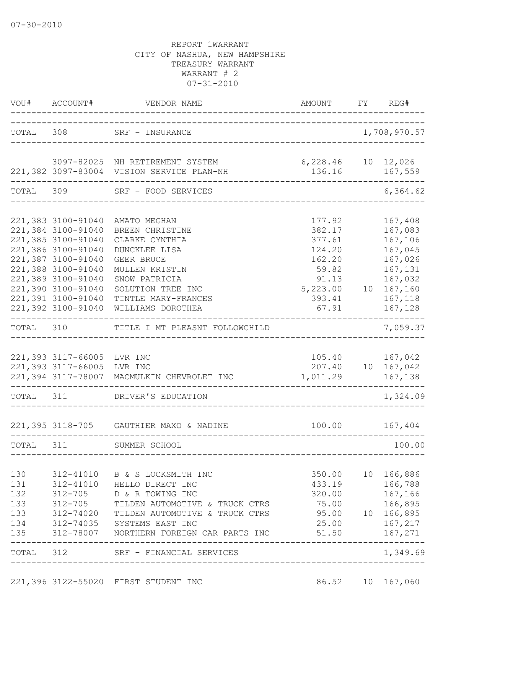|                                               |                                                                                                                                                                                                                          |                                                                                                                                                                                                                                                         |                                                                                                              | FY REG#                                                                                         |
|-----------------------------------------------|--------------------------------------------------------------------------------------------------------------------------------------------------------------------------------------------------------------------------|---------------------------------------------------------------------------------------------------------------------------------------------------------------------------------------------------------------------------------------------------------|--------------------------------------------------------------------------------------------------------------|-------------------------------------------------------------------------------------------------|
|                                               |                                                                                                                                                                                                                          | TOTAL 308 SRF - INSURANCE                                                                                                                                                                                                                               |                                                                                                              | 1,708,970.57                                                                                    |
|                                               |                                                                                                                                                                                                                          | 3097-82025 NH RETIREMENT SYSTEM<br>221,382 3097-83004 VISION SERVICE PLAN-NH                                                                                                                                                                            | 6,228.46 10 12,026                                                                                           | 136.16 167,559                                                                                  |
| TOTAL                                         |                                                                                                                                                                                                                          | 309 SRF - FOOD SERVICES<br>-------------------------------------                                                                                                                                                                                        |                                                                                                              | -------<br>6,364.62                                                                             |
|                                               | 221,383 3100-91040<br>221,384 3100-91040<br>221,385 3100-91040<br>221,386 3100-91040<br>221,387 3100-91040<br>221,388 3100-91040<br>221,389 3100-91040<br>221,390 3100-91040<br>221,391 3100-91040<br>221,392 3100-91040 | AMATO MEGHAN<br>BREEN CHRISTINE<br>CLARKE CYNTHIA<br>DUNCKLEE LISA<br>GEER BRUCE<br>MULLEN KRISTIN<br>SNOW PATRICIA<br>SOLUTION TREE INC<br>TINTLE MARY-FRANCES<br>WILLIAMS DOROTHEA                                                                    | 177.92<br>382.17<br>377.61<br>124.20<br>162.20<br>59.82<br>91.13<br>5, 223.00 10 167, 160<br>393.41<br>67.91 | 167,408<br>167,083<br>167,106<br>167,045<br>167,026<br>167,131<br>167,032<br>167,118<br>167,128 |
|                                               |                                                                                                                                                                                                                          | TOTAL 310 TITLE I MT PLEASNT FOLLOWCHILD                                                                                                                                                                                                                | --------------------------                                                                                   | 7,059.37                                                                                        |
|                                               | 221,393 3117-66005 LVR INC<br>221,393 3117-66005 LVR INC                                                                                                                                                                 | 221,394 3117-78007 MACMULKIN CHEVROLET INC<br>TOTAL 311 DRIVER'S EDUCATION                                                                                                                                                                              | 1,011.29                                                                                                     | 105.40    167,042<br>207.40  10  167,042<br>167,138<br>1,324.09                                 |
|                                               |                                                                                                                                                                                                                          |                                                                                                                                                                                                                                                         |                                                                                                              |                                                                                                 |
|                                               |                                                                                                                                                                                                                          | 221,395 3118-705 GAUTHIER MAXO & NADINE                                                                                                                                                                                                                 |                                                                                                              |                                                                                                 |
| TOTAL 311                                     |                                                                                                                                                                                                                          | SUMMER SCHOOL<br>__________________________________                                                                                                                                                                                                     |                                                                                                              | 100.00                                                                                          |
| 130<br>131<br>132<br>133<br>133<br>134<br>135 |                                                                                                                                                                                                                          | 312-41010 B & S LOCKSMITH INC<br>312-41010 HELLO DIRECT INC<br>312-705 D & R TOWING INC<br>312-705 TILDEN AUTOMOTIVE & TRUCK CTRS<br>312-74020 TILDEN AUTOMOTIVE & TRUCK CTRS<br>312-74035 SYSTEMS EAST INC<br>312-78007 NORTHERN FOREIGN CAR PARTS INC | 320.00<br>95.00 10 166,895<br>51.50                                                                          | 350.00 10 166,886<br>433.19 166,788<br>167,166<br>75.00 166,895<br>25.00 167,217<br>167,271     |
|                                               | ----------------                                                                                                                                                                                                         | TOTAL 312 SRF - FINANCIAL SERVICES                                                                                                                                                                                                                      | _____________________________                                                                                | -------<br>1,349.69                                                                             |
|                                               |                                                                                                                                                                                                                          | 221,396 3122-55020 FIRST STUDENT INC                                                                                                                                                                                                                    |                                                                                                              | 86.52 10 167,060                                                                                |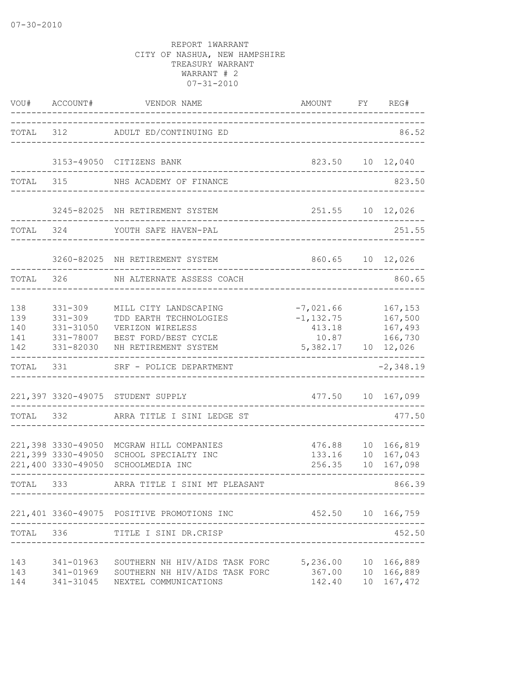| VOU#                            | ACCOUNT#                                                          | VENDOR NAME                                                                                                         | AMOUNT                                                             | FY | REG#                                     |
|---------------------------------|-------------------------------------------------------------------|---------------------------------------------------------------------------------------------------------------------|--------------------------------------------------------------------|----|------------------------------------------|
| TOTAL 312                       |                                                                   | ADULT ED/CONTINUING ED                                                                                              |                                                                    |    | 86.52                                    |
|                                 |                                                                   | 3153-49050 CITIZENS BANK                                                                                            | 823.50                                                             |    | 10 12,040                                |
| TOTAL                           | 315                                                               | NHS ACADEMY OF FINANCE                                                                                              |                                                                    |    | 823.50                                   |
|                                 |                                                                   | 3245-82025 NH RETIREMENT SYSTEM                                                                                     | 251.55 10 12,026                                                   |    |                                          |
| TOTAL                           | 324                                                               | YOUTH SAFE HAVEN-PAL                                                                                                |                                                                    |    | 251.55                                   |
|                                 |                                                                   | 3260-82025 NH RETIREMENT SYSTEM                                                                                     | 860.65 10 12,026                                                   |    |                                          |
| TOTAL                           | 326                                                               | NH ALTERNATE ASSESS COACH                                                                                           |                                                                    |    | 860.65                                   |
| 138<br>139<br>140<br>141<br>142 | $331 - 309$<br>$331 - 309$<br>331-31050<br>331-78007<br>331-82030 | MILL CITY LANDSCAPING<br>TDD EARTH TECHNOLOGIES<br>VERIZON WIRELESS<br>BEST FORD/BEST CYCLE<br>NH RETIREMENT SYSTEM | $-7,021.66$<br>$-1, 132.75$ 167,500<br>413.18<br>10.87<br>5,382.17 | 10 | 167, 153<br>167,493<br>166,730<br>12,026 |
| TOTAL                           | 331                                                               | SRF - POLICE DEPARTMENT                                                                                             |                                                                    |    | $-2,348.19$                              |
|                                 |                                                                   | 221,397 3320-49075 STUDENT SUPPLY                                                                                   |                                                                    |    | 477.50 10 167,099                        |
| TOTAL                           | 332                                                               | ARRA TITLE I SINI LEDGE ST                                                                                          |                                                                    |    | 477.50                                   |
|                                 | 221,398 3330-49050<br>221,399 3330-49050<br>221,400 3330-49050    | MCGRAW HILL COMPANIES<br>SCHOOL SPECIALTY INC<br>SCHOOLMEDIA INC                                                    | 476.88<br>133.16<br>256.35                                         |    | 10 166,819<br>10 167,043<br>10 167,098   |
| TOTAL 333                       |                                                                   | ARRA TITLE I SINI MT PLEASANT                                                                                       |                                                                    |    | 866.39                                   |
|                                 |                                                                   | 221,401 3360-49075 POSITIVE PROMOTIONS INC                                                                          |                                                                    |    | 452.50 10 166,759                        |
| TOTAL 336                       |                                                                   | TITLE I SINI DR.CRISP                                                                                               |                                                                    |    | 452.50                                   |
| 143<br>143<br>144               | 341-01963                                                         | SOUTHERN NH HIV/AIDS TASK FORC<br>341-01969 SOUTHERN NH HIV/AIDS TASK FORC<br>341-31045 NEXTEL COMMUNICATIONS       | 5,236.00 10 166,889<br>142.40                                      |    | 367.00 10 166,889<br>10 167,472          |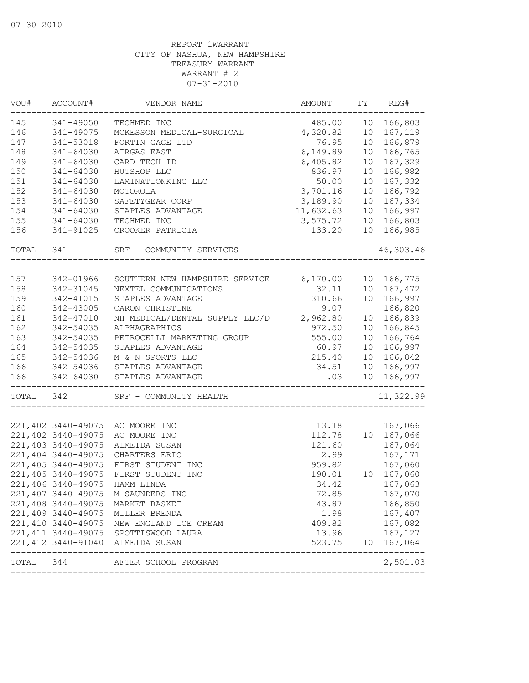| 485.00<br>10<br>166,803<br>341-49050<br>TECHMED INC<br>4,320.82<br>341-49075<br>MCKESSON MEDICAL-SURGICAL<br>10<br>167,119<br>166,879<br>341-53018<br>FORTIN GAGE LTD<br>76.95<br>10<br>6,149.89<br>341-64030<br>AIRGAS EAST<br>10<br>166,765<br>149<br>10<br>341-64030<br>CARD TECH ID<br>6,405.82<br>167,329<br>341-64030<br>836.97<br>10<br>166,982<br>HUTSHOP LLC<br>151<br>167,332<br>$341 - 64030$<br>50.00<br>10<br>LAMINATIONKING LLC<br>152<br>3,701.16<br>166,792<br>341-64030<br>10 <sup>°</sup><br>MOTOROLA<br>153<br>3,189.90<br>167,334<br>341-64030<br>SAFETYGEAR CORP<br>10<br>11,632.63<br>10<br>166,997<br>$341 - 64030$<br>STAPLES ADVANTAGE<br>TECHMED INC<br>3,575.72<br>10<br>166,803<br>341-64030<br>341-91025<br>CROOKER PATRICIA<br>133.20<br>10<br>166,985<br>341<br>SRF - COMMUNITY SERVICES<br>6,170.00<br>342-01966<br>10<br>166,775<br>SOUTHERN NEW HAMPSHIRE SERVICE<br>158<br>167,472<br>342-31045<br>NEXTEL COMMUNICATIONS<br>32.11<br>10<br>159<br>342-41015<br>310.66<br>10<br>166,997<br>STAPLES ADVANTAGE<br>CARON CHRISTINE<br>166,820<br>342-43005<br>9.07<br>NH MEDICAL/DENTAL SUPPLY LLC/D<br>2,962.80<br>166,839<br>342-47010<br>10<br>342-54035<br>ALPHAGRAPHICS<br>972.50<br>10<br>166,845<br>10<br>342-54035<br>PETROCELLI MARKETING GROUP<br>555.00<br>166,764<br>342-54035<br>60.97<br>10<br>166,997<br>STAPLES ADVANTAGE<br>342-54036<br>215.40<br>10<br>166,842<br>M & N SPORTS LLC<br>34.51<br>166,997<br>342-54036<br>STAPLES ADVANTAGE<br>10<br>$-0.3$<br>10<br>342-64030<br>STAPLES ADVANTAGE<br>166,997<br>342<br>SRF - COMMUNITY HEALTH<br>221,402 3440-49075<br>AC MOORE INC<br>13.18<br>167,066<br>221,402 3440-49075<br>AC MOORE INC<br>112.78<br>10 167,066<br>221,403 3440-49075<br>ALMEIDA SUSAN<br>121.60<br>167,064<br>221,404 3440-49075<br>2.99<br>167,171<br>CHARTERS ERIC<br>221,405 3440-49075<br>959.82<br>167,060<br>FIRST STUDENT INC<br>221,405 3440-49075<br>FIRST STUDENT INC<br>167,060<br>190.01<br>10<br>221,406 3440-49075<br>HAMM LINDA<br>34.42<br>167,063<br>221,407 3440-49075<br>72.85<br>167,070<br>M SAUNDERS INC<br>221,408 3440-49075<br>43.87<br>166,850<br>MARKET BASKET<br>221,409 3440-49075<br>1.98<br>167,407<br>MILLER BRENDA<br>221,410 3440-49075<br>167,082<br>409.82<br>NEW ENGLAND ICE CREAM<br>221, 411 3440-49075<br>167,127<br>13.96<br>SPOTTISWOOD LAURA<br>221,412 3440-91040 ALMEIDA SUSAN<br>523.75 10 167,064<br>----------------<br>2,501.03<br>TOTAL 344<br>AFTER SCHOOL PROGRAM | VOU#  | ACCOUNT# | VENDOR NAME | AMOUNT | FY | REG# |
|-----------------------------------------------------------------------------------------------------------------------------------------------------------------------------------------------------------------------------------------------------------------------------------------------------------------------------------------------------------------------------------------------------------------------------------------------------------------------------------------------------------------------------------------------------------------------------------------------------------------------------------------------------------------------------------------------------------------------------------------------------------------------------------------------------------------------------------------------------------------------------------------------------------------------------------------------------------------------------------------------------------------------------------------------------------------------------------------------------------------------------------------------------------------------------------------------------------------------------------------------------------------------------------------------------------------------------------------------------------------------------------------------------------------------------------------------------------------------------------------------------------------------------------------------------------------------------------------------------------------------------------------------------------------------------------------------------------------------------------------------------------------------------------------------------------------------------------------------------------------------------------------------------------------------------------------------------------------------------------------------------------------------------------------------------------------------------------------------------------------------------------------------------------------------------------------------------------------------------------------------------------------------------------------------------------------------------------------------------------------------------------------------------------------------------------------------------------------------------------------------|-------|----------|-------------|--------|----|------|
|                                                                                                                                                                                                                                                                                                                                                                                                                                                                                                                                                                                                                                                                                                                                                                                                                                                                                                                                                                                                                                                                                                                                                                                                                                                                                                                                                                                                                                                                                                                                                                                                                                                                                                                                                                                                                                                                                                                                                                                                                                                                                                                                                                                                                                                                                                                                                                                                                                                                                               | 145   |          |             |        |    |      |
|                                                                                                                                                                                                                                                                                                                                                                                                                                                                                                                                                                                                                                                                                                                                                                                                                                                                                                                                                                                                                                                                                                                                                                                                                                                                                                                                                                                                                                                                                                                                                                                                                                                                                                                                                                                                                                                                                                                                                                                                                                                                                                                                                                                                                                                                                                                                                                                                                                                                                               | 146   |          |             |        |    |      |
|                                                                                                                                                                                                                                                                                                                                                                                                                                                                                                                                                                                                                                                                                                                                                                                                                                                                                                                                                                                                                                                                                                                                                                                                                                                                                                                                                                                                                                                                                                                                                                                                                                                                                                                                                                                                                                                                                                                                                                                                                                                                                                                                                                                                                                                                                                                                                                                                                                                                                               | 147   |          |             |        |    |      |
|                                                                                                                                                                                                                                                                                                                                                                                                                                                                                                                                                                                                                                                                                                                                                                                                                                                                                                                                                                                                                                                                                                                                                                                                                                                                                                                                                                                                                                                                                                                                                                                                                                                                                                                                                                                                                                                                                                                                                                                                                                                                                                                                                                                                                                                                                                                                                                                                                                                                                               | 148   |          |             |        |    |      |
|                                                                                                                                                                                                                                                                                                                                                                                                                                                                                                                                                                                                                                                                                                                                                                                                                                                                                                                                                                                                                                                                                                                                                                                                                                                                                                                                                                                                                                                                                                                                                                                                                                                                                                                                                                                                                                                                                                                                                                                                                                                                                                                                                                                                                                                                                                                                                                                                                                                                                               |       |          |             |        |    |      |
| 46,303.46<br>11,322.99                                                                                                                                                                                                                                                                                                                                                                                                                                                                                                                                                                                                                                                                                                                                                                                                                                                                                                                                                                                                                                                                                                                                                                                                                                                                                                                                                                                                                                                                                                                                                                                                                                                                                                                                                                                                                                                                                                                                                                                                                                                                                                                                                                                                                                                                                                                                                                                                                                                                        | 150   |          |             |        |    |      |
|                                                                                                                                                                                                                                                                                                                                                                                                                                                                                                                                                                                                                                                                                                                                                                                                                                                                                                                                                                                                                                                                                                                                                                                                                                                                                                                                                                                                                                                                                                                                                                                                                                                                                                                                                                                                                                                                                                                                                                                                                                                                                                                                                                                                                                                                                                                                                                                                                                                                                               |       |          |             |        |    |      |
|                                                                                                                                                                                                                                                                                                                                                                                                                                                                                                                                                                                                                                                                                                                                                                                                                                                                                                                                                                                                                                                                                                                                                                                                                                                                                                                                                                                                                                                                                                                                                                                                                                                                                                                                                                                                                                                                                                                                                                                                                                                                                                                                                                                                                                                                                                                                                                                                                                                                                               |       |          |             |        |    |      |
|                                                                                                                                                                                                                                                                                                                                                                                                                                                                                                                                                                                                                                                                                                                                                                                                                                                                                                                                                                                                                                                                                                                                                                                                                                                                                                                                                                                                                                                                                                                                                                                                                                                                                                                                                                                                                                                                                                                                                                                                                                                                                                                                                                                                                                                                                                                                                                                                                                                                                               |       |          |             |        |    |      |
|                                                                                                                                                                                                                                                                                                                                                                                                                                                                                                                                                                                                                                                                                                                                                                                                                                                                                                                                                                                                                                                                                                                                                                                                                                                                                                                                                                                                                                                                                                                                                                                                                                                                                                                                                                                                                                                                                                                                                                                                                                                                                                                                                                                                                                                                                                                                                                                                                                                                                               | 154   |          |             |        |    |      |
|                                                                                                                                                                                                                                                                                                                                                                                                                                                                                                                                                                                                                                                                                                                                                                                                                                                                                                                                                                                                                                                                                                                                                                                                                                                                                                                                                                                                                                                                                                                                                                                                                                                                                                                                                                                                                                                                                                                                                                                                                                                                                                                                                                                                                                                                                                                                                                                                                                                                                               | 155   |          |             |        |    |      |
|                                                                                                                                                                                                                                                                                                                                                                                                                                                                                                                                                                                                                                                                                                                                                                                                                                                                                                                                                                                                                                                                                                                                                                                                                                                                                                                                                                                                                                                                                                                                                                                                                                                                                                                                                                                                                                                                                                                                                                                                                                                                                                                                                                                                                                                                                                                                                                                                                                                                                               | 156   |          |             |        |    |      |
|                                                                                                                                                                                                                                                                                                                                                                                                                                                                                                                                                                                                                                                                                                                                                                                                                                                                                                                                                                                                                                                                                                                                                                                                                                                                                                                                                                                                                                                                                                                                                                                                                                                                                                                                                                                                                                                                                                                                                                                                                                                                                                                                                                                                                                                                                                                                                                                                                                                                                               | TOTAL |          |             |        |    |      |
|                                                                                                                                                                                                                                                                                                                                                                                                                                                                                                                                                                                                                                                                                                                                                                                                                                                                                                                                                                                                                                                                                                                                                                                                                                                                                                                                                                                                                                                                                                                                                                                                                                                                                                                                                                                                                                                                                                                                                                                                                                                                                                                                                                                                                                                                                                                                                                                                                                                                                               |       |          |             |        |    |      |
|                                                                                                                                                                                                                                                                                                                                                                                                                                                                                                                                                                                                                                                                                                                                                                                                                                                                                                                                                                                                                                                                                                                                                                                                                                                                                                                                                                                                                                                                                                                                                                                                                                                                                                                                                                                                                                                                                                                                                                                                                                                                                                                                                                                                                                                                                                                                                                                                                                                                                               | 157   |          |             |        |    |      |
|                                                                                                                                                                                                                                                                                                                                                                                                                                                                                                                                                                                                                                                                                                                                                                                                                                                                                                                                                                                                                                                                                                                                                                                                                                                                                                                                                                                                                                                                                                                                                                                                                                                                                                                                                                                                                                                                                                                                                                                                                                                                                                                                                                                                                                                                                                                                                                                                                                                                                               |       |          |             |        |    |      |
|                                                                                                                                                                                                                                                                                                                                                                                                                                                                                                                                                                                                                                                                                                                                                                                                                                                                                                                                                                                                                                                                                                                                                                                                                                                                                                                                                                                                                                                                                                                                                                                                                                                                                                                                                                                                                                                                                                                                                                                                                                                                                                                                                                                                                                                                                                                                                                                                                                                                                               |       |          |             |        |    |      |
|                                                                                                                                                                                                                                                                                                                                                                                                                                                                                                                                                                                                                                                                                                                                                                                                                                                                                                                                                                                                                                                                                                                                                                                                                                                                                                                                                                                                                                                                                                                                                                                                                                                                                                                                                                                                                                                                                                                                                                                                                                                                                                                                                                                                                                                                                                                                                                                                                                                                                               | 160   |          |             |        |    |      |
|                                                                                                                                                                                                                                                                                                                                                                                                                                                                                                                                                                                                                                                                                                                                                                                                                                                                                                                                                                                                                                                                                                                                                                                                                                                                                                                                                                                                                                                                                                                                                                                                                                                                                                                                                                                                                                                                                                                                                                                                                                                                                                                                                                                                                                                                                                                                                                                                                                                                                               | 161   |          |             |        |    |      |
|                                                                                                                                                                                                                                                                                                                                                                                                                                                                                                                                                                                                                                                                                                                                                                                                                                                                                                                                                                                                                                                                                                                                                                                                                                                                                                                                                                                                                                                                                                                                                                                                                                                                                                                                                                                                                                                                                                                                                                                                                                                                                                                                                                                                                                                                                                                                                                                                                                                                                               | 162   |          |             |        |    |      |
|                                                                                                                                                                                                                                                                                                                                                                                                                                                                                                                                                                                                                                                                                                                                                                                                                                                                                                                                                                                                                                                                                                                                                                                                                                                                                                                                                                                                                                                                                                                                                                                                                                                                                                                                                                                                                                                                                                                                                                                                                                                                                                                                                                                                                                                                                                                                                                                                                                                                                               | 163   |          |             |        |    |      |
|                                                                                                                                                                                                                                                                                                                                                                                                                                                                                                                                                                                                                                                                                                                                                                                                                                                                                                                                                                                                                                                                                                                                                                                                                                                                                                                                                                                                                                                                                                                                                                                                                                                                                                                                                                                                                                                                                                                                                                                                                                                                                                                                                                                                                                                                                                                                                                                                                                                                                               | 164   |          |             |        |    |      |
|                                                                                                                                                                                                                                                                                                                                                                                                                                                                                                                                                                                                                                                                                                                                                                                                                                                                                                                                                                                                                                                                                                                                                                                                                                                                                                                                                                                                                                                                                                                                                                                                                                                                                                                                                                                                                                                                                                                                                                                                                                                                                                                                                                                                                                                                                                                                                                                                                                                                                               | 165   |          |             |        |    |      |
|                                                                                                                                                                                                                                                                                                                                                                                                                                                                                                                                                                                                                                                                                                                                                                                                                                                                                                                                                                                                                                                                                                                                                                                                                                                                                                                                                                                                                                                                                                                                                                                                                                                                                                                                                                                                                                                                                                                                                                                                                                                                                                                                                                                                                                                                                                                                                                                                                                                                                               | 166   |          |             |        |    |      |
|                                                                                                                                                                                                                                                                                                                                                                                                                                                                                                                                                                                                                                                                                                                                                                                                                                                                                                                                                                                                                                                                                                                                                                                                                                                                                                                                                                                                                                                                                                                                                                                                                                                                                                                                                                                                                                                                                                                                                                                                                                                                                                                                                                                                                                                                                                                                                                                                                                                                                               | 166   |          |             |        |    |      |
|                                                                                                                                                                                                                                                                                                                                                                                                                                                                                                                                                                                                                                                                                                                                                                                                                                                                                                                                                                                                                                                                                                                                                                                                                                                                                                                                                                                                                                                                                                                                                                                                                                                                                                                                                                                                                                                                                                                                                                                                                                                                                                                                                                                                                                                                                                                                                                                                                                                                                               | TOTAL |          |             |        |    |      |
|                                                                                                                                                                                                                                                                                                                                                                                                                                                                                                                                                                                                                                                                                                                                                                                                                                                                                                                                                                                                                                                                                                                                                                                                                                                                                                                                                                                                                                                                                                                                                                                                                                                                                                                                                                                                                                                                                                                                                                                                                                                                                                                                                                                                                                                                                                                                                                                                                                                                                               |       |          |             |        |    |      |
|                                                                                                                                                                                                                                                                                                                                                                                                                                                                                                                                                                                                                                                                                                                                                                                                                                                                                                                                                                                                                                                                                                                                                                                                                                                                                                                                                                                                                                                                                                                                                                                                                                                                                                                                                                                                                                                                                                                                                                                                                                                                                                                                                                                                                                                                                                                                                                                                                                                                                               |       |          |             |        |    |      |
|                                                                                                                                                                                                                                                                                                                                                                                                                                                                                                                                                                                                                                                                                                                                                                                                                                                                                                                                                                                                                                                                                                                                                                                                                                                                                                                                                                                                                                                                                                                                                                                                                                                                                                                                                                                                                                                                                                                                                                                                                                                                                                                                                                                                                                                                                                                                                                                                                                                                                               |       |          |             |        |    |      |
|                                                                                                                                                                                                                                                                                                                                                                                                                                                                                                                                                                                                                                                                                                                                                                                                                                                                                                                                                                                                                                                                                                                                                                                                                                                                                                                                                                                                                                                                                                                                                                                                                                                                                                                                                                                                                                                                                                                                                                                                                                                                                                                                                                                                                                                                                                                                                                                                                                                                                               |       |          |             |        |    |      |
|                                                                                                                                                                                                                                                                                                                                                                                                                                                                                                                                                                                                                                                                                                                                                                                                                                                                                                                                                                                                                                                                                                                                                                                                                                                                                                                                                                                                                                                                                                                                                                                                                                                                                                                                                                                                                                                                                                                                                                                                                                                                                                                                                                                                                                                                                                                                                                                                                                                                                               |       |          |             |        |    |      |
|                                                                                                                                                                                                                                                                                                                                                                                                                                                                                                                                                                                                                                                                                                                                                                                                                                                                                                                                                                                                                                                                                                                                                                                                                                                                                                                                                                                                                                                                                                                                                                                                                                                                                                                                                                                                                                                                                                                                                                                                                                                                                                                                                                                                                                                                                                                                                                                                                                                                                               |       |          |             |        |    |      |
|                                                                                                                                                                                                                                                                                                                                                                                                                                                                                                                                                                                                                                                                                                                                                                                                                                                                                                                                                                                                                                                                                                                                                                                                                                                                                                                                                                                                                                                                                                                                                                                                                                                                                                                                                                                                                                                                                                                                                                                                                                                                                                                                                                                                                                                                                                                                                                                                                                                                                               |       |          |             |        |    |      |
|                                                                                                                                                                                                                                                                                                                                                                                                                                                                                                                                                                                                                                                                                                                                                                                                                                                                                                                                                                                                                                                                                                                                                                                                                                                                                                                                                                                                                                                                                                                                                                                                                                                                                                                                                                                                                                                                                                                                                                                                                                                                                                                                                                                                                                                                                                                                                                                                                                                                                               |       |          |             |        |    |      |
|                                                                                                                                                                                                                                                                                                                                                                                                                                                                                                                                                                                                                                                                                                                                                                                                                                                                                                                                                                                                                                                                                                                                                                                                                                                                                                                                                                                                                                                                                                                                                                                                                                                                                                                                                                                                                                                                                                                                                                                                                                                                                                                                                                                                                                                                                                                                                                                                                                                                                               |       |          |             |        |    |      |
|                                                                                                                                                                                                                                                                                                                                                                                                                                                                                                                                                                                                                                                                                                                                                                                                                                                                                                                                                                                                                                                                                                                                                                                                                                                                                                                                                                                                                                                                                                                                                                                                                                                                                                                                                                                                                                                                                                                                                                                                                                                                                                                                                                                                                                                                                                                                                                                                                                                                                               |       |          |             |        |    |      |
|                                                                                                                                                                                                                                                                                                                                                                                                                                                                                                                                                                                                                                                                                                                                                                                                                                                                                                                                                                                                                                                                                                                                                                                                                                                                                                                                                                                                                                                                                                                                                                                                                                                                                                                                                                                                                                                                                                                                                                                                                                                                                                                                                                                                                                                                                                                                                                                                                                                                                               |       |          |             |        |    |      |
|                                                                                                                                                                                                                                                                                                                                                                                                                                                                                                                                                                                                                                                                                                                                                                                                                                                                                                                                                                                                                                                                                                                                                                                                                                                                                                                                                                                                                                                                                                                                                                                                                                                                                                                                                                                                                                                                                                                                                                                                                                                                                                                                                                                                                                                                                                                                                                                                                                                                                               |       |          |             |        |    |      |
|                                                                                                                                                                                                                                                                                                                                                                                                                                                                                                                                                                                                                                                                                                                                                                                                                                                                                                                                                                                                                                                                                                                                                                                                                                                                                                                                                                                                                                                                                                                                                                                                                                                                                                                                                                                                                                                                                                                                                                                                                                                                                                                                                                                                                                                                                                                                                                                                                                                                                               |       |          |             |        |    |      |
|                                                                                                                                                                                                                                                                                                                                                                                                                                                                                                                                                                                                                                                                                                                                                                                                                                                                                                                                                                                                                                                                                                                                                                                                                                                                                                                                                                                                                                                                                                                                                                                                                                                                                                                                                                                                                                                                                                                                                                                                                                                                                                                                                                                                                                                                                                                                                                                                                                                                                               |       |          |             |        |    |      |
|                                                                                                                                                                                                                                                                                                                                                                                                                                                                                                                                                                                                                                                                                                                                                                                                                                                                                                                                                                                                                                                                                                                                                                                                                                                                                                                                                                                                                                                                                                                                                                                                                                                                                                                                                                                                                                                                                                                                                                                                                                                                                                                                                                                                                                                                                                                                                                                                                                                                                               |       |          |             |        |    |      |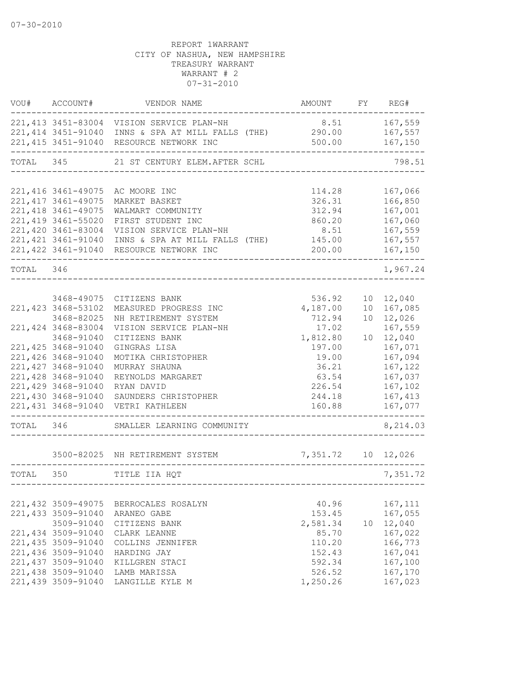| VOU#      | ACCOUNT#                                                                                                                             | VENDOR NAME                                                                                                                                                                           | AMOUNT FY REG#                                         |    |                                                                           |
|-----------|--------------------------------------------------------------------------------------------------------------------------------------|---------------------------------------------------------------------------------------------------------------------------------------------------------------------------------------|--------------------------------------------------------|----|---------------------------------------------------------------------------|
|           |                                                                                                                                      | 221, 413 3451-83004 VISION SERVICE PLAN-NH<br>221,414 3451-91040 INNS & SPA AT MILL FALLS (THE) 290.00 167,557<br>221,415 3451-91040 RESOURCE NETWORK INC                             | 8.51 167,559                                           |    | 500.00    167,150                                                         |
| TOTAL 345 |                                                                                                                                      | 21 ST CENTURY ELEM.AFTER SCHL                                                                                                                                                         |                                                        |    | 798.51                                                                    |
|           |                                                                                                                                      |                                                                                                                                                                                       |                                                        |    |                                                                           |
|           | 221, 416 3461-49075<br>221, 417 3461-49075<br>221, 418 3461-49075<br>221,419 3461-55020<br>221,420 3461-83004<br>221, 421 3461-91040 | AC MOORE INC<br>MARKET BASKET<br>WALMART COMMUNITY<br>FIRST STUDENT INC<br>VISION SERVICE PLAN-NH<br>INNS & SPA AT MILL FALLS (THE) 145.00<br>221,422 3461-91040 RESOURCE NETWORK INC | 114.28<br>326.31<br>312.94<br>860.20<br>8.51<br>200.00 |    | 167,066<br>166,850<br>167,001<br>167,060<br>167,559<br>167,557<br>167,150 |
| TOTAL 346 |                                                                                                                                      |                                                                                                                                                                                       |                                                        |    | 1,967.24                                                                  |
|           |                                                                                                                                      |                                                                                                                                                                                       |                                                        |    |                                                                           |
|           | 3468-49075<br>221, 423 3468-53102<br>3468-82025                                                                                      | CITIZENS BANK<br>MEASURED PROGRESS INC<br>NH RETIREMENT SYSTEM                                                                                                                        | 536.92<br>4,187.00<br>712.94                           |    | 10 12,040<br>10 167,085<br>10 12,026                                      |
|           | 221, 424 3468-83004<br>3468-91040                                                                                                    | VISION SERVICE PLAN-NH<br>CITIZENS BANK                                                                                                                                               | 17.02<br>1,812.80                                      | 10 | 167,559<br>12,040                                                         |
|           | 221, 425 3468-91040<br>221,426 3468-91040<br>221, 427 3468-91040                                                                     | GINGRAS LISA<br>MOTIKA CHRISTOPHER<br>MURRAY SHAUNA                                                                                                                                   | 197.00<br>19.00<br>36.21                               |    | 167,071<br>167,094<br>167,122                                             |
|           | 221,428 3468-91040<br>221,429 3468-91040                                                                                             | REYNOLDS MARGARET<br>RYAN DAVID                                                                                                                                                       | 63.54<br>226.54                                        |    | 167,037<br>167,102                                                        |
|           | 221,430 3468-91040<br>221, 431 3468-91040                                                                                            | SAUNDERS CHRISTOPHER<br>VETRI KATHLEEN                                                                                                                                                | 244.18<br>160.88                                       |    | 167,413<br>167,077                                                        |
| TOTAL 346 |                                                                                                                                      | SMALLER LEARNING COMMUNITY                                                                                                                                                            |                                                        |    | 8,214.03                                                                  |
|           |                                                                                                                                      | 3500-82025 NH RETIREMENT SYSTEM 7,351.72 10 12,026                                                                                                                                    |                                                        |    |                                                                           |
| TOTAL 350 |                                                                                                                                      | TITLE IIA HQT                                                                                                                                                                         |                                                        |    | 7,351.72                                                                  |
|           |                                                                                                                                      |                                                                                                                                                                                       |                                                        |    |                                                                           |
|           | 221, 432 3509-49075<br>221,433 3509-91040<br>3509-91040                                                                              | BERROCALES ROSALYN<br>ARANEO GABE<br>CITIZENS BANK                                                                                                                                    | 40.96<br>153.45<br>2,581.34                            |    | 167,111<br>167,055<br>10 12,040                                           |
|           | 221,434 3509-91040<br>221,435 3509-91040<br>221,436 3509-91040                                                                       | CLARK LEANNE<br>COLLINS JENNIFER                                                                                                                                                      | 85.70<br>110.20                                        |    | 167,022<br>166,773<br>167,041                                             |
|           | 221,437 3509-91040<br>221,438 3509-91040                                                                                             | HARDING JAY<br>KILLGREN STACI<br>LAMB MARISSA                                                                                                                                         | 152.43<br>592.34<br>526.52                             |    | 167,100<br>167,170                                                        |
|           | 221,439 3509-91040                                                                                                                   | LANGILLE KYLE M                                                                                                                                                                       | 1,250.26                                               |    | 167,023                                                                   |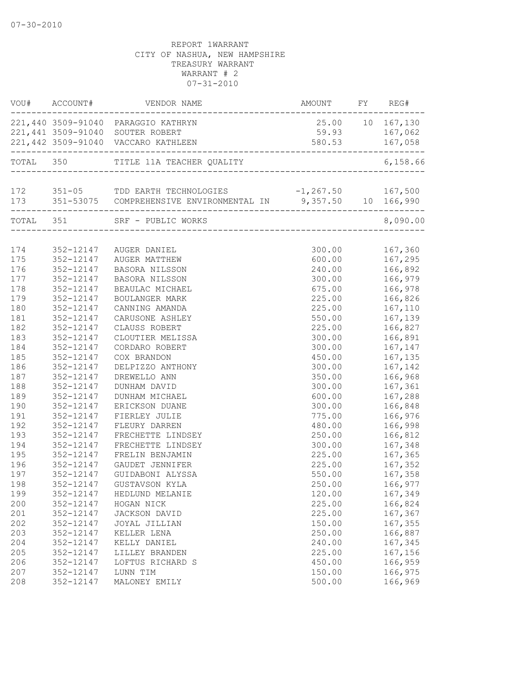|     | VOU# ACCOUNT#          | VENDOR NAME                                                      | AMOUNT FY REG#   |           |
|-----|------------------------|------------------------------------------------------------------|------------------|-----------|
|     |                        | 221,440 3509-91040 PARAGGIO KATHRYN                              | 25.00 10 167,130 |           |
|     |                        | 221,441 3509-91040 SOUTER ROBERT                                 | 59.93 167,062    |           |
|     |                        | 221,442 3509-91040 VACCARO KATHLEEN                              | 580.53 167,058   |           |
|     |                        | TOTAL 350 TITLE 11A TEACHER QUALITY                              |                  | 6, 158.66 |
|     |                        |                                                                  |                  |           |
|     |                        | 172 351-05 TDD EARTH TECHNOLOGIES -1,267.50 167,500              |                  |           |
|     | ______________________ | 173 351-53075 COMPREHENSIVE ENVIRONMENTAL IN 9,357.50 10 166,990 |                  |           |
|     |                        | TOTAL 351 SRF - PUBLIC WORKS                                     |                  | 8,090.00  |
|     |                        |                                                                  |                  |           |
| 174 |                        | 352-12147 AUGER DANIEL                                           | 300.00           | 167,360   |
| 175 | 352-12147              | AUGER MATTHEW                                                    | 600.00           | 167,295   |
| 176 | 352-12147              | <b>BASORA NILSSON</b>                                            | 240.00           | 166,892   |
| 177 | 352-12147              | BASORA NILSSON                                                   | 300.00           | 166,979   |
| 178 | 352-12147              | BEAULAC MICHAEL                                                  | 675.00           | 166,978   |
| 179 | 352-12147              | BOULANGER MARK                                                   | 225.00           | 166,826   |
| 180 | 352-12147              | CANNING AMANDA                                                   | 225.00           | 167,110   |
| 181 | 352-12147              | CARUSONE ASHLEY                                                  | 550.00           | 167,139   |
| 182 | 352-12147              | CLAUSS ROBERT                                                    | 225.00           | 166,827   |
| 183 | 352-12147              | CLOUTIER MELISSA                                                 | 300.00           | 166,891   |
| 184 | 352-12147              | CORDARO ROBERT                                                   | 300.00           | 167,147   |
| 185 | 352-12147              | COX BRANDON                                                      | 450.00           | 167,135   |
| 186 | 352-12147              | DELPIZZO ANTHONY                                                 | 300.00           | 167,142   |
| 187 | 352-12147              | DREWELLO ANN                                                     | 350.00           | 166,968   |
| 188 | 352-12147              | DUNHAM DAVID                                                     | 300.00           | 167,361   |
| 189 | 352-12147              | DUNHAM MICHAEL                                                   | 600.00           | 167,288   |
| 190 | 352-12147              | ERICKSON DUANE                                                   | 300.00           | 166,848   |
| 191 | 352-12147              | FIERLEY JULIE                                                    | 775.00           | 166,976   |
| 192 | 352-12147              | FLEURY DARREN                                                    | 480.00           | 166,998   |
| 193 | 352-12147              | FRECHETTE LINDSEY                                                | 250.00           | 166,812   |
| 194 | 352-12147              | FRECHETTE LINDSEY                                                | 300.00           | 167,348   |
| 195 | 352-12147              | FRELIN BENJAMIN                                                  | 225.00           | 167,365   |
| 196 | 352-12147              | GAUDET JENNIFER                                                  | 225.00           | 167,352   |
| 197 | 352-12147              | GUIDABONI ALYSSA                                                 | 550.00           | 167,358   |
| 198 |                        | 352-12147 GUSTAVSON KYLA                                         | 250.00           | 166,977   |
| 199 | 352-12147              | HEDLUND MELANIE                                                  | 120.00           | 167,349   |
| 200 | 352-12147              | HOGAN NICK                                                       | 225.00           | 166,824   |
| 201 | 352-12147              | JACKSON DAVID                                                    | 225.00           | 167,367   |
| 202 | 352-12147              | JOYAL JILLIAN                                                    | 150.00           | 167,355   |
| 203 | 352-12147              | KELLER LENA                                                      | 250.00           | 166,887   |
| 204 | 352-12147              | KELLY DANIEL                                                     | 240.00           | 167,345   |
| 205 | 352-12147              | LILLEY BRANDEN                                                   | 225.00           | 167,156   |
| 206 | 352-12147              | LOFTUS RICHARD S                                                 | 450.00           | 166,959   |
| 207 | 352-12147              | LUNN TIM                                                         | 150.00           | 166,975   |
| 208 | 352-12147              | MALONEY EMILY                                                    | 500.00           | 166,969   |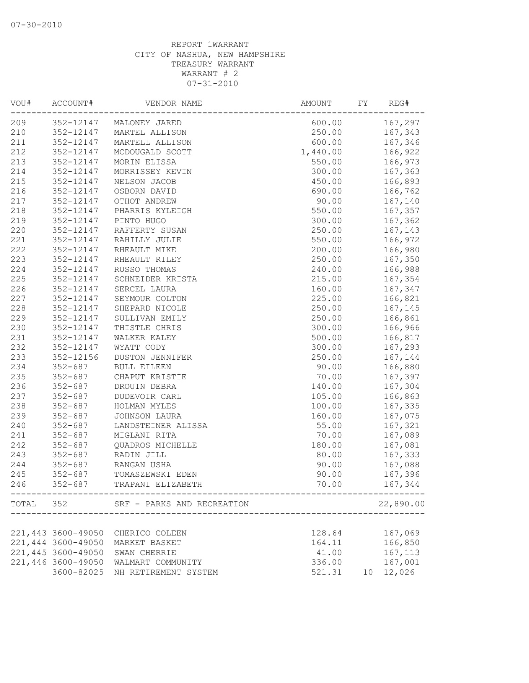| VOU# | ACCOUNT#           | VENDOR NAME                                                                  | AMOUNT   | FY | REG#      |
|------|--------------------|------------------------------------------------------------------------------|----------|----|-----------|
| 209  |                    | 352-12147 MALONEY JARED                                                      | 600.00   |    | 167,297   |
| 210  | 352-12147          | MARTEL ALLISON                                                               | 250.00   |    | 167,343   |
| 211  | 352-12147          | MARTELL ALLISON                                                              | 600.00   |    | 167,346   |
| 212  | 352-12147          | MCDOUGALD SCOTT                                                              | 1,440.00 |    | 166,922   |
| 213  | 352-12147          | MORIN ELISSA                                                                 | 550.00   |    | 166,973   |
| 214  | 352-12147          | MORRISSEY KEVIN                                                              | 300.00   |    | 167,363   |
| 215  | 352-12147          | NELSON JACOB                                                                 | 450.00   |    | 166,893   |
| 216  | 352-12147          | OSBORN DAVID                                                                 | 690.00   |    | 166,762   |
| 217  | 352-12147          | OTHOT ANDREW                                                                 | 90.00    |    | 167,140   |
| 218  | 352-12147          | PHARRIS KYLEIGH                                                              | 550.00   |    | 167,357   |
| 219  | 352-12147          | PINTO HUGO                                                                   | 300.00   |    | 167,362   |
| 220  | 352-12147          | RAFFERTY SUSAN                                                               | 250.00   |    | 167,143   |
| 221  | 352-12147          | RAHILLY JULIE                                                                | 550.00   |    | 166,972   |
| 222  | 352-12147          | RHEAULT MIKE                                                                 | 200.00   |    | 166,980   |
| 223  | 352-12147          | RHEAULT RILEY                                                                | 250.00   |    | 167,350   |
| 224  | 352-12147          | RUSSO THOMAS                                                                 | 240.00   |    | 166,988   |
| 225  | 352-12147          | SCHNEIDER KRISTA                                                             | 215.00   |    | 167,354   |
| 226  | 352-12147          | SERCEL LAURA                                                                 | 160.00   |    | 167,347   |
| 227  | 352-12147          | SEYMOUR COLTON                                                               | 225.00   |    | 166,821   |
| 228  | 352-12147          | SHEPARD NICOLE                                                               | 250.00   |    | 167,145   |
| 229  | 352-12147          | SULLIVAN EMILY                                                               | 250.00   |    | 166,861   |
| 230  | 352-12147          | THISTLE CHRIS                                                                | 300.00   |    | 166,966   |
| 231  | 352-12147          | WALKER KALEY                                                                 | 500.00   |    | 166,817   |
| 232  | 352-12147          | WYATT CODY                                                                   | 300.00   |    | 167,293   |
| 233  | 352-12156          | DUSTON JENNIFER                                                              | 250.00   |    | 167,144   |
| 234  | $352 - 687$        | <b>BULL EILEEN</b>                                                           | 90.00    |    | 166,880   |
| 235  | $352 - 687$        | CHAPUT KRISTIE                                                               | 70.00    |    | 167,397   |
| 236  | $352 - 687$        | DROUIN DEBRA                                                                 | 140.00   |    | 167,304   |
| 237  | $352 - 687$        | DUDEVOIR CARL                                                                | 105.00   |    | 166,863   |
| 238  | $352 - 687$        | HOLMAN MYLES                                                                 | 100.00   |    | 167,335   |
| 239  | $352 - 687$        | JOHNSON LAURA                                                                | 160.00   |    | 167,075   |
| 240  | $352 - 687$        | LANDSTEINER ALISSA                                                           | 55.00    |    | 167,321   |
| 241  | $352 - 687$        | MIGLANI RITA                                                                 | 70.00    |    | 167,089   |
| 242  | $352 - 687$        | QUADROS MICHELLE                                                             | 180.00   |    | 167,081   |
| 243  | $352 - 687$        | RADIN JILL                                                                   | 80.00    |    | 167,333   |
| 244  | $352 - 687$        | RANGAN USHA                                                                  | 90.00    |    | 167,088   |
| 245  | $352 - 687$        | TOMASZEWSKI EDEN                                                             | 90.00    |    | 167,396   |
| 246  | $352 - 687$        | TRAPANI ELIZABETH                                                            | 70.00    |    | 167,344   |
|      |                    | ____________________________________<br>TOTAL 352 SRF - PARKS AND RECREATION |          |    | 22,890.00 |
|      |                    |                                                                              |          |    |           |
|      | 221,443 3600-49050 | CHERICO COLEEN                                                               | 128.64   |    | 167,069   |
|      | 221,444 3600-49050 | MARKET BASKET                                                                | 164.11   |    | 166,850   |
|      | 221,445 3600-49050 | SWAN CHERRIE                                                                 | 41.00    |    | 167,113   |
|      | 221,446 3600-49050 | WALMART COMMUNITY                                                            | 336.00   |    | 167,001   |
|      | 3600-82025         | NH RETIREMENT SYSTEM                                                         | 521.31   | 10 | 12,026    |
|      |                    |                                                                              |          |    |           |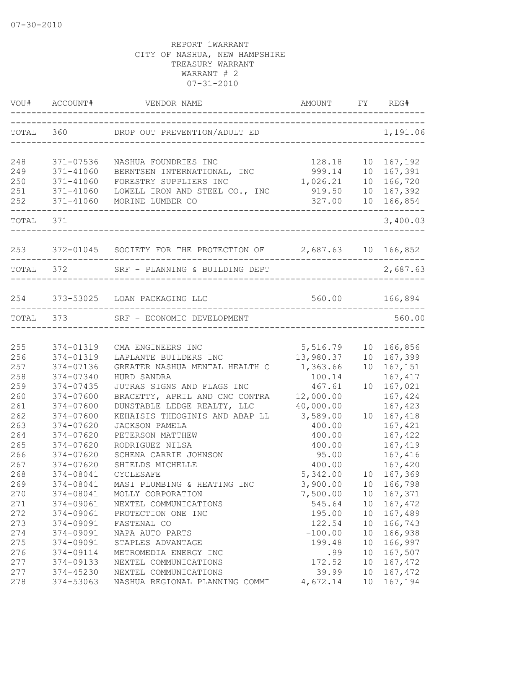|            |                        | TOTAL 360 DROP OUT PREVENTION/ADULT ED                            | ____________________________________ |          | 1,191.06           |
|------------|------------------------|-------------------------------------------------------------------|--------------------------------------|----------|--------------------|
| 248        | 371-07536              | NASHUA FOUNDRIES INC                                              | 128.18                               |          | 10 167,192         |
| 249        | 371-41060              | BERNTSEN INTERNATIONAL, INC                                       |                                      |          | 10 167,391         |
| 250        | 371-41060              | FORESTRY SUPPLIERS INC                                            | $999.14$<br>1,026.21                 |          | 10 166,720         |
| 251        | 371-41060              | LOWELL IRON AND STEEL CO., INC                                    | 919.50                               |          | 10 167,392         |
| 252        |                        | 371-41060 MORINE LUMBER CO                                        | 327.00 10 166,854                    |          |                    |
| TOTAL 371  |                        |                                                                   |                                      |          | 3,400.03           |
|            |                        | 253 372-01045 SOCIETY FOR THE PROTECTION OF 2,687.63 10 166,852   |                                      |          |                    |
|            |                        | . _ _ _ _ _ _ _ _ _ _<br>TOTAL 372 SRF - PLANNING & BUILDING DEPT |                                      |          | 2,687.63           |
|            |                        | 254 373-53025 LOAN PACKAGING LLC                                  | 560.00 166,894                       |          |                    |
|            |                        | TOTAL 373 SRF - ECONOMIC DEVELOPMENT                              |                                      |          | 560.00             |
|            |                        |                                                                   |                                      |          |                    |
| 255        | 374-01319              | CMA ENGINEERS INC                                                 | 5,516.79                             |          | 10 166,856         |
| 256        | 374-01319              | UMA ENGINEERS INC<br>LAPLANTE BUILDERS INC                        | 13,980.37                            |          | 10 167,399         |
| 257        | 374-07136              | GREATER NASHUA MENTAL HEALTH C 1,363.66                           |                                      |          | 10 167,151         |
| 258        | 374-07340              | HURD SANDRA                                                       | 100.14                               |          | 167, 417           |
| 259        | 374-07435              | JUTRAS SIGNS AND FLAGS INC                                        | 467.61                               | 10       | 167,021            |
| 260        | 374-07600              | BRACETTY, APRIL AND CNC CONTRA                                    | 12,000.00                            |          | 167,424            |
| 261        | 374-07600              | DUNSTABLE LEDGE REALTY, LLC                                       | 40,000.00                            |          | 167,423            |
| 262        | 374-07600              | KEHAISIS THEOGINIS AND ABAP LL 3,589.00                           |                                      |          | 10 167,418         |
| 263        | 374-07620              | JACKSON PAMELA                                                    | 400.00                               |          | 167,421            |
| 264        | 374-07620              | PETERSON MATTHEW                                                  | 400.00                               |          | 167,422            |
| 265<br>266 | 374-07620<br>374-07620 | RODRIGUEZ NILSA<br>SCHENA CARRIE JOHNSON                          | 400.00<br>95.00                      |          | 167,419<br>167,416 |
| 267        | $374 - 07620$          |                                                                   | 400.00                               |          | 167,420            |
| 268        | 374-08041              | SHIELDS MICHELLE<br>CYCLESAFE                                     | 5,342.00                             |          | 10 167,369         |
|            |                        |                                                                   |                                      |          |                    |
| 269        | 374-08041              | MASI PLUMBING & HEATING INC                                       | 3,900.00                             |          | 10 166,798         |
| 270<br>271 | 374-08041              | MOLLY CORPORATION                                                 | 7,500.00                             | 10       | 167,371            |
|            | 374-09061              | NEXTEL COMMUNICATIONS                                             | 545.64                               | 10       | 167,472            |
| 272<br>273 | 374-09061<br>374-09091 | PROTECTION ONE INC<br>FASTENAL CO                                 | 195.00<br>122.54                     | 10<br>10 | 167,489<br>166,743 |
| 274        | 374-09091              | NAPA AUTO PARTS                                                   | $-100.00$                            | 10       | 166,938            |
| 275        |                        |                                                                   |                                      |          | 166,997            |
| 276        | 374-09091<br>374-09114 | STAPLES ADVANTAGE<br>METROMEDIA ENERGY INC                        | 199.48                               | 10<br>10 | 167,507            |
| 277        | 374-09133              | NEXTEL COMMUNICATIONS                                             | .99<br>172.52                        | 10       | 167,472            |
| 277        | 374-45230              | NEXTEL COMMUNICATIONS                                             | 39.99                                | 10       | 167,472            |
| 278        | 374-53063              | NASHUA REGIONAL PLANNING COMMI                                    | 4,672.14                             | 10       | 167,194            |
|            |                        |                                                                   |                                      |          |                    |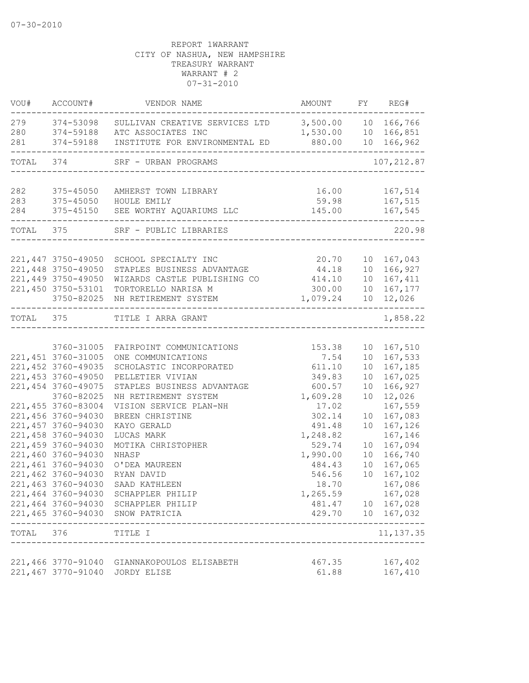| VOU#      | ACCOUNT#            | VENDOR NAME                                                | AMOUNT                     |                 | FY REG#            |
|-----------|---------------------|------------------------------------------------------------|----------------------------|-----------------|--------------------|
| 279       | 374-53098           | SULLIVAN CREATIVE SERVICES LTD                             | 3,500.00 10 166,766        |                 |                    |
| 280       | 374-59188           | ATC ASSOCIATES INC                                         | 1,530.00                   |                 | 10 166,851         |
| 281       | 374-59188           | INSTITUTE FOR ENVIRONMENTAL ED                             | 880.00                     |                 | 10 166,962         |
| TOTAL 374 |                     | SRF - URBAN PROGRAMS<br>_________________________          |                            |                 | 107, 212.87        |
| 282       | 375-45050           | AMHERST TOWN LIBRARY                                       | 16.00                      |                 | 167,514            |
| 283       |                     | 375-45050 HOULE EMILY                                      | 59.98                      |                 | 167,515            |
| 284       | 375-45150           | SEE WORTHY AQUARIUMS LLC                                   | 145.00                     |                 | 167,545            |
|           | TOTAL 375           | SRF - PUBLIC LIBRARIES                                     | -------------------------- |                 | 220.98             |
|           |                     |                                                            |                            |                 |                    |
|           | 221,447 3750-49050  | SCHOOL SPECIALTY INC                                       | 20.70                      |                 | 10 167,043         |
|           | 221,448 3750-49050  | STAPLES BUSINESS ADVANTAGE                                 | 44.18                      |                 | 10 166,927         |
|           | 221,449 3750-49050  | WIZARDS CASTLE PUBLISHING CO                               | 414.10                     |                 | 10 167,411         |
|           | 221,450 3750-53101  | TORTORELLO NARISA M                                        | 300.00                     |                 | 10 167, 177        |
|           | 3750-82025          | NH RETIREMENT SYSTEM                                       | 1,079.24                   |                 | 10 12,026          |
| TOTAL 375 |                     | TITLE I ARRA GRANT                                         |                            |                 | 1,858.22           |
|           |                     |                                                            |                            |                 |                    |
|           | 3760-31005          | FAIRPOINT COMMUNICATIONS                                   | 153.38                     |                 | 10 167,510         |
|           | 221, 451 3760-31005 | ONE COMMUNICATIONS                                         | 7.54                       | 10 <sub>o</sub> | 167,533            |
|           | 221,452 3760-49035  | SCHOLASTIC INCORPORATED                                    | 611.10                     | 10              | 167,185            |
|           | 221,453 3760-49050  | PELLETIER VIVIAN                                           | 349.83                     | 10              | 167,025            |
|           | 221,454 3760-49075  | STAPLES BUSINESS ADVANTAGE                                 | 600.57                     | 10              | 166,927            |
|           | 3760-82025          | NH RETIREMENT SYSTEM                                       | 1,609.28                   | 10              | 12,026             |
|           | 221,455 3760-83004  | VISION SERVICE PLAN-NH                                     | 17.02                      |                 | 167,559            |
|           | 221,456 3760-94030  | BREEN CHRISTINE                                            | 302.14                     | 10              | 167,083            |
|           | 221,457 3760-94030  | KAYO GERALD                                                | 491.48                     | 10              | 167,126            |
|           | 221,458 3760-94030  | LUCAS MARK                                                 | 1,248.82                   |                 | 167,146            |
|           | 221,459 3760-94030  | MOTIKA CHRISTOPHER                                         | 529.74                     | 10              | 167,094            |
|           | 221,460 3760-94030  | NHASP                                                      | 1,990.00                   | 10              | 166,740            |
|           | 221,461 3760-94030  | O'DEA MAUREEN                                              | 484.43                     | 10              | 167,065            |
|           | 221,462 3760-94030  | RYAN DAVID                                                 | 546.56                     | 10              | 167,102            |
|           |                     | 221,463 3760-94030 SAAD KATHLEEN                           | 18.70                      |                 | 167,086            |
|           |                     | 221,464 3760-94030 SCHAPPLER PHILIP                        | 1,265.59                   |                 | 167,028            |
|           |                     | 221,464 3760-94030 SCHAPPLER PHILIP                        | 481.47                     |                 | 10 167,028         |
|           |                     | 221,465 3760-94030 SNOW PATRICIA                           | 429.70                     |                 | 10 167,032         |
| TOTAL 376 |                     | TITLE I<br>-----------------                               |                            |                 | 11, 137.35         |
|           |                     |                                                            |                            |                 |                    |
|           | 221,467 3770-91040  | 221,466 3770-91040 GIANNAKOPOULOS ELISABETH<br>JORDY ELISE | 467.35<br>61.88            |                 | 167,402<br>167,410 |
|           |                     |                                                            |                            |                 |                    |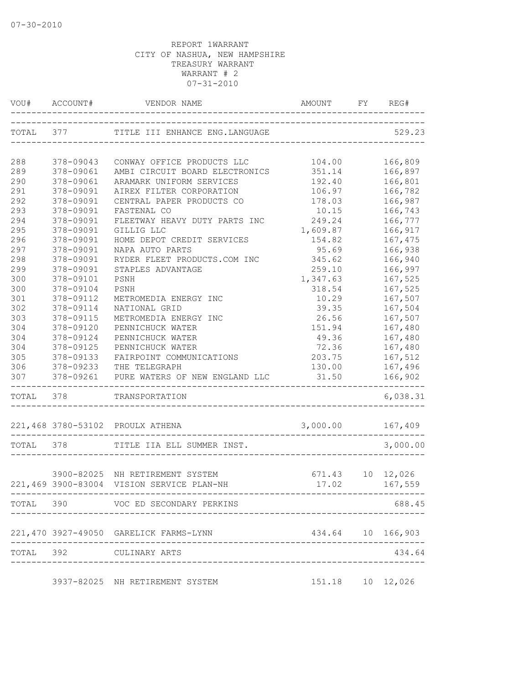| VOU#      | ACCOUNT#  | VENDOR NAME                               | AMOUNT             | FY. | REG#              |
|-----------|-----------|-------------------------------------------|--------------------|-----|-------------------|
| TOTAL 377 |           | TITLE III ENHANCE ENG.LANGUAGE            |                    |     | 529.23            |
|           |           |                                           |                    |     |                   |
| 288       | 378-09043 | CONWAY OFFICE PRODUCTS LLC                | 104.00             |     | 166,809           |
| 289       | 378-09061 | AMBI CIRCUIT BOARD ELECTRONICS            | 351.14             |     | 166,897           |
| 290       | 378-09061 | ARAMARK UNIFORM SERVICES                  | 192.40             |     | 166,801           |
| 291       | 378-09091 | AIREX FILTER CORPORATION                  | 106.97             |     | 166,782           |
| 292       | 378-09091 | CENTRAL PAPER PRODUCTS CO                 | 178.03             |     | 166,987           |
| 293       | 378-09091 | FASTENAL CO                               | 10.15              |     | 166,743           |
| 294       | 378-09091 | FLEETWAY HEAVY DUTY PARTS INC             | 249.24             |     | 166,777           |
| 295       | 378-09091 | GILLIG LLC                                | 1,609.87           |     | 166,917           |
| 296       | 378-09091 | HOME DEPOT CREDIT SERVICES                | 154.82             |     | 167,475           |
| 297       | 378-09091 | NAPA AUTO PARTS                           | 95.69              |     | 166,938           |
| 298       | 378-09091 | RYDER FLEET PRODUCTS.COM INC              | 345.62             |     | 166,940           |
| 299       | 378-09091 | STAPLES ADVANTAGE                         | 259.10             |     | 166,997           |
| 300       | 378-09101 | PSNH                                      | 1,347.63           |     | 167,525           |
| 300       | 378-09104 | PSNH                                      | 318.54             |     | 167,525           |
| 301       | 378-09112 | METROMEDIA ENERGY INC                     | 10.29              |     | 167,507           |
| 302       | 378-09114 | NATIONAL GRID                             | 39.35              |     | 167,504           |
| 303       | 378-09115 | METROMEDIA ENERGY INC                     | 26.56              |     | 167,507           |
| 304       | 378-09120 | PENNICHUCK WATER                          | 151.94             |     | 167,480           |
| 304       | 378-09124 | PENNICHUCK WATER                          | 49.36              |     | 167,480           |
| 304       | 378-09125 | PENNICHUCK WATER                          | 72.36              |     | 167,480           |
| 305       | 378-09133 | FAIRPOINT COMMUNICATIONS                  | 203.75             |     | 167,512           |
| 306       | 378-09233 | THE TELEGRAPH                             | 130.00             |     | 167,496           |
| 307       | 378-09261 | PURE WATERS OF NEW ENGLAND LLC            | 31.50              |     | 166,902           |
| TOTAL 378 |           | TRANSPORTATION                            |                    |     | 6,038.31          |
|           |           | 221,468 3780-53102 PROULX ATHENA          | 3,000.00           |     | 167,409           |
| TOTAL 378 |           | TITLE IIA ELL SUMMER INST.                |                    |     | 3,000.00          |
|           |           |                                           |                    |     |                   |
|           |           | 3900-82025 NH RETIREMENT SYSTEM           | 671.43             |     | 10 12,026         |
|           |           | 221,469 3900-83004 VISION SERVICE PLAN-NH | 17.02 167,559      |     |                   |
|           |           | TOTAL 390 VOC ED SECONDARY PERKINS        |                    |     | 688.45            |
|           |           | 221,470 3927-49050 GARELICK FARMS-LYNN    |                    |     | 434.64 10 166,903 |
|           |           | TOTAL 392 CULINARY ARTS                   |                    |     | 434.64            |
|           |           | --------------------------------------    |                    |     |                   |
|           |           | 3937-82025 NH RETIREMENT SYSTEM           | 151.18  10  12,026 |     |                   |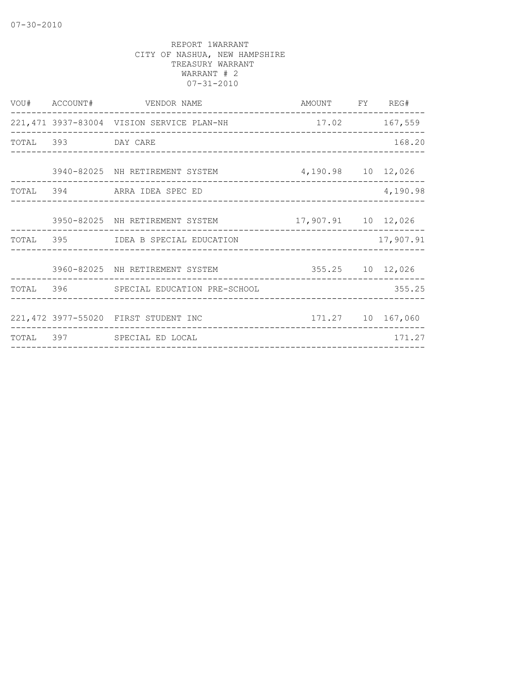| VOU# ACCOUNT#      | VENDOR NAME<br><u>م</u><br>_____________________________    | AMOUNT FY REG# |           |
|--------------------|-------------------------------------------------------------|----------------|-----------|
|                    | 221,471 3937-83004 VISION SERVICE PLAN-NH                   | 17.02 167,559  |           |
| TOTAL 393 DAY CARE |                                                             |                | 168.20    |
|                    | 3940-82025 NH RETIREMENT SYSTEM 4,190.98 10 12,026          |                |           |
|                    | TOTAL 394 ARRA IDEA SPEC ED                                 |                | 4,190.98  |
|                    | 3950-82025 NH RETIREMENT SYSTEM 17,907.91 10 12,026         |                |           |
|                    | TOTAL 395 IDEA B SPECIAL EDUCATION                          |                | 17,907.91 |
|                    | 3960-82025 NH RETIREMENT SYSTEM 355.25 10 12,026            |                |           |
|                    | TOTAL 396 SPECIAL EDUCATION PRE-SCHOOL                      |                | 355.25    |
|                    | 171.27  10  167,060<br>221,472 3977-55020 FIRST STUDENT INC |                |           |
|                    | TOTAL 397 SPECIAL ED LOCAL                                  |                | 171.27    |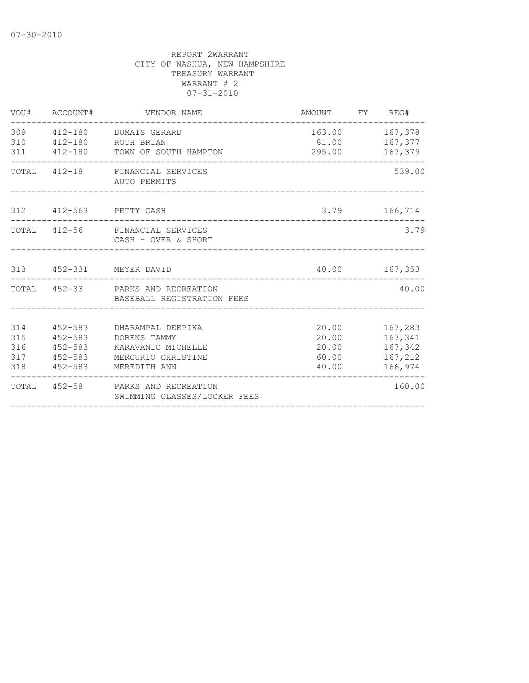|                                 | VOU# ACCOUNT#                             | VENDOR NAME                                                                                                   | AMOUNT FY REG#                            |                                                           |
|---------------------------------|-------------------------------------------|---------------------------------------------------------------------------------------------------------------|-------------------------------------------|-----------------------------------------------------------|
| 310<br>311                      |                                           | 309  412-180  DUMAIS GERARD<br>412-180 ROTH BRIAN<br>412-180 TOWN OF SOUTH HAMPTON                            | 163.00 167,378<br>81.00 167,377<br>295.00 | 167,379                                                   |
|                                 |                                           | TOTAL 412-18 FINANCIAL SERVICES<br>AUTO PERMITS                                                               |                                           | 539.00                                                    |
|                                 |                                           | 312 412-563 PETTY CASH                                                                                        |                                           | 3.79 166,714                                              |
|                                 |                                           | TOTAL 412-56 FINANCIAL SERVICES<br>CASH - OVER & SHORT                                                        |                                           | 3.79                                                      |
|                                 |                                           | 313  452-331  MEYER DAVID                                                                                     |                                           | 40.00 167,353                                             |
|                                 |                                           | TOTAL 452-33 PARKS AND RECREATION<br>BASEBALL REGISTRATION FEES                                               |                                           | 40.00                                                     |
| 314<br>315<br>316<br>317<br>318 | $452 - 583$<br>$452 - 583$<br>$452 - 583$ | 452-583 DHARAMPAL DEEPIKA<br>DOBENS TAMMY<br>KARAVANIC MICHELLE<br>452-583 MERCURIO CHRISTINE<br>MEREDITH ANN | 20.00<br>20.00<br>60.00<br>40.00          | 167,283<br>167,341<br>20.00 167,342<br>167,212<br>166,974 |
|                                 |                                           | TOTAL 452-58 PARKS AND RECREATION<br>SWIMMING CLASSES/LOCKER FEES                                             |                                           | 160.00                                                    |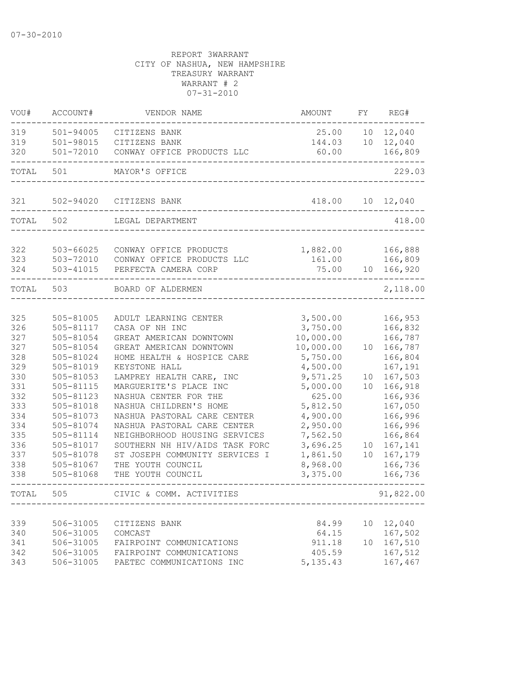| VOU#       | ACCOUNT#               | VENDOR NAME                                          | AMOUNT             | FY | REG#               |
|------------|------------------------|------------------------------------------------------|--------------------|----|--------------------|
| 319        | 501-94005              | CITIZENS BANK                                        | 25.00              | 10 | 12,040             |
| 319        | 501-98015              | CITIZENS BANK                                        | 144.03             | 10 | 12,040             |
| 320        | 501-72010              | CONWAY OFFICE PRODUCTS LLC                           | 60.00              |    | 166,809            |
| TOTAL      | 501                    | MAYOR'S OFFICE                                       |                    |    | 229.03             |
| 321        | 502-94020              | CITIZENS BANK                                        | 418.00             |    | 10 12,040          |
| TOTAL      | 502                    | LEGAL DEPARTMENT                                     |                    |    | 418.00             |
|            |                        |                                                      |                    |    |                    |
| 322<br>323 | 503-66025<br>503-72010 | CONWAY OFFICE PRODUCTS<br>CONWAY OFFICE PRODUCTS LLC | 1,882.00<br>161.00 |    | 166,888<br>166,809 |
| 324        | 503-41015              | PERFECTA CAMERA CORP                                 | 75.00              |    | 10 166,920         |
| TOTAL      | 503                    | BOARD OF ALDERMEN                                    |                    |    | 2,118.00           |
| 325        | 505-81005              | ADULT LEARNING CENTER                                | 3,500.00           |    | 166,953            |
| 326        | 505-81117              | CASA OF NH INC                                       | 3,750.00           |    | 166,832            |
| 327        | 505-81054              | GREAT AMERICAN DOWNTOWN                              | 10,000.00          |    | 166,787            |
| 327        | 505-81054              | GREAT AMERICAN DOWNTOWN                              | 10,000.00          | 10 | 166,787            |
| 328        | 505-81024              | HOME HEALTH & HOSPICE CARE                           | 5,750.00           |    | 166,804            |
| 329        | 505-81019              | KEYSTONE HALL                                        | 4,500.00           |    | 167,191            |
| 330        | 505-81053              | LAMPREY HEALTH CARE, INC                             | 9,571.25           | 10 | 167,503            |
| 331        | 505-81115              | MARGUERITE'S PLACE INC                               | 5,000.00           | 10 | 166,918            |
| 332        | 505-81123              | NASHUA CENTER FOR THE                                | 625.00             |    | 166,936            |
| 333        | 505-81018              | NASHUA CHILDREN'S HOME                               | 5,812.50           |    | 167,050            |
| 334        | 505-81073              | NASHUA PASTORAL CARE CENTER                          | 4,900.00           |    | 166,996            |
| 334        | 505-81074              | NASHUA PASTORAL CARE CENTER                          | 2,950.00           |    | 166,996            |
| 335        | 505-81114              | NEIGHBORHOOD HOUSING SERVICES                        | 7,562.50           |    | 166,864            |
| 336        | 505-81017              | SOUTHERN NH HIV/AIDS TASK FORC                       | 3,696.25           | 10 | 167,141            |
| 337        | 505-81078              | ST JOSEPH COMMUNITY SERVICES I                       | 1,861.50           | 10 | 167,179            |
| 338        | 505-81067              | THE YOUTH COUNCIL                                    | 8,968.00           |    | 166,736            |
| 338        | 505-81068              | THE YOUTH COUNCIL                                    | 3,375.00           |    | 166,736            |
| TOTAL      | 505                    | CIVIC & COMM. ACTIVITIES                             |                    |    | 91,822.00          |
|            |                        |                                                      |                    |    |                    |
| 339        | 506-31005              | CITIZENS BANK                                        | 84.99              | 10 | 12,040             |
| 340        | 506-31005              | COMCAST                                              | 64.15              |    | 167,502            |
| 341        | 506-31005              | FAIRPOINT COMMUNICATIONS                             | 911.18             | 10 | 167,510            |
| 342        | 506-31005              | FAIRPOINT COMMUNICATIONS                             | 405.59             |    | 167,512            |
| 343        | 506-31005              | PAETEC COMMUNICATIONS INC                            | 5, 135.43          |    | 167,467            |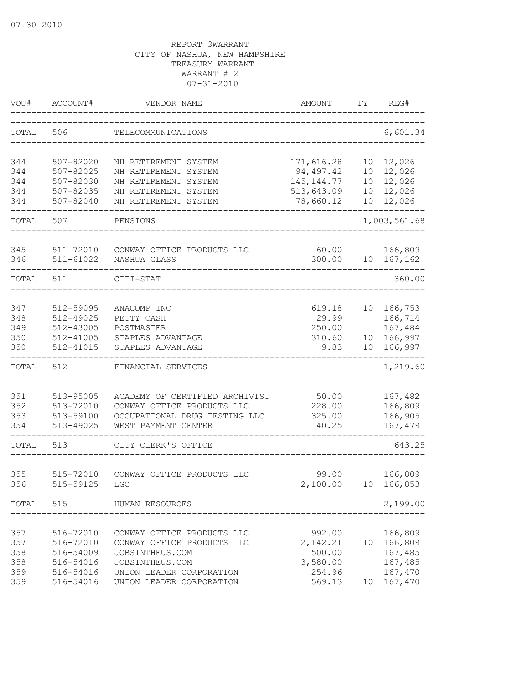| VOU#       | ACCOUNT#               | VENDOR NAME                                          | AMOUNT          | FY.             | REG#               |
|------------|------------------------|------------------------------------------------------|-----------------|-----------------|--------------------|
| TOTAL      | 506                    | TELECOMMUNICATIONS                                   |                 |                 | 6,601.34           |
| 344        | 507-82020              | NH RETIREMENT SYSTEM                                 | 171,616.28      | 10 <sup>°</sup> | 12,026             |
| 344        | 507-82025              | NH RETIREMENT SYSTEM                                 | 94, 497.42      | 10              | 12,026             |
| 344        | 507-82030              | NH RETIREMENT SYSTEM                                 | 145, 144. 77    | 10              | 12,026             |
| 344        | $507 - 82035$          | NH RETIREMENT SYSTEM                                 | 513,643.09      | 10              | 12,026             |
| 344        | 507-82040              | NH RETIREMENT SYSTEM                                 | 78,660.12       |                 | 10 12,026          |
| TOTAL      | 507                    | PENSIONS                                             |                 |                 | 1,003,561.68       |
| 345        | 511-72010              | CONWAY OFFICE PRODUCTS LLC                           | 60.00           |                 | 166,809            |
| 346        | $511 - 61022$          | NASHUA GLASS                                         | 300.00          |                 | 10 167,162         |
| TOTAL      | 511                    | CITI-STAT                                            |                 |                 | 360.00             |
|            |                        |                                                      |                 |                 |                    |
| 347        | 512-59095              | ANACOMP INC                                          | 619.18          | 10              | 166,753            |
| 348        | 512-49025              | PETTY CASH                                           | 29.99           |                 | 166,714            |
| 349        | 512-43005              | POSTMASTER                                           | 250.00          |                 | 167,484            |
| 350        | 512-41005              | STAPLES ADVANTAGE                                    | 310.60          | 10              | 166,997            |
| 350        | 512-41015              | STAPLES ADVANTAGE                                    | 9.83            | 10              | 166,997            |
| TOTAL      | 512                    | FINANCIAL SERVICES                                   |                 |                 | 1,219.60           |
|            |                        |                                                      |                 |                 |                    |
| 351        | 513-95005              | ACADEMY OF CERTIFIED ARCHIVIST                       | 50.00           |                 | 167,482            |
| 352        | 513-72010              | CONWAY OFFICE PRODUCTS LLC                           | 228.00          |                 | 166,809            |
| 353<br>354 | 513-59100<br>513-49025 | OCCUPATIONAL DRUG TESTING LLC<br>WEST PAYMENT CENTER | 325.00<br>40.25 |                 | 166,905<br>167,479 |
|            |                        |                                                      |                 |                 |                    |
| TOTAL      | 513                    | CITY CLERK'S OFFICE                                  |                 |                 | 643.25             |
|            |                        |                                                      |                 |                 |                    |
| 355        | 515-72010              | CONWAY OFFICE PRODUCTS LLC                           | 99.00           |                 | 166,809            |
| 356        | 515-59125              | LGC                                                  | 2,100.00        |                 | 10 166,853         |
|            |                        | TOTAL 515 HUMAN RESOURCES<br>_______________________ |                 |                 | 2,199.00           |
|            |                        |                                                      |                 |                 |                    |
| 357        | 516-72010              | CONWAY OFFICE PRODUCTS LLC                           | 992.00          |                 | 166,809            |
| 357        | 516-72010              | CONWAY OFFICE PRODUCTS LLC                           | 2,142.21        |                 | 10 166,809         |
| 358        | 516-54009              | JOBSINTHEUS.COM                                      | 500.00          |                 | 167,485            |
| 358        | 516-54016              | JOBSINTHEUS.COM                                      | 3,580.00        |                 | 167,485            |
| 359        | 516-54016              | UNION LEADER CORPORATION                             | 254.96          |                 | 167,470            |
| 359        | 516-54016              | UNION LEADER CORPORATION                             | 569.13          | 10              | 167,470            |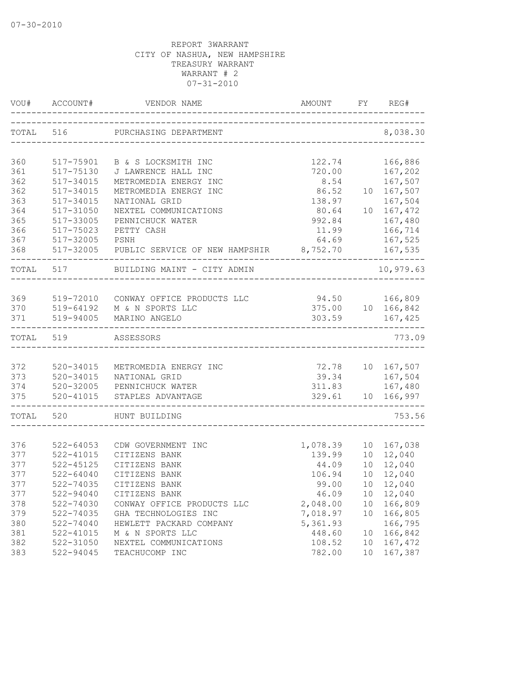| VOU#      | ACCOUNT#      | VENDOR NAME                                                    | AMOUNT<br>------------------------------- | FY | REG#              |
|-----------|---------------|----------------------------------------------------------------|-------------------------------------------|----|-------------------|
| TOTAL     | 516           | PURCHASING DEPARTMENT<br>_____________________________________ |                                           |    | 8,038.30          |
| 360       | 517-75901     | B & S LOCKSMITH INC                                            | 122.74                                    |    | 166,886           |
| 361       | 517-75130     | J LAWRENCE HALL INC                                            | 720.00                                    |    | 167,202           |
| 362       | 517-34015     | METROMEDIA ENERGY INC                                          | 8.54                                      |    | 167,507           |
| 362       | 517-34015     | METROMEDIA ENERGY INC                                          | 86.52                                     |    | 10 167,507        |
| 363       | $517 - 34015$ | NATIONAL GRID                                                  | 138.97                                    |    | 167,504           |
| 364       | 517-31050     | NEXTEL COMMUNICATIONS                                          | 80.64                                     |    | 10 167,472        |
| 365       | 517-33005     | PENNICHUCK WATER                                               | 992.84                                    |    | 167,480           |
| 366       | 517-75023     | PETTY CASH                                                     | 11.99                                     |    | 166,714           |
| 367       | 517-32005     | PSNH                                                           | 64.69                                     |    | 167,525           |
| 368       |               | 517-32005 PUBLIC SERVICE OF NEW HAMPSHIR 8,752.70              |                                           |    | 167,535<br>$   -$ |
| TOTAL 517 |               | BUILDING MAINT - CITY ADMIN                                    |                                           |    | 10,979.63         |
|           |               |                                                                |                                           |    |                   |
| 369       |               | 519-72010 CONWAY OFFICE PRODUCTS LLC                           | 94.50 166,809                             |    |                   |
|           | 370 519-64192 | M & N SPORTS LLC                                               |                                           |    | 375.00 10 166,842 |
| 371       | 519-94005     | MARINO ANGELO                                                  | 303.59                                    |    | 167,425           |
| TOTAL     | 519           | ASSESSORS                                                      |                                           |    | 773.09            |
|           |               |                                                                |                                           |    |                   |
| 372       | 520-34015     | METROMEDIA ENERGY INC                                          | 72.78                                     |    | 10 167,507        |
| 373       | 520-34015     | NATIONAL GRID                                                  |                                           |    | 39.34 167,504     |
| 374       |               | 520-32005 PENNICHUCK WATER                                     | 311.83                                    |    | 167,480           |
| 375       | 520-41015     | STAPLES ADVANTAGE                                              |                                           |    | 329.61 10 166,997 |
| TOTAL 520 |               | HUNT BUILDING                                                  |                                           |    | 753.56            |
|           |               |                                                                |                                           |    |                   |
| 376       | $522 - 64053$ | CDW GOVERNMENT INC                                             | 1,078.39                                  |    | 10 167,038        |
| 377       | 522-41015     | CITIZENS BANK                                                  | 139.99                                    |    | 10 12,040         |
| 377       | $522 - 45125$ | CITIZENS BANK                                                  | 44.09                                     |    | 10 12,040         |
| 377       | $522 - 64040$ | CITIZENS BANK                                                  | 106.94                                    |    | 10 12,040         |
| 377       | 522-74035     | CITIZENS BANK                                                  | 99.00                                     |    | 10 12,040         |
| 377       | $522 - 94040$ | CITIZENS BANK                                                  | 46.09                                     | 10 | 12,040            |
| 378       | 522-74030     | CONWAY OFFICE PRODUCTS LLC                                     | 2,048.00                                  | 10 | 166,809           |
| 379       | 522-74035     | GHA TECHNOLOGIES INC                                           | 7,018.97                                  | 10 | 166,805           |
| 380       | 522-74040     | HEWLETT PACKARD COMPANY                                        | 5,361.93                                  |    | 166,795           |
| 381       | 522-41015     | M & N SPORTS LLC                                               | 448.60                                    | 10 | 166,842           |
| 382       | 522-31050     | NEXTEL COMMUNICATIONS                                          | 108.52                                    | 10 | 167,472           |
| 383       | 522-94045     | TEACHUCOMP INC                                                 | 782.00                                    | 10 | 167,387           |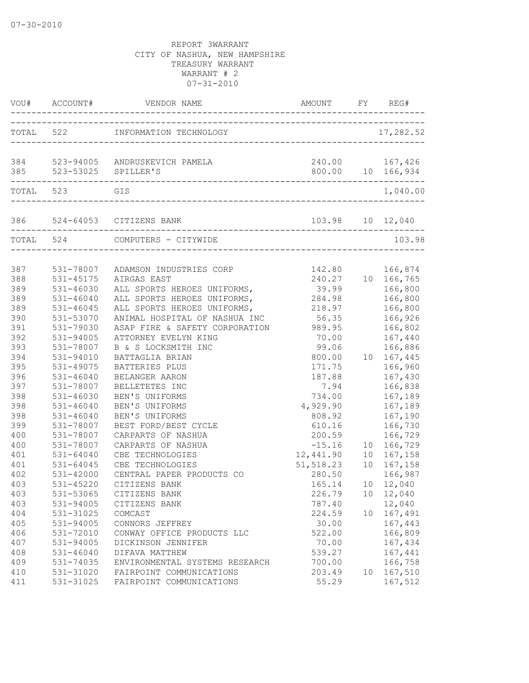| VOU#      | ACCOUNT#                | VENDOR NAME                                                           | AMOUNT           | FY | REG#                                |
|-----------|-------------------------|-----------------------------------------------------------------------|------------------|----|-------------------------------------|
|           |                         | TOTAL 522 INFORMATION TECHNOLOGY<br>_________________________________ |                  |    | 17,282.52                           |
|           | 385 523-53025 SPILLER'S | 384 523-94005 ANDRUSKEVICH PAMELA                                     |                  |    | 240.00 167,426<br>800.00 10 166,934 |
|           |                         |                                                                       |                  |    |                                     |
| TOTAL 523 |                         | GIS                                                                   |                  |    | 1,040.00                            |
|           |                         | 386 524-64053 CITIZENS BANK<br>______________________                 | 103.98 10 12,040 |    |                                     |
| TOTAL 524 |                         | COMPUTERS - CITYWIDE                                                  |                  |    | 103.98                              |
| 387       | 531-78007               | ADAMSON INDUSTRIES CORP                                               | 142.80           |    | 166,874                             |
| 388       | 531-45175               | AIRGAS EAST                                                           | 240.27           |    | 10 166,765                          |
| 389       | 531-46030               | ALL SPORTS HEROES UNIFORMS,                                           | 39.99            |    | 166,800                             |
| 389       | $531 - 46040$           | ALL SPORTS HEROES UNIFORMS,                                           | 284.98           |    | 166,800                             |
| 389       | $531 - 46045$           | ALL SPORTS HEROES UNIFORMS,                                           | 218.97           |    | 166,800                             |
| 390       | 531-53070               | ANIMAL HOSPITAL OF NASHUA INC                                         | 56.35            |    | 166,926                             |
| 391       | 531-79030               | ASAP FIRE & SAFETY CORPORATION 989.95                                 |                  |    | 166,802                             |
| 392       | 531-94005               | ATTORNEY EVELYN KING                                                  | 70.00            |    | 167,440                             |
| 393       | 531-78007               | B & S LOCKSMITH INC                                                   | 99.06            |    | 166,886                             |
| 394       | 531-94010               | BATTAGLIA BRIAN                                                       | 800.00           |    | 10 167,445                          |
| 395       | 531-49075               | BATTERIES PLUS                                                        | 171.75           |    | 166,960                             |
| 396       | 531-46040               | BELANGER AARON                                                        | 187.88           |    | 167,430                             |
| 397       | 531-78007               | BELLETETES INC                                                        | 7.94             |    | 166,838                             |
| 398       | $531 - 46030$           | BEN'S UNIFORMS                                                        | 734.00           |    | 167,189                             |
| 398       | $531 - 46040$           | BEN'S UNIFORMS                                                        | 4,929.90         |    | 167,189                             |
| 398       | $531 - 46040$           | BEN'S UNIFORMS                                                        | 808.92           |    | 167,190                             |
| 399       | 531-78007               | BEST FORD/BEST CYCLE                                                  | 610.16           |    | 166,730                             |
| 400       | 531-78007               | CARPARTS OF NASHUA                                                    | 200.59           |    | 166,729                             |
| 400       | 531-78007               | CARPARTS OF NASHUA                                                    | $-15.16$         |    | 10 166,729                          |
| 401       | $531 - 64040$           | CBE TECHNOLOGIES                                                      | 12,441.90        |    | 10 167,158                          |
| 401       | $531 - 64045$           | CBE TECHNOLOGIES                                                      | 51, 518.23       |    | 10 167,158                          |
| 402       | 531-42000               | CENTRAL PAPER PRODUCTS CO                                             | 280.50           |    | 166,987                             |
| 403       | 531-45220               | CITIZENS BANK                                                         | 165.14           |    | 10 12,040                           |
| 403       | 531-53065               | CITIZENS BANK                                                         | 226.79           |    | 10 12,040                           |
| 403       | 531-94005               | CITIZENS BANK                                                         | 787.40           |    | 12,040                              |
| 404       | 531-31025               | COMCAST                                                               | 224.59           |    | 10 167,491                          |
| 405       | 531-94005               | CONNORS JEFFREY                                                       | 30.00            |    | 167,443                             |
| 406       | 531-72010               | CONWAY OFFICE PRODUCTS LLC                                            | 522.00           |    | 166,809                             |
| 407       | 531-94005               | DICKINSON JENNIFER                                                    | 70.00            |    | 167,434                             |
| 408       | $531 - 46040$           | DIFAVA MATTHEW                                                        | 539.27           |    | 167,441                             |
| 409       | 531-74035               | ENVIRONMENTAL SYSTEMS RESEARCH                                        | 700.00           |    | 166,758                             |
| 410       | 531-31020               | FAIRPOINT COMMUNICATIONS                                              | 203.49           |    | 10 167,510                          |
| 411       | 531-31025               | FAIRPOINT COMMUNICATIONS                                              | 55.29            |    | 167,512                             |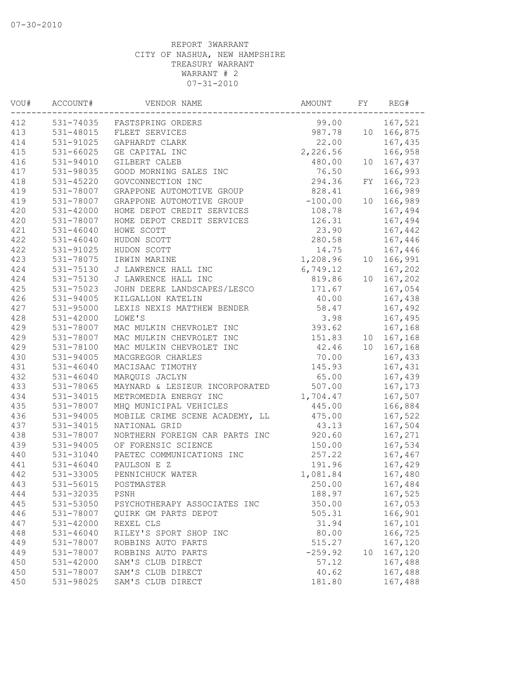| VOU# | ACCOUNT#      | VENDOR NAME                    | AMOUNT    | FY | REG#       |
|------|---------------|--------------------------------|-----------|----|------------|
| 412  |               | 531-74035 FASTSPRING ORDERS    | 99.00     |    | 167,521    |
| 413  | 531-48015     | FLEET SERVICES                 | 987.78    |    | 10 166,875 |
| 414  | $531 - 91025$ | GAPHARDT CLARK                 | 22.00     |    | 167,435    |
| 415  | $531 - 66025$ | GE CAPITAL INC                 | 2,226.56  |    | 166,958    |
| 416  | 531-94010     | GILBERT CALEB                  | 480.00    |    | 10 167,437 |
| 417  | 531-98035     | GOOD MORNING SALES INC         | 76.50     |    | 166,993    |
| 418  | $531 - 45220$ | GOVCONNECTION INC              | 294.36    |    | FY 166,723 |
| 419  | 531-78007     | GRAPPONE AUTOMOTIVE GROUP      | 828.41    |    | 166,989    |
| 419  | 531-78007     | GRAPPONE AUTOMOTIVE GROUP      | $-100.00$ |    | 10 166,989 |
| 420  | 531-42000     | HOME DEPOT CREDIT SERVICES     | 108.78    |    | 167,494    |
| 420  | 531-78007     | HOME DEPOT CREDIT SERVICES     | 126.31    |    | 167,494    |
| 421  | $531 - 46040$ | HOWE SCOTT                     | 23.90     |    | 167,442    |
| 422  | $531 - 46040$ | HUDON SCOTT                    | 280.58    |    | 167,446    |
| 422  | 531-91025     | HUDON SCOTT                    | 14.75     |    | 167,446    |
| 423  | 531-78075     | IRWIN MARINE                   | 1,208.96  |    | 10 166,991 |
| 424  | 531-75130     | J LAWRENCE HALL INC            | 6,749.12  |    | 167,202    |
| 424  | 531-75130     | J LAWRENCE HALL INC            | 819.86    |    | 10 167,202 |
| 425  | 531-75023     | JOHN DEERE LANDSCAPES/LESCO    | 171.67    |    | 167,054    |
| 426  | 531-94005     | KILGALLON KATELIN              | 40.00     |    | 167,438    |
| 427  | 531-95000     | LEXIS NEXIS MATTHEW BENDER     | 58.47     |    | 167,492    |
| 428  | $531 - 42000$ | LOWE'S                         | 3.98      |    | 167,495    |
| 429  | 531-78007     | MAC MULKIN CHEVROLET INC       | 393.62    |    | 167,168    |
| 429  | 531-78007     | MAC MULKIN CHEVROLET INC       | 151.83    |    | 10 167,168 |
| 429  | 531-78100     | MAC MULKIN CHEVROLET INC       | 42.46     |    | 10 167,168 |
| 430  | 531-94005     | MACGREGOR CHARLES              | 70.00     |    | 167,433    |
| 431  | $531 - 46040$ | MACISAAC TIMOTHY               | 145.93    |    | 167,431    |
| 432  | $531 - 46040$ | MARQUIS JACLYN                 | 65.00     |    | 167,439    |
| 433  | 531-78065     | MAYNARD & LESIEUR INCORPORATED | 507.00    |    | 167,173    |
|      |               | METROMEDIA ENERGY INC          |           |    |            |
| 434  | 531-34015     |                                | 1,704.47  |    | 167,507    |
| 435  | 531-78007     | MHQ MUNICIPAL VEHICLES         | 445.00    |    | 166,884    |
| 436  | 531-94005     | MOBILE CRIME SCENE ACADEMY, LL | 475.00    |    | 167,522    |
| 437  | 531-34015     | NATIONAL GRID                  | 43.13     |    | 167,504    |
| 438  | 531-78007     | NORTHERN FOREIGN CAR PARTS INC | 920.60    |    | 167,271    |
| 439  | 531-94005     | OF FORENSIC SCIENCE            | 150.00    |    | 167,534    |
| 440  | 531-31040     | PAETEC COMMUNICATIONS INC      | 257.22    |    | 167,467    |
| 441  | $531 - 46040$ | PAULSON E Z                    | 191.96    |    | 167,429    |
| 442  | 531-33005     | PENNICHUCK WATER               | 1,081.84  |    | 167,480    |
| 443  | 531-56015     | POSTMASTER                     | 250.00    |    | 167,484    |
| 444  | 531-32035     | PSNH                           | 188.97    |    | 167,525    |
| 445  | 531-53050     | PSYCHOTHERAPY ASSOCIATES INC   | 350.00    |    | 167,053    |
| 446  | 531-78007     | QUIRK GM PARTS DEPOT           | 505.31    |    | 166,901    |
| 447  | 531-42000     | REXEL CLS                      | 31.94     |    | 167,101    |
| 448  | $531 - 46040$ | RILEY'S SPORT SHOP INC         | 80.00     |    | 166,725    |
| 449  | 531-78007     | ROBBINS AUTO PARTS             | 515.27    |    | 167,120    |
| 449  | 531-78007     | ROBBINS AUTO PARTS             | $-259.92$ | 10 | 167,120    |
| 450  | 531-42000     | SAM'S CLUB DIRECT              | 57.12     |    | 167,488    |
| 450  | 531-78007     | SAM'S CLUB DIRECT              | 40.62     |    | 167,488    |
| 450  | 531-98025     | SAM'S CLUB DIRECT              | 181.80    |    | 167,488    |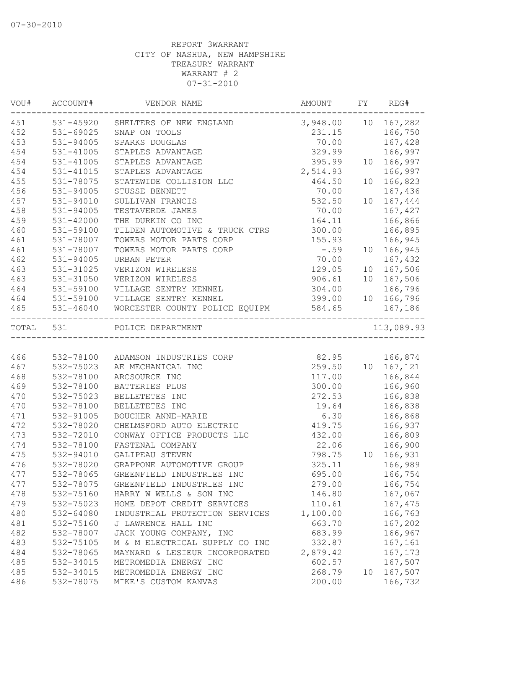| VOU#      | ACCOUNT#      | VENDOR NAME                    | AMOUNT              | FY | REG#                 |
|-----------|---------------|--------------------------------|---------------------|----|----------------------|
| 451       | 531-45920     | SHELTERS OF NEW ENGLAND        | 3,948.00 10 167,282 |    |                      |
| 452       | 531-69025     | SNAP ON TOOLS                  | 231.15              |    | 166,750              |
| 453       | 531-94005     | SPARKS DOUGLAS                 | 70.00               |    | 167,428              |
| 454       | 531-41005     | STAPLES ADVANTAGE              | 329.99              |    | 166,997              |
| 454       | 531-41005     | STAPLES ADVANTAGE              | 395.99              |    | 10 166,997           |
| 454       | 531-41015     | STAPLES ADVANTAGE              | 2,514.93            |    | 166,997              |
| 455       | 531-78075     | STATEWIDE COLLISION LLC        | 464.50              |    | 10 166,823           |
| 456       | 531-94005     | STUSSE BENNETT                 | 70.00               |    | 167,436              |
| 457       | 531-94010     | SULLIVAN FRANCIS               | 532.50              | 10 | 167,444              |
| 458       | 531-94005     | TESTAVERDE JAMES               | 70.00               |    | 167,427              |
| 459       | 531-42000     | THE DURKIN CO INC              | 164.11              |    | 166,866              |
| 460       | 531-59100     | TILDEN AUTOMOTIVE & TRUCK CTRS | 300.00              |    | 166,895              |
| 461       | 531-78007     | TOWERS MOTOR PARTS CORP        | 155.93              |    | 166,945              |
| 461       | 531-78007     | TOWERS MOTOR PARTS CORP        | $-0.59$             |    | 10 166,945           |
| 462       | 531-94005     | URBAN PETER                    | 70.00               |    | 167,432              |
| 463       | 531-31025     | VERIZON WIRELESS               | 129.05              |    | 10 167,506           |
| 463       | 531-31050     | VERIZON WIRELESS               | 906.61              |    | 10 167,506           |
| 464       | 531-59100     | VILLAGE SENTRY KENNEL          | 304.00              |    | 166,796              |
| 464       | 531-59100     | VILLAGE SENTRY KENNEL          | 399.00              |    | 10 166,796           |
| 465       | $531 - 46040$ | WORCESTER COUNTY POLICE EQUIPM | 584.65              |    | 167,186              |
| TOTAL 531 |               | POLICE DEPARTMENT              |                     |    | ------<br>113,089.93 |
|           |               |                                | ___________________ |    |                      |
| 466       | 532-78100     | ADAMSON INDUSTRIES CORP        | 82.95               |    | 166,874              |
| 467       | 532-75023     | AE MECHANICAL INC              |                     |    | 259.50 10 167,121    |
| 468       | 532-78100     | ARCSOURCE INC                  | 117.00              |    | 166,844              |
| 469       | 532-78100     | BATTERIES PLUS                 | 300.00              |    | 166,960              |
| 470       | 532-75023     | BELLETETES INC                 | 272.53              |    | 166,838              |
| 470       | 532-78100     | BELLETETES INC                 | 19.64               |    | 166,838              |
| 471       | 532-91005     | BOUCHER ANNE-MARIE             | 6.30                |    | 166,868              |
| 472       | 532-78020     | CHELMSFORD AUTO ELECTRIC       | 419.75              |    | 166,937              |
| 473       | 532-72010     | CONWAY OFFICE PRODUCTS LLC     | 432.00              |    | 166,809              |
| 474       | 532-78100     | FASTENAL COMPANY               | 22.06               |    | 166,900              |
| 475       | 532-94010     | GALIPEAU STEVEN                | 798.75              |    | 10 166,931           |
| 476       | 532-78020     | GRAPPONE AUTOMOTIVE GROUP      | 325.11              |    | 166,989              |
| 477       | 532-78065     | GREENFIELD INDUSTRIES INC      | 695.00              |    | 166,754              |
| 477       | 532-78075     | GREENFIELD INDUSTRIES INC      | 279.00              |    | 166,754              |
| 478       | 532-75160     | HARRY W WELLS & SON INC        | 146.80              |    | 167,067              |
| 479       | 532-75023     | HOME DEPOT CREDIT SERVICES     | 110.61              |    | 167,475              |
|           |               |                                |                     |    |                      |
| 480       | 532-64080     | INDUSTRIAL PROTECTION SERVICES | 1,100.00            |    | 166,763              |
| 481       | 532-75160     | J LAWRENCE HALL INC            | 663.70              |    | 167,202              |
| 482       | 532-78007     | JACK YOUNG COMPANY, INC        | 683.99              |    | 166,967              |
| 483       | 532-75105     | M & M ELECTRICAL SUPPLY CO INC | 332.87              |    | 167,161              |
| 484       | 532-78065     | MAYNARD & LESIEUR INCORPORATED | 2,879.42            |    | 167,173              |
| 485       | 532-34015     | METROMEDIA ENERGY INC          | 602.57              |    | 167,507              |
| 485       | 532-34015     | METROMEDIA ENERGY INC          | 268.79              | 10 | 167,507              |
| 486       | 532-78075     | MIKE'S CUSTOM KANVAS           | 200.00              |    | 166,732              |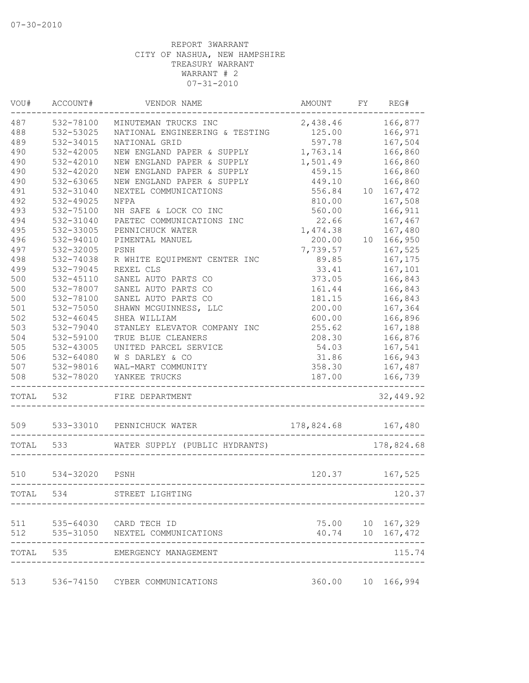| VOU#  | ACCOUNT#      | VENDOR NAME                    | <b>AMOUNT</b> | FY | REG#             |
|-------|---------------|--------------------------------|---------------|----|------------------|
| 487   | 532-78100     | MINUTEMAN TRUCKS INC           | 2,438.46      |    | 166,877          |
| 488   | 532-53025     | NATIONAL ENGINEERING & TESTING | 125.00        |    | 166,971          |
| 489   | 532-34015     | NATIONAL GRID                  | 597.78        |    | 167,504          |
| 490   | 532-42005     | NEW ENGLAND PAPER & SUPPLY     | 1,763.14      |    | 166,860          |
| 490   | 532-42010     | NEW ENGLAND PAPER & SUPPLY     | 1,501.49      |    | 166,860          |
| 490   | 532-42020     | NEW ENGLAND PAPER & SUPPLY     | 459.15        |    | 166,860          |
| 490   | 532-63065     | NEW ENGLAND PAPER & SUPPLY     | 449.10        |    | 166,860          |
| 491   | 532-31040     | NEXTEL COMMUNICATIONS          | 556.84        | 10 | 167,472          |
| 492   | 532-49025     | NFPA                           | 810.00        |    | 167,508          |
| 493   | 532-75100     | NH SAFE & LOCK CO INC          | 560.00        |    | 166,911          |
| 494   | 532-31040     | PAETEC COMMUNICATIONS INC      | 22.66         |    | 167,467          |
| 495   | 532-33005     | PENNICHUCK WATER               | 1,474.38      |    | 167,480          |
| 496   | 532-94010     | PIMENTAL MANUEL                | 200.00        | 10 | 166,950          |
| 497   | 532-32005     | PSNH                           | 7,739.57      |    | 167,525          |
| 498   | 532-74038     | R WHITE EQUIPMENT CENTER INC   | 89.85         |    | 167,175          |
| 499   | 532-79045     | REXEL CLS                      | 33.41         |    | 167,101          |
| 500   | $532 - 45110$ | SANEL AUTO PARTS CO            | 373.05        |    | 166,843          |
| 500   | 532-78007     | SANEL AUTO PARTS CO            | 161.44        |    | 166,843          |
| 500   | 532-78100     | SANEL AUTO PARTS CO            | 181.15        |    | 166,843          |
| 501   | 532-75050     | SHAWN MCGUINNESS, LLC          | 200.00        |    | 167,364          |
| 502   | 532-46045     | SHEA WILLIAM                   | 600.00        |    | 166,896          |
| 503   | 532-79040     | STANLEY ELEVATOR COMPANY INC   | 255.62        |    | 167,188          |
| 504   | 532-59100     | TRUE BLUE CLEANERS             | 208.30        |    | 166,876          |
| 505   | 532-43005     | UNITED PARCEL SERVICE          | 54.03         |    | 167,541          |
|       | 532-64080     |                                | 31.86         |    |                  |
| 506   |               | W S DARLEY & CO                |               |    | 166,943          |
| 507   | 532-98016     | WAL-MART COMMUNITY             | 358.30        |    | 167,487          |
| 508   | 532-78020     | YANKEE TRUCKS                  | 187.00        |    | 166,739          |
| TOTAL | 532           | FIRE DEPARTMENT                |               |    | 32,449.92        |
| 509   | 533-33010     | PENNICHUCK WATER               | 178,824.68    |    | 167,480          |
| TOTAL | 533           | WATER SUPPLY (PUBLIC HYDRANTS) |               |    | 178,824.68       |
| 510   | 534-32020     | PSNH                           | 120.37        |    | 167,525          |
|       |               |                                |               |    |                  |
| TOTAL | 534           | STREET LIGHTING                |               |    | 120.37           |
| 511   |               | 535-64030 CARD TECH ID         |               |    | 75.00 10 167,329 |
| 512   | 535-31050     | NEXTEL COMMUNICATIONS          | 40.74         |    | 10 167,472       |
| TOTAL | 535           | EMERGENCY MANAGEMENT           |               |    | 115.74           |
| 513   | 536-74150     | CYBER COMMUNICATIONS           | 360.00        | 10 | 166,994          |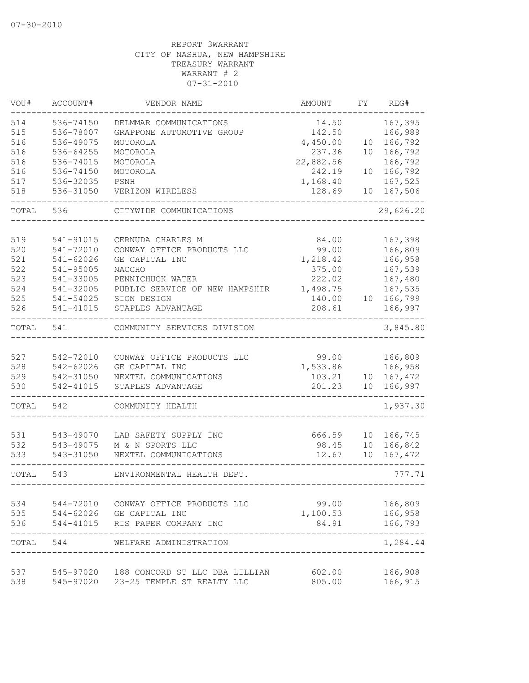| VOU#       | ACCOUNT#      | VENDOR NAME                              | AMOUNT            | FΥ              | REG#      |
|------------|---------------|------------------------------------------|-------------------|-----------------|-----------|
| 514        | 536-74150     | DELMMAR COMMUNICATIONS                   | 14.50             |                 | 167,395   |
| 515        | 536-78007     | GRAPPONE AUTOMOTIVE GROUP                | 142.50            |                 | 166,989   |
| 516        | 536-49075     | MOTOROLA                                 | 4,450.00          | 10              | 166,792   |
| 516        | 536-64255     | MOTOROLA                                 | 237.36            | 10              | 166,792   |
| 516        | 536-74015     | MOTOROLA                                 | 22,882.56         |                 | 166,792   |
| 516        | 536-74150     | MOTOROLA                                 | 242.19            | 10              | 166,792   |
| 517        | 536-32035     | PSNH                                     | 1,168.40          |                 | 167,525   |
| 518        | 536-31050     | VERIZON WIRELESS                         | 128.69            | 10              | 167,506   |
| TOTAL      | 536           | CITYWIDE COMMUNICATIONS                  |                   |                 | 29,626.20 |
|            |               |                                          |                   |                 |           |
| 519        | 541-91015     | CERNUDA CHARLES M                        | 84.00             |                 | 167,398   |
| 520        | 541-72010     | CONWAY OFFICE PRODUCTS LLC               | 99.00             |                 | 166,809   |
| 521        | $541 - 62026$ | GE CAPITAL INC                           | 1,218.42          |                 | 166,958   |
| 522        | 541-95005     | NACCHO                                   | 375.00            |                 | 167,539   |
| 523        | 541-33005     | PENNICHUCK WATER                         | 222.02            |                 | 167,480   |
| 524        | 541-32005     | PUBLIC SERVICE OF NEW HAMPSHIR           | 1,498.75          |                 | 167,535   |
| 525        | 541-54025     | SIGN DESIGN                              | 140.00            | 10              | 166,799   |
| 526        | 541-41015     | STAPLES ADVANTAGE                        | 208.61            |                 | 166,997   |
| TOTAL      | 541           | COMMUNITY SERVICES DIVISION              |                   |                 | 3,845.80  |
|            |               |                                          |                   |                 |           |
| 527        | 542-72010     | CONWAY OFFICE PRODUCTS LLC               | 99.00             |                 | 166,809   |
| 528        | 542-62026     | GE CAPITAL INC                           | 1,533.86          |                 | 166,958   |
| 529        | 542-31050     | NEXTEL COMMUNICATIONS                    | 103.21            | 10 <sup>°</sup> | 167,472   |
| 530        | 542-41015     | STAPLES ADVANTAGE                        | 201.23            | 10 <sup>°</sup> | 166,997   |
| TOTAL      | 542           | COMMUNITY HEALTH                         |                   |                 | 1,937.30  |
|            |               |                                          |                   |                 |           |
| 531        | 543-49070     | LAB SAFETY SUPPLY INC                    | 666.59            | 10 <sup>°</sup> | 166,745   |
| 532        | 543-49075     | M & N SPORTS LLC                         | 98.45             | 10              | 166,842   |
| 533        | 543-31050     | NEXTEL COMMUNICATIONS                    | 12.67             | 10              | 167,472   |
| TOTAL      | 543           | ENVIRONMENTAL HEALTH DEPT.               |                   |                 | 777.71    |
|            |               | 544-72010 CONWAY OFFICE PRODUCTS LLC     |                   |                 |           |
| 534<br>535 |               |                                          | 99.00             |                 | 166,809   |
| 536        |               | 544-62026 GE CAPITAL INC                 | 1,100.53<br>84.91 |                 | 166,958   |
|            |               | 544-41015 RIS PAPER COMPANY INC          |                   |                 | 166,793   |
| TOTAL      | 544           | WELFARE ADMINISTRATION                   |                   |                 | 1,284.44  |
| 537        |               | 545-97020 188 CONCORD ST LLC DBA LILLIAN | 602.00            |                 | 166,908   |
| 538        | 545-97020     | 23-25 TEMPLE ST REALTY LLC               | 805.00            |                 | 166,915   |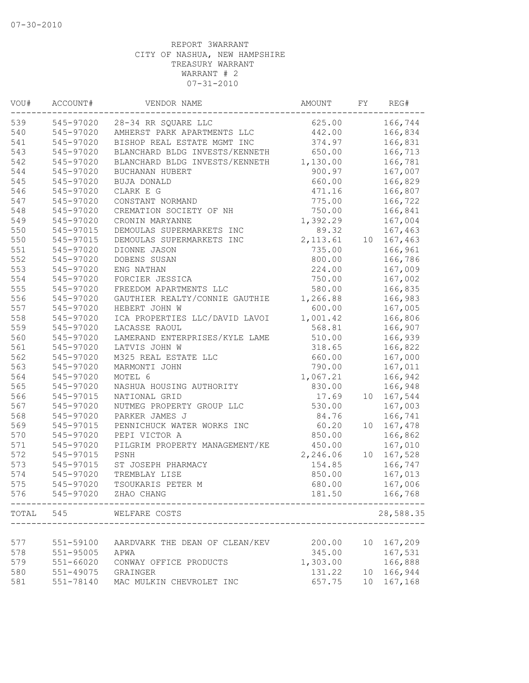| VOU#  | ACCOUNT#  | VENDOR NAME                    | AMOUNT    | FY              | REG#      |
|-------|-----------|--------------------------------|-----------|-----------------|-----------|
| 539   | 545-97020 | 28-34 RR SQUARE LLC            | 625.00    |                 | 166,744   |
| 540   | 545-97020 | AMHERST PARK APARTMENTS LLC    | 442.00    |                 | 166,834   |
| 541   | 545-97020 | BISHOP REAL ESTATE MGMT INC    | 374.97    |                 | 166,831   |
| 543   | 545-97020 | BLANCHARD BLDG INVESTS/KENNETH | 650.00    |                 | 166,713   |
| 542   | 545-97020 | BLANCHARD BLDG INVESTS/KENNETH | 1,130.00  |                 | 166,781   |
| 544   | 545-97020 | BUCHANAN HUBERT                | 900.97    |                 | 167,007   |
| 545   | 545-97020 | BUJA DONALD                    | 660.00    |                 | 166,829   |
| 546   | 545-97020 | CLARK E G                      | 471.16    |                 | 166,807   |
| 547   | 545-97020 | CONSTANT NORMAND               | 775.00    |                 | 166,722   |
| 548   | 545-97020 | CREMATION SOCIETY OF NH        | 750.00    |                 | 166,841   |
| 549   | 545-97020 | CRONIN MARYANNE                | 1,392.29  |                 | 167,004   |
| 550   | 545-97015 | DEMOULAS SUPERMARKETS INC      | 89.32     |                 | 167,463   |
| 550   | 545-97015 | DEMOULAS SUPERMARKETS INC      | 2, 113.61 | 10              | 167,463   |
| 551   | 545-97020 | DIONNE JASON                   | 735.00    |                 | 166,961   |
| 552   | 545-97020 | DOBENS SUSAN                   | 800.00    |                 | 166,786   |
| 553   | 545-97020 | ENG NATHAN                     | 224.00    |                 | 167,009   |
| 554   | 545-97020 | FORCIER JESSICA                | 750.00    |                 | 167,002   |
| 555   | 545-97020 | FREEDOM APARTMENTS LLC         | 580.00    |                 | 166,835   |
| 556   | 545-97020 | GAUTHIER REALTY/CONNIE GAUTHIE | 1,266.88  |                 | 166,983   |
| 557   | 545-97020 | HEBERT JOHN W                  | 600.00    |                 | 167,005   |
| 558   | 545-97020 | ICA PROPERTIES LLC/DAVID LAVOI | 1,001.42  |                 | 166,806   |
| 559   | 545-97020 | LACASSE RAOUL                  | 568.81    |                 | 166,907   |
| 560   | 545-97020 | LAMERAND ENTERPRISES/KYLE LAME | 510.00    |                 | 166,939   |
| 561   | 545-97020 | LATVIS JOHN W                  | 318.65    |                 | 166,822   |
| 562   | 545-97020 | M325 REAL ESTATE LLC           | 660.00    |                 | 167,000   |
| 563   | 545-97020 | MARMONTI JOHN                  | 790.00    |                 | 167,011   |
| 564   | 545-97020 | MOTEL 6                        | 1,067.21  |                 | 166,942   |
| 565   | 545-97020 | NASHUA HOUSING AUTHORITY       | 830.00    |                 | 166,948   |
| 566   | 545-97015 | NATIONAL GRID                  | 17.69     | 10 <sub>1</sub> | 167,544   |
| 567   | 545-97020 | NUTMEG PROPERTY GROUP LLC      | 530.00    |                 | 167,003   |
| 568   | 545-97020 | PARKER JAMES J                 | 84.76     |                 | 166,741   |
| 569   | 545-97015 | PENNICHUCK WATER WORKS INC     | 60.20     | 10              | 167,478   |
| 570   | 545-97020 | PEPI VICTOR A                  | 850.00    |                 | 166,862   |
| 571   | 545-97020 | PILGRIM PROPERTY MANAGEMENT/KE | 450.00    |                 | 167,010   |
| 572   | 545-97015 | PSNH                           | 2,246.06  | 10              | 167,528   |
| 573   | 545-97015 | ST JOSEPH PHARMACY             | 154.85    |                 | 166,747   |
| 574   | 545-97020 | TREMBLAY LISE                  | 850.00    |                 | 167,013   |
| 575   | 545-97020 | TSOUKARIS PETER M              | 680.00    |                 | 167,006   |
| 576   | 545-97020 | ZHAO CHANG                     | 181.50    |                 | 166,768   |
| TOTAL | 545       | WELFARE COSTS                  |           |                 | 28,588.35 |
|       |           |                                |           |                 |           |
| 577   | 551-59100 | AARDVARK THE DEAN OF CLEAN/KEV | 200.00    | 10              | 167,209   |
| 578   | 551-95005 | APWA                           | 345.00    |                 | 167,531   |
| 579   | 551-66020 | CONWAY OFFICE PRODUCTS         | 1,303.00  |                 | 166,888   |
| 580   | 551-49075 | GRAINGER                       | 131.22    | 10              | 166,944   |
| 581   | 551-78140 | MAC MULKIN CHEVROLET INC       | 657.75    | 10              | 167,168   |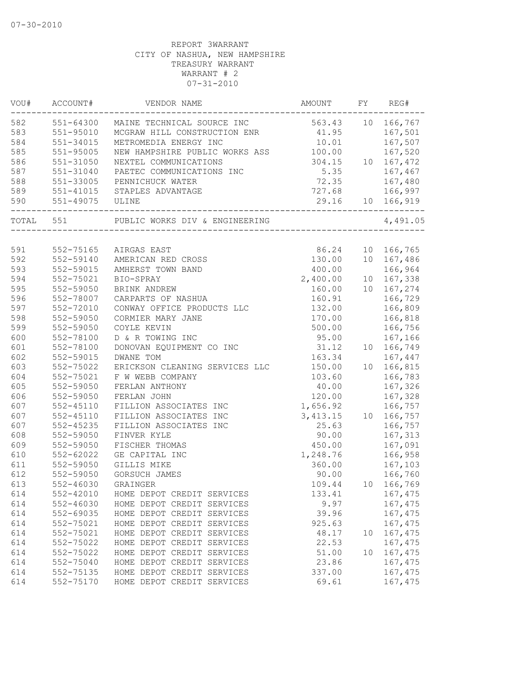| VOU#  | ACCOUNT#                         | VENDOR NAME                           | AMOUNT    | FY | REG#             |
|-------|----------------------------------|---------------------------------------|-----------|----|------------------|
| 582   | 551-64300                        | MAINE TECHNICAL SOURCE INC            | 563.43    |    | 10 166,767       |
| 583   | $551 - 95010$                    | MCGRAW HILL CONSTRUCTION ENR 41.95    |           |    | 167,501          |
| 584   | 551-34015                        | METROMEDIA ENERGY INC                 | 10.01     |    | 167,507          |
| 585   | 551-95005                        | NEW HAMPSHIRE PUBLIC WORKS ASS 100.00 |           |    | 167,520          |
| 586   | 551-31050                        | NEXTEL COMMUNICATIONS                 | 304.15    |    | 10 167,472       |
| 587   | 551-31040                        | PAETEC COMMUNICATIONS INC             | 5.35      |    | 167,467          |
| 588   | 551-33005                        | PENNICHUCK WATER                      | 72.35     |    | 167,480          |
| 589   | 551-41015                        | STAPLES ADVANTAGE                     | 727.68    |    | 166,997          |
| 590   | 551-49075<br>___________________ | ULINE                                 |           |    | 29.16 10 166,919 |
| TOTAL | 551                              | PUBLIC WORKS DIV & ENGINEERING        |           |    | 4,491.05         |
|       |                                  |                                       |           |    |                  |
| 591   |                                  | 552-75165 AIRGAS EAST                 | 86.24     |    | 10 166,765       |
| 592   | 552-59140                        | AMERICAN RED CROSS                    | 130.00    |    | 10 167,486       |
| 593   | 552-59015                        | AMHERST TOWN BAND                     | 400.00    |    | 166,964          |
| 594   | 552-75021                        | BIO-SPRAY                             | 2,400.00  |    | 10 167,338       |
| 595   | 552-59050                        | BRINK ANDREW                          | 160.00    |    | 10 167,274       |
| 596   | 552-78007                        | CARPARTS OF NASHUA                    | 160.91    |    | 166,729          |
| 597   | 552-72010                        | CONWAY OFFICE PRODUCTS LLC            | 132.00    |    | 166,809          |
| 598   | 552-59050                        | CORMIER MARY JANE                     | 170.00    |    | 166,818          |
| 599   | 552-59050                        | COYLE KEVIN                           | 500.00    |    | 166,756          |
| 600   | 552-78100                        | D & R TOWING INC                      | 95.00     |    | 167,166          |
| 601   | 552-78100                        | DONOVAN EQUIPMENT CO INC              | 31.12     |    | 10 166,749       |
| 602   | 552-59015                        | DWANE TOM                             | 163.34    |    | 167,447          |
| 603   | 552-75022                        | ERICKSON CLEANING SERVICES LLC        | 150.00    |    | 10 166,815       |
| 604   | 552-75021                        | F W WEBB COMPANY                      | 103.60    |    | 166,783          |
| 605   | 552-59050                        | FERLAN ANTHONY                        | 40.00     |    | 167,326          |
| 606   | 552-59050                        | FERLAN JOHN                           | 120.00    |    | 167,328          |
| 607   | 552-45110                        | FILLION ASSOCIATES INC                | 1,656.92  |    | 166,757          |
| 607   | $552 - 45110$                    | FILLION ASSOCIATES INC                | 3, 413.15 |    | 10 166,757       |
| 607   | 552-45235                        | FILLION ASSOCIATES INC                | 25.63     |    | 166,757          |
| 608   | 552-59050                        | FINVER KYLE                           | 90.00     |    | 167,313          |
| 609   | 552-59050                        | FISCHER THOMAS                        | 450.00    |    | 167,091          |
| 610   | 552-62022                        | GE CAPITAL INC                        | 1,248.76  |    | 166,958          |
| 611   | 552-59050                        | GILLIS MIKE                           | 360.00    |    | 167,103          |
| 612   | 552-59050                        | GORSUCH JAMES                         | 90.00     |    | 166,760          |
| 613   | 552-46030                        | GRAINGER                              | 109.44    |    | 10 166,769       |
| 614   | 552-42010                        | HOME DEPOT CREDIT SERVICES            | 133.41    |    | 167,475          |
| 614   | 552-46030                        | HOME DEPOT CREDIT SERVICES            | 9.97      |    | 167,475          |
| 614   | 552-69035                        | HOME DEPOT CREDIT SERVICES            | 39.96     |    | 167,475          |
| 614   | 552-75021                        | HOME DEPOT CREDIT SERVICES            | 925.63    |    | 167,475          |
| 614   | 552-75021                        | HOME DEPOT CREDIT SERVICES            | 48.17     | 10 | 167,475          |
| 614   | 552-75022                        | HOME DEPOT CREDIT SERVICES            | 22.53     |    | 167,475          |
| 614   | 552-75022                        | HOME DEPOT CREDIT SERVICES            | 51.00     | 10 | 167,475          |
| 614   | 552-75040                        | HOME DEPOT CREDIT SERVICES            | 23.86     |    | 167,475          |
| 614   | 552-75135                        | HOME DEPOT CREDIT SERVICES            | 337.00    |    | 167,475          |
| 614   | 552-75170                        | HOME DEPOT CREDIT SERVICES            | 69.61     |    | 167,475          |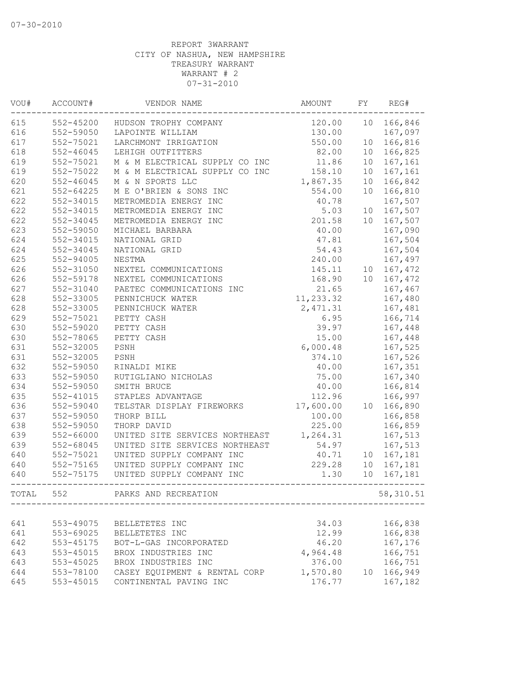| VOU#  | ACCOUNT#      | VENDOR NAME                    | AMOUNT    | FY              | REG#       |
|-------|---------------|--------------------------------|-----------|-----------------|------------|
| 615   | 552-45200     | HUDSON TROPHY COMPANY          | 120.00    | 10              | 166,846    |
| 616   | 552-59050     | LAPOINTE WILLIAM               | 130.00    |                 | 167,097    |
| 617   | 552-75021     | LARCHMONT IRRIGATION           | 550.00    | 10 <sup>°</sup> | 166,816    |
| 618   | $552 - 46045$ | LEHIGH OUTFITTERS              | 82.00     | 10 <sup>°</sup> | 166,825    |
| 619   | 552-75021     | M & M ELECTRICAL SUPPLY CO INC | 11.86     | 10 <sub>o</sub> | 167,161    |
| 619   | 552-75022     | M & M ELECTRICAL SUPPLY CO INC | 158.10    | 10              | 167,161    |
| 620   | $552 - 46045$ | M & N SPORTS LLC               | 1,867.35  | 10              | 166,842    |
| 621   | $552 - 64225$ | M E O'BRIEN & SONS INC         | 554.00    | 10              | 166,810    |
| 622   | 552-34015     | METROMEDIA ENERGY INC          | 40.78     |                 | 167,507    |
| 622   | 552-34015     | METROMEDIA ENERGY INC          | 5.03      |                 | 10 167,507 |
| 622   | 552-34045     | METROMEDIA ENERGY INC          | 201.58    | 10              | 167,507    |
| 623   | 552-59050     | MICHAEL BARBARA                | 40.00     |                 | 167,090    |
| 624   | 552-34015     | NATIONAL GRID                  | 47.81     |                 | 167,504    |
| 624   | 552-34045     | NATIONAL GRID                  | 54.43     |                 | 167,504    |
| 625   | 552-94005     | NESTMA                         | 240.00    |                 | 167,497    |
| 626   | 552-31050     | NEXTEL COMMUNICATIONS          | 145.11    |                 | 10 167,472 |
| 626   | 552-59178     | NEXTEL COMMUNICATIONS          | 168.90    |                 | 10 167,472 |
| 627   | 552-31040     | PAETEC COMMUNICATIONS INC      | 21.65     |                 | 167,467    |
| 628   | 552-33005     | PENNICHUCK WATER               | 11,233.32 |                 | 167,480    |
| 628   | 552-33005     | PENNICHUCK WATER               | 2,471.31  |                 | 167,481    |
| 629   | 552-75021     | PETTY CASH                     | 6.95      |                 | 166,714    |
| 630   | 552-59020     | PETTY CASH                     | 39.97     |                 | 167,448    |
| 630   | 552-78065     | PETTY CASH                     | 15.00     |                 | 167,448    |
| 631   | 552-32005     | PSNH                           | 6,000.48  |                 | 167,525    |
| 631   | 552-32005     | PSNH                           | 374.10    |                 | 167,526    |
| 632   | 552-59050     | RINALDI MIKE                   | 40.00     |                 | 167,351    |
| 633   | 552-59050     | RUTIGLIANO NICHOLAS            | 75.00     |                 | 167,340    |
| 634   | 552-59050     | SMITH BRUCE                    | 40.00     |                 | 166,814    |
| 635   | $552 - 41015$ | STAPLES ADVANTAGE              | 112.96    |                 | 166,997    |
| 636   | 552-59040     | TELSTAR DISPLAY FIREWORKS      | 17,600.00 | 10              | 166,890    |
| 637   | 552-59050     | THORP BILL                     | 100.00    |                 | 166,858    |
| 638   | 552-59050     | THORP DAVID                    | 225.00    |                 | 166,859    |
| 639   | 552-66000     | UNITED SITE SERVICES NORTHEAST | 1,264.31  |                 | 167,513    |
| 639   | 552-68045     | UNITED SITE SERVICES NORTHEAST | 54.97     |                 | 167,513    |
| 640   | 552-75021     | UNITED SUPPLY COMPANY INC      | 40.71     |                 | 10 167,181 |
| 640   | 552-75165     | UNITED SUPPLY COMPANY INC      | 229.28    | 10 <sub>o</sub> | 167,181    |
| 640   | 552-75175     | UNITED SUPPLY COMPANY INC      | 1.30      | 10              | 167,181    |
| TOTAL | 552           | PARKS AND RECREATION           |           |                 | 58, 310.51 |
|       |               |                                |           |                 |            |
| 641   | 553-49075     | BELLETETES INC                 | 34.03     |                 | 166,838    |
| 641   | 553-69025     | BELLETETES INC                 | 12.99     |                 | 166,838    |
| 642   | 553-45175     | BOT-L-GAS INCORPORATED         | 46.20     |                 | 167,176    |
| 643   | 553-45015     | BROX INDUSTRIES INC            | 4,964.48  |                 | 166,751    |
| 643   | 553-45025     | BROX INDUSTRIES INC            | 376.00    |                 | 166,751    |
| 644   | 553-78100     | CASEY EQUIPMENT & RENTAL CORP  | 1,570.80  | 10              | 166,949    |
| 645   | 553-45015     | CONTINENTAL PAVING INC         | 176.77    |                 | 167,182    |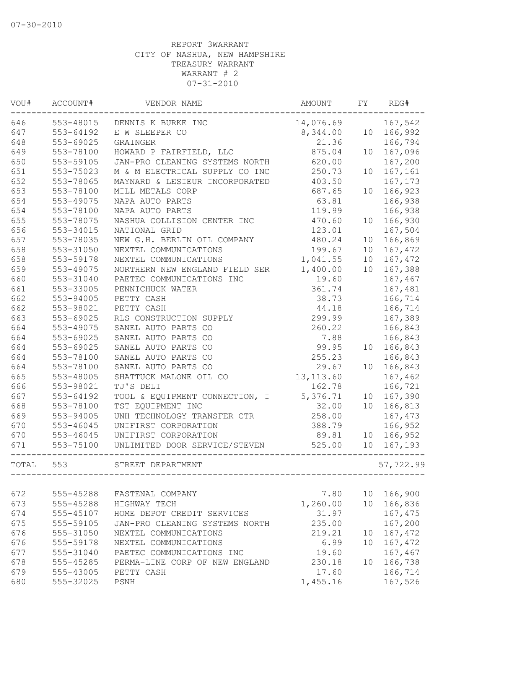| VOU#  | ACCOUNT#  | VENDOR NAME                    | AMOUNT     | FY              | REG#       |
|-------|-----------|--------------------------------|------------|-----------------|------------|
| 646   | 553-48015 | DENNIS K BURKE INC             | 14,076.69  |                 | 167,542    |
| 647   | 553-64192 | E W SLEEPER CO                 | 8,344.00   | 10 <sup>°</sup> | 166,992    |
| 648   | 553-69025 | GRAINGER                       | 21.36      |                 | 166,794    |
| 649   | 553-78100 | HOWARD P FAIRFIELD, LLC        | 875.04     | 10              | 167,096    |
| 650   | 553-59105 | JAN-PRO CLEANING SYSTEMS NORTH | 620.00     |                 | 167,200    |
| 651   | 553-75023 | M & M ELECTRICAL SUPPLY CO INC | 250.73     | 10              | 167,161    |
| 652   | 553-78065 | MAYNARD & LESIEUR INCORPORATED | 403.50     |                 | 167,173    |
| 653   | 553-78100 | MILL METALS CORP               | 687.65     | 10              | 166,923    |
| 654   | 553-49075 | NAPA AUTO PARTS                | 63.81      |                 | 166,938    |
| 654   | 553-78100 | NAPA AUTO PARTS                | 119.99     |                 | 166,938    |
| 655   | 553-78075 | NASHUA COLLISION CENTER INC    | 470.60     | 10              | 166,930    |
| 656   | 553-34015 | NATIONAL GRID                  | 123.01     |                 | 167,504    |
| 657   | 553-78035 | NEW G.H. BERLIN OIL COMPANY    | 480.24     | 10              | 166,869    |
| 658   | 553-31050 | NEXTEL COMMUNICATIONS          | 199.67     | 10              | 167,472    |
| 658   | 553-59178 | NEXTEL COMMUNICATIONS          | 1,041.55   | 10              | 167,472    |
| 659   | 553-49075 | NORTHERN NEW ENGLAND FIELD SER | 1,400.00   | 10              | 167,388    |
| 660   | 553-31040 | PAETEC COMMUNICATIONS INC      | 19.60      |                 | 167,467    |
| 661   | 553-33005 | PENNICHUCK WATER               | 361.74     |                 | 167,481    |
| 662   | 553-94005 | PETTY CASH                     | 38.73      |                 | 166,714    |
| 662   | 553-98021 | PETTY CASH                     | 44.18      |                 | 166,714    |
| 663   | 553-69025 | RLS CONSTRUCTION SUPPLY        | 299.99     |                 | 167,389    |
| 664   | 553-49075 | SANEL AUTO PARTS CO            | 260.22     |                 | 166,843    |
| 664   | 553-69025 | SANEL AUTO PARTS CO            | 7.88       |                 | 166,843    |
| 664   | 553-69025 | SANEL AUTO PARTS CO            | 99.95      | 10              | 166,843    |
| 664   | 553-78100 | SANEL AUTO PARTS CO            | 255.23     |                 | 166,843    |
| 664   | 553-78100 | SANEL AUTO PARTS CO            | 29.67      | 10              | 166,843    |
| 665   | 553-48005 | SHATTUCK MALONE OIL CO         | 13, 113.60 |                 | 167,462    |
| 666   | 553-98021 | TJ'S DELI                      | 162.78     |                 | 166,721    |
| 667   | 553-64192 | TOOL & EQUIPMENT CONNECTION, I | 5,376.71   | 10 <sup>°</sup> | 167,390    |
| 668   | 553-78100 | TST EQUIPMENT INC              | 32.00      | 10              | 166,813    |
| 669   | 553-94005 | UNH TECHNOLOGY TRANSFER CTR    | 258.00     |                 | 167,473    |
| 670   | 553-46045 | UNIFIRST CORPORATION           | 388.79     |                 | 166,952    |
| 670   | 553-46045 | UNIFIRST CORPORATION           | 89.81      | 10              | 166,952    |
| 671   | 553-75100 | UNLIMITED DOOR SERVICE/STEVEN  | 525.00     |                 | 10 167,193 |
| TOTAL | 553       | STREET DEPARTMENT              |            |                 | 57,722.99  |
|       |           |                                |            |                 |            |
| 672   | 555-45288 | FASTENAL COMPANY               | 7.80       | 10              | 166,900    |
| 673   | 555-45288 | HIGHWAY TECH                   | 1,260.00   | 10              | 166,836    |
| 674   | 555-45107 | HOME DEPOT CREDIT SERVICES     | 31.97      |                 | 167,475    |
| 675   | 555-59105 | JAN-PRO CLEANING SYSTEMS NORTH | 235.00     |                 | 167,200    |
| 676   | 555-31050 | NEXTEL COMMUNICATIONS          | 219.21     | 10              | 167,472    |
| 676   | 555-59178 | NEXTEL COMMUNICATIONS          | 6.99       | 10              | 167,472    |
| 677   | 555-31040 | PAETEC COMMUNICATIONS INC      | 19.60      |                 | 167,467    |
| 678   | 555-45285 | PERMA-LINE CORP OF NEW ENGLAND | 230.18     | 10              | 166,738    |
| 679   | 555-43005 | PETTY CASH                     | 17.60      |                 | 166,714    |
| 680   | 555-32025 | PSNH                           | 1,455.16   |                 | 167,526    |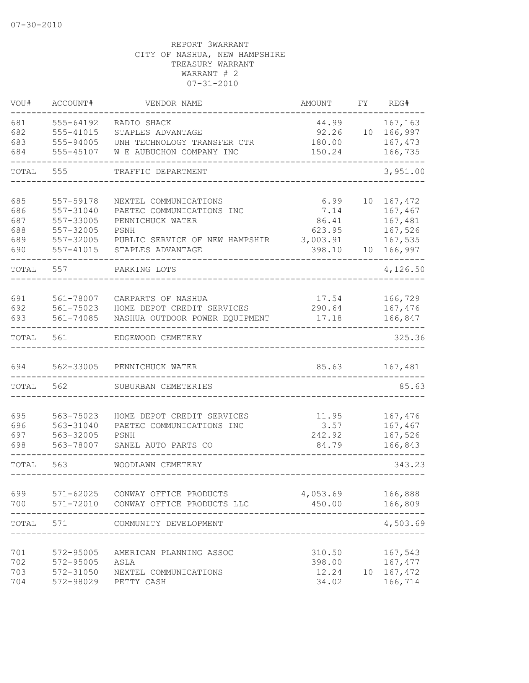| VOU#                                   | ACCOUNT#                                                                   | VENDOR NAME                                                                                                                           | AMOUNT                                                | FΥ       | REG#                                                           |
|----------------------------------------|----------------------------------------------------------------------------|---------------------------------------------------------------------------------------------------------------------------------------|-------------------------------------------------------|----------|----------------------------------------------------------------|
| 681<br>682<br>683<br>684               | 555-64192<br>555-41015<br>555-94005<br>555-45107                           | RADIO SHACK<br>STAPLES ADVANTAGE<br>UNH TECHNOLOGY TRANSFER CTR<br>W E AUBUCHON COMPANY INC                                           | 44.99<br>92.26<br>180.00<br>150.24                    | 10       | 167,163<br>166,997<br>167,473<br>166,735                       |
| TOTAL                                  | 555                                                                        | TRAFFIC DEPARTMENT                                                                                                                    |                                                       |          | 3,951.00                                                       |
| 685<br>686<br>687<br>688<br>689<br>690 | 557-59178<br>557-31040<br>557-33005<br>557-32005<br>557-32005<br>557-41015 | NEXTEL COMMUNICATIONS<br>PAETEC COMMUNICATIONS INC<br>PENNICHUCK WATER<br>PSNH<br>PUBLIC SERVICE OF NEW HAMPSHIR<br>STAPLES ADVANTAGE | 6.99<br>7.14<br>86.41<br>623.95<br>3,003.91<br>398.10 | 10<br>10 | 167,472<br>167,467<br>167,481<br>167,526<br>167,535<br>166,997 |
| TOTAL                                  | 557                                                                        | PARKING LOTS                                                                                                                          |                                                       |          | 4,126.50                                                       |
| 691<br>692<br>693                      | 561-78007<br>561-75023<br>561-74085                                        | CARPARTS OF NASHUA<br>HOME DEPOT CREDIT SERVICES<br>NASHUA OUTDOOR POWER EQUIPMENT                                                    | 17.54<br>290.64<br>17.18                              |          | 166,729<br>167,476<br>166,847                                  |
| TOTAL                                  | 561                                                                        | EDGEWOOD CEMETERY                                                                                                                     |                                                       |          | 325.36                                                         |
| 694                                    | 562-33005                                                                  | PENNICHUCK WATER                                                                                                                      | 85.63                                                 |          | 167,481                                                        |
| TOTAL                                  | 562                                                                        | SUBURBAN CEMETERIES                                                                                                                   |                                                       |          | 85.63                                                          |
| 695<br>696<br>697<br>698               | 563-75023<br>563-31040<br>563-32005<br>563-78007                           | HOME DEPOT CREDIT SERVICES<br>PAETEC COMMUNICATIONS INC<br>PSNH<br>SANEL AUTO PARTS CO                                                | 11.95<br>3.57<br>242.92<br>84.79                      |          | 167,476<br>167,467<br>167,526<br>166,843                       |
| TOTAL                                  | 563                                                                        | WOODLAWN CEMETERY                                                                                                                     |                                                       |          | 343.23                                                         |
| 699<br>700                             | 571-62025<br>$571 - 72010$                                                 | CONWAY OFFICE PRODUCTS<br>CONWAY OFFICE PRODUCTS LLC                                                                                  | 4,053.69<br>450.00                                    |          | 166,888<br>166,809                                             |
| TOTAL                                  | 571                                                                        | COMMUNITY DEVELOPMENT                                                                                                                 |                                                       |          | 4,503.69                                                       |
| 701<br>702<br>703<br>704               | 572-95005<br>572-95005<br>572-31050<br>572-98029                           | AMERICAN PLANNING ASSOC<br>ASLA<br>NEXTEL COMMUNICATIONS<br>PETTY CASH                                                                | 310.50<br>398.00<br>12.24<br>34.02                    | 10       | 167,543<br>167,477<br>167,472<br>166,714                       |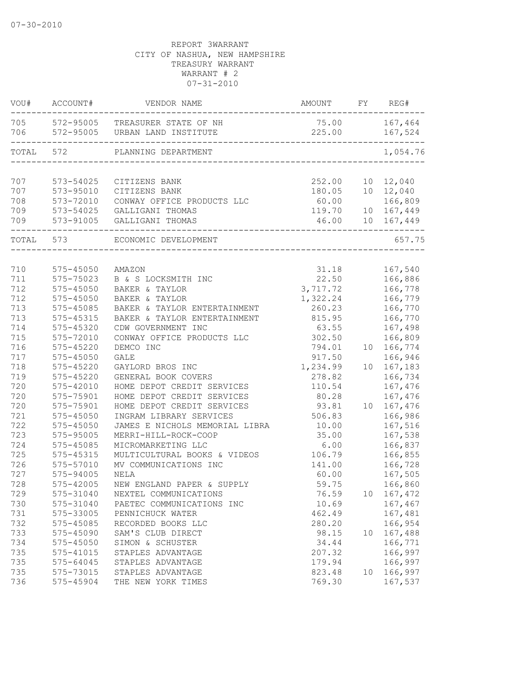| VOU#       | ACCOUNT#      | VENDOR NAME                                                       | AMOUNT                  | FY | REG#       |
|------------|---------------|-------------------------------------------------------------------|-------------------------|----|------------|
| 705<br>706 |               | 572-95005 TREASURER STATE OF NH<br>572-95005 URBAN LAND INSTITUTE | 75.00 167,464<br>225.00 |    | 167,524    |
| TOTAL      | 572           | PLANNING DEPARTMENT<br>-----------------------------              |                         |    | 1,054.76   |
| 707        | 573-54025     | CITIZENS BANK                                                     | 252.00                  |    | 10 12,040  |
| 707        | 573-95010     | CITIZENS BANK                                                     | 180.05                  |    | 10 12,040  |
| 708        | 573-72010     | CONWAY OFFICE PRODUCTS LLC                                        | 60.00                   |    | 166,809    |
| 709        | 573-54025     | GALLIGANI THOMAS                                                  | 119.70                  |    | 10 167,449 |
| 709        | 573-91005     | GALLIGANI THOMAS                                                  | 46.00                   |    | 10 167,449 |
| TOTAL 573  |               | ECONOMIC DEVELOPMENT                                              |                         |    | 657.75     |
|            |               |                                                                   |                         |    |            |
| 710        | 575-45050     | AMAZON                                                            | 31.18                   |    | 167,540    |
| 711        | 575-75023     | B & S LOCKSMITH INC                                               | 22.50                   |    | 166,886    |
| 712        | $575 - 45050$ | BAKER & TAYLOR                                                    | 3,717.72                |    | 166,778    |
| 712        | $575 - 45050$ | BAKER & TAYLOR                                                    | 1,322.24                |    | 166,779    |
| 713        | 575-45085     | BAKER & TAYLOR ENTERTAINMENT                                      | 260.23                  |    | 166,770    |
| 713        | 575-45315     | BAKER & TAYLOR ENTERTAINMENT                                      | 815.95                  |    | 166,770    |
| 714        | 575-45320     | CDW GOVERNMENT INC                                                | 63.55                   |    | 167,498    |
| 715        | 575-72010     | CONWAY OFFICE PRODUCTS LLC                                        | 302.50                  |    | 166,809    |
| 716        | $575 - 45220$ | DEMCO INC                                                         | 794.01                  | 10 | 166,774    |
| 717        | 575-45050     | GALE                                                              | 917.50                  |    | 166,946    |
| 718        | 575-45220     | GAYLORD BROS INC                                                  | 1,234.99                | 10 | 167,183    |
| 719        | $575 - 45220$ | GENERAL BOOK COVERS                                               | 278.82                  |    | 166,734    |
| 720        | 575-42010     | HOME DEPOT CREDIT SERVICES                                        | 110.54                  |    | 167,476    |
| 720        | 575-75901     | HOME DEPOT CREDIT SERVICES                                        | 80.28                   |    | 167,476    |
| 720        | 575-75901     | HOME DEPOT CREDIT SERVICES                                        | 93.81                   | 10 | 167,476    |
| 721        | $575 - 45050$ | INGRAM LIBRARY SERVICES                                           | 506.83                  |    | 166,986    |
| 722        | 575-45050     | JAMES E NICHOLS MEMORIAL LIBRA                                    | 10.00                   |    | 167,516    |
| 723        | 575-95005     | MERRI-HILL-ROCK-COOP                                              | 35.00                   |    | 167,538    |
| 724        | 575-45085     | MICROMARKETING LLC                                                | 6.00                    |    | 166,837    |
| 725        | 575-45315     | MULTICULTURAL BOOKS & VIDEOS                                      | 106.79                  |    | 166,855    |
| 726        | 575-57010     | MV COMMUNICATIONS INC                                             | 141.00                  |    | 166,728    |
| 727        | 575-94005     | NELA                                                              | 60.00                   |    | 167,505    |
| 728        | 575-42005     | NEW ENGLAND PAPER & SUPPLY                                        | 59.75                   |    | 166,860    |
| 729        | 575-31040     | NEXTEL COMMUNICATIONS                                             | 76.59                   | 10 | 167,472    |
| 730        | 575-31040     | PAETEC COMMUNICATIONS INC                                         | 10.69                   |    | 167,467    |
| 731        | 575-33005     | PENNICHUCK WATER                                                  | 462.49                  |    | 167,481    |
| 732        | 575-45085     | RECORDED BOOKS LLC                                                | 280.20                  |    | 166,954    |
| 733        | 575-45090     | SAM'S CLUB DIRECT                                                 | 98.15                   | 10 | 167,488    |
| 734        | 575-45050     | SIMON & SCHUSTER                                                  | 34.44                   |    | 166,771    |
| 735        | 575-41015     | STAPLES ADVANTAGE                                                 | 207.32                  |    | 166,997    |
| 735        | 575-64045     | STAPLES ADVANTAGE                                                 | 179.94                  |    | 166,997    |
| 735        | 575-73015     | STAPLES ADVANTAGE                                                 | 823.48                  | 10 | 166,997    |
| 736        | 575-45904     | THE NEW YORK TIMES                                                | 769.30                  |    | 167,537    |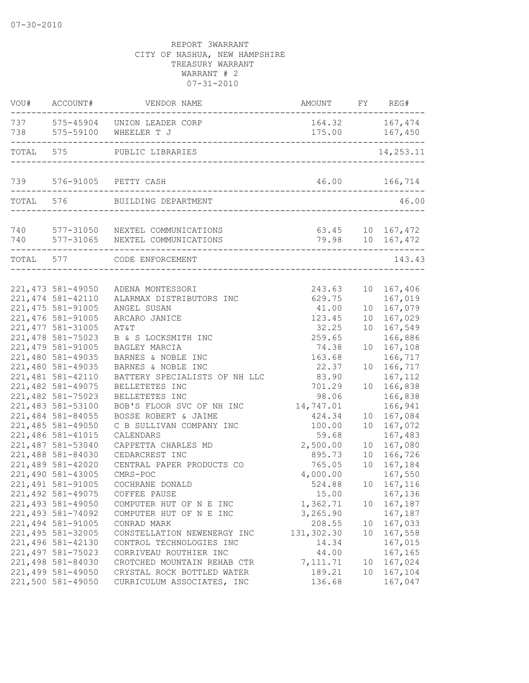|            | VOU# ACCOUNT#      | VENDOR NAME                                                        | AMOUNT FY REG# |                 |                                      |
|------------|--------------------|--------------------------------------------------------------------|----------------|-----------------|--------------------------------------|
| 738        |                    | 737 575-45904 UNION LEADER CORP<br>575-59100 WHEELER T J           |                |                 | 164.32 167,474                       |
| TOTAL      | 575                | PUBLIC LIBRARIES                                                   |                |                 | 14,253.11                            |
| 739        |                    | 576-91005 PETTY CASH<br>__________________________                 |                |                 | 46.00 166,714                        |
| TOTAL 576  |                    | BUILDING DEPARTMENT                                                |                |                 | 46.00                                |
| 740<br>740 |                    | 577-31050 NEXTEL COMMUNICATIONS<br>577-31065 NEXTEL COMMUNICATIONS |                |                 | 63.45 10 167,472<br>79.98 10 167,472 |
| TOTAL 577  |                    | CODE ENFORCEMENT                                                   |                |                 | 143.43                               |
|            | 221, 473 581-49050 | ADENA MONTESSORI                                                   | 243.63         | 10 <sub>o</sub> | 167,406                              |
|            | 221, 474 581-42110 | ALARMAX DISTRIBUTORS INC                                           | 629.75         |                 | 167,019                              |
|            | 221, 475 581-91005 | ANGEL SUSAN                                                        | 41.00          | 10 <sub>1</sub> | 167,079                              |
|            | 221, 476 581-91005 | ARCARO JANICE                                                      | 123.45         | 10              | 167,029                              |
|            | 221, 477 581-31005 | AT&T                                                               | 32.25          | 10              | 167,549                              |
|            | 221,478 581-75023  | B & S LOCKSMITH INC                                                | 259.65         |                 | 166,886                              |
|            | 221,479 581-91005  | BAGLEY MARCIA                                                      | 74.38          | 10              | 167,108                              |
|            | 221,480 581-49035  | BARNES & NOBLE INC                                                 | 163.68         |                 | 166,717                              |
|            | 221,480 581-49035  | BARNES & NOBLE INC                                                 | 22.37          | 10 <sup>°</sup> | 166,717                              |
|            | 221,481 581-42110  | BATTERY SPECIALISTS OF NH LLC                                      | 83.90          |                 | 167, 112                             |
|            | 221,482 581-49075  | BELLETETES INC                                                     | 701.29         | 10 <sup>°</sup> | 166,838                              |
|            | 221,482 581-75023  | BELLETETES INC                                                     | 98.06          |                 | 166,838                              |
|            | 221,483 581-53100  | BOB'S FLOOR SVC OF NH INC                                          | 14,747.01      |                 | 166,941                              |
|            | 221,484 581-84055  | BOSSE ROBERT & JAIME                                               | 424.34         | 10              | 167,084                              |
|            | 221,485 581-49050  | C B SULLIVAN COMPANY INC                                           | 100.00         | 10              | 167,072                              |
|            | 221,486 581-41015  | CALENDARS                                                          | 59.68          |                 | 167,483                              |
|            | 221,487 581-53040  | CAPPETTA CHARLES MD                                                | 2,500.00       | 10 <sub>o</sub> | 167,080                              |
|            | 221,488 581-84030  | CEDARCREST INC                                                     | 895.73         | 10 <sup>°</sup> | 166,726                              |
|            | 221,489 581-42020  | CENTRAL PAPER PRODUCTS CO                                          | 765.05         | 10              | 167,184                              |
|            | 221,490 581-43005  | CMRS-POC                                                           | 4,000.00       |                 | 167,550                              |
|            | 221, 491 581-91005 | COCHRANE DONALD                                                    | 524.88         | 10              | 167,116                              |
|            | 221, 492 581-49075 | COFFEE PAUSE                                                       | 15.00          |                 | 167,136                              |
|            | 221,493 581-49050  | COMPUTER HUT OF N E INC                                            | 1,362.71       | 10              | 167,187                              |
|            | 221,493 581-74092  | COMPUTER HUT OF N E INC                                            | 3,265.90       |                 | 167,187                              |
|            | 221,494 581-91005  | CONRAD MARK                                                        | 208.55         | 10              | 167,033                              |
|            | 221,495 581-32005  | CONSTELLATION NEWENERGY INC                                        | 131,302.30     | 10              | 167,558                              |
|            | 221,496 581-42130  | CONTROL TECHNOLOGIES INC                                           | 14.34          |                 | 167,015                              |
|            | 221, 497 581-75023 | CORRIVEAU ROUTHIER INC                                             | 44.00          |                 | 167,165                              |
|            | 221,498 581-84030  | CROTCHED MOUNTAIN REHAB CTR                                        | 7, 111.71      | 10 <sup>°</sup> | 167,024                              |
|            | 221,499 581-49050  | CRYSTAL ROCK BOTTLED WATER                                         | 189.21         | 10              | 167,104                              |
|            | 221,500 581-49050  | CURRICULUM ASSOCIATES, INC                                         | 136.68         |                 | 167,047                              |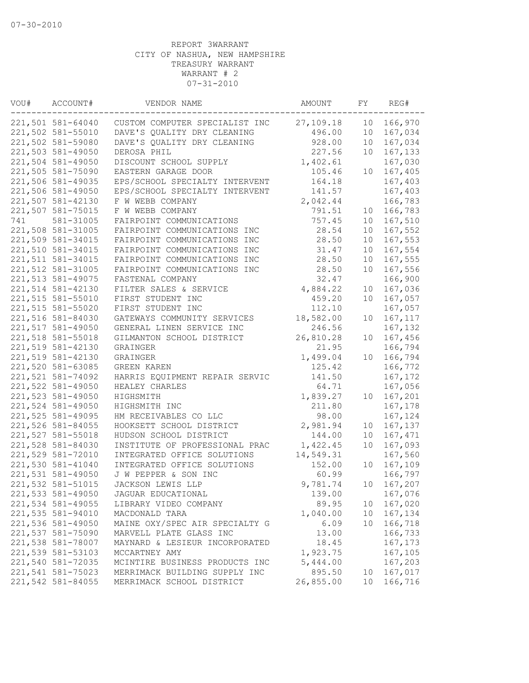| VOU# | ACCOUNT#          | VENDOR NAME                    | AMOUNT    | FY              | REG#               |
|------|-------------------|--------------------------------|-----------|-----------------|--------------------|
|      | 221,501 581-64040 | CUSTOM COMPUTER SPECIALIST INC | 27,109.18 | 10              | 166,970            |
|      | 221,502 581-55010 | DAVE'S QUALITY DRY CLEANING    | 496.00    | 10              | 167,034            |
|      | 221,502 581-59080 | DAVE'S QUALITY DRY CLEANING    | 928.00    | 10              | 167,034            |
|      | 221,503 581-49050 | DEROSA PHIL                    | 227.56    | 10              | 167,133            |
|      | 221,504 581-49050 | DISCOUNT SCHOOL SUPPLY         | 1,402.61  |                 | 167,030            |
|      | 221,505 581-75090 | EASTERN GARAGE DOOR            | 105.46    | 10              | 167,405            |
|      | 221,506 581-49035 | EPS/SCHOOL SPECIALTY INTERVENT | 164.18    |                 | 167,403            |
|      | 221,506 581-49050 | EPS/SCHOOL SPECIALTY INTERVENT | 141.57    |                 | 167,403            |
|      | 221,507 581-42130 | F W WEBB COMPANY               | 2,042.44  |                 | 166,783            |
|      | 221,507 581-75015 | F W WEBB COMPANY               | 791.51    | 10              | 166,783            |
| 741  | 581-31005         | FAIRPOINT COMMUNICATIONS       | 757.45    | 10              | 167,510            |
|      | 221,508 581-31005 | FAIRPOINT COMMUNICATIONS INC   | 28.54     | 10              | 167,552            |
|      | 221,509 581-34015 | FAIRPOINT COMMUNICATIONS INC   | 28.50     | 10              | 167,553            |
|      | 221,510 581-34015 | FAIRPOINT COMMUNICATIONS INC   | 31.47     | 10              | 167,554            |
|      | 221,511 581-34015 | FAIRPOINT COMMUNICATIONS INC   | 28.50     | 10              | 167,555            |
|      | 221,512 581-31005 | FAIRPOINT COMMUNICATIONS INC   | 28.50     | 10              | 167,556            |
|      | 221,513 581-49075 | FASTENAL COMPANY               | 32.47     |                 | 166,900            |
|      | 221,514 581-42130 | FILTER SALES & SERVICE         | 4,884.22  | 10              | 167,036            |
|      | 221,515 581-55010 | FIRST STUDENT INC              | 459.20    | 10              | 167,057            |
|      | 221,515 581-55020 | FIRST STUDENT INC              | 112.10    |                 | 167,057            |
|      | 221,516 581-84030 | GATEWAYS COMMUNITY SERVICES    | 18,582.00 | 10              | 167, 117           |
|      | 221,517 581-49050 | GENERAL LINEN SERVICE INC      | 246.56    |                 | 167,132            |
|      | 221,518 581-55018 | GILMANTON SCHOOL DISTRICT      | 26,810.28 | 10              | 167,456            |
|      | 221,519 581-42130 | GRAINGER                       | 21.95     |                 | 166,794            |
|      | 221,519 581-42130 | GRAINGER                       | 1,499.04  | 10              | 166,794            |
|      | 221,520 581-63085 | GREEN KAREN                    | 125.42    |                 | 166,772            |
|      | 221,521 581-74092 | HARRIS EQUIPMENT REPAIR SERVIC | 141.50    |                 | 167,172            |
|      | 221,522 581-49050 | HEALEY CHARLES                 | 64.71     |                 | 167,056            |
|      | 221,523 581-49050 | HIGHSMITH                      | 1,839.27  | 10              | 167,201            |
|      | 221,524 581-49050 | HIGHSMITH INC                  | 211.80    |                 | 167,178            |
|      | 221,525 581-49095 | HM RECEIVABLES CO LLC          | 98.00     |                 | 167,124            |
|      | 221,526 581-84055 |                                | 2,981.94  |                 |                    |
|      | 221,527 581-55018 | HOOKSETT SCHOOL DISTRICT       | 144.00    | 10              | 167,137<br>167,471 |
|      |                   | HUDSON SCHOOL DISTRICT         |           | 10              |                    |
|      | 221,528 581-84030 | INSTITUTE OF PROFESSIONAL PRAC | 1,422.45  | 10              | 167,093            |
|      | 221,529 581-72010 | INTEGRATED OFFICE SOLUTIONS    | 14,549.31 |                 | 167,560            |
|      | 221,530 581-41040 | INTEGRATED OFFICE SOLUTIONS    | 152.00    | 10              | 167,109            |
|      | 221,531 581-49050 | J W PEPPER & SON INC           | 60.99     |                 | 166,797            |
|      | 221,532 581-51015 | JACKSON LEWIS LLP              | 9,781.74  |                 | 10 167,207         |
|      | 221,533 581-49050 | JAGUAR EDUCATIONAL             | 139.00    |                 | 167,076            |
|      | 221,534 581-49055 | LIBRARY VIDEO COMPANY          | 89.95     |                 | 10 167,020         |
|      | 221,535 581-94010 | MACDONALD TARA                 | 1,040.00  | 10 <sup>°</sup> | 167,134            |
|      | 221,536 581-49050 | MAINE OXY/SPEC AIR SPECIALTY G | 6.09      | 10              | 166,718            |
|      | 221,537 581-75090 | MARVELL PLATE GLASS INC        | 13.00     |                 | 166,733            |
|      | 221,538 581-78007 | MAYNARD & LESIEUR INCORPORATED | 18.45     |                 | 167,173            |
|      | 221,539 581-53103 | MCCARTNEY AMY                  | 1,923.75  |                 | 167,105            |
|      | 221,540 581-72035 | MCINTIRE BUSINESS PRODUCTS INC | 5,444.00  |                 | 167,203            |
|      | 221,541 581-75023 | MERRIMACK BUILDING SUPPLY INC  | 895.50    | 10 <sup>°</sup> | 167,017            |
|      | 221,542 581-84055 | MERRIMACK SCHOOL DISTRICT      | 26,855.00 | 10              | 166,716            |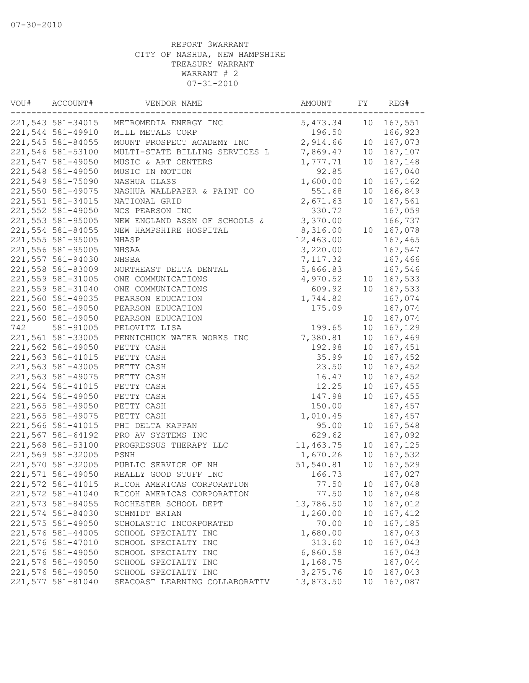| VOU# | ACCOUNT#          | VENDOR NAME                    | AMOUNT    | FY              | REG#    |
|------|-------------------|--------------------------------|-----------|-----------------|---------|
|      | 221,543 581-34015 | METROMEDIA ENERGY INC          | 5,473.34  | 10              | 167,551 |
|      | 221,544 581-49910 | MILL METALS CORP               | 196.50    |                 | 166,923 |
|      | 221,545 581-84055 | MOUNT PROSPECT ACADEMY INC     | 2,914.66  | 10              | 167,073 |
|      | 221,546 581-53100 | MULTI-STATE BILLING SERVICES L | 7,869.47  | 10              | 167,107 |
|      | 221,547 581-49050 | MUSIC & ART CENTERS            | 1,777.71  | 10              | 167,148 |
|      | 221,548 581-49050 | MUSIC IN MOTION                | 92.85     |                 | 167,040 |
|      | 221,549 581-75090 | NASHUA GLASS                   | 1,600.00  | 10              | 167,162 |
|      | 221,550 581-49075 | NASHUA WALLPAPER & PAINT CO    | 551.68    | 10              | 166,849 |
|      | 221,551 581-34015 | NATIONAL GRID                  | 2,671.63  | 10              | 167,561 |
|      | 221,552 581-49050 | NCS PEARSON INC                | 330.72    |                 | 167,059 |
|      | 221,553 581-95005 | NEW ENGLAND ASSN OF SCHOOLS &  | 3,370.00  |                 | 166,737 |
|      | 221,554 581-84055 | NEW HAMPSHIRE HOSPITAL         | 8,316.00  | 10              | 167,078 |
|      | 221,555 581-95005 | NHASP                          | 12,463.00 |                 | 167,465 |
|      | 221,556 581-95005 | NHSAA                          | 3,220.00  |                 | 167,547 |
|      | 221,557 581-94030 | NHSBA                          | 7,117.32  |                 | 167,466 |
|      | 221,558 581-83009 | NORTHEAST DELTA DENTAL         | 5,866.83  |                 | 167,546 |
|      | 221,559 581-31005 | ONE COMMUNICATIONS             | 4,970.52  | 10              | 167,533 |
|      | 221,559 581-31040 | ONE COMMUNICATIONS             | 609.92    | 10 <sup>°</sup> | 167,533 |
|      | 221,560 581-49035 | PEARSON EDUCATION              | 1,744.82  |                 | 167,074 |
|      | 221,560 581-49050 | PEARSON EDUCATION              | 175.09    |                 | 167,074 |
|      | 221,560 581-49050 | PEARSON EDUCATION              |           | 10              | 167,074 |
| 742  | 581-91005         | PELOVITZ LISA                  | 199.65    | 10              | 167,129 |
|      | 221,561 581-33005 | PENNICHUCK WATER WORKS INC     | 7,380.81  | 10              | 167,469 |
|      | 221,562 581-49050 | PETTY CASH                     | 192.98    | 10              | 167,451 |
|      | 221,563 581-41015 | PETTY CASH                     | 35.99     | 10              | 167,452 |
|      | 221,563 581-43005 | PETTY CASH                     | 23.50     | 10              | 167,452 |
|      | 221,563 581-49075 | PETTY CASH                     | 16.47     | 10              | 167,452 |
|      | 221,564 581-41015 | PETTY CASH                     | 12.25     | 10              | 167,455 |
|      | 221,564 581-49050 | PETTY CASH                     | 147.98    | 10              | 167,455 |
|      | 221,565 581-49050 | PETTY CASH                     | 150.00    |                 | 167,457 |
|      | 221,565 581-49075 | PETTY CASH                     | 1,010.45  |                 | 167,457 |
|      | 221,566 581-41015 | PHI DELTA KAPPAN               | 95.00     | 10              | 167,548 |
|      | 221,567 581-64192 | PRO AV SYSTEMS INC             | 629.62    |                 | 167,092 |
|      | 221,568 581-53100 | PROGRESSUS THERAPY LLC         | 11,463.75 | 10              | 167,125 |
|      | 221,569 581-32005 | PSNH                           | 1,670.26  | 10              | 167,532 |
|      | 221,570 581-32005 | PUBLIC SERVICE OF NH           | 51,540.81 | 10              | 167,529 |
|      | 221,571 581-49050 | REALLY GOOD STUFF INC          | 166.73    |                 | 167,027 |
|      | 221,572 581-41015 | RICOH AMERICAS CORPORATION     | 77.50     | 10              | 167,048 |
|      |                   |                                |           |                 |         |
|      | 221,572 581-41040 | RICOH AMERICAS CORPORATION     | 77.50     | 10              | 167,048 |
|      | 221,573 581-84055 | ROCHESTER SCHOOL DEPT          | 13,786.50 | 10              | 167,012 |
|      | 221,574 581-84030 | SCHMIDT BRIAN                  | 1,260.00  | 10              | 167,412 |
|      | 221,575 581-49050 | SCHOLASTIC INCORPORATED        | 70.00     | 10              | 167,185 |
|      | 221,576 581-44005 | SCHOOL SPECIALTY INC           | 1,680.00  |                 | 167,043 |
|      | 221,576 581-47010 | SCHOOL SPECIALTY INC           | 313.60    | 10              | 167,043 |
|      | 221,576 581-49050 | SCHOOL SPECIALTY INC           | 6,860.58  |                 | 167,043 |
|      | 221,576 581-49050 | SCHOOL SPECIALTY INC           | 1,168.75  |                 | 167,044 |
|      | 221,576 581-49050 | SCHOOL SPECIALTY INC           | 3,275.76  | 10              | 167,043 |
|      | 221,577 581-81040 | SEACOAST LEARNING COLLABORATIV | 13,873.50 | 10              | 167,087 |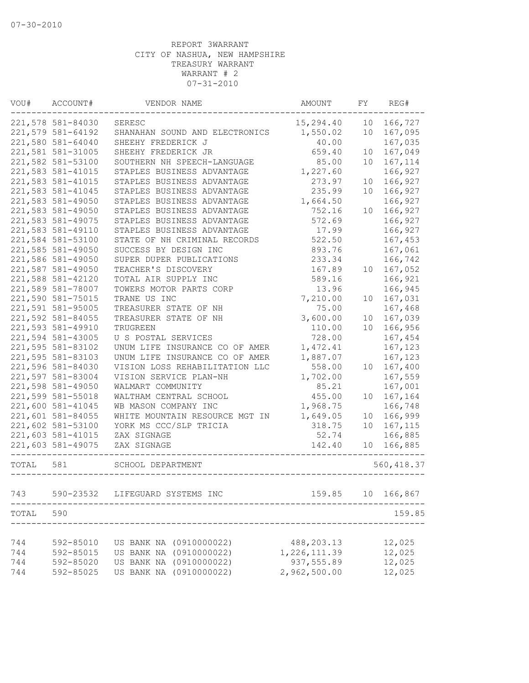| VOU#        | ACCOUNT#          | VENDOR NAME                    | AMOUNT       | FY | REG#        |
|-------------|-------------------|--------------------------------|--------------|----|-------------|
|             | 221,578 581-84030 | SERESC                         | 15,294.40    | 10 | 166,727     |
|             | 221,579 581-64192 | SHANAHAN SOUND AND ELECTRONICS | 1,550.02     | 10 | 167,095     |
|             | 221,580 581-64040 | SHEEHY FREDERICK J             | 40.00        |    | 167,035     |
|             | 221,581 581-31005 | SHEEHY FREDERICK JR            | 659.40       | 10 | 167,049     |
|             | 221,582 581-53100 | SOUTHERN NH SPEECH-LANGUAGE    | 85.00        | 10 | 167,114     |
|             | 221,583 581-41015 | STAPLES BUSINESS ADVANTAGE     | 1,227.60     |    | 166,927     |
|             | 221,583 581-41015 | STAPLES BUSINESS ADVANTAGE     | 273.97       | 10 | 166,927     |
|             | 221,583 581-41045 | STAPLES BUSINESS ADVANTAGE     | 235.99       | 10 | 166,927     |
|             | 221,583 581-49050 | STAPLES BUSINESS ADVANTAGE     | 1,664.50     |    | 166,927     |
|             | 221,583 581-49050 | STAPLES BUSINESS ADVANTAGE     | 752.16       | 10 | 166,927     |
|             | 221,583 581-49075 | STAPLES BUSINESS ADVANTAGE     | 572.69       |    | 166,927     |
|             | 221,583 581-49110 | STAPLES BUSINESS ADVANTAGE     | 17.99        |    | 166,927     |
|             | 221,584 581-53100 | STATE OF NH CRIMINAL RECORDS   | 522.50       |    | 167,453     |
|             | 221,585 581-49050 | SUCCESS BY DESIGN INC          | 893.76       |    | 167,061     |
|             | 221,586 581-49050 | SUPER DUPER PUBLICATIONS       | 233.34       |    | 166,742     |
|             | 221,587 581-49050 | TEACHER'S DISCOVERY            | 167.89       | 10 | 167,052     |
|             | 221,588 581-42120 | TOTAL AIR SUPPLY INC           | 589.16       |    | 166,921     |
|             | 221,589 581-78007 | TOWERS MOTOR PARTS CORP        | 13.96        |    | 166,945     |
|             | 221,590 581-75015 | TRANE US INC                   | 7,210.00     | 10 | 167,031     |
|             | 221,591 581-95005 | TREASURER STATE OF NH          | 75.00        |    | 167,468     |
|             | 221,592 581-84055 | TREASURER STATE OF NH          | 3,600.00     | 10 | 167,039     |
|             | 221,593 581-49910 | TRUGREEN                       | 110.00       | 10 | 166,956     |
|             | 221,594 581-43005 | U S POSTAL SERVICES            | 728.00       |    | 167,454     |
|             | 221,595 581-83102 | UNUM LIFE INSURANCE CO OF AMER | 1,472.41     |    | 167,123     |
|             | 221,595 581-83103 | UNUM LIFE INSURANCE CO OF AMER | 1,887.07     |    | 167,123     |
|             | 221,596 581-84030 | VISION LOSS REHABILITATION LLC | 558.00       | 10 | 167,400     |
|             | 221,597 581-83004 | VISION SERVICE PLAN-NH         | 1,702.00     |    | 167,559     |
|             | 221,598 581-49050 | WALMART COMMUNITY              | 85.21        |    | 167,001     |
|             | 221,599 581-55018 | WALTHAM CENTRAL SCHOOL         | 455.00       | 10 | 167,164     |
|             | 221,600 581-41045 | WB MASON COMPANY INC           | 1,968.75     |    | 166,748     |
|             | 221,601 581-84055 | WHITE MOUNTAIN RESOURCE MGT IN | 1,649.05     | 10 | 166,999     |
|             | 221,602 581-53100 | YORK MS CCC/SLP TRICIA         | 318.75       | 10 | 167,115     |
|             | 221,603 581-41015 | ZAX SIGNAGE                    | 52.74        |    | 166,885     |
|             | 221,603 581-49075 | ZAX SIGNAGE                    | 142.40       | 10 | 166,885     |
| TOTAL       | 581               | SCHOOL DEPARTMENT              |              |    | 560, 418.37 |
| 743         | 590-23532         | LIFEGUARD SYSTEMS INC          | 159.85       | 10 | 166,867     |
| $\tt TOTAL$ | 590               |                                |              |    | 159.85      |
|             |                   |                                |              |    |             |
| 744         | 592-85010         | US BANK NA (0910000022)        | 488, 203. 13 |    | 12,025      |
| 744         | 592-85015         | US BANK NA (0910000022)        | 1,226,111.39 |    | 12,025      |
| 744         | 592-85020         | US BANK NA (0910000022)        | 937,555.89   |    | 12,025      |
| 744         | 592-85025         | US BANK NA (0910000022)        | 2,962,500.00 |    | 12,025      |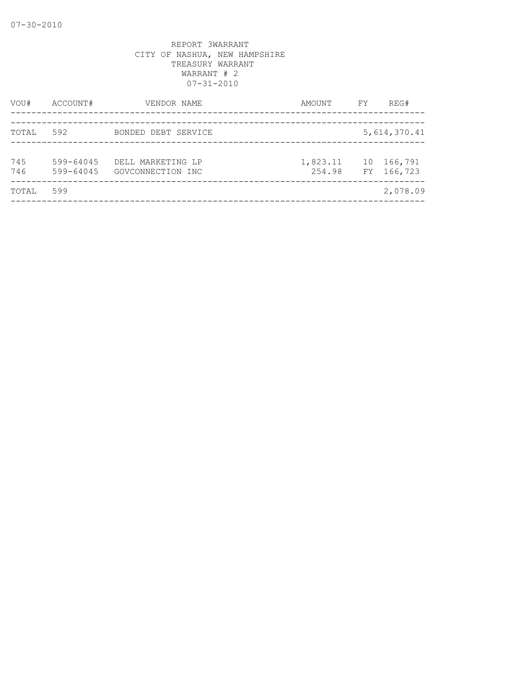| VOU#       | ACCOUNT#               | VENDOR NAME                            | AMOUNT             | FY       | REG#               |
|------------|------------------------|----------------------------------------|--------------------|----------|--------------------|
|            | 592                    |                                        |                    |          |                    |
| TOTAL      |                        | BONDED DEBT SERVICE                    |                    |          | 5,614,370.41       |
| 745<br>746 | 599-64045<br>599-64045 | DELL MARKETING LP<br>GOVCONNECTION INC | 1,823.11<br>254.98 | 10<br>FY | 166,791<br>166,723 |
| TOTAL      | 599                    |                                        |                    |          | 2,078.09           |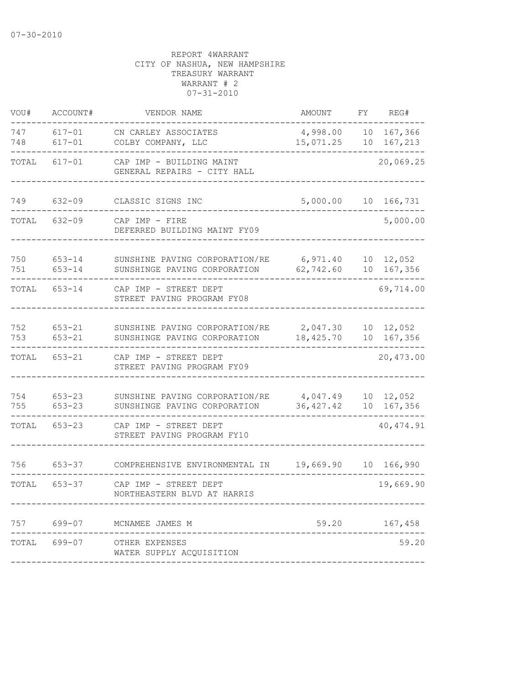| VOU#       | ACCOUNT#                 | VENDOR NAME                                                    | AMOUNT                 | FΥ       | REG#               |
|------------|--------------------------|----------------------------------------------------------------|------------------------|----------|--------------------|
| 747<br>748 | $617 - 01$<br>$617 - 01$ | CN CARLEY ASSOCIATES<br>COLBY COMPANY, LLC                     | 4,998.00<br>15,071.25  | 10<br>10 | 167,366<br>167,213 |
| TOTAL      | $617 - 01$               | CAP IMP - BUILDING MAINT<br>GENERAL REPAIRS - CITY HALL        |                        |          | 20,069.25          |
| 749        | $632 - 09$               | CLASSIC SIGNS INC                                              | 5,000.00               | 10       | 166,731            |
| TOTAL      | $632 - 09$               | CAP IMP - FIRE<br>DEFERRED BUILDING MAINT FY09                 |                        |          | 5,000.00           |
| 750<br>751 | $653 - 14$<br>$653 - 14$ | SUNSHINE PAVING CORPORATION/RE<br>SUNSHINGE PAVING CORPORATION | 6,971.40<br>62,742.60  | 10<br>10 | 12,052<br>167,356  |
| TOTAL      | $653 - 14$               | CAP IMP - STREET DEPT<br>STREET PAVING PROGRAM FY08            |                        |          | 69,714.00          |
| 752<br>753 | $653 - 21$<br>$653 - 21$ | SUNSHINE PAVING CORPORATION/RE<br>SUNSHINGE PAVING CORPORATION | 2,047.30<br>18,425.70  | 10<br>10 | 12,052<br>167,356  |
| TOTAL      | $653 - 21$               | CAP IMP - STREET DEPT<br>STREET PAVING PROGRAM FY09            |                        |          | 20,473.00          |
| 754<br>755 | $653 - 23$<br>$653 - 23$ | SUNSHINE PAVING CORPORATION/RE<br>SUNSHINGE PAVING CORPORATION | 4,047.49<br>36, 427.42 | 10<br>10 | 12,052<br>167,356  |
| TOTAL      | $653 - 23$               | CAP IMP - STREET DEPT<br>STREET PAVING PROGRAM FY10            |                        |          | 40, 474.91         |
| 756        | $653 - 37$               | COMPREHENSIVE ENVIRONMENTAL IN                                 | 19,669.90              |          | 10 166,990         |
| TOTAL      | $653 - 37$               | CAP IMP - STREET DEPT<br>NORTHEASTERN BLVD AT HARRIS           |                        |          | 19,669.90          |
| 757        | $699 - 07$               | MCNAMEE JAMES M                                                | 59.20                  |          | 167,458            |
|            | TOTAL 699-07             | OTHER EXPENSES<br>WATER SUPPLY ACQUISITION                     |                        |          | 59.20              |
|            |                          |                                                                |                        |          |                    |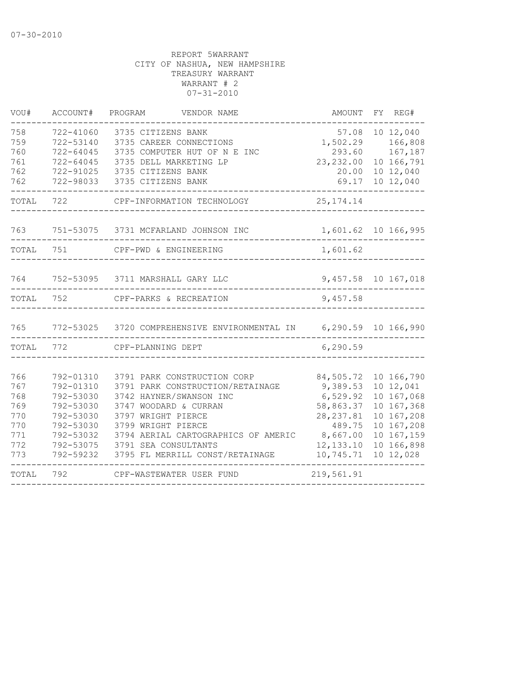| VOU#                                                        | ACCOUNT#                                                                                                          | PROGRAM<br>VENDOR NAME                                                                                                                                                                                                                                            | AMOUNT                                                                                                         | FY REG#                                                                                                                  |
|-------------------------------------------------------------|-------------------------------------------------------------------------------------------------------------------|-------------------------------------------------------------------------------------------------------------------------------------------------------------------------------------------------------------------------------------------------------------------|----------------------------------------------------------------------------------------------------------------|--------------------------------------------------------------------------------------------------------------------------|
| 758<br>759<br>760<br>761<br>762<br>762                      | 722-41060<br>722-53140<br>722-64045<br>722-64045<br>722-91025<br>722-98033                                        | 3735 CITIZENS BANK<br>3735 CAREER CONNECTIONS<br>3735 COMPUTER HUT OF N E INC<br>3735 DELL MARKETING LP<br>3735 CITIZENS BANK<br>3735 CITIZENS BANK                                                                                                               | 1,502.29<br>293.60<br>23, 232.00<br>20.00<br>69.17                                                             | 57.08 10 12,040<br>166,808<br>167,187<br>10 166,791<br>10 12,040<br>10 12,040                                            |
| TOTAL                                                       | 722                                                                                                               | CPF-INFORMATION TECHNOLOGY                                                                                                                                                                                                                                        | 25, 174. 14                                                                                                    |                                                                                                                          |
|                                                             |                                                                                                                   | 763 751-53075 3731 MCFARLAND JOHNSON INC                                                                                                                                                                                                                          |                                                                                                                | 1,601.62 10 166,995                                                                                                      |
| TOTAL 751                                                   |                                                                                                                   | CPF-PWD & ENGINEERING                                                                                                                                                                                                                                             | 1,601.62                                                                                                       |                                                                                                                          |
| 764                                                         |                                                                                                                   | 752-53095 3711 MARSHALL GARY LLC                                                                                                                                                                                                                                  |                                                                                                                | 9,457.58 10 167,018                                                                                                      |
| TOTAL 752                                                   |                                                                                                                   | CPF-PARKS & RECREATION                                                                                                                                                                                                                                            | 9,457.58                                                                                                       |                                                                                                                          |
| 765                                                         |                                                                                                                   | 772-53025 3720 COMPREHENSIVE ENVIRONMENTAL IN 6,290.59 10 166,990                                                                                                                                                                                                 |                                                                                                                |                                                                                                                          |
| TOTAL                                                       | 772                                                                                                               | CPF-PLANNING DEPT                                                                                                                                                                                                                                                 | 6,290.59                                                                                                       |                                                                                                                          |
| 766<br>767<br>768<br>769<br>770<br>770<br>771<br>772<br>773 | 792-01310<br>792-01310<br>792-53030<br>792-53030<br>792-53030<br>792-53030<br>792-53032<br>792-53075<br>792-59232 | 3791 PARK CONSTRUCTION CORP<br>3791 PARK CONSTRUCTION/RETAINAGE<br>3742 HAYNER/SWANSON INC<br>3747 WOODARD & CURRAN<br>3797 WRIGHT PIERCE<br>3799 WRIGHT PIERCE<br>3794 AERIAL CARTOGRAPHICS OF AMERIC<br>3791 SEA CONSULTANTS<br>3795 FL MERRILL CONST/RETAINAGE | 84,505.72<br>9,389.53<br>6,529.92<br>58,863.37<br>28, 237.81<br>489.75<br>8,667.00<br>12, 133. 10<br>10,745.71 | 10 166,790<br>10 12,041<br>10 167,068<br>10 167,368<br>10 167,208<br>10 167,208<br>10 167,159<br>10 166,898<br>10 12,028 |
| TOTAL                                                       | 792                                                                                                               | CPF-WASTEWATER USER FUND                                                                                                                                                                                                                                          | 219,561.91                                                                                                     |                                                                                                                          |
|                                                             |                                                                                                                   |                                                                                                                                                                                                                                                                   |                                                                                                                |                                                                                                                          |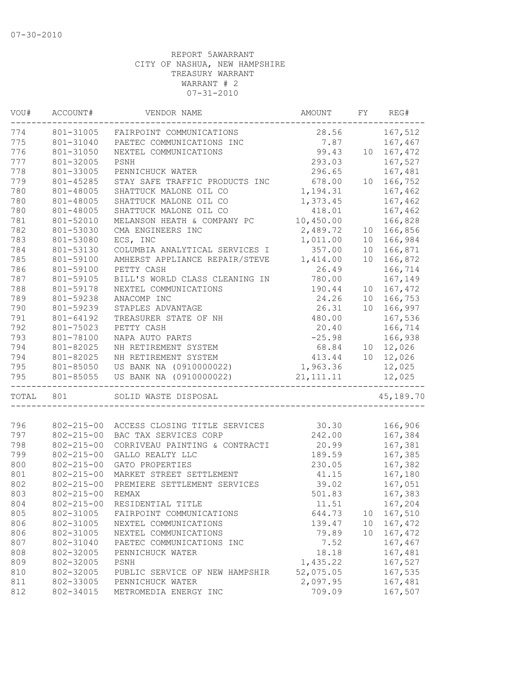| VOU#<br>ACCOUNT# |                  | VENDOR NAME                    | AMOUNT      | FY              | REG#                       |
|------------------|------------------|--------------------------------|-------------|-----------------|----------------------------|
| 774              | 801-31005        | FAIRPOINT COMMUNICATIONS       | 28.56       |                 | 167,512                    |
| 775              | 801-31040        | PAETEC COMMUNICATIONS INC      | 7.87        |                 | 167,467                    |
| 776              | 801-31050        | NEXTEL COMMUNICATIONS          | 99.43       |                 | 10 167,472                 |
| 777              | 801-32005        | PSNH                           | 293.03      |                 | 167,527                    |
| 778              | 801-33005        | PENNICHUCK WATER               | 296.65      |                 | 167,481                    |
| 779              | 801-45285        | STAY SAFE TRAFFIC PRODUCTS INC | 678.00      |                 | 10 166,752                 |
| 780              | 801-48005        | SHATTUCK MALONE OIL CO         | 1,194.31    |                 | 167,462                    |
| 780              | 801-48005        | SHATTUCK MALONE OIL CO         | 1,373.45    |                 | 167,462                    |
| 780              | 801-48005        | SHATTUCK MALONE OIL CO         | 418.01      |                 | 167,462                    |
| 781              | 801-52010        | MELANSON HEATH & COMPANY PC    | 10,450.00   |                 | 166,828                    |
| 782              | 801-53030        | CMA ENGINEERS INC              | 2,489.72    | 10              | 166,856                    |
| 783              | 801-53080        | ECS, INC                       | 1,011.00    | 10              | 166,984                    |
| 784              | 801-53130        | COLUMBIA ANALYTICAL SERVICES I | 357.00      | 10 <sub>1</sub> | 166,871                    |
| 785              | 801-59100        | AMHERST APPLIANCE REPAIR/STEVE | 1,414.00    | 10 <sup>°</sup> | 166,872                    |
| 786              | 801-59100        | PETTY CASH                     | 26.49       |                 | 166,714                    |
| 787              | 801-59105        | BILL'S WORLD CLASS CLEANING IN | 780.00      |                 | 167,149                    |
| 788              | 801-59178        | NEXTEL COMMUNICATIONS          | 190.44      | 10 <sub>o</sub> | 167,472                    |
| 789              | 801-59238        | ANACOMP INC                    | 24.26       |                 | 10 166,753                 |
| 790              | 801-59239        | STAPLES ADVANTAGE              | 26.31       | 10              | 166,997                    |
| 791              | 801-64192        | TREASURER STATE OF NH          | 480.00      |                 | 167,536                    |
| 792              | 801-75023        | PETTY CASH                     | 20.40       |                 | 166,714                    |
| 793              | 801-78100        | NAPA AUTO PARTS                | $-25.98$    |                 | 166,938                    |
| 794              | 801-82025        | NH RETIREMENT SYSTEM           |             |                 |                            |
| 794              | 801-82025        | NH RETIREMENT SYSTEM           |             |                 | 68.84 10 12,026            |
| 795              | 801-85050        | US BANK NA (0910000022)        | 1,963.36    |                 | 413.44 10 12,026<br>12,025 |
| 795              | 801-85055        | US BANK NA (0910000022)        | 21, 111. 11 |                 | 12,025                     |
|                  |                  |                                |             |                 |                            |
| TOTAL            | 801              | SOLID WASTE DISPOSAL           |             |                 | 45,189.70                  |
|                  |                  |                                |             |                 |                            |
| 796<br>797       | $802 - 215 - 00$ | ACCESS CLOSING TITLE SERVICES  | 30.30       |                 | 166,906                    |
|                  | $802 - 215 - 00$ | BAC TAX SERVICES CORP          | 242.00      |                 | 167,384                    |
| 798              | $802 - 215 - 00$ | CORRIVEAU PAINTING & CONTRACTI | 20.99       |                 | 167,381                    |
| 799              | $802 - 215 - 00$ | GALLO REALTY LLC               | 189.59      |                 | 167,385                    |
| 800              | $802 - 215 - 00$ | GATO PROPERTIES                | 230.05      |                 | 167,382                    |
| 801              | $802 - 215 - 00$ | MARKET STREET SETTLEMENT       | 41.15       |                 | 167,180                    |
| 802              | $802 - 215 - 00$ | PREMIERE SETTLEMENT SERVICES   | 39.02       |                 | 167,051                    |
| 803              | $802 - 215 - 00$ | REMAX                          | 501.83      |                 | 167,383                    |
| 804              | $802 - 215 - 00$ | RESIDENTIAL TITLE              | 11.51       |                 | 167,204                    |
| 805              | 802-31005        | FAIRPOINT COMMUNICATIONS       | 644.73      | 10              | 167,510                    |
| 806              | 802-31005        | NEXTEL COMMUNICATIONS          | 139.47      | 10              | 167,472                    |
| 806              | 802-31005        | NEXTEL COMMUNICATIONS          | 79.89       | 10              | 167,472                    |
| 807              | 802-31040        | PAETEC COMMUNICATIONS INC      | 7.52        |                 | 167,467                    |
| 808              | 802-32005        | PENNICHUCK WATER               | 18.18       |                 | 167,481                    |
| 809              | 802-32005        | PSNH                           | 1,435.22    |                 | 167,527                    |
| 810              | 802-32005        | PUBLIC SERVICE OF NEW HAMPSHIR | 52,075.05   |                 | 167,535                    |
| 811              | 802-33005        | PENNICHUCK WATER               | 2,097.95    |                 | 167,481                    |
| 812              | 802-34015        | METROMEDIA ENERGY INC          | 709.09      |                 | 167,507                    |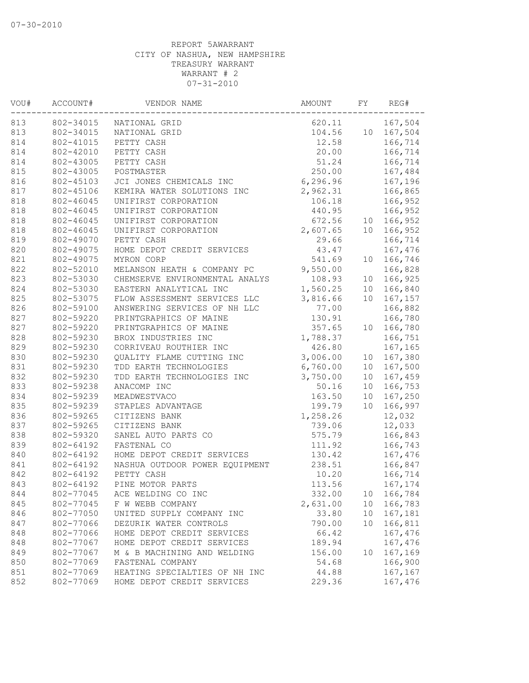| VOU#<br>ACCOUNT# |           | VENDOR NAME                    | AMOUNT   | FY              | REG#       |
|------------------|-----------|--------------------------------|----------|-----------------|------------|
| 813              | 802-34015 | NATIONAL GRID                  | 620.11   |                 | 167,504    |
| 813              | 802-34015 | NATIONAL GRID                  | 104.56   |                 | 10 167,504 |
| 814              | 802-41015 | PETTY CASH                     | 12.58    |                 | 166,714    |
| 814              | 802-42010 | PETTY CASH                     | 20.00    |                 | 166,714    |
| 814              | 802-43005 | PETTY CASH                     | 51.24    |                 | 166,714    |
| 815              | 802-43005 | POSTMASTER                     | 250.00   |                 | 167,484    |
| 816              | 802-45103 | JCI JONES CHEMICALS INC        | 6,296.96 |                 | 167,196    |
| 817              | 802-45106 | KEMIRA WATER SOLUTIONS INC     | 2,962.31 |                 | 166,865    |
| 818              | 802-46045 | UNIFIRST CORPORATION           | 106.18   |                 | 166,952    |
| 818              | 802-46045 | UNIFIRST CORPORATION           | 440.95   |                 | 166,952    |
| 818              | 802-46045 | UNIFIRST CORPORATION           | 672.56   | 10              | 166,952    |
| 818              | 802-46045 | UNIFIRST CORPORATION           | 2,607.65 | 10              | 166,952    |
| 819              | 802-49070 | PETTY CASH                     | 29.66    |                 | 166,714    |
| 820              | 802-49075 | HOME DEPOT CREDIT SERVICES     | 43.47    |                 | 167,476    |
| 821              | 802-49075 | MYRON CORP                     | 541.69   | 10              | 166,746    |
| 822              | 802-52010 | MELANSON HEATH & COMPANY PC    | 9,550.00 |                 | 166,828    |
| 823              | 802-53030 | CHEMSERVE ENVIRONMENTAL ANALYS | 108.93   | 10 <sup>°</sup> | 166,925    |
| 824              | 802-53030 | EASTERN ANALYTICAL INC         | 1,560.25 |                 | 10 166,840 |
| 825              | 802-53075 | FLOW ASSESSMENT SERVICES LLC   | 3,816.66 | 10              | 167,157    |
| 826              | 802-59100 | ANSWERING SERVICES OF NH LLC   | 77.00    |                 | 166,882    |
| 827              | 802-59220 | PRINTGRAPHICS OF MAINE         | 130.91   |                 | 166,780    |
| 827              | 802-59220 | PRINTGRAPHICS OF MAINE         | 357.65   | 10 <sup>°</sup> | 166,780    |
| 828              | 802-59230 | BROX INDUSTRIES INC            | 1,788.37 |                 | 166,751    |
| 829              | 802-59230 | CORRIVEAU ROUTHIER INC         | 426.80   |                 | 167,165    |
| 830              | 802-59230 | QUALITY FLAME CUTTING INC      | 3,006.00 | 10 <sub>1</sub> | 167,380    |
| 831              | 802-59230 | TDD EARTH TECHNOLOGIES         | 6,760.00 | 10 <sup>°</sup> | 167,500    |
| 832              | 802-59230 | TDD EARTH TECHNOLOGIES INC     | 3,750.00 | 10 <sub>o</sub> | 167,459    |
| 833              | 802-59238 | ANACOMP INC                    | 50.16    | 10              | 166,753    |
| 834              | 802-59239 | MEADWESTVACO                   | 163.50   | 10              | 167,250    |
| 835              | 802-59239 | STAPLES ADVANTAGE              | 199.79   | 10 <sup>°</sup> | 166,997    |
| 836              | 802-59265 | CITIZENS BANK                  | 1,258.26 |                 | 12,032     |
| 837              | 802-59265 | CITIZENS BANK                  | 739.06   |                 | 12,033     |
| 838              | 802-59320 | SANEL AUTO PARTS CO            | 575.79   |                 | 166,843    |
| 839              | 802-64192 | FASTENAL CO                    | 111.92   |                 | 166,743    |
| 840              | 802-64192 | HOME DEPOT CREDIT SERVICES     | 130.42   |                 | 167,476    |
| 841              | 802-64192 | NASHUA OUTDOOR POWER EQUIPMENT | 238.51   |                 | 166,847    |
| 842              | 802-64192 | PETTY CASH                     | 10.20    |                 | 166,714    |
| 843              | 802-64192 | PINE MOTOR PARTS               | 113.56   |                 | 167,174    |
| 844              | 802-77045 | ACE WELDING CO INC             | 332.00   | 10              | 166,784    |
| 845              | 802-77045 | F W WEBB COMPANY               | 2,631.00 | 10              | 166,783    |
| 846              | 802-77050 | UNITED SUPPLY COMPANY INC      | 33.80    | 10              | 167,181    |
| 847              | 802-77066 | DEZURIK WATER CONTROLS         | 790.00   | 10              | 166,811    |
| 848              | 802-77066 | HOME DEPOT CREDIT SERVICES     | 66.42    |                 | 167,476    |
| 848              | 802-77067 | HOME DEPOT CREDIT SERVICES     | 189.94   |                 | 167,476    |
| 849              | 802-77067 | M & B MACHINING AND WELDING    | 156.00   | 10              | 167,169    |
| 850              | 802-77069 | FASTENAL COMPANY               | 54.68    |                 | 166,900    |
| 851              | 802-77069 | HEATING SPECIALTIES OF NH INC  | 44.88    |                 | 167,167    |
| 852              | 802-77069 | HOME DEPOT CREDIT SERVICES     | 229.36   |                 | 167,476    |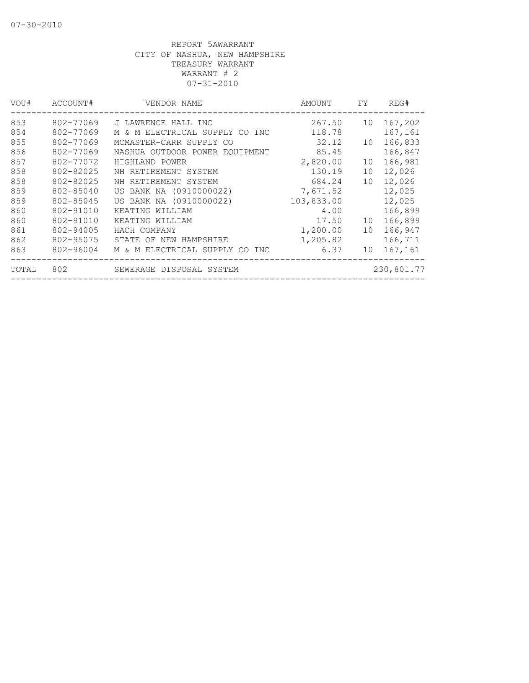| VOU#  | ACCOUNT#  | VENDOR NAME                    | AMOUNT     | FY. | REG#       |
|-------|-----------|--------------------------------|------------|-----|------------|
| 853   | 802-77069 | J LAWRENCE HALL INC            | 267.50     | 10  | 167,202    |
| 854   | 802-77069 | M & M ELECTRICAL SUPPLY CO INC | 118.78     |     | 167,161    |
| 855   | 802-77069 | MCMASTER-CARR SUPPLY CO        | 32.12      | 10  | 166,833    |
| 856   | 802-77069 | NASHUA OUTDOOR POWER EOUIPMENT | 85.45      |     | 166,847    |
| 857   | 802-77072 | HIGHLAND POWER                 | 2,820.00   | 10  | 166,981    |
| 858   | 802-82025 | NH RETIREMENT SYSTEM           | 130.19     | 10  | 12,026     |
| 858   | 802-82025 | NH RETIREMENT SYSTEM           | 684.24     | 10  | 12,026     |
| 859   | 802-85040 | US BANK NA (0910000022)        | 7,671.52   |     | 12,025     |
| 859   | 802-85045 | US BANK NA (0910000022)        | 103,833.00 |     | 12,025     |
| 860   | 802-91010 | KEATING WILLIAM                | 4.00       |     | 166,899    |
| 860   | 802-91010 | KEATING WILLIAM                | 17.50      | 10  | 166,899    |
| 861   | 802-94005 | HACH COMPANY                   | 1,200.00   | 10  | 166,947    |
| 862   | 802-95075 | STATE OF NEW HAMPSHIRE         | 1,205.82   |     | 166,711    |
| 863   | 802-96004 | M & M ELECTRICAL SUPPLY CO INC | 6.37       | 10  | 167,161    |
| TOTAL | 802       | SEWERAGE DISPOSAL SYSTEM       |            |     | 230,801.77 |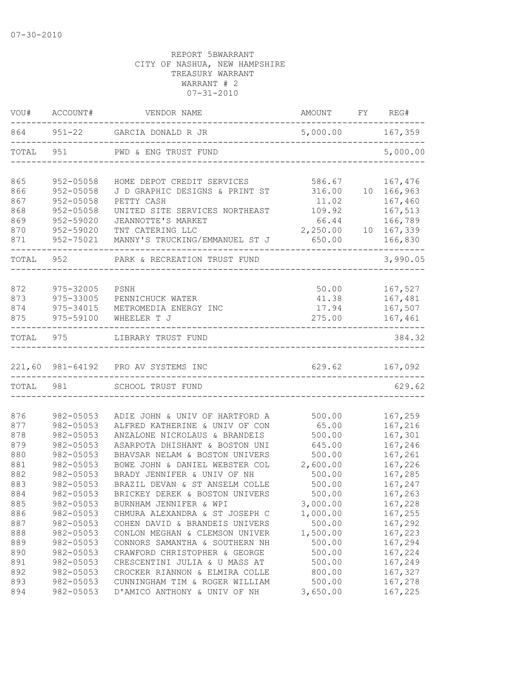| 864<br>$951 - 22$<br>5,000.00 167,359<br>GARCIA DONALD R JR<br>TOTAL<br>951<br>PWD & ENG TRUST FUND<br>952-05058<br>586.67<br>167,476<br>HOME DEPOT CREDIT SERVICES<br>952-05058<br>10 166,963<br>J D GRAPHIC DESIGNS & PRINT ST<br>316.00<br>167,460<br>952-05058<br>PETTY CASH<br>11.02<br>167,513<br>952-05058<br>UNITED SITE SERVICES NORTHEAST<br>109.92<br>166,789<br>952-59020<br>66.44<br>JEANNOTTE'S MARKET<br>870<br>167,339<br>952-59020<br>TNT CATERING LLC<br>2,250.00<br>10<br>MANNY'S TRUCKING/EMMANUEL ST J<br>952-75021<br>650.00<br>166,830<br>952<br>TOTAL<br>PARK & RECREATION TRUST FUND<br>167,527<br>872<br>975-32005<br>50.00<br>PSNH<br>167,481<br>873<br>975-33005<br>PENNICHUCK WATER<br>41.38<br>167,507<br>874<br>975-34015<br>METROMEDIA ENERGY INC<br>17.94<br>875<br>975-59100<br>275.00<br>167,461<br>WHEELER T J<br>975<br>LIBRARY TRUST FUND<br>167,092<br>221,60 981-64192 PRO AV SYSTEMS INC<br>629.62<br>981<br>TOTAL<br>SCHOOL TRUST FUND<br>167,259<br>876<br>982-05053<br>ADIE JOHN & UNIV OF HARTFORD A<br>500.00<br>877<br>982-05053<br>ALFRED KATHERINE & UNIV OF CON<br>65.00<br>167,216<br>167,301<br>878<br>982-05053<br>ANZALONE NICKOLAUS & BRANDEIS<br>500.00<br>879<br>167,246<br>982-05053<br>ASARPOTA DHISHANT & BOSTON UNI<br>645.00<br>880<br>982-05053<br>BHAVSAR NELAM & BOSTON UNIVERS<br>167,261<br>500.00<br>881<br>982-05053<br>BOWE JOHN & DANIEL WEBSTER COL<br>2,600.00<br>167,226<br>882<br>167,285<br>982-05053<br>BRADY JENNIFER & UNIV OF NH<br>500.00<br>883<br>BRAZIL DEVAN & ST ANSELM COLLE<br>982-05053<br>500.00<br>167,247<br>884<br>982-05053<br>500.00<br>BRICKEY DEREK & BOSTON UNIVERS<br>167,263<br>982-05053<br>167,228<br>885<br>BURNHAM JENNIFER & WPI<br>3,000.00<br>886<br>982-05053<br>CHMURA ALEXANDRA & ST JOSEPH C<br>1,000.00<br>167,255<br>500.00<br>887<br>982-05053<br>167,292<br>COHEN DAVID & BRANDEIS UNIVERS<br>1,500.00<br>888<br>982-05053<br>167,223<br>CONLON MEGHAN & CLEMSON UNIVER<br>982-05053<br>500.00<br>167,294<br>889<br>CONNORS SAMANTHA & SOUTHERN NH<br>167,224<br>890<br>982-05053<br>CRAWFORD CHRISTOPHER & GEORGE<br>500.00<br>891<br>982-05053<br>CRESCENTINI JULIA & U MASS AT<br>500.00<br>167,249<br>892<br>982-05053<br>CROCKER RIANNON & ELMIRA COLLE<br>800.00<br>167,327<br>893<br>982-05053<br>CUNNINGHAM TIM & ROGER WILLIAM<br>500.00<br>167,278 | VOU#  | ACCOUNT#  | VENDOR NAME                  | <b>AMOUNT</b> | FY REG#  |
|---------------------------------------------------------------------------------------------------------------------------------------------------------------------------------------------------------------------------------------------------------------------------------------------------------------------------------------------------------------------------------------------------------------------------------------------------------------------------------------------------------------------------------------------------------------------------------------------------------------------------------------------------------------------------------------------------------------------------------------------------------------------------------------------------------------------------------------------------------------------------------------------------------------------------------------------------------------------------------------------------------------------------------------------------------------------------------------------------------------------------------------------------------------------------------------------------------------------------------------------------------------------------------------------------------------------------------------------------------------------------------------------------------------------------------------------------------------------------------------------------------------------------------------------------------------------------------------------------------------------------------------------------------------------------------------------------------------------------------------------------------------------------------------------------------------------------------------------------------------------------------------------------------------------------------------------------------------------------------------------------------------------------------------------------------------------------------------------------------------------------------------------------------------------------------------------------------------------------------------------------------------------------------------------------------------------------------------------------------------------------------|-------|-----------|------------------------------|---------------|----------|
|                                                                                                                                                                                                                                                                                                                                                                                                                                                                                                                                                                                                                                                                                                                                                                                                                                                                                                                                                                                                                                                                                                                                                                                                                                                                                                                                                                                                                                                                                                                                                                                                                                                                                                                                                                                                                                                                                                                                                                                                                                                                                                                                                                                                                                                                                                                                                                                 |       |           |                              |               |          |
|                                                                                                                                                                                                                                                                                                                                                                                                                                                                                                                                                                                                                                                                                                                                                                                                                                                                                                                                                                                                                                                                                                                                                                                                                                                                                                                                                                                                                                                                                                                                                                                                                                                                                                                                                                                                                                                                                                                                                                                                                                                                                                                                                                                                                                                                                                                                                                                 |       |           |                              |               | 5,000.00 |
|                                                                                                                                                                                                                                                                                                                                                                                                                                                                                                                                                                                                                                                                                                                                                                                                                                                                                                                                                                                                                                                                                                                                                                                                                                                                                                                                                                                                                                                                                                                                                                                                                                                                                                                                                                                                                                                                                                                                                                                                                                                                                                                                                                                                                                                                                                                                                                                 | 865   |           |                              |               |          |
|                                                                                                                                                                                                                                                                                                                                                                                                                                                                                                                                                                                                                                                                                                                                                                                                                                                                                                                                                                                                                                                                                                                                                                                                                                                                                                                                                                                                                                                                                                                                                                                                                                                                                                                                                                                                                                                                                                                                                                                                                                                                                                                                                                                                                                                                                                                                                                                 | 866   |           |                              |               |          |
|                                                                                                                                                                                                                                                                                                                                                                                                                                                                                                                                                                                                                                                                                                                                                                                                                                                                                                                                                                                                                                                                                                                                                                                                                                                                                                                                                                                                                                                                                                                                                                                                                                                                                                                                                                                                                                                                                                                                                                                                                                                                                                                                                                                                                                                                                                                                                                                 | 867   |           |                              |               |          |
|                                                                                                                                                                                                                                                                                                                                                                                                                                                                                                                                                                                                                                                                                                                                                                                                                                                                                                                                                                                                                                                                                                                                                                                                                                                                                                                                                                                                                                                                                                                                                                                                                                                                                                                                                                                                                                                                                                                                                                                                                                                                                                                                                                                                                                                                                                                                                                                 | 868   |           |                              |               |          |
|                                                                                                                                                                                                                                                                                                                                                                                                                                                                                                                                                                                                                                                                                                                                                                                                                                                                                                                                                                                                                                                                                                                                                                                                                                                                                                                                                                                                                                                                                                                                                                                                                                                                                                                                                                                                                                                                                                                                                                                                                                                                                                                                                                                                                                                                                                                                                                                 | 869   |           |                              |               |          |
|                                                                                                                                                                                                                                                                                                                                                                                                                                                                                                                                                                                                                                                                                                                                                                                                                                                                                                                                                                                                                                                                                                                                                                                                                                                                                                                                                                                                                                                                                                                                                                                                                                                                                                                                                                                                                                                                                                                                                                                                                                                                                                                                                                                                                                                                                                                                                                                 |       |           |                              |               |          |
|                                                                                                                                                                                                                                                                                                                                                                                                                                                                                                                                                                                                                                                                                                                                                                                                                                                                                                                                                                                                                                                                                                                                                                                                                                                                                                                                                                                                                                                                                                                                                                                                                                                                                                                                                                                                                                                                                                                                                                                                                                                                                                                                                                                                                                                                                                                                                                                 | 871   |           |                              |               |          |
|                                                                                                                                                                                                                                                                                                                                                                                                                                                                                                                                                                                                                                                                                                                                                                                                                                                                                                                                                                                                                                                                                                                                                                                                                                                                                                                                                                                                                                                                                                                                                                                                                                                                                                                                                                                                                                                                                                                                                                                                                                                                                                                                                                                                                                                                                                                                                                                 |       |           |                              |               | 3,990.05 |
|                                                                                                                                                                                                                                                                                                                                                                                                                                                                                                                                                                                                                                                                                                                                                                                                                                                                                                                                                                                                                                                                                                                                                                                                                                                                                                                                                                                                                                                                                                                                                                                                                                                                                                                                                                                                                                                                                                                                                                                                                                                                                                                                                                                                                                                                                                                                                                                 |       |           |                              |               |          |
|                                                                                                                                                                                                                                                                                                                                                                                                                                                                                                                                                                                                                                                                                                                                                                                                                                                                                                                                                                                                                                                                                                                                                                                                                                                                                                                                                                                                                                                                                                                                                                                                                                                                                                                                                                                                                                                                                                                                                                                                                                                                                                                                                                                                                                                                                                                                                                                 |       |           |                              |               |          |
|                                                                                                                                                                                                                                                                                                                                                                                                                                                                                                                                                                                                                                                                                                                                                                                                                                                                                                                                                                                                                                                                                                                                                                                                                                                                                                                                                                                                                                                                                                                                                                                                                                                                                                                                                                                                                                                                                                                                                                                                                                                                                                                                                                                                                                                                                                                                                                                 |       |           |                              |               |          |
|                                                                                                                                                                                                                                                                                                                                                                                                                                                                                                                                                                                                                                                                                                                                                                                                                                                                                                                                                                                                                                                                                                                                                                                                                                                                                                                                                                                                                                                                                                                                                                                                                                                                                                                                                                                                                                                                                                                                                                                                                                                                                                                                                                                                                                                                                                                                                                                 |       |           |                              |               |          |
|                                                                                                                                                                                                                                                                                                                                                                                                                                                                                                                                                                                                                                                                                                                                                                                                                                                                                                                                                                                                                                                                                                                                                                                                                                                                                                                                                                                                                                                                                                                                                                                                                                                                                                                                                                                                                                                                                                                                                                                                                                                                                                                                                                                                                                                                                                                                                                                 |       |           |                              |               |          |
|                                                                                                                                                                                                                                                                                                                                                                                                                                                                                                                                                                                                                                                                                                                                                                                                                                                                                                                                                                                                                                                                                                                                                                                                                                                                                                                                                                                                                                                                                                                                                                                                                                                                                                                                                                                                                                                                                                                                                                                                                                                                                                                                                                                                                                                                                                                                                                                 | TOTAL |           |                              |               | 384.32   |
|                                                                                                                                                                                                                                                                                                                                                                                                                                                                                                                                                                                                                                                                                                                                                                                                                                                                                                                                                                                                                                                                                                                                                                                                                                                                                                                                                                                                                                                                                                                                                                                                                                                                                                                                                                                                                                                                                                                                                                                                                                                                                                                                                                                                                                                                                                                                                                                 |       |           |                              |               |          |
|                                                                                                                                                                                                                                                                                                                                                                                                                                                                                                                                                                                                                                                                                                                                                                                                                                                                                                                                                                                                                                                                                                                                                                                                                                                                                                                                                                                                                                                                                                                                                                                                                                                                                                                                                                                                                                                                                                                                                                                                                                                                                                                                                                                                                                                                                                                                                                                 |       |           |                              |               | 629.62   |
|                                                                                                                                                                                                                                                                                                                                                                                                                                                                                                                                                                                                                                                                                                                                                                                                                                                                                                                                                                                                                                                                                                                                                                                                                                                                                                                                                                                                                                                                                                                                                                                                                                                                                                                                                                                                                                                                                                                                                                                                                                                                                                                                                                                                                                                                                                                                                                                 |       |           |                              |               |          |
|                                                                                                                                                                                                                                                                                                                                                                                                                                                                                                                                                                                                                                                                                                                                                                                                                                                                                                                                                                                                                                                                                                                                                                                                                                                                                                                                                                                                                                                                                                                                                                                                                                                                                                                                                                                                                                                                                                                                                                                                                                                                                                                                                                                                                                                                                                                                                                                 |       |           |                              |               |          |
|                                                                                                                                                                                                                                                                                                                                                                                                                                                                                                                                                                                                                                                                                                                                                                                                                                                                                                                                                                                                                                                                                                                                                                                                                                                                                                                                                                                                                                                                                                                                                                                                                                                                                                                                                                                                                                                                                                                                                                                                                                                                                                                                                                                                                                                                                                                                                                                 |       |           |                              |               |          |
|                                                                                                                                                                                                                                                                                                                                                                                                                                                                                                                                                                                                                                                                                                                                                                                                                                                                                                                                                                                                                                                                                                                                                                                                                                                                                                                                                                                                                                                                                                                                                                                                                                                                                                                                                                                                                                                                                                                                                                                                                                                                                                                                                                                                                                                                                                                                                                                 |       |           |                              |               |          |
|                                                                                                                                                                                                                                                                                                                                                                                                                                                                                                                                                                                                                                                                                                                                                                                                                                                                                                                                                                                                                                                                                                                                                                                                                                                                                                                                                                                                                                                                                                                                                                                                                                                                                                                                                                                                                                                                                                                                                                                                                                                                                                                                                                                                                                                                                                                                                                                 |       |           |                              |               |          |
|                                                                                                                                                                                                                                                                                                                                                                                                                                                                                                                                                                                                                                                                                                                                                                                                                                                                                                                                                                                                                                                                                                                                                                                                                                                                                                                                                                                                                                                                                                                                                                                                                                                                                                                                                                                                                                                                                                                                                                                                                                                                                                                                                                                                                                                                                                                                                                                 |       |           |                              |               |          |
|                                                                                                                                                                                                                                                                                                                                                                                                                                                                                                                                                                                                                                                                                                                                                                                                                                                                                                                                                                                                                                                                                                                                                                                                                                                                                                                                                                                                                                                                                                                                                                                                                                                                                                                                                                                                                                                                                                                                                                                                                                                                                                                                                                                                                                                                                                                                                                                 |       |           |                              |               |          |
|                                                                                                                                                                                                                                                                                                                                                                                                                                                                                                                                                                                                                                                                                                                                                                                                                                                                                                                                                                                                                                                                                                                                                                                                                                                                                                                                                                                                                                                                                                                                                                                                                                                                                                                                                                                                                                                                                                                                                                                                                                                                                                                                                                                                                                                                                                                                                                                 |       |           |                              |               |          |
|                                                                                                                                                                                                                                                                                                                                                                                                                                                                                                                                                                                                                                                                                                                                                                                                                                                                                                                                                                                                                                                                                                                                                                                                                                                                                                                                                                                                                                                                                                                                                                                                                                                                                                                                                                                                                                                                                                                                                                                                                                                                                                                                                                                                                                                                                                                                                                                 |       |           |                              |               |          |
|                                                                                                                                                                                                                                                                                                                                                                                                                                                                                                                                                                                                                                                                                                                                                                                                                                                                                                                                                                                                                                                                                                                                                                                                                                                                                                                                                                                                                                                                                                                                                                                                                                                                                                                                                                                                                                                                                                                                                                                                                                                                                                                                                                                                                                                                                                                                                                                 |       |           |                              |               |          |
|                                                                                                                                                                                                                                                                                                                                                                                                                                                                                                                                                                                                                                                                                                                                                                                                                                                                                                                                                                                                                                                                                                                                                                                                                                                                                                                                                                                                                                                                                                                                                                                                                                                                                                                                                                                                                                                                                                                                                                                                                                                                                                                                                                                                                                                                                                                                                                                 |       |           |                              |               |          |
|                                                                                                                                                                                                                                                                                                                                                                                                                                                                                                                                                                                                                                                                                                                                                                                                                                                                                                                                                                                                                                                                                                                                                                                                                                                                                                                                                                                                                                                                                                                                                                                                                                                                                                                                                                                                                                                                                                                                                                                                                                                                                                                                                                                                                                                                                                                                                                                 |       |           |                              |               |          |
|                                                                                                                                                                                                                                                                                                                                                                                                                                                                                                                                                                                                                                                                                                                                                                                                                                                                                                                                                                                                                                                                                                                                                                                                                                                                                                                                                                                                                                                                                                                                                                                                                                                                                                                                                                                                                                                                                                                                                                                                                                                                                                                                                                                                                                                                                                                                                                                 |       |           |                              |               |          |
|                                                                                                                                                                                                                                                                                                                                                                                                                                                                                                                                                                                                                                                                                                                                                                                                                                                                                                                                                                                                                                                                                                                                                                                                                                                                                                                                                                                                                                                                                                                                                                                                                                                                                                                                                                                                                                                                                                                                                                                                                                                                                                                                                                                                                                                                                                                                                                                 |       |           |                              |               |          |
|                                                                                                                                                                                                                                                                                                                                                                                                                                                                                                                                                                                                                                                                                                                                                                                                                                                                                                                                                                                                                                                                                                                                                                                                                                                                                                                                                                                                                                                                                                                                                                                                                                                                                                                                                                                                                                                                                                                                                                                                                                                                                                                                                                                                                                                                                                                                                                                 |       |           |                              |               |          |
|                                                                                                                                                                                                                                                                                                                                                                                                                                                                                                                                                                                                                                                                                                                                                                                                                                                                                                                                                                                                                                                                                                                                                                                                                                                                                                                                                                                                                                                                                                                                                                                                                                                                                                                                                                                                                                                                                                                                                                                                                                                                                                                                                                                                                                                                                                                                                                                 |       |           |                              |               |          |
|                                                                                                                                                                                                                                                                                                                                                                                                                                                                                                                                                                                                                                                                                                                                                                                                                                                                                                                                                                                                                                                                                                                                                                                                                                                                                                                                                                                                                                                                                                                                                                                                                                                                                                                                                                                                                                                                                                                                                                                                                                                                                                                                                                                                                                                                                                                                                                                 |       |           |                              |               |          |
|                                                                                                                                                                                                                                                                                                                                                                                                                                                                                                                                                                                                                                                                                                                                                                                                                                                                                                                                                                                                                                                                                                                                                                                                                                                                                                                                                                                                                                                                                                                                                                                                                                                                                                                                                                                                                                                                                                                                                                                                                                                                                                                                                                                                                                                                                                                                                                                 |       |           |                              |               |          |
|                                                                                                                                                                                                                                                                                                                                                                                                                                                                                                                                                                                                                                                                                                                                                                                                                                                                                                                                                                                                                                                                                                                                                                                                                                                                                                                                                                                                                                                                                                                                                                                                                                                                                                                                                                                                                                                                                                                                                                                                                                                                                                                                                                                                                                                                                                                                                                                 | 894   | 982-05053 | D'AMICO ANTHONY & UNIV OF NH | 3,650.00      | 167,225  |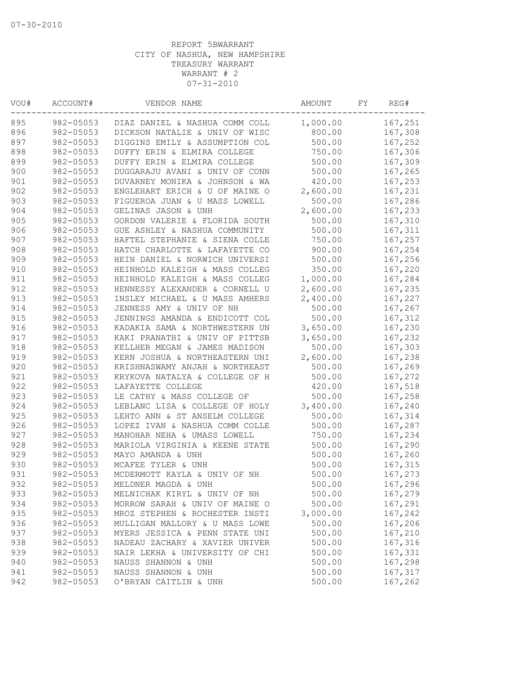| VOU# | ACCOUNT#  | VENDOR NAME                    | AMOUNT   | FΥ | REG#    |
|------|-----------|--------------------------------|----------|----|---------|
| 895  | 982-05053 | DIAZ DANIEL & NASHUA COMM COLL | 1,000.00 |    | 167,251 |
| 896  | 982-05053 | DICKSON NATALIE & UNIV OF WISC | 800.00   |    | 167,308 |
| 897  | 982-05053 | DIGGINS EMILY & ASSUMPTION COL | 500.00   |    | 167,252 |
| 898  | 982-05053 | DUFFY ERIN & ELMIRA COLLEGE    | 750.00   |    | 167,306 |
| 899  | 982-05053 | DUFFY ERIN & ELMIRA COLLEGE    | 500.00   |    | 167,309 |
| 900  | 982-05053 | DUGGARAJU AVANI & UNIV OF CONN | 500.00   |    | 167,265 |
| 901  | 982-05053 | DUVARNEY MONIKA & JOHNSON & WA | 420.00   |    | 167,253 |
| 902  | 982-05053 | ENGLEHART ERICH & U OF MAINE O | 2,600.00 |    | 167,231 |
| 903  | 982-05053 | FIGUEROA JUAN & U MASS LOWELL  | 500.00   |    | 167,286 |
| 904  | 982-05053 | GELINAS JASON & UNH            | 2,600.00 |    | 167,233 |
| 905  | 982-05053 | GORDON VALERIE & FLORIDA SOUTH | 500.00   |    | 167,310 |
| 906  | 982-05053 | GUE ASHLEY & NASHUA COMMUNITY  | 500.00   |    | 167,311 |
| 907  | 982-05053 | HAFTEL STEPHANIE & SIENA COLLE | 750.00   |    | 167,257 |
| 908  | 982-05053 | HATCH CHARLOTTE & LAFAYETTE CO | 900.00   |    | 167,254 |
| 909  | 982-05053 | HEIN DANIEL & NORWICH UNIVERSI | 500.00   |    | 167,256 |
| 910  | 982-05053 | HEINHOLD KALEIGH & MASS COLLEG | 350.00   |    | 167,220 |
| 911  | 982-05053 | HEINHOLD KALEIGH & MASS COLLEG | 1,000.00 |    | 167,284 |
| 912  | 982-05053 | HENNESSY ALEXANDER & CORNELL U | 2,600.00 |    | 167,235 |
| 913  | 982-05053 | INSLEY MICHAEL & U MASS AMHERS | 2,400.00 |    | 167,227 |
| 914  | 982-05053 | JENNESS AMY & UNIV OF NH       | 500.00   |    | 167,267 |
| 915  | 982-05053 | JENNINGS AMANDA & ENDICOTT COL | 500.00   |    | 167,312 |
| 916  | 982-05053 | KADAKIA SAMA & NORTHWESTERN UN | 3,650.00 |    | 167,230 |
| 917  | 982-05053 | KAKI PRANATHI & UNIV OF PITTSB | 3,650.00 |    | 167,232 |
| 918  | 982-05053 | KELLHER MEGAN & JAMES MADISON  | 500.00   |    | 167,303 |
| 919  | 982-05053 | KERN JOSHUA & NORTHEASTERN UNI | 2,600.00 |    | 167,238 |
| 920  | 982-05053 | KRISHNASWAMY ANJAH & NORTHEAST | 500.00   |    | 167,269 |
| 921  | 982-05053 | KRYKOVA NATALYA & COLLEGE OF H | 500.00   |    | 167,272 |
| 922  | 982-05053 | LAFAYETTE COLLEGE              | 420.00   |    | 167,518 |
| 923  | 982-05053 | LE CATHY & MASS COLLEGE OF     | 500.00   |    |         |
| 924  | 982-05053 |                                | 3,400.00 |    | 167,258 |
|      |           | LEBLANC LISA & COLLEGE OF HOLY |          |    | 167,240 |
| 925  | 982-05053 | LEHTO ANN & ST ANSELM COLLEGE  | 500.00   |    | 167,314 |
| 926  | 982-05053 | LOPEZ IVAN & NASHUA COMM COLLE | 500.00   |    | 167,287 |
| 927  | 982-05053 | MANOHAR NEHA & UMASS LOWELL    | 750.00   |    | 167,234 |
| 928  | 982-05053 | MARIOLA VIRGINIA & KEENE STATE | 500.00   |    | 167,290 |
| 929  | 982-05053 | MAYO AMANDA & UNH              | 500.00   |    | 167,260 |
| 930  | 982-05053 | MCAFEE TYLER & UNH             | 500.00   |    | 167,315 |
| 931  | 982-05053 | MCDERMOTT KAYLA & UNIV OF NH   | 500.00   |    | 167,273 |
| 932  | 982-05053 | MELDNER MAGDA & UNH            | 500.00   |    | 167,296 |
| 933  | 982-05053 | MELNICHAK KIRYL & UNIV OF NH   | 500.00   |    | 167,279 |
| 934  | 982-05053 | MORROW SARAH & UNIV OF MAINE O | 500.00   |    | 167,291 |
| 935  | 982-05053 | MROZ STEPHEN & ROCHESTER INSTI | 3,000.00 |    | 167,242 |
| 936  | 982-05053 | MULLIGAN MALLORY & U MASS LOWE | 500.00   |    | 167,206 |
| 937  | 982-05053 | MYERS JESSICA & PENN STATE UNI | 500.00   |    | 167,210 |
| 938  | 982-05053 | NADEAU ZACHARY & XAVIER UNIVER | 500.00   |    | 167,316 |
| 939  | 982-05053 | NAIR LEKHA & UNIVERSITY OF CHI | 500.00   |    | 167,331 |
| 940  | 982-05053 | NAUSS SHANNON & UNH            | 500.00   |    | 167,298 |
| 941  | 982-05053 | NAUSS SHANNON & UNH            | 500.00   |    | 167,317 |
| 942  | 982-05053 | O'BRYAN CAITLIN & UNH          | 500.00   |    | 167,262 |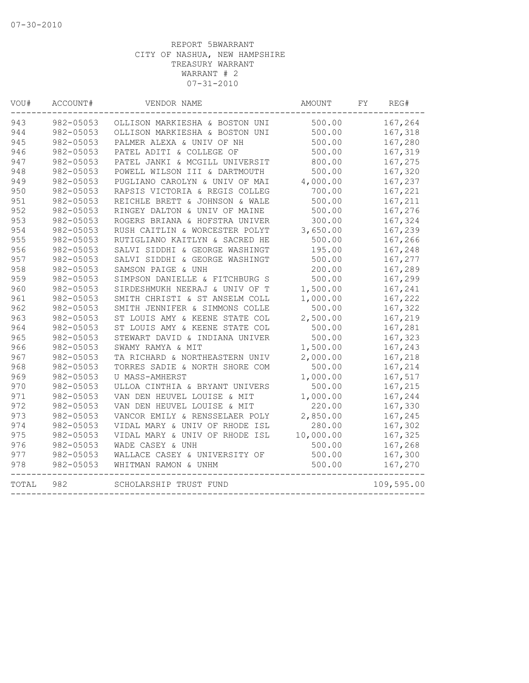| VOU#  | ACCOUNT#  | VENDOR NAME                    | AMOUNT    | FΥ | REG#       |
|-------|-----------|--------------------------------|-----------|----|------------|
| 943   | 982-05053 | OLLISON MARKIESHA & BOSTON UNI | 500.00    |    | 167,264    |
| 944   | 982-05053 | OLLISON MARKIESHA & BOSTON UNI | 500.00    |    | 167,318    |
| 945   | 982-05053 | PALMER ALEXA & UNIV OF NH      | 500.00    |    | 167,280    |
| 946   | 982-05053 | PATEL ADITI & COLLEGE OF       | 500.00    |    | 167,319    |
| 947   | 982-05053 | PATEL JANKI & MCGILL UNIVERSIT | 800.00    |    | 167,275    |
| 948   | 982-05053 | POWELL WILSON III & DARTMOUTH  | 500.00    |    | 167,320    |
| 949   | 982-05053 | PUGLIANO CAROLYN & UNIV OF MAI | 4,000.00  |    | 167,237    |
| 950   | 982-05053 | RAPSIS VICTORIA & REGIS COLLEG | 700.00    |    | 167,221    |
| 951   | 982-05053 | REICHLE BRETT & JOHNSON & WALE | 500.00    |    | 167,211    |
| 952   | 982-05053 | RINGEY DALTON & UNIV OF MAINE  | 500.00    |    | 167,276    |
| 953   | 982-05053 | ROGERS BRIANA & HOFSTRA UNIVER | 300.00    |    | 167,324    |
| 954   | 982-05053 | RUSH CAITLIN & WORCESTER POLYT | 3,650.00  |    | 167,239    |
| 955   | 982-05053 | RUTIGLIANO KAITLYN & SACRED HE | 500.00    |    | 167,266    |
| 956   | 982-05053 | SALVI SIDDHI & GEORGE WASHINGT | 195.00    |    | 167,248    |
| 957   | 982-05053 | SALVI SIDDHI & GEORGE WASHINGT | 500.00    |    | 167,277    |
| 958   | 982-05053 | SAMSON PAIGE & UNH             | 200.00    |    | 167,289    |
| 959   | 982-05053 | SIMPSON DANIELLE & FITCHBURG S | 500.00    |    | 167,299    |
| 960   | 982-05053 | SIRDESHMUKH NEERAJ & UNIV OF T | 1,500.00  |    | 167,241    |
| 961   | 982-05053 | SMITH CHRISTI & ST ANSELM COLL | 1,000.00  |    | 167,222    |
| 962   | 982-05053 | SMITH JENNIFER & SIMMONS COLLE | 500.00    |    | 167,322    |
| 963   | 982-05053 | ST LOUIS AMY & KEENE STATE COL | 2,500.00  |    | 167,219    |
| 964   | 982-05053 | ST LOUIS AMY & KEENE STATE COL | 500.00    |    | 167,281    |
| 965   | 982-05053 | STEWART DAVID & INDIANA UNIVER | 500.00    |    | 167,323    |
| 966   | 982-05053 | SWAMY RAMYA & MIT              | 1,500.00  |    | 167,243    |
| 967   | 982-05053 | TA RICHARD & NORTHEASTERN UNIV | 2,000.00  |    | 167,218    |
| 968   | 982-05053 | TORRES SADIE & NORTH SHORE COM | 500.00    |    | 167,214    |
| 969   | 982-05053 | <b>U MASS-AMHERST</b>          | 1,000.00  |    | 167,517    |
| 970   | 982-05053 | ULLOA CINTHIA & BRYANT UNIVERS | 500.00    |    | 167,215    |
| 971   | 982-05053 | VAN DEN HEUVEL LOUISE & MIT    | 1,000.00  |    | 167,244    |
| 972   | 982-05053 | VAN DEN HEUVEL LOUISE & MIT    | 220.00    |    | 167,330    |
| 973   | 982-05053 | VANCOR EMILY & RENSSELAER POLY | 2,850.00  |    | 167,245    |
| 974   | 982-05053 | VIDAL MARY & UNIV OF RHODE ISL | 280.00    |    | 167,302    |
| 975   | 982-05053 | VIDAL MARY & UNIV OF RHODE ISL | 10,000.00 |    | 167,325    |
| 976   | 982-05053 | WADE CASEY & UNH               | 500.00    |    | 167,268    |
| 977   | 982-05053 | WALLACE CASEY & UNIVERSITY OF  | 500.00    |    | 167,300    |
| 978   | 982-05053 | WHITMAN RAMON & UNHM           | 500.00    |    | 167,270    |
| TOTAL | 982       | SCHOLARSHIP TRUST FUND         |           |    | 109,595.00 |
|       |           |                                |           |    |            |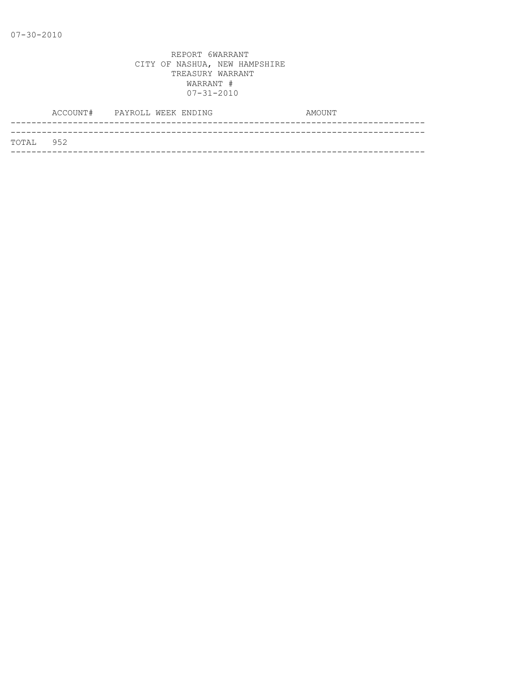|           | ACCOUNT# PAYROLL WEEK ENDING |  |  | AMOUNT |
|-----------|------------------------------|--|--|--------|
|           |                              |  |  |        |
| TOTAL 952 |                              |  |  |        |
|           |                              |  |  |        |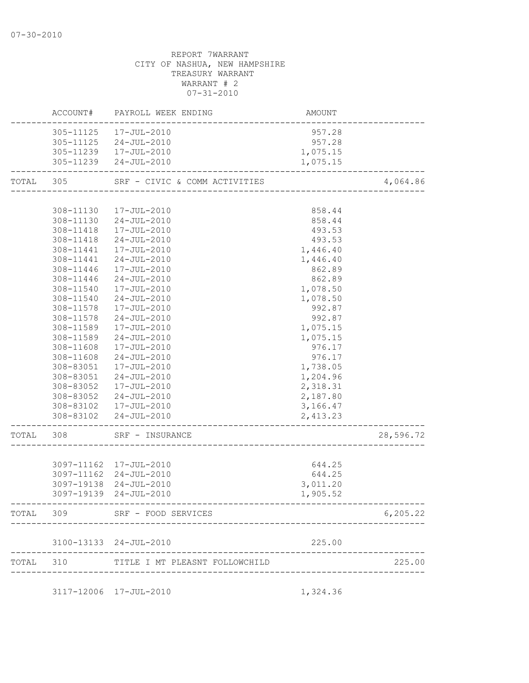|           |                        | ACCOUNT# PAYROLL WEEK ENDING   | AMOUNT                             |           |
|-----------|------------------------|--------------------------------|------------------------------------|-----------|
|           |                        | 305-11125  17-JUL-2010         | 957.28                             |           |
|           |                        | 305-11125 24-JUL-2010          | 957.28                             |           |
|           |                        | 305-11239  17-JUL-2010         | 1,075.15                           |           |
|           |                        | 305-11239 24-JUL-2010          | 1,075.15                           |           |
| TOTAL 305 |                        | SRF - CIVIC & COMM ACTIVITIES  |                                    | 4,064.86  |
|           |                        |                                |                                    |           |
|           | 308-11130              | 17-JUL-2010                    | 858.44                             |           |
|           | 308-11130              | $24 - JUL - 2010$              | 858.44                             |           |
|           | 308-11418              | 17-JUL-2010                    | 493.53                             |           |
|           |                        | 308-11418 24-JUL-2010          | 493.53                             |           |
|           |                        | 308-11441  17-JUL-2010         | 1,446.40                           |           |
|           | 308-11441              | 24-JUL-2010                    | 1,446.40                           |           |
|           | 308-11446              | 17-JUL-2010                    | 862.89                             |           |
|           | 308-11446              | 24-JUL-2010                    | 862.89                             |           |
|           | 308-11540              | 17-JUL-2010                    | 1,078.50                           |           |
|           | 308-11540              | 24-JUL-2010                    | 1,078.50                           |           |
|           | 308-11578              | 17-JUL-2010                    | 992.87                             |           |
|           | 308-11578              | 24-JUL-2010                    | 992.87                             |           |
|           | 308-11589              | 17-JUL-2010                    | 1,075.15                           |           |
|           | 308-11589              | 24-JUL-2010                    | 1,075.15                           |           |
|           | 308-11608              | 17-JUL-2010                    | 976.17                             |           |
|           | 308-11608<br>308-83051 | 24-JUL-2010<br>17-JUL-2010     | 976.17<br>1,738.05                 |           |
|           | 308-83051              | 24-JUL-2010                    | 1,204.96                           |           |
|           | 308-83052              | 17-JUL-2010                    | 2,318.31                           |           |
|           | 308-83052              | 24-JUL-2010                    | 2,187.80                           |           |
|           |                        | 308-83102  17-JUL-2010         | 3,166.47                           |           |
|           |                        | 308-83102 24-JUL-2010          | 2,413.23                           |           |
|           |                        |                                |                                    |           |
| TOTAL     | 308                    | SRF - INSURANCE                |                                    | 28,596.72 |
|           |                        |                                |                                    |           |
|           |                        | 3097-11162 17-JUL-2010         | 644.25                             |           |
|           |                        | 3097-11162 24-JUL-2010         | 644.25                             |           |
|           |                        | 3097-19138 24-JUL-2010         | 3,011.20                           |           |
|           |                        | 3097-19139 24-JUL-2010         | 1,905.52                           |           |
| TOTAL 309 |                        | SRF - FOOD SERVICES            | ---------------------------------- | 6, 205.22 |
|           |                        | 3100-13133 24-JUL-2010         | 225.00                             |           |
| TOTAL 310 |                        | TITLE I MT PLEASNT FOLLOWCHILD |                                    | 225.00    |
|           |                        |                                |                                    |           |

3117-12006 17-JUL-2010 1,324.36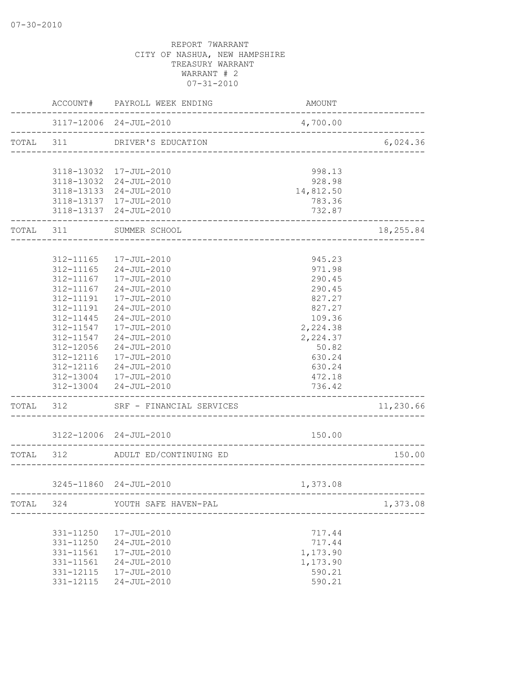|           |               | ACCOUNT# PAYROLL WEEK ENDING                                 | <b>AMOUNT</b>                         |           |
|-----------|---------------|--------------------------------------------------------------|---------------------------------------|-----------|
|           |               | 3117-12006 24-JUL-2010<br>---------------------------------- | 4,700.00                              |           |
| TOTAL 311 |               | DRIVER'S EDUCATION                                           | ------------------------------------- | 6,024.36  |
|           |               |                                                              |                                       |           |
|           |               | 3118-13032 17-JUL-2010                                       | 998.13                                |           |
|           |               | 3118-13032 24-JUL-2010                                       | 928.98                                |           |
|           |               | 3118-13133 24-JUL-2010                                       | 14,812.50                             |           |
|           |               | 3118-13137 17-JUL-2010                                       | 783.36                                |           |
|           |               | 3118-13137 24-JUL-2010<br>------------------------------     | 732.87                                |           |
|           |               | TOTAL 311 SUMMER SCHOOL<br>_____________________             |                                       | 18,255.84 |
|           |               |                                                              |                                       |           |
|           |               | 312-11165  17-JUL-2010                                       | 945.23                                |           |
|           | 312-11165     | $24 - JUL - 2010$                                            | 971.98                                |           |
|           | 312-11167     | 17-JUL-2010                                                  | 290.45                                |           |
|           | 312-11167     | 24-JUL-2010                                                  | 290.45                                |           |
|           | 312-11191     | 17-JUL-2010                                                  | 827.27                                |           |
|           | $312 - 11191$ | 24-JUL-2010                                                  | 827.27                                |           |
|           | 312-11445     | 24-JUL-2010                                                  | 109.36                                |           |
|           |               | 312-11547  17-JUL-2010                                       | 2,224.38                              |           |
|           | 312-11547     | 24-JUL-2010                                                  | 2,224.37                              |           |
|           | 312-12056     | $24 - JUL - 2010$                                            | 50.82                                 |           |
|           | 312-12116     | 17-JUL-2010                                                  | 630.24                                |           |
|           |               | 312-12116 24-JUL-2010                                        | 630.24                                |           |
|           |               | 312-13004 17-JUL-2010                                        | 472.18                                |           |
|           |               | 312-13004 24-JUL-2010                                        | 736.42<br>------------------------    |           |
|           |               | TOTAL 312 SRF - FINANCIAL SERVICES                           |                                       | 11,230.66 |
|           |               | 3122-12006 24-JUL-2010                                       | 150.00                                |           |
|           | TOTAL 312     | ADULT ED/CONTINUING ED                                       |                                       | 150.00    |
|           |               |                                                              | ---------------------                 |           |
|           |               | 3245-11860 24-JUL-2010                                       | 1,373.08                              |           |
|           | TOTAL 324     | YOUTH SAFE HAVEN-PAL                                         |                                       | 1,373.08  |
|           |               |                                                              | ______________________                |           |
|           | 331-11250     | 17-JUL-2010                                                  | 717.44                                |           |
|           | 331-11250     | $24 - JUL - 2010$                                            | 717.44                                |           |
|           | 331-11561     | 17-JUL-2010                                                  | 1,173.90                              |           |
|           | 331-11561     | $24 - JUL - 2010$                                            | 1,173.90                              |           |
|           | 331-12115     | 17-JUL-2010                                                  | 590.21                                |           |
|           | 331-12115     | $24 - JUL - 2010$                                            | 590.21                                |           |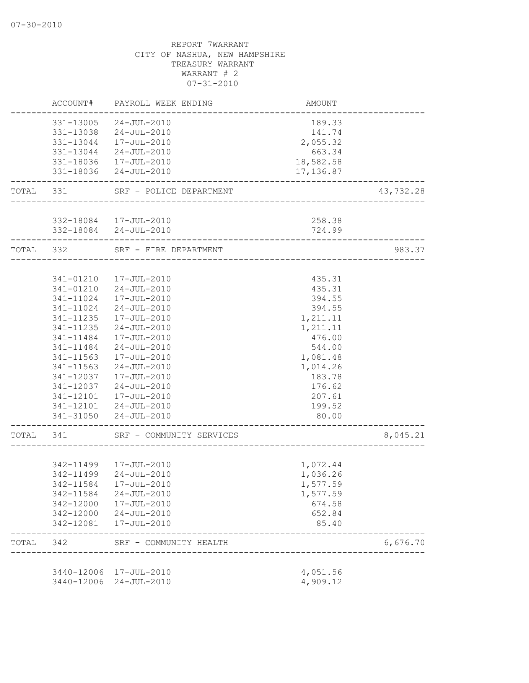|           | ACCOUNT#                 | PAYROLL WEEK ENDING              | AMOUNT                    |           |
|-----------|--------------------------|----------------------------------|---------------------------|-----------|
|           | 331-13005                | 24-JUL-2010                      | 189.33                    |           |
|           |                          | 331-13038 24-JUL-2010            | 141.74                    |           |
|           |                          | 331-13044  17-JUL-2010           | 2,055.32                  |           |
|           | 331-13044                | 24-JUL-2010                      | 663.34                    |           |
|           |                          | 331-18036 17-JUL-2010            | 18,582.58                 |           |
|           |                          | 331-18036 24-JUL-2010            | 17,136.87                 |           |
| TOTAL 331 |                          | SRF - POLICE DEPARTMENT          | -------------------       | 43,732.28 |
|           |                          |                                  |                           |           |
|           |                          | 332-18084  17-JUL-2010           | 258.38                    |           |
|           |                          | 332-18084 24-JUL-2010            | 724.99                    |           |
| TOTAL 332 |                          | SRF - FIRE DEPARTMENT            |                           | 983.37    |
|           |                          |                                  |                           |           |
|           | 341-01210                | 17-JUL-2010                      | 435.31                    |           |
|           | 341-01210                | 24-JUL-2010                      | 435.31                    |           |
|           | 341-11024                | 17-JUL-2010                      | 394.55                    |           |
|           | 341-11024                | 24-JUL-2010                      | 394.55                    |           |
|           | 341-11235                | 17-JUL-2010<br>$24 - JUL - 2010$ | 1,211.11                  |           |
|           | 341-11235<br>341-11484   | 17-JUL-2010                      | 1,211.11<br>476.00        |           |
|           | 341-11484                | $24 - JUL - 2010$                | 544.00                    |           |
|           | 341-11563                | 17-JUL-2010                      | 1,081.48                  |           |
|           | 341-11563                | $24 - JUL - 2010$                | 1,014.26                  |           |
|           | 341-12037                | 17-JUL-2010                      | 183.78                    |           |
|           | 341-12037                | 24-JUL-2010                      | 176.62                    |           |
|           |                          | 341-12101  17-JUL-2010           | 207.61                    |           |
|           |                          | 341-12101 24-JUL-2010            | 199.52                    |           |
|           |                          | 341-31050 24-JUL-2010            | 80.00                     |           |
| TOTAL 341 |                          | SRF - COMMUNITY SERVICES         |                           | 8,045.21  |
|           |                          |                                  |                           |           |
|           |                          | 342-11499  17-JUL-2010           | 1,072.44                  |           |
|           |                          | 342-11499 24-JUL-2010            | 1,036.26                  |           |
|           | 342-11584                | 17-JUL-2010                      | 1,577.59                  |           |
|           | 342-11584                | $24 - JUL - 2010$                | 1,577.59                  |           |
|           | 342-12000                | 17-JUL-2010                      | 674.58                    |           |
|           | 342-12000                | 24-JUL-2010                      | 652.84                    |           |
|           | 342-12081                | 17-JUL-2010                      | 85.40                     |           |
| TOTAL     | 342                      | SRF - COMMUNITY HEALTH           | ------------------------- | 6,676.70  |
|           |                          | 17-JUL-2010                      |                           |           |
|           | 3440-12006<br>3440-12006 | 24-JUL-2010                      | 4,051.56<br>4,909.12      |           |
|           |                          |                                  |                           |           |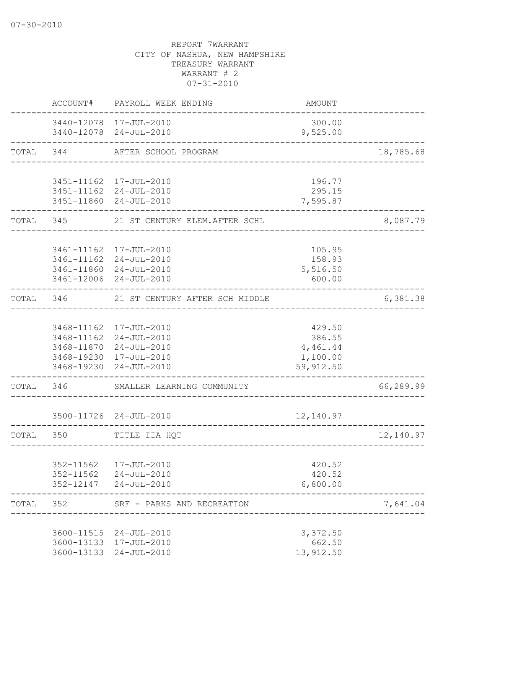|           | ACCOUNT#     | PAYROLL WEEK ENDING                                    | AMOUNT             |           |
|-----------|--------------|--------------------------------------------------------|--------------------|-----------|
|           |              | 3440-12078 17-JUL-2010<br>3440-12078 24-JUL-2010       | 300.00<br>9,525.00 |           |
|           | TOTAL 344    | AFTER SCHOOL PROGRAM                                   |                    | 18,785.68 |
|           |              |                                                        |                    |           |
|           |              | 3451-11162 17-JUL-2010<br>3451-11162 24-JUL-2010       | 196.77<br>295.15   |           |
|           |              | 3451-11860 24-JUL-2010                                 | 7,595.87           |           |
|           | ------------ | TOTAL 345 21 ST CENTURY ELEM.AFTER SCHL                |                    | 8,087.79  |
|           |              | 3461-11162 17-JUL-2010                                 | 105.95             |           |
|           |              | 3461-11162 24-JUL-2010                                 | 158.93             |           |
|           |              | 3461-11860 24-JUL-2010                                 | 5,516.50           |           |
|           |              | 3461-12006 24-JUL-2010                                 | 600.00             |           |
| TOTAL     | 346          | 21 ST CENTURY AFTER SCH MIDDLE                         |                    | 6,381.38  |
|           |              | 3468-11162 17-JUL-2010                                 | 429.50             |           |
|           |              | 3468-11162 24-JUL-2010                                 | 386.55             |           |
|           |              | 3468-11870 24-JUL-2010                                 | 4,461.44           |           |
|           |              | 3468-19230 17-JUL-2010                                 | 1,100.00           |           |
|           |              | 3468-19230 24-JUL-2010                                 | 59,912.50          |           |
|           |              | TOTAL 346 SMALLER LEARNING COMMUNITY                   |                    | 66,289.99 |
|           |              | 3500-11726 24-JUL-2010<br>---------------------------- | 12,140.97          |           |
| TOTAL 350 |              | TITLE IIA HQT<br>_______________________               |                    | 12,140.97 |
|           |              |                                                        |                    |           |
|           |              | 352-11562  17-JUL-2010<br>352-11562 24-JUL-2010        | 420.52<br>420.52   |           |
|           |              | 352-12147 24-JUL-2010                                  | 6,800.00           |           |
| TOTAL     | 352          | SRF - PARKS AND RECREATION                             |                    | 7,641.04  |
|           |              |                                                        |                    |           |
|           |              | 3600-11515 24-JUL-2010<br>3600-13133 17-JUL-2010       | 3,372.50<br>662.50 |           |
|           |              | 3600-13133 24-JUL-2010                                 | 13,912.50          |           |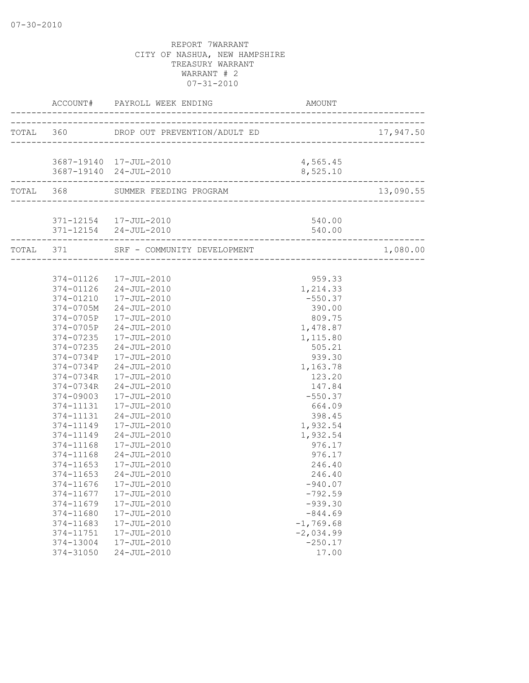|                    |                                                 |                  | 17,947.50 |
|--------------------|-------------------------------------------------|------------------|-----------|
|                    |                                                 |                  |           |
|                    | 3687-19140 17-JUL-2010                          | 4,565.45         |           |
|                    | ____________________                            | 8,525.10         |           |
|                    | TOTAL 368 SUMMER FEEDING PROGRAM                |                  | 13,090.55 |
|                    |                                                 |                  |           |
|                    | 371-12154  17-JUL-2010<br>371-12154 24-JUL-2010 | 540.00<br>540.00 |           |
| __________________ | TOTAL 371 SRF - COMMUNITY DEVELOPMENT           |                  | 1,080.00  |
|                    |                                                 |                  |           |
|                    | 374-01126  17-JUL-2010                          | 959.33           |           |
|                    | 374-01126 24-JUL-2010                           | 1,214.33         |           |
|                    | 374-01210  17-JUL-2010                          | $-550.37$        |           |
|                    | 374-0705M 24-JUL-2010                           | 390.00           |           |
|                    | 374-0705P 17-JUL-2010                           | 809.75           |           |
|                    | 374-0705P 24-JUL-2010                           | 1,478.87         |           |
| 374-07235          | 17-JUL-2010                                     | 1,115.80         |           |
| 374-07235          | 24-JUL-2010                                     | 505.21           |           |
| 374-0734P          | 17-JUL-2010                                     | 939.30           |           |
| 374-0734P          | 24-JUL-2010                                     | 1,163.78         |           |
| 374-0734R          | 17-JUL-2010                                     | 123.20           |           |
| 374-0734R          | 24-JUL-2010                                     | 147.84           |           |
| 374-09003          | 17-JUL-2010                                     | $-550.37$        |           |
|                    | 374-11131  17-JUL-2010                          | 664.09           |           |
| 374-11131          | 24-JUL-2010                                     | 398.45           |           |
| 374-11149          | 17-JUL-2010                                     | 1,932.54         |           |
| 374-11149          | 24-JUL-2010                                     | 1,932.54         |           |
| 374-11168          | 17-JUL-2010                                     | 976.17           |           |
| 374-11168          | $24 - JUL - 2010$                               | 976.17           |           |
| 374-11653          | 17-JUL-2010                                     | 246.40           |           |
| 374-11653          | 24-JUL-2010                                     | 246.40           |           |
|                    | 374-11676 17-JUL-2010                           | $-940.07$        |           |
| 374-11677          | 17-JUL-2010                                     | $-792.59$        |           |
| 374-11679          | 17-JUL-2010                                     | $-939.30$        |           |
| 374-11680          | 17-JUL-2010                                     | $-844.69$        |           |
| 374-11683          | 17-JUL-2010                                     | $-1, 769.68$     |           |
| 374-11751          | 17-JUL-2010                                     | $-2,034.99$      |           |
| 374-13004          | 17-JUL-2010                                     | $-250.17$        |           |
| 374-31050          | $24 - JUL - 2010$                               | 17.00            |           |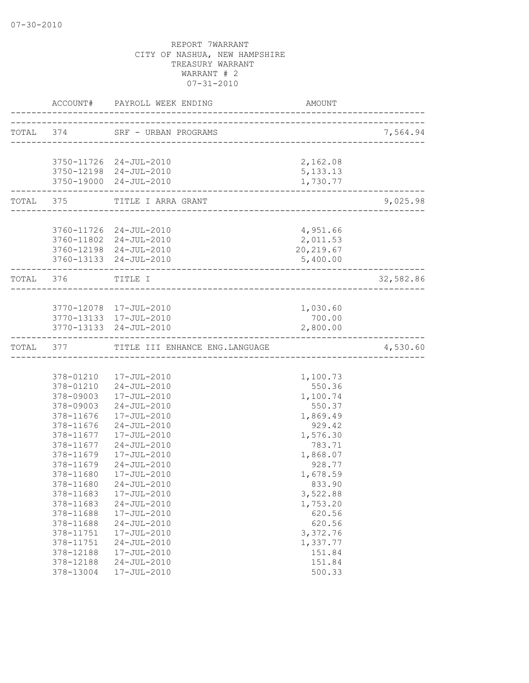|                        | ACCOUNT# PAYROLL WEEK ENDING              | AMOUNT                          |           |
|------------------------|-------------------------------------------|---------------------------------|-----------|
| TOTAL 374              | SRF - URBAN PROGRAMS                      |                                 | 7,564.94  |
|                        |                                           | ------------------------------- |           |
|                        | 3750-11726 24-JUL-2010                    | 2,162.08                        |           |
|                        | 3750-12198 24-JUL-2010                    | 5, 133. 13                      |           |
|                        | 3750-19000 24-JUL-2010                    | 1,730.77                        |           |
| ______________________ | TOTAL 375 TITLE I ARRA GRANT              |                                 | 9,025.98  |
|                        |                                           |                                 |           |
|                        | 3760-11726 24-JUL-2010                    | 4,951.66                        |           |
|                        | 3760-11802 24-JUL-2010                    | 2,011.53                        |           |
|                        | 3760-12198 24-JUL-2010                    | 20, 219.67                      |           |
|                        | 3760-13133 24-JUL-2010                    | 5,400.00                        |           |
| TOTAL 376              | TITLE I                                   |                                 | 32,582.86 |
|                        |                                           |                                 |           |
|                        | 3770-12078 17-JUL-2010                    | 1,030.60                        |           |
|                        | 3770-13133 17-JUL-2010                    | 700.00                          |           |
|                        | 3770-13133 24-JUL-2010                    | 2,800.00                        |           |
|                        | TOTAL 377 TITLE III ENHANCE ENG. LANGUAGE |                                 | 4,530.60  |
|                        |                                           |                                 |           |
|                        | 378-01210  17-JUL-2010                    | 1,100.73                        |           |
|                        | 378-01210 24-JUL-2010                     | 550.36                          |           |
|                        | 378-09003  17-JUL-2010                    | 1,100.74                        |           |
|                        | 378-09003 24-JUL-2010                     | 550.37                          |           |
| 378-11676              | 17-JUL-2010                               | 1,869.49                        |           |
| 378-11676              | 24-JUL-2010                               | 929.42                          |           |
| 378-11677              | 17-JUL-2010                               | 1,576.30                        |           |
| 378-11677              | $24 - JUL - 2010$                         | 783.71                          |           |
| 378-11679              | 17-JUL-2010                               | 1,868.07                        |           |
| 378-11679              | $24 - JUL - 2010$                         | 928.77                          |           |
| 378-11680              | 17-JUL-2010                               | 1,678.59                        |           |
| 378-11680              | 24-JUL-2010                               | 833.90                          |           |
| 378-11683              | 17-JUL-2010                               | 3,522.88                        |           |
| 378-11683              | $24 - JUL - 2010$                         | 1,753.20                        |           |
| 378-11688              | 17-JUL-2010                               | 620.56                          |           |
| 378-11688              | $24 - JUL - 2010$                         | 620.56                          |           |
| 378-11751              | 17-JUL-2010                               | 3,372.76                        |           |
| 378-11751              | $24 - JUL - 2010$                         | 1,337.77                        |           |
| 378-12188              | $17 - JUL - 2010$                         | 151.84                          |           |
| 378-12188              | $24 - JUL - 2010$                         | 151.84                          |           |
| 378-13004              | 17-JUL-2010                               | 500.33                          |           |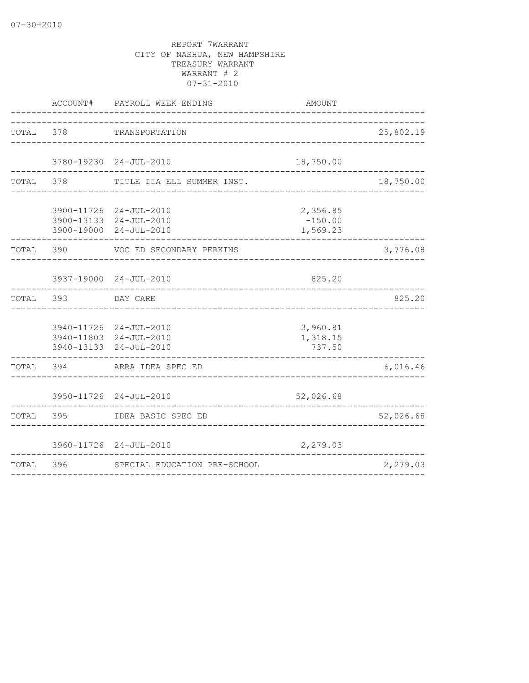|           | ACCOUNT#  | PAYROLL WEEK ENDING<br>____________                                        | AMOUNT                            |           |
|-----------|-----------|----------------------------------------------------------------------------|-----------------------------------|-----------|
| TOTAL 378 |           | TRANSPORTATION<br>-----------------------                                  |                                   | 25,802.19 |
|           |           | 3780-19230 24-JUL-2010                                                     | 18,750.00                         |           |
| TOTAL     | 378       | TITLE IIA ELL SUMMER INST.                                                 | ________________________________  | 18,750.00 |
|           |           | 3900-11726 24-JUL-2010<br>3900-13133 24-JUL-2010<br>3900-19000 24-JUL-2010 | 2,356.85<br>$-150.00$<br>1,569.23 |           |
| TOTAL     | 390       | VOC ED SECONDARY PERKINS                                                   |                                   | 3,776.08  |
|           |           | 3937-19000 24-JUL-2010                                                     | 825.20                            |           |
|           | TOTAL 393 | DAY CARE                                                                   |                                   | 825.20    |
|           |           | 3940-11726 24-JUL-2010<br>3940-11803 24-JUL-2010<br>3940-13133 24-JUL-2010 | 3,960.81<br>1,318.15<br>737.50    |           |
| TOTAL     | 394       | ARRA IDEA SPEC ED                                                          | _____________________             | 6,016.46  |
|           |           | 3950-11726 24-JUL-2010                                                     | 52,026.68                         |           |
| TOTAL     | 395       | IDEA BASIC SPEC ED                                                         |                                   | 52,026.68 |
|           |           | 3960-11726 24-JUL-2010                                                     | 2,279.03                          |           |
| TOTAL     | 396       | SPECIAL EDUCATION PRE-SCHOOL                                               | _______________________________   | 2,279.03  |
|           |           |                                                                            |                                   |           |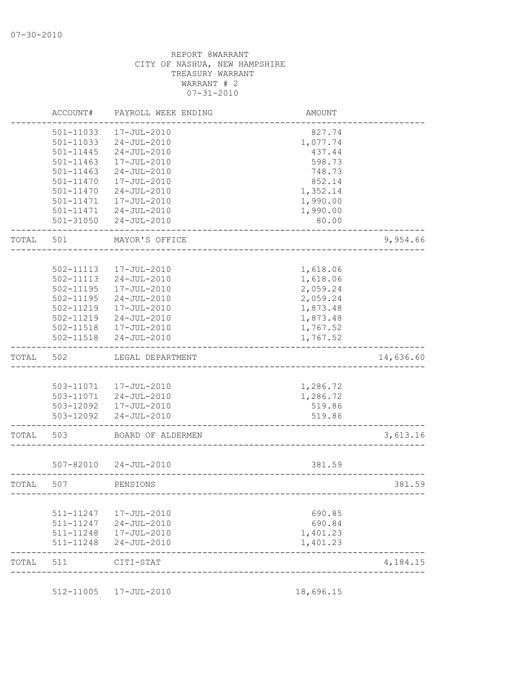|       | ACCOUNT#      | PAYROLL WEEK ENDING                         | AMOUNT                       |           |
|-------|---------------|---------------------------------------------|------------------------------|-----------|
|       | 501-11033     | 17-JUL-2010                                 | 827.74                       |           |
|       | 501-11033     | $24 - JUL - 2010$                           | 1,077.74                     |           |
|       | 501-11445     | $24 - JUL - 2010$                           | 437.44                       |           |
|       | 501-11463     | 17-JUL-2010                                 | 598.73                       |           |
|       | 501-11463     | $24 - JUL - 2010$                           | 748.73                       |           |
|       | 501-11470     | 17-JUL-2010                                 | 852.14                       |           |
|       | 501-11470     | $24 - JUL - 2010$                           | 1,352.14                     |           |
|       | 501-11471     | 17-JUL-2010                                 | 1,990.00                     |           |
|       | $501 - 11471$ | 24-JUL-2010                                 | 1,990.00                     |           |
|       | $501 - 31050$ | $24 - JUL - 2010$                           | 80.00                        |           |
| TOTAL | 501           | MAYOR'S OFFICE                              |                              | 9,954.66  |
|       |               |                                             |                              |           |
|       | 502-11113     | 17-JUL-2010                                 | 1,618.06                     |           |
|       | 502-11113     | $24 - JUL - 2010$                           | 1,618.06                     |           |
|       | 502-11195     | 17-JUL-2010                                 | 2,059.24                     |           |
|       | $502 - 11195$ | $24 - JUL - 2010$                           | 2,059.24                     |           |
|       | 502-11219     | 17-JUL-2010                                 | 1,873.48                     |           |
|       | 502-11219     | $24 - JUL - 2010$                           | 1,873.48                     |           |
|       |               | 502-11518  17-JUL-2010                      | 1,767.52                     |           |
|       | 502-11518     | $24 - JUL - 2010$                           | 1,767.52                     |           |
|       |               |                                             |                              |           |
| TOTAL | 502           | LEGAL DEPARTMENT                            |                              | 14,636.60 |
|       |               |                                             |                              |           |
|       |               |                                             |                              |           |
|       |               | 503-11071  17-JUL-2010                      | 1,286.72                     |           |
|       |               | 503-11071 24-JUL-2010                       | 1,286.72                     |           |
|       | 503-12092     | 503-12092  17-JUL-2010<br>$24 - JUL - 2010$ | 519.86<br>519.86             |           |
|       |               |                                             |                              |           |
| TOTAL | 503           | BOARD OF ALDERMEN                           |                              | 3,613.16  |
|       |               |                                             |                              |           |
|       | 507-82010     | 24-JUL-2010                                 | 381.59                       |           |
| TOTAL | 507           | PENSIONS                                    |                              | 381.59    |
|       |               | --------------                              | ---------------------------- |           |
|       | 511-11247     | 17-JUL-2010                                 | 690.85                       |           |
|       | 511-11247     | 24-JUL-2010                                 | 690.84                       |           |
|       | 511-11248     | 17-JUL-2010                                 | 1,401.23                     |           |
|       | 511-11248     | $24 - JUL - 2010$                           | 1,401.23                     |           |
| TOTAL | 511           | CITI-STAT                                   |                              | 4,184.15  |

512-11005 17-JUL-2010 18,696.15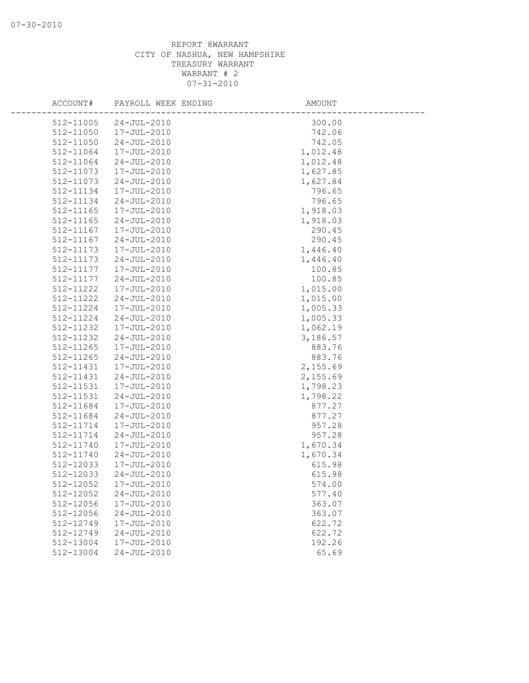| ACCOUNT#  | PAYROLL WEEK ENDING | AMOUNT   |
|-----------|---------------------|----------|
| 512-11005 | $24 - JUL - 2010$   | 300.00   |
| 512-11050 | 17-JUL-2010         | 742.06   |
| 512-11050 | $24 - JUL - 2010$   | 742.05   |
| 512-11064 | 17-JUL-2010         | 1,012.48 |
| 512-11064 | $24 - JUL - 2010$   | 1,012.48 |
| 512-11073 | 17-JUL-2010         | 1,627.85 |
| 512-11073 | $24 - JUL - 2010$   | 1,627.84 |
| 512-11134 | 17-JUL-2010         | 796.65   |
| 512-11134 | $24 - JUL - 2010$   | 796.65   |
| 512-11165 | 17-JUL-2010         | 1,918.03 |
| 512-11165 | $24 - JUL - 2010$   | 1,918.03 |
| 512-11167 | 17-JUL-2010         | 290.45   |
| 512-11167 | $24 - JUL - 2010$   | 290.45   |
| 512-11173 | 17-JUL-2010         | 1,446.40 |
| 512-11173 | $24 - JUL - 2010$   | 1,446.40 |
| 512-11177 | 17-JUL-2010         | 100.85   |
| 512-11177 | $24 - JUL - 2010$   | 100.85   |
| 512-11222 | 17-JUL-2010         | 1,015.00 |
| 512-11222 | $24 - JUL - 2010$   | 1,015.00 |
| 512-11224 | 17-JUL-2010         | 1,005.33 |
| 512-11224 | $24 - JUL - 2010$   | 1,005.33 |
| 512-11232 | 17-JUL-2010         | 1,062.19 |
| 512-11232 | $24 - JUL - 2010$   | 3,186.57 |
| 512-11265 | 17-JUL-2010         | 883.76   |
| 512-11265 | $24 - JUL - 2010$   | 883.76   |
| 512-11431 | 17-JUL-2010         | 2,155.69 |
| 512-11431 | $24 - JUL - 2010$   | 2,155.69 |
| 512-11531 | 17-JUL-2010         | 1,798.23 |
| 512-11531 | $24 - JUL - 2010$   | 1,798.22 |
| 512-11684 | 17-JUL-2010         | 877.27   |
| 512-11684 | $24 - JUL - 2010$   | 877.27   |
| 512-11714 | 17-JUL-2010         | 957.28   |
| 512-11714 | $24 - JUL - 2010$   | 957.28   |
| 512-11740 | 17-JUL-2010         | 1,670.34 |
| 512-11740 | $24 - JUL - 2010$   | 1,670.34 |
| 512-12033 | 17-JUL-2010         | 615.98   |
| 512-12033 | $24 - JUL - 2010$   | 615.98   |
| 512-12052 | 17-JUL-2010         | 574.00   |
| 512-12052 | $24 - JUL - 2010$   | 577.40   |
| 512-12056 | 17-JUL-2010         | 363.07   |
| 512-12056 | $24 - JUL - 2010$   | 363.07   |
| 512-12749 | 17-JUL-2010         | 622.72   |
| 512-12749 | $24 - JUL - 2010$   | 622.72   |
| 512-13004 | 17-JUL-2010         | 192.26   |
| 512-13004 | $24 - JUL - 2010$   | 65.69    |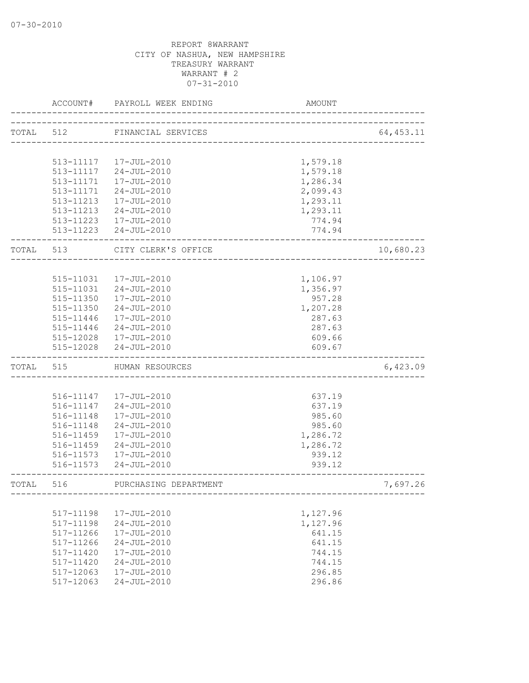|       | ACCOUNT#  | PAYROLL WEEK ENDING                             | AMOUNT                       |            |
|-------|-----------|-------------------------------------------------|------------------------------|------------|
| TOTAL | 512       | FINANCIAL SERVICES                              |                              | 64, 453.11 |
|       |           |                                                 | ____________________________ |            |
|       |           |                                                 |                              |            |
|       |           | 513-11117  17-JUL-2010                          | 1,579.18                     |            |
|       | 513-11117 | 24-JUL-2010                                     | 1,579.18                     |            |
|       | 513-11171 | 17-JUL-2010                                     | 1,286.34                     |            |
|       | 513-11171 | $24 - JUL - 2010$                               | 2,099.43                     |            |
|       | 513-11213 | 17-JUL-2010                                     | 1,293.11                     |            |
|       | 513-11213 | 24-JUL-2010                                     | 1,293.11                     |            |
|       |           | 513-11223  17-JUL-2010<br>513-11223 24-JUL-2010 | 774.94<br>774.94             |            |
|       |           |                                                 |                              |            |
| TOTAL | 513       | CITY CLERK'S OFFICE                             |                              | 10,680.23  |
|       |           |                                                 |                              |            |
|       | 515-11031 | 17-JUL-2010                                     | 1,106.97                     |            |
|       | 515-11031 | 24-JUL-2010                                     | 1,356.97                     |            |
|       | 515-11350 | 17-JUL-2010                                     | 957.28                       |            |
|       | 515-11350 | 24-JUL-2010                                     | 1,207.28                     |            |
|       | 515-11446 | 17-JUL-2010                                     | 287.63                       |            |
|       | 515-11446 | 24-JUL-2010                                     | 287.63                       |            |
|       |           | 515-12028  17-JUL-2010                          | 609.66                       |            |
|       | 515-12028 | $24 - JUL - 2010$                               | 609.67                       |            |
| TOTAL | 515       | HUMAN RESOURCES                                 |                              | 6,423.09   |
|       |           |                                                 |                              |            |
|       |           | 516-11147  17-JUL-2010                          | 637.19                       |            |
|       | 516-11147 | 24-JUL-2010                                     | 637.19                       |            |
|       | 516-11148 | 17-JUL-2010                                     | 985.60                       |            |
|       | 516-11148 | 24-JUL-2010                                     | 985.60                       |            |
|       | 516-11459 | 17-JUL-2010                                     | 1,286.72                     |            |
|       | 516-11459 | $24 - JUL - 2010$                               | 1,286.72                     |            |
|       | 516-11573 | 17-JUL-2010                                     | 939.12                       |            |
|       | 516-11573 | $24 - JUL - 2010$                               | 939.12                       |            |
| TOTAL | 516       | PURCHASING DEPARTMENT                           |                              | 7,697.26   |
|       |           |                                                 |                              |            |
|       | 517-11198 | $17 - JUL - 2010$                               | 1,127.96                     |            |
|       | 517-11198 | $24 - JUL - 2010$                               | 1,127.96                     |            |
|       | 517-11266 | 17-JUL-2010                                     | 641.15                       |            |
|       | 517-11266 | $24 - JUL - 2010$                               | 641.15                       |            |
|       | 517-11420 | 17-JUL-2010                                     | 744.15                       |            |
|       | 517-11420 | $24 - JUL - 2010$                               | 744.15                       |            |
|       | 517-12063 | 17-JUL-2010                                     | 296.85                       |            |
|       | 517-12063 | $24 - JUL - 2010$                               | 296.86                       |            |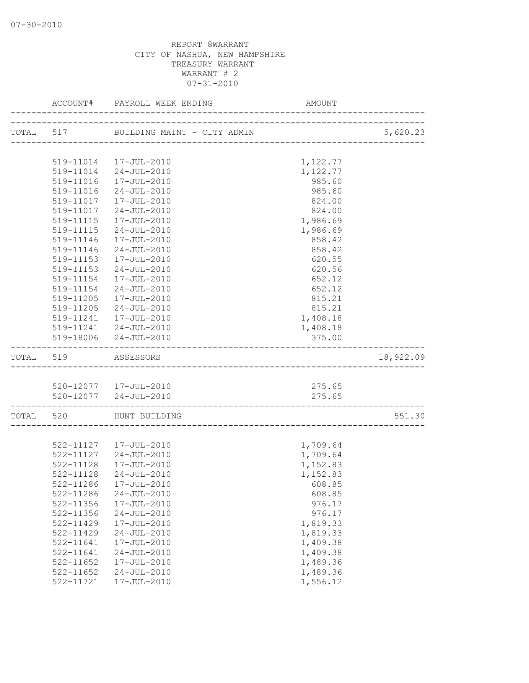|           |           | ACCOUNT# PAYROLL WEEK ENDING | AMOUNT   |           |
|-----------|-----------|------------------------------|----------|-----------|
|           |           |                              |          | 5,620.23  |
|           |           |                              |          |           |
|           |           | 519-11014  17-JUL-2010       | 1,122.77 |           |
|           |           | 519-11014 24-JUL-2010        | 1,122.77 |           |
|           |           | 519-11016  17-JUL-2010       | 985.60   |           |
|           |           | 519-11016 24-JUL-2010        | 985.60   |           |
|           | 519-11017 | 17-JUL-2010                  | 824.00   |           |
|           | 519-11017 | 24-JUL-2010                  | 824.00   |           |
|           | 519-11115 | 17-JUL-2010                  | 1,986.69 |           |
|           | 519-11115 | 24-JUL-2010                  | 1,986.69 |           |
|           |           | 519-11146  17-JUL-2010       | 858.42   |           |
|           | 519-11146 | 24-JUL-2010                  | 858.42   |           |
|           | 519-11153 | 17-JUL-2010                  | 620.55   |           |
|           | 519-11153 | 24-JUL-2010                  | 620.56   |           |
|           | 519-11154 | 17-JUL-2010                  | 652.12   |           |
|           | 519-11154 | 24-JUL-2010                  | 652.12   |           |
|           | 519-11205 | 17-JUL-2010                  | 815.21   |           |
|           | 519-11205 | $24 - JUL - 2010$            | 815.21   |           |
|           |           | 519-11241  17-JUL-2010       | 1,408.18 |           |
|           |           | 519-11241 24-JUL-2010        | 1,408.18 |           |
|           |           | 519-18006 24-JUL-2010        | 375.00   |           |
| TOTAL 519 |           | ASSESSORS                    |          | 18,922.09 |
|           |           |                              |          |           |
|           |           | 520-12077  17-JUL-2010       | 275.65   |           |
|           |           | 520-12077 24-JUL-2010        | 275.65   |           |
|           |           | TOTAL 520 HUNT BUILDING      |          | 551.30    |
|           |           |                              |          |           |
|           |           | 522-11127  17-JUL-2010       | 1,709.64 |           |
|           |           | 522-11127 24-JUL-2010        | 1,709.64 |           |
|           | 522-11128 | 17-JUL-2010                  | 1,152.83 |           |
|           | 522-11128 | 24-JUL-2010                  | 1,152.83 |           |
|           |           | 522-11286 17-JUL-2010        | 608.85   |           |
|           | 522-11286 | $24 - JUL - 2010$            | 608.85   |           |
|           | 522-11356 | 17-JUL-2010                  | 976.17   |           |
|           | 522-11356 | $24 - JUL - 2010$            | 976.17   |           |
|           | 522-11429 | 17-JUL-2010                  | 1,819.33 |           |
|           | 522-11429 | $24 - JUL - 2010$            | 1,819.33 |           |
|           | 522-11641 | 17-JUL-2010                  | 1,409.38 |           |
|           | 522-11641 | $24 - JUL - 2010$            | 1,409.38 |           |
|           | 522-11652 | $17 - JUL - 2010$            | 1,489.36 |           |
|           | 522-11652 | $24 - JUL - 2010$            | 1,489.36 |           |
|           | 522-11721 | 17-JUL-2010                  | 1,556.12 |           |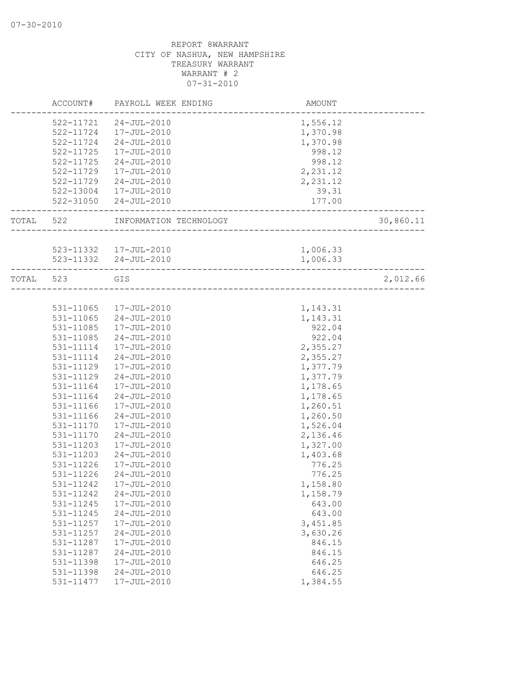|           | ACCOUNT#  | PAYROLL WEEK ENDING                    | <b>AMOUNT</b>                  |           |
|-----------|-----------|----------------------------------------|--------------------------------|-----------|
|           | 522-11721 | 24-JUL-2010                            | 1,556.12                       |           |
|           | 522-11724 | 17-JUL-2010                            | 1,370.98                       |           |
|           | 522-11724 | 24-JUL-2010                            | 1,370.98                       |           |
|           | 522-11725 | 17-JUL-2010                            | 998.12                         |           |
|           | 522-11725 | 24-JUL-2010                            | 998.12                         |           |
|           | 522-11729 | 17-JUL-2010                            | 2,231.12                       |           |
|           |           |                                        |                                |           |
|           | 522-11729 | 24-JUL-2010<br>17-JUL-2010             | 2,231.12                       |           |
|           | 522-13004 | 522-31050 24-JUL-2010                  | 39.31                          |           |
|           |           |                                        | 177.00<br>-------------------- |           |
| TOTAL 522 |           | INFORMATION TECHNOLOGY                 | _______________                | 30,860.11 |
|           |           |                                        |                                |           |
|           |           | 523-11332 17-JUL-2010                  | 1,006.33                       |           |
|           |           | 523-11332 24-JUL-2010                  | 1,006.33                       |           |
| TOTAL 523 |           | GIS                                    |                                | 2,012.66  |
|           |           |                                        |                                |           |
|           | 531-11065 | 17-JUL-2010                            | 1,143.31                       |           |
|           | 531-11065 | $24 - JUL - 2010$                      | 1,143.31                       |           |
|           | 531-11085 | 17-JUL-2010                            | 922.04                         |           |
|           | 531-11085 | 24-JUL-2010                            | 922.04                         |           |
|           | 531-11114 | 17-JUL-2010                            | 2,355.27                       |           |
|           | 531-11114 | 24-JUL-2010                            | 2,355.27                       |           |
|           | 531-11129 | 17-JUL-2010                            | 1,377.79                       |           |
|           | 531-11129 | $24 - JUL - 2010$                      | 1,377.79                       |           |
|           | 531-11164 | 17-JUL-2010                            | 1,178.65                       |           |
|           | 531-11164 | 24-JUL-2010                            | 1,178.65                       |           |
|           | 531-11166 | 17-JUL-2010                            | 1,260.51                       |           |
|           | 531-11166 | 24-JUL-2010                            | 1,260.50                       |           |
|           | 531-11170 | 17-JUL-2010                            | 1,526.04                       |           |
|           | 531-11170 | 24-JUL-2010                            | 2,136.46                       |           |
|           | 531-11203 | 17-JUL-2010                            | 1,327.00                       |           |
|           | 531-11203 | $24 - JUL - 2010$                      | 1,403.68                       |           |
|           | 531-11226 | 17-JUL-2010                            | 776.25                         |           |
|           | 531-11226 | 24-JUL-2010                            | 776.25                         |           |
|           | 531-11242 | 17-JUL-2010                            | 1,158.80                       |           |
|           | 531-11242 | $24 - JUL - 2010$                      | 1,158.79                       |           |
|           | 531-11245 | 17-JUL-2010                            | 643.00                         |           |
|           | 531-11245 | $24 - JUL - 2010$                      | 643.00                         |           |
|           | 531-11257 | 17-JUL-2010                            | 3,451.85                       |           |
|           | 531-11257 | $24 - JUL - 2010$                      | 3,630.26                       |           |
|           | 531-11287 | 17-JUL-2010                            | 846.15                         |           |
|           | 531-11287 | $24 - JUL - 2010$                      |                                |           |
|           | 531-11398 |                                        | 846.15                         |           |
|           | 531-11398 | $17 - JUL - 2010$<br>$24 - JUL - 2010$ | 646.25                         |           |
|           |           |                                        | 646.25                         |           |
|           | 531-11477 | 17-JUL-2010                            | 1,384.55                       |           |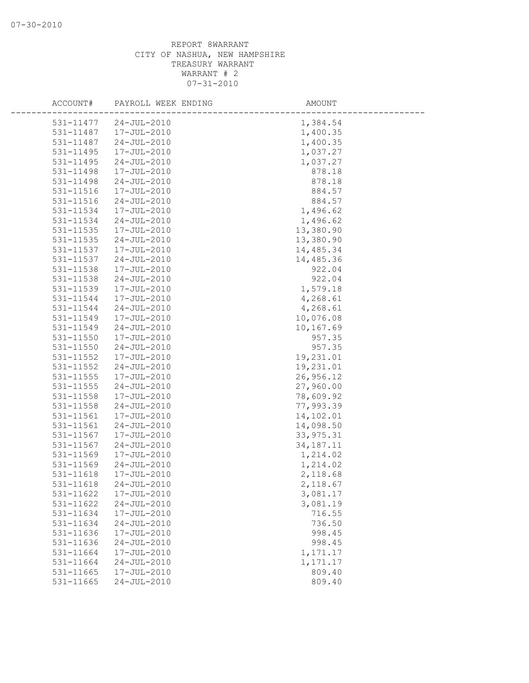| ACCOUNT# |                                    | PAYROLL WEEK ENDING | AMOUNT      |
|----------|------------------------------------|---------------------|-------------|
|          | $24 - JUL - 2010$<br>531-11477     |                     | 1,384.54    |
|          | 531-11487<br>17-JUL-2010           |                     | 1,400.35    |
|          | 531-11487<br>$24 - JUL - 2010$     |                     | 1,400.35    |
|          | 531-11495<br>17-JUL-2010           |                     | 1,037.27    |
|          | 531-11495<br>$24 - JUL - 2010$     |                     | 1,037.27    |
|          | 531-11498<br>17-JUL-2010           |                     | 878.18      |
|          | 531-11498<br>$24 - JUL - 2010$     |                     | 878.18      |
|          | 531-11516<br>17-JUL-2010           |                     | 884.57      |
|          | 531-11516<br>$24 - JUL - 2010$     |                     | 884.57      |
|          | 531-11534<br>17-JUL-2010           |                     | 1,496.62    |
|          | 531-11534<br>$24 - JUL - 2010$     |                     | 1,496.62    |
|          | 531-11535<br>17-JUL-2010           |                     | 13,380.90   |
|          | 531-11535<br>$24 - JUL - 2010$     |                     | 13,380.90   |
|          | 531-11537<br>17-JUL-2010           |                     | 14,485.34   |
|          | $24 - JUL - 2010$<br>531-11537     |                     | 14,485.36   |
|          | $531 - 11538$<br>17-JUL-2010       |                     | 922.04      |
|          | 531-11538<br>$24 - JUL - 2010$     |                     | 922.04      |
|          | 531-11539<br>17-JUL-2010           |                     | 1,579.18    |
|          | 531-11544<br>17-JUL-2010           |                     | 4,268.61    |
|          | 531-11544<br>$24 - JUL - 2010$     |                     | 4,268.61    |
|          | 531-11549<br>17-JUL-2010           |                     | 10,076.08   |
|          | 531-11549<br>$24 - JUL - 2010$     |                     | 10,167.69   |
|          | 531-11550<br>17-JUL-2010           |                     | 957.35      |
|          | $24 - JUL - 2010$<br>531-11550     |                     | 957.35      |
|          | 531-11552<br>17-JUL-2010           |                     | 19,231.01   |
|          | $531 - 11552$<br>$24 - JUL - 2010$ |                     | 19,231.01   |
|          | 531-11555<br>17-JUL-2010           |                     | 26,956.12   |
|          | 531-11555<br>$24 - JUL - 2010$     |                     | 27,960.00   |
|          | 531-11558<br>17-JUL-2010           |                     | 78,609.92   |
|          | 531-11558<br>$24 - JUL - 2010$     |                     | 77,993.39   |
|          | 531-11561<br>17-JUL-2010           |                     | 14,102.01   |
|          | 531-11561<br>$24 - JUL - 2010$     |                     | 14,098.50   |
|          | 531-11567<br>17-JUL-2010           |                     | 33, 975.31  |
|          | 531-11567<br>$24 - JUL - 2010$     |                     | 34, 187. 11 |
|          | 531-11569<br>17-JUL-2010           |                     | 1,214.02    |
|          | 531-11569<br>$24 - JUL - 2010$     |                     | 1,214.02    |
|          | 531-11618<br>17-JUL-2010           |                     | 2,118.68    |
|          | 531-11618<br>$24 - JUL - 2010$     |                     | 2,118.67    |
|          | 531-11622<br>17-JUL-2010           |                     | 3,081.17    |
|          | 531-11622<br>$24 - JUL - 2010$     |                     | 3,081.19    |
|          | 531-11634<br>17-JUL-2010           |                     | 716.55      |
|          | 531-11634<br>$24 - JUL - 2010$     |                     | 736.50      |
|          | 531-11636<br>17-JUL-2010           |                     | 998.45      |
|          | 531-11636<br>$24 - JUL - 2010$     |                     | 998.45      |
|          | 531-11664<br>17-JUL-2010           |                     | 1,171.17    |
|          | 531-11664<br>$24 - JUL - 2010$     |                     | 1,171.17    |
|          | 531-11665<br>17-JUL-2010           |                     | 809.40      |
|          | 531-11665<br>$24 - JUL - 2010$     |                     | 809.40      |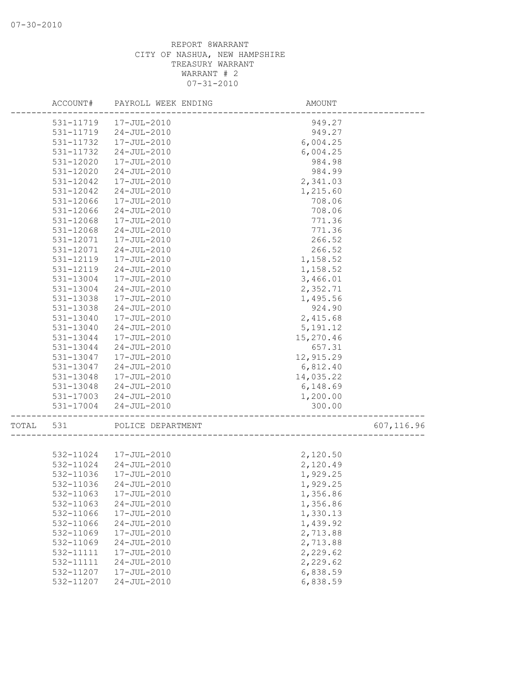|       | ACCOUNT#  | PAYROLL WEEK ENDING   | AMOUNT     |            |
|-------|-----------|-----------------------|------------|------------|
|       | 531-11719 | 17-JUL-2010           | 949.27     |            |
|       | 531-11719 | $24 - JUL - 2010$     | 949.27     |            |
|       | 531-11732 | 17-JUL-2010           | 6,004.25   |            |
|       | 531-11732 | $24 - JUL - 2010$     | 6,004.25   |            |
|       | 531-12020 | 17-JUL-2010           | 984.98     |            |
|       | 531-12020 | $24 - JUL - 2010$     | 984.99     |            |
|       | 531-12042 | 17-JUL-2010           | 2,341.03   |            |
|       | 531-12042 | $24 - JUL - 2010$     | 1,215.60   |            |
|       | 531-12066 | 17-JUL-2010           | 708.06     |            |
|       | 531-12066 | $24 - JUL - 2010$     | 708.06     |            |
|       | 531-12068 | 17-JUL-2010           | 771.36     |            |
|       | 531-12068 | $24 - JUL - 2010$     | 771.36     |            |
|       | 531-12071 | 17-JUL-2010           | 266.52     |            |
|       | 531-12071 | $24 - JUL - 2010$     | 266.52     |            |
|       | 531-12119 | 17-JUL-2010           | 1,158.52   |            |
|       | 531-12119 | $24 - JUL - 2010$     | 1,158.52   |            |
|       | 531-13004 | 17-JUL-2010           | 3,466.01   |            |
|       | 531-13004 | $24 - JUL - 2010$     | 2,352.71   |            |
|       | 531-13038 | 17-JUL-2010           | 1,495.56   |            |
|       | 531-13038 | $24 - JUL - 2010$     | 924.90     |            |
|       | 531-13040 | 17-JUL-2010           | 2,415.68   |            |
|       | 531-13040 | $24 - JUL - 2010$     | 5, 191. 12 |            |
|       | 531-13044 | 17-JUL-2010           | 15,270.46  |            |
|       | 531-13044 | $24 - JUL - 2010$     | 657.31     |            |
|       | 531-13047 | 17-JUL-2010           | 12,915.29  |            |
|       | 531-13047 | $24 - JUL - 2010$     | 6,812.40   |            |
|       | 531-13048 | 17-JUL-2010           | 14,035.22  |            |
|       | 531-13048 | 24-JUL-2010           | 6,148.69   |            |
|       | 531-17003 | 24-JUL-2010           | 1,200.00   |            |
|       | 531-17004 | $24 - JUL - 2010$     | 300.00     |            |
| TOTAL | 531       | POLICE DEPARTMENT     |            | 607,116.96 |
|       |           |                       |            |            |
|       |           | 532-11024 17-JUL-2010 | 2,120.50   |            |
|       | 532-11024 | $24 - JUL - 2010$     | 2,120.49   |            |
|       | 532-11036 | 17-JUL-2010           | 1,929.25   |            |
|       | 532-11036 | $24 - JUL - 2010$     | 1,929.25   |            |
|       | 532-11063 | 17-JUL-2010           | 1,356.86   |            |
|       | 532-11063 | $24 - JUL - 2010$     | 1,356.86   |            |
|       | 532-11066 | $17 - JUL - 2010$     | 1,330.13   |            |
|       | 532-11066 | $24 - JUL - 2010$     | 1,439.92   |            |
|       | 532-11069 | 17-JUL-2010           | 2,713.88   |            |
|       | 532-11069 | $24 - JUL - 2010$     | 2,713.88   |            |
|       | 532-11111 | 17-JUL-2010           | 2,229.62   |            |
|       | 532-11111 | $24 - JUL - 2010$     | 2,229.62   |            |
|       | 532-11207 | 17-JUL-2010           | 6,838.59   |            |
|       | 532-11207 | $24 - JUL - 2010$     | 6,838.59   |            |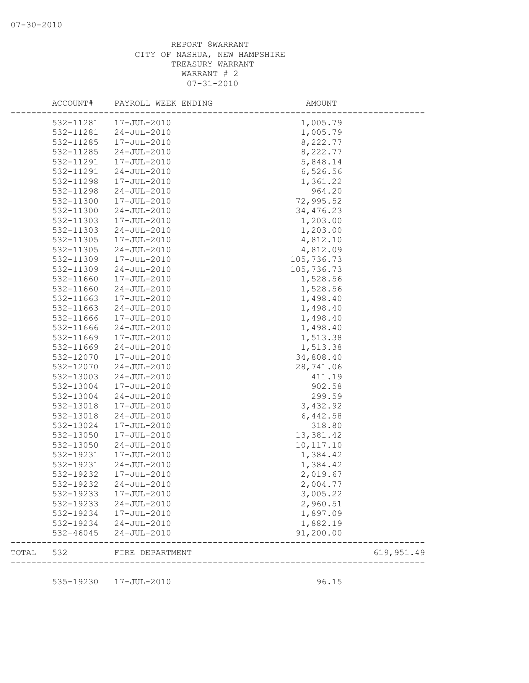| ACCOUNT#  | PAYROLL WEEK ENDING    | AMOUNT               |            |
|-----------|------------------------|----------------------|------------|
| 532-11281 | 17-JUL-2010            | 1,005.79             |            |
| 532-11281 | 24-JUL-2010            | 1,005.79             |            |
| 532-11285 | 17-JUL-2010            | 8,222.77             |            |
| 532-11285 | $24 - JUL - 2010$      | 8,222.77             |            |
| 532-11291 | 17-JUL-2010            | 5,848.14             |            |
| 532-11291 | $24 - JUL - 2010$      | 6,526.56             |            |
| 532-11298 | 17-JUL-2010            | 1,361.22             |            |
| 532-11298 | $24 - JUL - 2010$      | 964.20               |            |
| 532-11300 | 17-JUL-2010            | 72,995.52            |            |
| 532-11300 | $24 - JUL - 2010$      | 34, 476.23           |            |
| 532-11303 | 17-JUL-2010            | 1,203.00             |            |
| 532-11303 | $24 - JUL - 2010$      | 1,203.00             |            |
| 532-11305 | 17-JUL-2010            | 4,812.10             |            |
| 532-11305 | $24 - JUL - 2010$      | 4,812.09             |            |
| 532-11309 | 17-JUL-2010            | 105,736.73           |            |
| 532-11309 | $24 - JUL - 2010$      | 105,736.73           |            |
| 532-11660 | 17-JUL-2010            | 1,528.56             |            |
| 532-11660 | $24 - JUL - 2010$      | 1,528.56             |            |
| 532-11663 | 17-JUL-2010            | 1,498.40             |            |
| 532-11663 | $24 - JUL - 2010$      | 1,498.40             |            |
| 532-11666 | 17-JUL-2010            | 1,498.40             |            |
| 532-11666 | $24 - JUL - 2010$      | 1,498.40             |            |
| 532-11669 | 17-JUL-2010            | 1,513.38             |            |
| 532-11669 | $24 - JUL - 2010$      | 1,513.38             |            |
| 532-12070 | 17-JUL-2010            | 34,808.40            |            |
| 532-12070 | $24 - JUL - 2010$      | 28,741.06            |            |
| 532-13003 | $24 - JUL - 2010$      | 411.19               |            |
| 532-13004 | 17-JUL-2010            | 902.58               |            |
|           | $24 - JUL - 2010$      | 299.59               |            |
| 532-13004 |                        |                      |            |
| 532-13018 | 17-JUL-2010            | 3,432.92             |            |
| 532-13018 | $24 - JUL - 2010$      | 6,442.58             |            |
| 532-13024 | 17-JUL-2010            | 318.80               |            |
| 532-13050 | 17-JUL-2010            | 13,381.42            |            |
| 532-13050 | $24 - JUL - 2010$      | 10, 117.10           |            |
| 532-19231 | 17-JUL-2010            | 1,384.42             |            |
| 532-19231 | $24 - JUL - 2010$      | 1,384.42             |            |
| 532-19232 | 17-JUL-2010            | 2,019.67             |            |
| 532-19232 | $24 - JUL - 2010$      | 2,004.77             |            |
| 532-19233 | 17-JUL-2010            | 3,005.22             |            |
| 532-19233 | 24-JUL-2010            | 2,960.51             |            |
| 532-19234 | 17-JUL-2010            | 1,897.09             |            |
| 532-19234 | $24 - JUL - 2010$      | 1,882.19             |            |
| 532-46045 | 24-JUL-2010            | 91,200.00            |            |
| TOTAL 532 | FIRE DEPARTMENT        | -------------------- | 619,951.49 |
|           |                        |                      |            |
|           | 535-19230  17-JUL-2010 | 96.15                |            |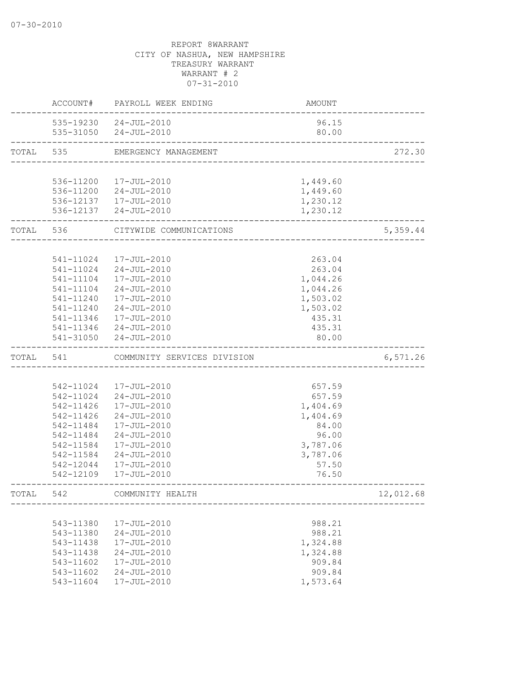|       | ACCOUNT#                   | PAYROLL WEEK ENDING         | <b>AMOUNT</b>        |           |
|-------|----------------------------|-----------------------------|----------------------|-----------|
|       |                            | 535-19230 24-JUL-2010       | 96.15                |           |
|       |                            | 535-31050 24-JUL-2010       | 80.00                |           |
| TOTAL | 535                        | EMERGENCY MANAGEMENT        |                      | 272.30    |
|       |                            |                             |                      |           |
|       | 536-11200                  | 17-JUL-2010                 | 1,449.60             |           |
|       | 536-11200                  | $24 - JUL - 2010$           | 1,449.60             |           |
|       |                            | 536-12137  17-JUL-2010      | 1,230.12             |           |
|       |                            | 536-12137 24-JUL-2010       | 1,230.12             |           |
| TOTAL | 536                        | CITYWIDE COMMUNICATIONS     |                      | 5,359.44  |
|       |                            |                             |                      |           |
|       | 541-11024                  | 17-JUL-2010                 | 263.04               |           |
|       | 541-11024<br>$541 - 11104$ | $24 - JUL - 2010$           | 263.04               |           |
|       | $541 - 11104$              | 17-JUL-2010                 | 1,044.26             |           |
|       | $541 - 11240$              | 24-JUL-2010                 | 1,044.26             |           |
|       | 541-11240                  | 17-JUL-2010<br>24-JUL-2010  | 1,503.02<br>1,503.02 |           |
|       | 541-11346                  | 17-JUL-2010                 |                      |           |
|       |                            | 541-11346 24-JUL-2010       | 435.31<br>435.31     |           |
|       | 541-31050                  | 24-JUL-2010                 | 80.00                |           |
| TOTAL | 541                        | COMMUNITY SERVICES DIVISION |                      | 6,571.26  |
|       |                            |                             |                      |           |
|       |                            | 542-11024 17-JUL-2010       | 657.59               |           |
|       | 542-11024                  | 24-JUL-2010                 | 657.59               |           |
|       | 542-11426                  | 17-JUL-2010                 | 1,404.69             |           |
|       | 542-11426                  | $24 - JUL - 2010$           | 1,404.69             |           |
|       | 542-11484                  | 17-JUL-2010                 | 84.00                |           |
|       | 542-11484                  | $24 - JUL - 2010$           | 96.00                |           |
|       | 542-11584                  | 17-JUL-2010                 | 3,787.06             |           |
|       | 542-11584                  | $24 - JUL - 2010$           | 3,787.06             |           |
|       | 542-12044                  | 17-JUL-2010                 | 57.50                |           |
|       | 542-12109                  | 17-JUL-2010                 | 76.50                |           |
| TOTAL | 542                        | COMMUNITY HEALTH            |                      | 12,012.68 |
|       |                            |                             |                      |           |
|       | 543-11380                  | 17-JUL-2010                 | 988.21               |           |
|       | 543-11380                  | $24 - JUL - 2010$           | 988.21               |           |
|       | 543-11438                  | 17-JUL-2010                 | 1,324.88             |           |
|       | 543-11438                  | $24 - JUL - 2010$           | 1,324.88             |           |
|       | 543-11602                  | 17-JUL-2010                 | 909.84               |           |
|       | 543-11602                  | $24 - JUL - 2010$           | 909.84               |           |
|       | 543-11604                  | 17-JUL-2010                 | 1,573.64             |           |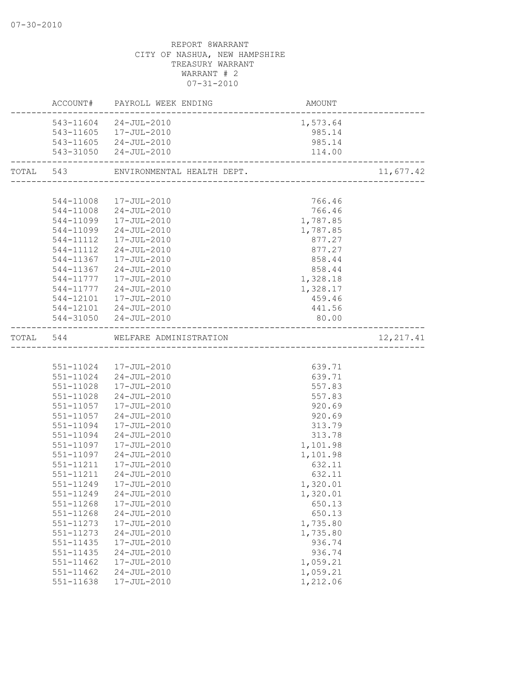|       | ACCOUNT#      | PAYROLL WEEK ENDING              | AMOUNT   |            |
|-------|---------------|----------------------------------|----------|------------|
|       | 543-11604     | 24-JUL-2010                      | 1,573.64 |            |
|       |               | 543-11605  17-JUL-2010           | 985.14   |            |
|       |               | 543-11605 24-JUL-2010            | 985.14   |            |
|       |               | 543-31050 24-JUL-2010            | 114.00   |            |
| TOTAL | 543           | ENVIRONMENTAL HEALTH DEPT.       |          | 11,677.42  |
|       |               |                                  |          |            |
|       |               | 544-11008 17-JUL-2010            | 766.46   |            |
|       |               | 544-11008 24-JUL-2010            | 766.46   |            |
|       |               | 544-11099 17-JUL-2010            | 1,787.85 |            |
|       | 544-11099     | 24-JUL-2010                      | 1,787.85 |            |
|       | 544-11112     | 17-JUL-2010                      | 877.27   |            |
|       | 544-11112     | 24-JUL-2010                      | 877.27   |            |
|       |               | 544-11367  17-JUL-2010           | 858.44   |            |
|       |               | 544-11367 24-JUL-2010            | 858.44   |            |
|       |               | 544-11777  17-JUL-2010           | 1,328.18 |            |
|       |               | 544-11777 24-JUL-2010            | 1,328.17 |            |
|       |               | 544-12101  17-JUL-2010           | 459.46   |            |
|       |               | 544-12101 24-JUL-2010            | 441.56   |            |
|       |               | 544-31050 24-JUL-2010            | 80.00    |            |
|       |               | TOTAL 544 WELFARE ADMINISTRATION |          | 12, 217.41 |
|       |               |                                  |          |            |
|       |               | 551-11024  17-JUL-2010           | 639.71   |            |
|       |               | 551-11024 24-JUL-2010            | 639.71   |            |
|       |               | 551-11028  17-JUL-2010           | 557.83   |            |
|       | 551-11028     | 24-JUL-2010                      | 557.83   |            |
|       |               | 551-11057   17-JUL-2010          | 920.69   |            |
|       | 551-11057     | $24 - JUL - 2010$                | 920.69   |            |
|       | 551-11094     | 17-JUL-2010                      | 313.79   |            |
|       |               | 551-11094 24-JUL-2010            | 313.78   |            |
|       |               | 551-11097  17-JUL-2010           | 1,101.98 |            |
|       |               | 551-11097 24-JUL-2010            | 1,101.98 |            |
|       |               | 551-11211  17-JUL-2010           | 632.11   |            |
|       | 551-11211     | 24-JUL-2010                      | 632.11   |            |
|       |               | 551-11249  17-JUL-2010           | 1,320.01 |            |
|       | 551-11249     | $24 - JUL - 2010$                | 1,320.01 |            |
|       | $551 - 11268$ | 17-JUL-2010                      | 650.13   |            |
|       | 551-11268     | $24 - JUL - 2010$                | 650.13   |            |
|       | 551-11273     | 17-JUL-2010                      | 1,735.80 |            |
|       | 551-11273     | $24 - JUL - 2010$                | 1,735.80 |            |
|       | 551-11435     | 17-JUL-2010                      | 936.74   |            |
|       | 551-11435     | $24 - JUL - 2010$                | 936.74   |            |
|       | 551-11462     | $17 - JUL - 2010$                | 1,059.21 |            |
|       | 551-11462     | $24 - JUL - 2010$                | 1,059.21 |            |
|       | 551-11638     | 17-JUL-2010                      | 1,212.06 |            |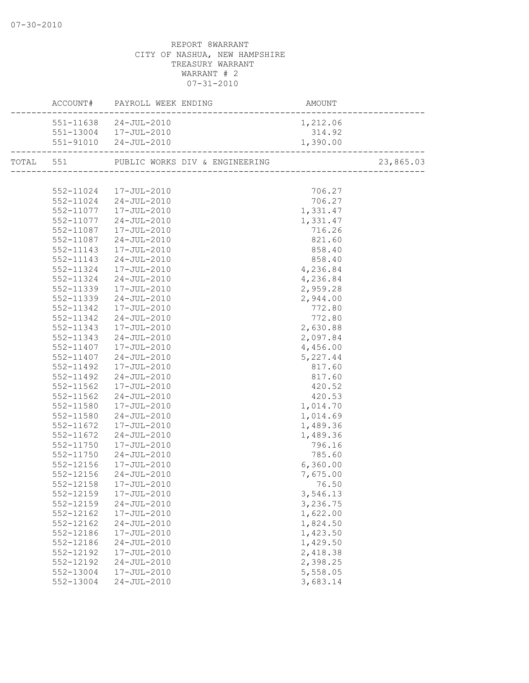|                        | ACCOUNT# PAYROLL WEEK ENDING                       | AMOUNT                               |  |
|------------------------|----------------------------------------------------|--------------------------------------|--|
|                        | 551-11638 24-JUL-2010                              | 1,212.06                             |  |
|                        | 551-13004 17-JUL-2010                              | 314.92                               |  |
|                        | 551-91010 24-JUL-2010                              | $314.92$<br>$1,390.00$<br>---------- |  |
|                        | TOTAL 551 PUBLIC WORKS DIV & ENGINEERING 23,865.03 |                                      |  |
|                        |                                                    |                                      |  |
|                        | 552-11024 17-JUL-2010                              | 706.27                               |  |
|                        | 552-11024 24-JUL-2010                              | 706.27                               |  |
|                        | 552-11077  17-JUL-2010                             | 1,331.47                             |  |
| 552-11077              | $24 - JUL - 2010$                                  | 1,331.47                             |  |
| 552-11087              | $17 - JUL - 2010$                                  | 716.26                               |  |
|                        | 552-11087 24-JUL-2010                              | 821.60                               |  |
| 552-11143              | 17-JUL-2010                                        | 858.40                               |  |
| 552-11143              | $24 - JUL - 2010$                                  | 858.40                               |  |
| 552-11324              | 17-JUL-2010                                        | 4,236.84                             |  |
| 552-11324              | $24 - JUL - 2010$                                  | 4,236.84                             |  |
|                        | 552-11339 17-JUL-2010                              | 2,959.28                             |  |
| 552-11339              | 24-JUL-2010                                        | 2,944.00                             |  |
| 552-11342              | 17-JUL-2010                                        | 772.80                               |  |
| 552-11342              | $24 - JUL - 2010$                                  | 772.80                               |  |
| 552-11343              | 17-JUL-2010                                        | 2,630.88                             |  |
| 552-11343              | 24-JUL-2010                                        | 2,097.84                             |  |
| 552-11407              | 17-JUL-2010                                        | 4,456.00                             |  |
| 552-11407              | $24 - JUL - 2010$                                  | 5,227.44                             |  |
| 552-11492              | 17-JUL-2010                                        | 817.60                               |  |
| 552-11492              | $24 - JUL - 2010$                                  | 817.60                               |  |
| 552-11562              | 17-JUL-2010                                        | 420.52                               |  |
| 552-11562              | $24 - JUL - 2010$                                  | 420.53                               |  |
| 552-11580              | 17-JUL-2010                                        | 1,014.70                             |  |
| 552-11580              | 24-JUL-2010                                        | 1,014.69                             |  |
| 552-11672              | 17-JUL-2010                                        | 1,489.36                             |  |
| 552-11672              | $24 - JUL - 2010$                                  | 1,489.36                             |  |
| 552-11750              | 17-JUL-2010                                        | 796.16                               |  |
| 552-11750              | $24 - JUL - 2010$                                  | 785.60                               |  |
| 552-12156<br>552-12156 | 17-JUL-2010<br>24-JUL-2010                         | 6,360.00                             |  |
| 552-12158              | 17-JUL-2010                                        | 7,675.00                             |  |
|                        |                                                    | 76.50                                |  |
| 552-12159              | 17-JUL-2010<br>$24 - JUL - 2010$                   | 3,546.13<br>3,236.75                 |  |
| 552-12159              | 17-JUL-2010                                        | 1,622.00                             |  |
| 552-12162<br>552-12162 | $24 - JUL - 2010$                                  | 1,824.50                             |  |
| 552-12186              | 17-JUL-2010                                        | 1,423.50                             |  |
| 552-12186              | $24 - JUL - 2010$                                  | 1,429.50                             |  |
| 552-12192              | 17-JUL-2010                                        | 2,418.38                             |  |
| 552-12192              | $24 - JUL - 2010$                                  | 2,398.25                             |  |
| 552-13004              | 17-JUL-2010                                        | 5,558.05                             |  |
| 552-13004              | $24 - JUL - 2010$                                  | 3,683.14                             |  |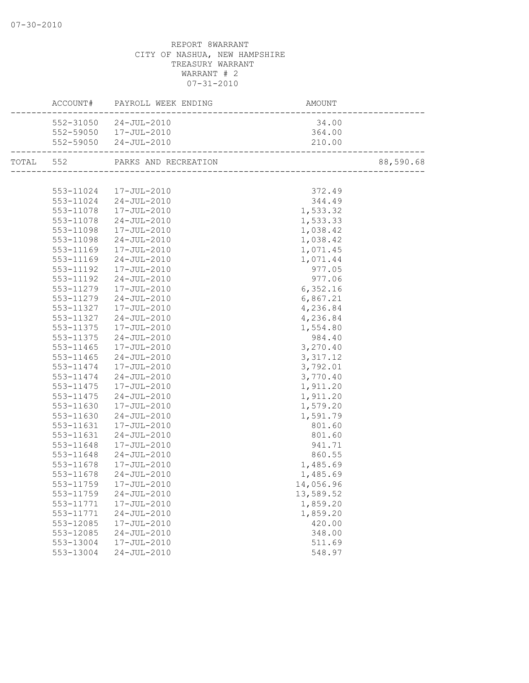|           |           | ACCOUNT# PAYROLL WEEK ENDING | AMOUNT                             |           |
|-----------|-----------|------------------------------|------------------------------------|-----------|
|           |           | 552-31050 24-JUL-2010        | 34.00                              |           |
|           |           | 552-59050  17-JUL-2010       | 364.00                             |           |
|           |           | 552-59050 24-JUL-2010        | 210.00<br>------------------------ |           |
| TOTAL 552 |           | PARKS AND RECREATION         |                                    | 88,590.68 |
|           |           |                              |                                    |           |
|           |           | 553-11024 17-JUL-2010        | 372.49                             |           |
|           |           | 553-11024 24-JUL-2010        | 344.49                             |           |
|           |           | 553-11078  17-JUL-2010       | 1,533.32                           |           |
|           |           | 553-11078 24-JUL-2010        | 1,533.33                           |           |
|           | 553-11098 | 17-JUL-2010                  | 1,038.42                           |           |
|           | 553-11098 | $24 - JUL - 2010$            | 1,038.42                           |           |
|           | 553-11169 | 17-JUL-2010                  | 1,071.45                           |           |
|           | 553-11169 | 24-JUL-2010                  | 1,071.44                           |           |
|           | 553-11192 | 17-JUL-2010                  | 977.05                             |           |
|           | 553-11192 | 24-JUL-2010                  | 977.06                             |           |
|           | 553-11279 | 17-JUL-2010                  | 6,352.16                           |           |
|           | 553-11279 | 24-JUL-2010                  | 6,867.21                           |           |
|           | 553-11327 | 17-JUL-2010                  | 4,236.84                           |           |
|           | 553-11327 | 24-JUL-2010                  | 4,236.84                           |           |
|           | 553-11375 | 17-JUL-2010                  | 1,554.80                           |           |
|           | 553-11375 | $24 - JUL - 2010$            | 984.40                             |           |
|           | 553-11465 | 17-JUL-2010                  | 3,270.40                           |           |
|           | 553-11465 | 24-JUL-2010                  | 3,317.12                           |           |
|           | 553-11474 | 17-JUL-2010                  | 3,792.01                           |           |
|           | 553-11474 | $24 - JUL - 2010$            | 3,770.40                           |           |
|           | 553-11475 | 17-JUL-2010                  | 1,911.20                           |           |
|           | 553-11475 | 24-JUL-2010                  | 1,911.20                           |           |
|           | 553-11630 | 17-JUL-2010                  | 1,579.20                           |           |
|           | 553-11630 | $24 - JUL - 2010$            | 1,591.79                           |           |
|           | 553-11631 | 17-JUL-2010                  | 801.60                             |           |
|           | 553-11631 | 24-JUL-2010                  | 801.60                             |           |
|           | 553-11648 | 17-JUL-2010                  | 941.71                             |           |
|           | 553-11648 | $24 - JUL - 2010$            | 860.55                             |           |
|           | 553-11678 | 17-JUL-2010                  | 1,485.69                           |           |
|           | 553-11678 | $24 - JUL - 2010$            | 1,485.69                           |           |
|           |           | 553-11759 17-JUL-2010        | 14,056.96                          |           |
|           | 553-11759 | $24 - JUL - 2010$            | 13,589.52                          |           |
|           | 553-11771 | 17-JUL-2010                  | 1,859.20                           |           |
|           | 553-11771 | $24 - JUL - 2010$            | 1,859.20                           |           |
|           | 553-12085 | 17-JUL-2010                  | 420.00                             |           |
|           | 553-12085 | $24 - JUL - 2010$            | 348.00                             |           |
|           | 553-13004 | $17 - JUL - 2010$            | 511.69                             |           |
|           | 553-13004 | $24 - JUL - 2010$            | 548.97                             |           |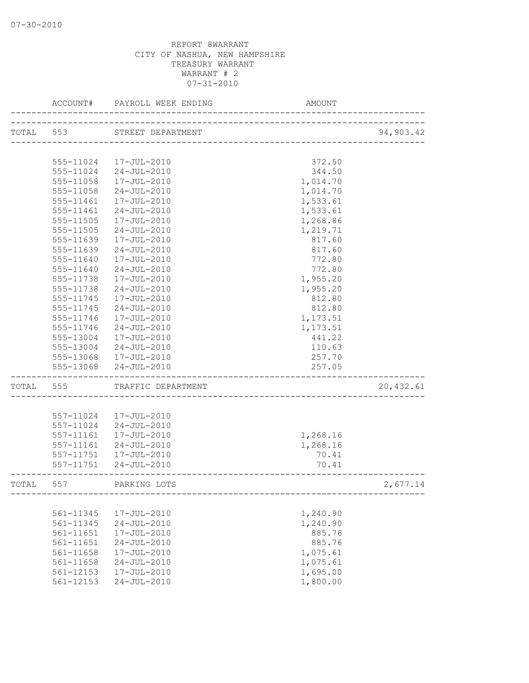|           | ACCOUNT#               | PAYROLL WEEK ENDING        | AMOUNT                           |           |
|-----------|------------------------|----------------------------|----------------------------------|-----------|
| TOTAL 553 |                        | STREET DEPARTMENT          |                                  | 94,903.42 |
|           |                        |                            | ________________________________ |           |
|           | 555-11024              | 17-JUL-2010                | 372.50                           |           |
|           | 555-11024              | 24-JUL-2010                | 344.50                           |           |
|           | 555-11058              | 17-JUL-2010                | 1,014.70                         |           |
|           | 555-11058              | $24 - JUL - 2010$          | 1,014.70                         |           |
|           | 555-11461              | $17 - JUL - 2010$          | 1,533.61                         |           |
|           | 555-11461              | $24 - JUL - 2010$          | 1,533.61                         |           |
|           | 555-11505              | 17-JUL-2010                | 1,268.86                         |           |
|           | 555-11505              | $24 - JUL - 2010$          | 1,219.71                         |           |
|           | 555-11639              | 17-JUL-2010                | 817.60                           |           |
|           | 555-11639              | 24-JUL-2010                | 817.60                           |           |
|           | 555-11640              | 17-JUL-2010                | 772.80                           |           |
|           | 555-11640              | $24 - JUL - 2010$          | 772.80                           |           |
|           | 555-11738              | 17-JUL-2010                | 1,955.20                         |           |
|           | 555-11738              | $24 - JUL - 2010$          | 1,955.20                         |           |
|           | 555-11745              | 17-JUL-2010                | 812.80                           |           |
|           | 555-11745              | $24 - JUL - 2010$          | 812.80                           |           |
|           | 555-11746              | 17-JUL-2010                | 1,173.51                         |           |
|           | 555-11746              | 24-JUL-2010                | 1,173.51                         |           |
|           | 555-13004              | 17-JUL-2010                | 441.22                           |           |
|           | 555-13004              | 24-JUL-2010                | 110.63                           |           |
|           | 555-13068              | 17-JUL-2010                | 257.70                           |           |
|           | 555-13068              | $24 - JUL - 2010$          | 257.05                           |           |
| TOTAL     | 555                    | TRAFFIC DEPARTMENT         |                                  | 20,432.61 |
|           |                        |                            |                                  |           |
|           | 557-11024<br>557-11024 | 17-JUL-2010<br>24-JUL-2010 |                                  |           |
|           | 557-11161              | 17-JUL-2010                | 1,268.16                         |           |
|           | 557-11161              | 24-JUL-2010                | 1,268.16                         |           |
|           | 557-11751              | 17-JUL-2010                | 70.41                            |           |
|           | 557-11751              | 24-JUL-2010                | 70.41                            |           |
|           |                        |                            |                                  |           |
| TOTAL     | 557                    | PARKING LOTS               |                                  | 2,677.14  |
|           |                        |                            |                                  |           |
|           | 561-11345              | 17-JUL-2010                | 1,240.90                         |           |
|           | 561-11345              | $24 - JUL - 2010$          | 1,240.90                         |           |
|           | 561-11651              | 17-JUL-2010                | 885.76                           |           |
|           | 561-11651              | $24 - JUL - 2010$          | 885.76                           |           |
|           | $561 - 11658$          | 17-JUL-2010                | 1,075.61                         |           |
|           | $561 - 11658$          | $24 - JUL - 2010$          | 1,075.61                         |           |
|           | 561-12153              | 17-JUL-2010                | 1,695.00                         |           |
|           | 561-12153              | $24 - JUL - 2010$          | 1,800.00                         |           |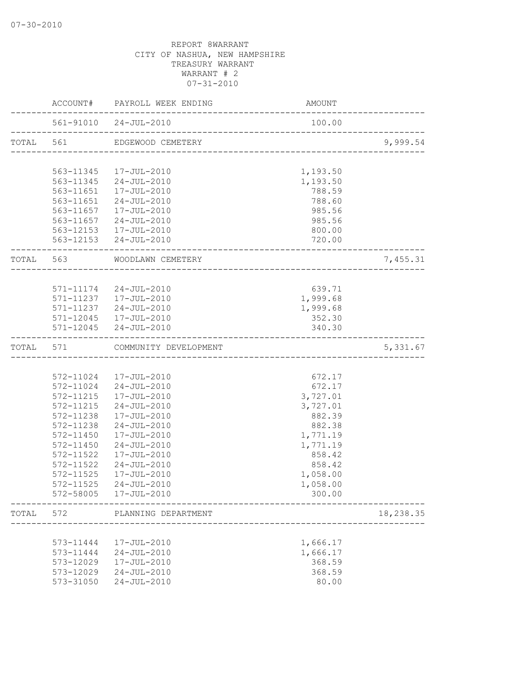|           |               | ACCOUNT# PAYROLL WEEK ENDING                               | AMOUNT                                 |           |
|-----------|---------------|------------------------------------------------------------|----------------------------------------|-----------|
|           |               | 561-91010 24-JUL-2010<br>_________________________________ | 100.00                                 |           |
| TOTAL 561 |               | EDGEWOOD CEMETERY                                          | -------------------------------------- | 9,999.54  |
|           |               |                                                            |                                        |           |
|           |               | 563-11345 17-JUL-2010                                      | 1,193.50                               |           |
|           |               | 563-11345 24-JUL-2010<br>563-11651  17-JUL-2010            | 1,193.50<br>788.59                     |           |
|           |               | 563-11651 24-JUL-2010                                      | 788.60                                 |           |
|           |               | 563-11657  17-JUL-2010                                     | 985.56                                 |           |
|           |               | 563-11657 24-JUL-2010                                      | 985.56                                 |           |
|           |               | 563-12153  17-JUL-2010                                     | 800.00                                 |           |
|           |               | 563-12153 24-JUL-2010                                      | 720.00                                 |           |
|           |               | TOTAL 563 WOODLAWN CEMETERY                                |                                        | 7,455.31  |
|           |               |                                                            |                                        |           |
|           |               | 571-11174 24-JUL-2010                                      | 639.71                                 |           |
|           |               | 571-11237  17-JUL-2010                                     | 1,999.68                               |           |
|           |               | 571-11237 24-JUL-2010                                      | 1,999.68                               |           |
|           |               | 571-12045  17-JUL-2010                                     | 352.30                                 |           |
|           |               | 571-12045 24-JUL-2010                                      | 340.30                                 |           |
| TOTAL 571 |               | COMMUNITY DEVELOPMENT                                      |                                        | 5,331.67  |
|           |               |                                                            |                                        |           |
|           |               | 572-11024 17-JUL-2010                                      | 672.17                                 |           |
|           |               | 572-11024 24-JUL-2010                                      | 672.17                                 |           |
|           |               | 572-11215  17-JUL-2010                                     | 3,727.01                               |           |
|           | 572-11238     | 572-11215 24-JUL-2010<br>17-JUL-2010                       | 3,727.01                               |           |
|           | 572-11238     | 24-JUL-2010                                                | 882.39<br>882.38                       |           |
|           | 572-11450     | 17-JUL-2010                                                | 1,771.19                               |           |
|           | 572-11450     | $24 - JUL - 2010$                                          | 1,771.19                               |           |
|           | 572-11522     | 17-JUL-2010                                                | 858.42                                 |           |
|           | 572-11522     | $24 - JUL - 2010$                                          | 858.42                                 |           |
|           | 572-11525     | 17-JUL-2010                                                | 1,058.00                               |           |
|           | 572-11525     | 24-JUL-2010                                                | 1,058.00                               |           |
|           |               | 572-58005  17-JUL-2010                                     | 300.00                                 |           |
| TOTAL     | 572           | PLANNING DEPARTMENT<br>--------------                      |                                        | 18,238.35 |
|           |               |                                                            |                                        |           |
|           | 573-11444     | 17-JUL-2010                                                | 1,666.17                               |           |
|           | 573-11444     | 24-JUL-2010                                                | 1,666.17                               |           |
|           | 573-12029     | 17-JUL-2010                                                | 368.59                                 |           |
|           | 573-12029     | $24 - JUL - 2010$                                          | 368.59                                 |           |
|           | $573 - 31050$ | $24 - JUL - 2010$                                          | 80.00                                  |           |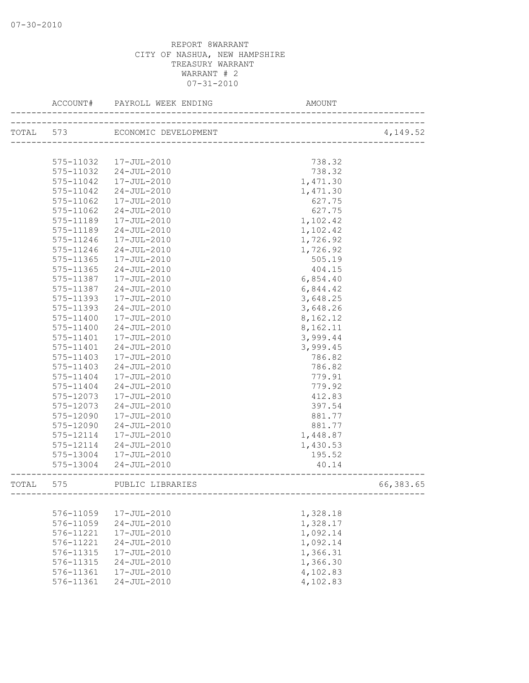| TOTAL 573<br>ECONOMIC DEVELOPMENT<br>4,149.52<br>----------------------------<br>575-11032  17-JUL-2010<br>738.32<br>575-11032<br>24-JUL-2010<br>738.32<br>575-11042<br>1,471.30<br>17-JUL-2010<br>1,471.30<br>575-11042<br>$24 - JUL - 2010$<br>17-JUL-2010<br>627.75<br>575-11062<br>575-11062<br>24-JUL-2010<br>627.75<br>575-11189<br>1,102.42<br>17-JUL-2010<br>24-JUL-2010<br>1,102.42<br>575-11189<br>575-11246<br>17-JUL-2010<br>1,726.92<br>24-JUL-2010<br>1,726.92<br>575-11246<br>575-11365<br>17-JUL-2010<br>505.19<br>575-11365<br>24-JUL-2010<br>404.15<br>575-11387<br>17-JUL-2010<br>6,854.40<br>$24 - JUL - 2010$<br>6,844.42<br>575-11387<br>575-11393<br>17-JUL-2010<br>3,648.25<br>575-11393<br>24-JUL-2010<br>3,648.26<br>8,162.12<br>575-11400<br>17-JUL-2010<br>8,162.11<br>575-11400<br>24-JUL-2010<br>3,999.44<br>575-11401<br>17-JUL-2010<br>575-11401<br>24-JUL-2010<br>3,999.45<br>575-11403<br>17-JUL-2010<br>786.82 | ACCOUNT#  | PAYROLL WEEK ENDING<br>__________________ | AMOUNT |  |
|---------------------------------------------------------------------------------------------------------------------------------------------------------------------------------------------------------------------------------------------------------------------------------------------------------------------------------------------------------------------------------------------------------------------------------------------------------------------------------------------------------------------------------------------------------------------------------------------------------------------------------------------------------------------------------------------------------------------------------------------------------------------------------------------------------------------------------------------------------------------------------------------------------------------------------------------------|-----------|-------------------------------------------|--------|--|
|                                                                                                                                                                                                                                                                                                                                                                                                                                                                                                                                                                                                                                                                                                                                                                                                                                                                                                                                                   |           |                                           |        |  |
|                                                                                                                                                                                                                                                                                                                                                                                                                                                                                                                                                                                                                                                                                                                                                                                                                                                                                                                                                   |           |                                           |        |  |
|                                                                                                                                                                                                                                                                                                                                                                                                                                                                                                                                                                                                                                                                                                                                                                                                                                                                                                                                                   |           |                                           |        |  |
|                                                                                                                                                                                                                                                                                                                                                                                                                                                                                                                                                                                                                                                                                                                                                                                                                                                                                                                                                   |           |                                           |        |  |
|                                                                                                                                                                                                                                                                                                                                                                                                                                                                                                                                                                                                                                                                                                                                                                                                                                                                                                                                                   |           |                                           |        |  |
|                                                                                                                                                                                                                                                                                                                                                                                                                                                                                                                                                                                                                                                                                                                                                                                                                                                                                                                                                   |           |                                           |        |  |
|                                                                                                                                                                                                                                                                                                                                                                                                                                                                                                                                                                                                                                                                                                                                                                                                                                                                                                                                                   |           |                                           |        |  |
|                                                                                                                                                                                                                                                                                                                                                                                                                                                                                                                                                                                                                                                                                                                                                                                                                                                                                                                                                   |           |                                           |        |  |
|                                                                                                                                                                                                                                                                                                                                                                                                                                                                                                                                                                                                                                                                                                                                                                                                                                                                                                                                                   |           |                                           |        |  |
|                                                                                                                                                                                                                                                                                                                                                                                                                                                                                                                                                                                                                                                                                                                                                                                                                                                                                                                                                   |           |                                           |        |  |
|                                                                                                                                                                                                                                                                                                                                                                                                                                                                                                                                                                                                                                                                                                                                                                                                                                                                                                                                                   |           |                                           |        |  |
|                                                                                                                                                                                                                                                                                                                                                                                                                                                                                                                                                                                                                                                                                                                                                                                                                                                                                                                                                   |           |                                           |        |  |
|                                                                                                                                                                                                                                                                                                                                                                                                                                                                                                                                                                                                                                                                                                                                                                                                                                                                                                                                                   |           |                                           |        |  |
|                                                                                                                                                                                                                                                                                                                                                                                                                                                                                                                                                                                                                                                                                                                                                                                                                                                                                                                                                   |           |                                           |        |  |
|                                                                                                                                                                                                                                                                                                                                                                                                                                                                                                                                                                                                                                                                                                                                                                                                                                                                                                                                                   |           |                                           |        |  |
|                                                                                                                                                                                                                                                                                                                                                                                                                                                                                                                                                                                                                                                                                                                                                                                                                                                                                                                                                   |           |                                           |        |  |
|                                                                                                                                                                                                                                                                                                                                                                                                                                                                                                                                                                                                                                                                                                                                                                                                                                                                                                                                                   |           |                                           |        |  |
|                                                                                                                                                                                                                                                                                                                                                                                                                                                                                                                                                                                                                                                                                                                                                                                                                                                                                                                                                   |           |                                           |        |  |
|                                                                                                                                                                                                                                                                                                                                                                                                                                                                                                                                                                                                                                                                                                                                                                                                                                                                                                                                                   |           |                                           |        |  |
|                                                                                                                                                                                                                                                                                                                                                                                                                                                                                                                                                                                                                                                                                                                                                                                                                                                                                                                                                   |           |                                           |        |  |
|                                                                                                                                                                                                                                                                                                                                                                                                                                                                                                                                                                                                                                                                                                                                                                                                                                                                                                                                                   |           |                                           |        |  |
|                                                                                                                                                                                                                                                                                                                                                                                                                                                                                                                                                                                                                                                                                                                                                                                                                                                                                                                                                   |           |                                           |        |  |
|                                                                                                                                                                                                                                                                                                                                                                                                                                                                                                                                                                                                                                                                                                                                                                                                                                                                                                                                                   |           |                                           |        |  |
|                                                                                                                                                                                                                                                                                                                                                                                                                                                                                                                                                                                                                                                                                                                                                                                                                                                                                                                                                   |           |                                           |        |  |
|                                                                                                                                                                                                                                                                                                                                                                                                                                                                                                                                                                                                                                                                                                                                                                                                                                                                                                                                                   | 575-11403 | 24-JUL-2010                               | 786.82 |  |
| 17-JUL-2010<br>779.91<br>575-11404                                                                                                                                                                                                                                                                                                                                                                                                                                                                                                                                                                                                                                                                                                                                                                                                                                                                                                                |           |                                           |        |  |
| 779.92<br>575-11404<br>24-JUL-2010                                                                                                                                                                                                                                                                                                                                                                                                                                                                                                                                                                                                                                                                                                                                                                                                                                                                                                                |           |                                           |        |  |
| 575-12073<br>412.83<br>17-JUL-2010                                                                                                                                                                                                                                                                                                                                                                                                                                                                                                                                                                                                                                                                                                                                                                                                                                                                                                                |           |                                           |        |  |
| 575-12073<br>$24 - JUL - 2010$<br>397.54                                                                                                                                                                                                                                                                                                                                                                                                                                                                                                                                                                                                                                                                                                                                                                                                                                                                                                          |           |                                           |        |  |
| 575-12090<br>17-JUL-2010<br>881.77                                                                                                                                                                                                                                                                                                                                                                                                                                                                                                                                                                                                                                                                                                                                                                                                                                                                                                                |           |                                           |        |  |
| 575-12090<br>24-JUL-2010<br>881.77                                                                                                                                                                                                                                                                                                                                                                                                                                                                                                                                                                                                                                                                                                                                                                                                                                                                                                                |           |                                           |        |  |
| 575-12114<br>17-JUL-2010<br>1,448.87                                                                                                                                                                                                                                                                                                                                                                                                                                                                                                                                                                                                                                                                                                                                                                                                                                                                                                              |           |                                           |        |  |
| 575-12114<br>24-JUL-2010<br>1,430.53                                                                                                                                                                                                                                                                                                                                                                                                                                                                                                                                                                                                                                                                                                                                                                                                                                                                                                              |           |                                           |        |  |
| 575-13004  17-JUL-2010<br>195.52                                                                                                                                                                                                                                                                                                                                                                                                                                                                                                                                                                                                                                                                                                                                                                                                                                                                                                                  |           |                                           |        |  |
| 575-13004 24-JUL-2010<br>40.14                                                                                                                                                                                                                                                                                                                                                                                                                                                                                                                                                                                                                                                                                                                                                                                                                                                                                                                    |           |                                           |        |  |
|                                                                                                                                                                                                                                                                                                                                                                                                                                                                                                                                                                                                                                                                                                                                                                                                                                                                                                                                                   |           |                                           |        |  |
| TOTAL 575<br>66,383.65<br>PUBLIC LIBRARIES                                                                                                                                                                                                                                                                                                                                                                                                                                                                                                                                                                                                                                                                                                                                                                                                                                                                                                        |           |                                           |        |  |
|                                                                                                                                                                                                                                                                                                                                                                                                                                                                                                                                                                                                                                                                                                                                                                                                                                                                                                                                                   |           |                                           |        |  |
| 576-11059<br>17-JUL-2010<br>1,328.18                                                                                                                                                                                                                                                                                                                                                                                                                                                                                                                                                                                                                                                                                                                                                                                                                                                                                                              |           |                                           |        |  |
| 576-11059<br>$24 - JUL - 2010$<br>1,328.17                                                                                                                                                                                                                                                                                                                                                                                                                                                                                                                                                                                                                                                                                                                                                                                                                                                                                                        |           |                                           |        |  |
| 1,092.14<br>576-11221<br>17-JUL-2010                                                                                                                                                                                                                                                                                                                                                                                                                                                                                                                                                                                                                                                                                                                                                                                                                                                                                                              |           |                                           |        |  |
| 1,092.14<br>576-11221<br>$24 - JUL - 2010$                                                                                                                                                                                                                                                                                                                                                                                                                                                                                                                                                                                                                                                                                                                                                                                                                                                                                                        |           |                                           |        |  |
| 576-11315<br>17-JUL-2010<br>1,366.31                                                                                                                                                                                                                                                                                                                                                                                                                                                                                                                                                                                                                                                                                                                                                                                                                                                                                                              |           |                                           |        |  |
| 1,366.30<br>576-11315<br>$24 - JUL - 2010$                                                                                                                                                                                                                                                                                                                                                                                                                                                                                                                                                                                                                                                                                                                                                                                                                                                                                                        |           |                                           |        |  |
| 4,102.83<br>576-11361<br>17-JUL-2010                                                                                                                                                                                                                                                                                                                                                                                                                                                                                                                                                                                                                                                                                                                                                                                                                                                                                                              |           |                                           |        |  |
| 4,102.83<br>576-11361<br>$24 - JUL - 2010$                                                                                                                                                                                                                                                                                                                                                                                                                                                                                                                                                                                                                                                                                                                                                                                                                                                                                                        |           |                                           |        |  |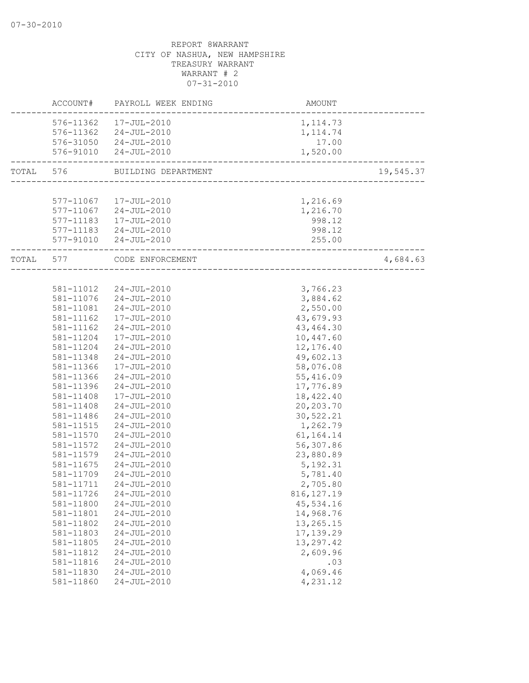|           |           | ACCOUNT# PAYROLL WEEK ENDING | <b>AMOUNT</b>                       |           |
|-----------|-----------|------------------------------|-------------------------------------|-----------|
|           |           | 576-11362  17-JUL-2010       | 1, 114.73                           |           |
|           |           | 576-11362 24-JUL-2010        | 1, 114.74                           |           |
|           |           | 576-31050 24-JUL-2010        | 17.00                               |           |
|           |           | 576-91010 24-JUL-2010        | 1,520.00                            |           |
| TOTAL 576 |           | BUILDING DEPARTMENT          | ----------------------------------- | 19,545.37 |
|           |           |                              |                                     |           |
|           |           | 577-11067 17-JUL-2010        | 1,216.69                            |           |
|           |           | 577-11067 24-JUL-2010        | 1,216.70                            |           |
|           |           | 577-11183  17-JUL-2010       | 998.12                              |           |
|           |           | 577-11183 24-JUL-2010        | 998.12                              |           |
|           |           | 577-91010 24-JUL-2010        | 255.00<br>------------------------- |           |
| TOTAL 577 |           | CODE ENFORCEMENT             | ----------------------              | 4,684.63  |
|           |           |                              |                                     |           |
|           |           | 581-11012 24-JUL-2010        | 3,766.23                            |           |
|           |           | 581-11076 24-JUL-2010        | 3,884.62                            |           |
|           |           | 581-11081  24-JUL-2010       | 2,550.00                            |           |
|           |           | 581-11162  17-JUL-2010       | 43,679.93                           |           |
|           | 581-11162 | 24-JUL-2010                  | 43, 464.30                          |           |
|           | 581-11204 | 17-JUL-2010                  | 10,447.60                           |           |
|           | 581-11204 | 24-JUL-2010                  | 12,176.40                           |           |
|           | 581-11348 | 24-JUL-2010                  | 49,602.13                           |           |
|           | 581-11366 | 17-JUL-2010                  | 58,076.08                           |           |
|           | 581-11366 | 24-JUL-2010                  | 55,416.09                           |           |
|           | 581-11396 | $24 - JUL - 2010$            | 17,776.89                           |           |
|           | 581-11408 | 17-JUL-2010                  | 18,422.40                           |           |
|           | 581-11408 | 24-JUL-2010                  | 20,203.70                           |           |
|           | 581-11486 | 24-JUL-2010                  | 30,522.21                           |           |
|           | 581-11515 | 24-JUL-2010                  | 1,262.79                            |           |
|           | 581-11570 | 24-JUL-2010                  | 61, 164. 14                         |           |
|           | 581-11572 | 24-JUL-2010                  | 56,307.86                           |           |
|           | 581-11579 | 24-JUL-2010                  | 23,880.89                           |           |
|           | 581-11675 | 24-JUL-2010                  | 5, 192.31                           |           |
|           | 581-11709 | $24 - JUL - 2010$            | 5,781.40                            |           |
|           |           | 581-11711 24-JUL-2010        | 2,705.80                            |           |
|           | 581-11726 | 24-JUL-2010                  | 816, 127.19                         |           |
|           | 581-11800 | $24 - JUL - 2010$            | 45,534.16                           |           |
|           | 581-11801 | $24 - JUL - 2010$            | 14,968.76                           |           |
|           | 581-11802 | $24 - JUL - 2010$            | 13,265.15                           |           |
|           | 581-11803 | $24 - JUL - 2010$            | 17,139.29                           |           |
|           | 581-11805 | $24 - JUL - 2010$            | 13,297.42                           |           |
|           | 581-11812 | $24 - JUL - 2010$            | 2,609.96                            |           |
|           | 581-11816 | $24 - JUL - 2010$            | .03                                 |           |
|           | 581-11830 | $24 - JUL - 2010$            | 4,069.46                            |           |
|           | 581-11860 | $24 - JUL - 2010$            | 4,231.12                            |           |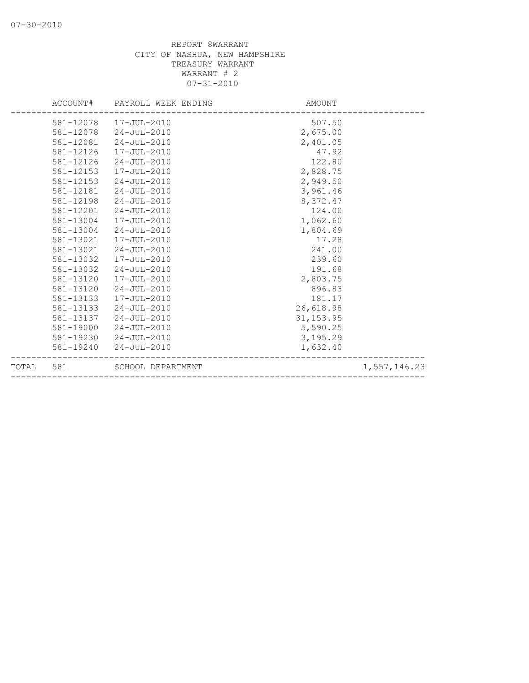|       |           | ACCOUNT# PAYROLL WEEK ENDING | AMOUNT     |              |
|-------|-----------|------------------------------|------------|--------------|
|       |           | 581-12078  17-JUL-2010       | 507.50     |              |
|       |           | 581-12078 24-JUL-2010        | 2,675.00   |              |
|       |           | 581-12081 24-JUL-2010        | 2,401.05   |              |
|       | 581-12126 | 17-JUL-2010                  | 47.92      |              |
|       | 581-12126 | 24-JUL-2010                  | 122.80     |              |
|       | 581-12153 | 17-JUL-2010                  | 2,828.75   |              |
|       | 581-12153 | 24-JUL-2010                  | 2,949.50   |              |
|       | 581-12181 | 24-JUL-2010                  | 3,961.46   |              |
|       | 581-12198 | 24-JUL-2010                  | 8,372.47   |              |
|       |           | 581-12201 24-JUL-2010        | 124.00     |              |
|       | 581-13004 | 17-JUL-2010                  | 1,062.60   |              |
|       | 581-13004 | 24-JUL-2010                  | 1,804.69   |              |
|       | 581-13021 | 17-JUL-2010                  | 17.28      |              |
|       | 581-13021 | 24-JUL-2010                  | 241.00     |              |
|       | 581-13032 | 17-JUL-2010                  | 239.60     |              |
|       | 581-13032 | 24-JUL-2010                  | 191.68     |              |
|       | 581-13120 | 17-JUL-2010                  | 2,803.75   |              |
|       | 581-13120 | 24-JUL-2010                  | 896.83     |              |
|       | 581-13133 | 17-JUL-2010                  | 181.17     |              |
|       | 581-13133 | 24-JUL-2010                  | 26,618.98  |              |
|       | 581-13137 | 24-JUL-2010                  | 31, 153.95 |              |
|       | 581-19000 | 24-JUL-2010                  | 5,590.25   |              |
|       |           | 581-19230 24-JUL-2010        | 3, 195.29  |              |
|       | 581-19240 | 24-JUL-2010                  | 1,632.40   |              |
| TOTAL | 581       | SCHOOL DEPARTMENT            |            | 1,557,146.23 |
|       |           |                              |            |              |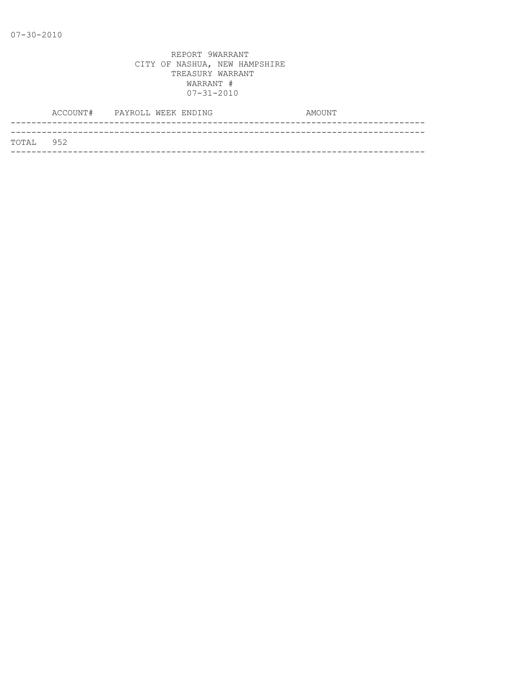|           | ACCOUNT# PAYROLL WEEK ENDING |  |  | AMOUNT |
|-----------|------------------------------|--|--|--------|
|           |                              |  |  |        |
| TOTAL 952 |                              |  |  |        |
|           |                              |  |  |        |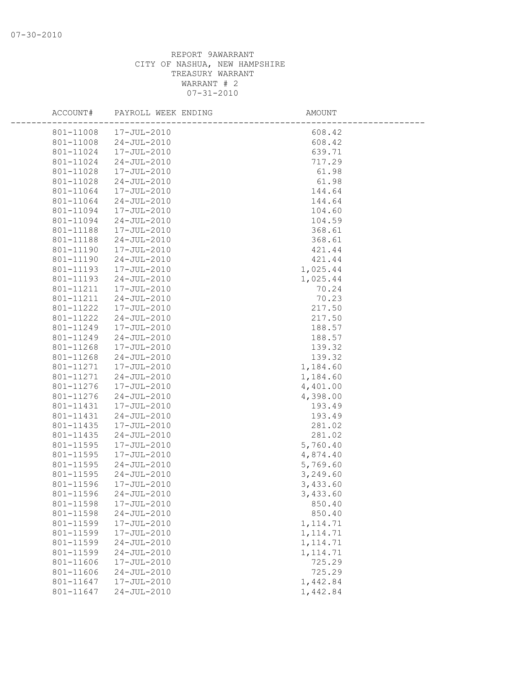| ACCOUNT#               | PAYROLL WEEK ENDING        | AMOUNT                 |  |
|------------------------|----------------------------|------------------------|--|
| 801-11008              | 17-JUL-2010                | 608.42                 |  |
| 801-11008              | 24-JUL-2010                | 608.42                 |  |
| 801-11024              | 17-JUL-2010                | 639.71                 |  |
| 801-11024              | 24-JUL-2010                | 717.29                 |  |
| 801-11028              | 17-JUL-2010                | 61.98                  |  |
| 801-11028              | 24-JUL-2010                | 61.98                  |  |
| 801-11064              | 17-JUL-2010                | 144.64                 |  |
| 801-11064              | 24-JUL-2010                | 144.64                 |  |
| 801-11094              | 17-JUL-2010                | 104.60                 |  |
| 801-11094              | 24-JUL-2010                | 104.59                 |  |
| 801-11188              | 17-JUL-2010                | 368.61                 |  |
| 801-11188              | 24-JUL-2010                | 368.61                 |  |
| 801-11190              | 17-JUL-2010                | 421.44                 |  |
| 801-11190              | 24-JUL-2010                | 421.44                 |  |
| 801-11193              | 17-JUL-2010                | 1,025.44               |  |
| 801-11193              | $24 - JUL - 2010$          | 1,025.44               |  |
| 801-11211              | 17-JUL-2010                | 70.24                  |  |
| 801-11211              | 24-JUL-2010                | 70.23                  |  |
| 801-11222              | 17-JUL-2010                | 217.50                 |  |
| 801-11222              | 24-JUL-2010                | 217.50                 |  |
| 801-11249              | 17-JUL-2010                | 188.57                 |  |
| 801-11249              | 24-JUL-2010                | 188.57                 |  |
| 801-11268              | 17-JUL-2010                | 139.32                 |  |
| 801-11268              | 24-JUL-2010                | 139.32                 |  |
| 801-11271              | 17-JUL-2010                | 1,184.60               |  |
| 801-11271              | $24 - JUL - 2010$          | 1,184.60               |  |
| 801-11276              | 17-JUL-2010                | 4,401.00               |  |
| 801-11276              | 24-JUL-2010                | 4,398.00               |  |
| 801-11431              | 17-JUL-2010                | 193.49                 |  |
| 801-11431              | 24-JUL-2010                | 193.49                 |  |
| 801-11435              | 17-JUL-2010                | 281.02                 |  |
| 801-11435              | $24 - JUL - 2010$          | 281.02                 |  |
| 801-11595              | 17-JUL-2010                | 5,760.40               |  |
| 801-11595              | 17-JUL-2010                | 4,874.40               |  |
| 801-11595              | $24 - JUL - 2010$          | 5,769.60               |  |
| 801-11595              | $24 - JUL - 2010$          | 3,249.60               |  |
| 801-11596              | 17-JUL-2010                | 3,433.60               |  |
|                        | 801-11596 24-JUL-2010      | 3,433.60               |  |
| 801-11598              | 17-JUL-2010                | 850.40                 |  |
| 801-11598<br>801-11599 | $24 - JUL - 2010$          | 850.40                 |  |
| 801-11599              | 17-JUL-2010<br>17-JUL-2010 | 1, 114.71<br>1, 114.71 |  |
| 801-11599              | $24 - JUL - 2010$          | 1, 114.71              |  |
| 801-11599              | $24 - JUL - 2010$          | 1, 114.71              |  |
| 801-11606              | 17-JUL-2010                | 725.29                 |  |
| 801-11606              | $24 - JUL - 2010$          | 725.29                 |  |
| 801-11647              | 17-JUL-2010                | 1,442.84               |  |
| 801-11647              | $24 - JUL - 2010$          | 1,442.84               |  |
|                        |                            |                        |  |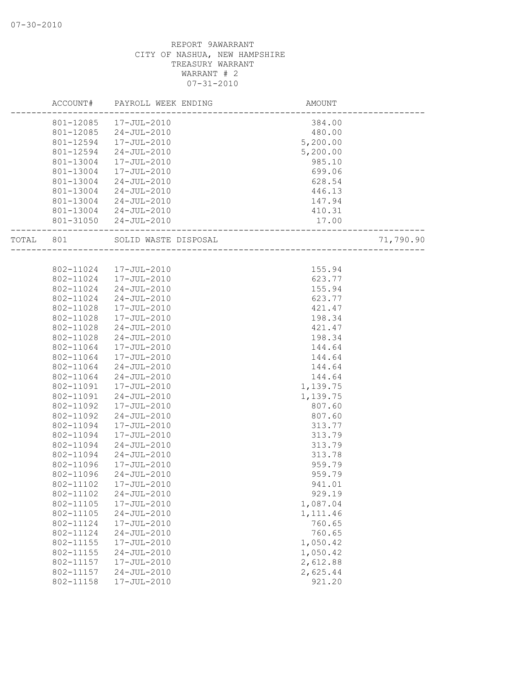|       | ACCOUNT#  | PAYROLL WEEK ENDING    | AMOUNT   |           |
|-------|-----------|------------------------|----------|-----------|
|       |           | 801-12085  17-JUL-2010 | 384.00   |           |
|       | 801-12085 | 24-JUL-2010            | 480.00   |           |
|       | 801-12594 | 17-JUL-2010            | 5,200.00 |           |
|       | 801-12594 | 24-JUL-2010            | 5,200.00 |           |
|       | 801-13004 | 17-JUL-2010            | 985.10   |           |
|       | 801-13004 | 17-JUL-2010            | 699.06   |           |
|       | 801-13004 | $24 - JUL - 2010$      | 628.54   |           |
|       | 801-13004 | $24 - JUL - 2010$      | 446.13   |           |
|       | 801-13004 | $24 - JUL - 2010$      | 147.94   |           |
|       |           | 801-13004 24-JUL-2010  | 410.31   |           |
|       |           | 801-31050 24-JUL-2010  | 17.00    |           |
| TOTAL | 801       | SOLID WASTE DISPOSAL   |          | 71,790.90 |
|       |           |                        |          |           |
|       | 802-11024 | 17-JUL-2010            | 155.94   |           |
|       | 802-11024 | 17-JUL-2010            | 623.77   |           |
|       | 802-11024 | 24-JUL-2010            | 155.94   |           |
|       | 802-11024 | $24 - JUL - 2010$      | 623.77   |           |
|       | 802-11028 | 17-JUL-2010            | 421.47   |           |
|       | 802-11028 | $17 - JUL - 2010$      | 198.34   |           |
|       | 802-11028 | $24 - JUL - 2010$      | 421.47   |           |
|       | 802-11028 | $24 - JUL - 2010$      | 198.34   |           |
|       | 802-11064 | 17-JUL-2010            | 144.64   |           |
|       | 802-11064 | 17-JUL-2010            | 144.64   |           |
|       | 802-11064 | $24 - JUL - 2010$      | 144.64   |           |
|       | 802-11064 | $24 - JUL - 2010$      | 144.64   |           |
|       | 802-11091 | 17-JUL-2010            | 1,139.75 |           |
|       | 802-11091 | $24 - JUL - 2010$      | 1,139.75 |           |
|       | 802-11092 | 17-JUL-2010            | 807.60   |           |
|       | 802-11092 | $24 - JUL - 2010$      | 807.60   |           |
|       | 802-11094 | 17-JUL-2010            | 313.77   |           |
|       | 802-11094 | 17-JUL-2010            | 313.79   |           |
|       | 802-11094 | $24 - JUL - 2010$      | 313.79   |           |
|       | 802-11094 | $24 - JUL - 2010$      | 313.78   |           |
|       | 802-11096 | 17-JUL-2010            | 959.79   |           |
|       | 802-11096 | $24 - JUL - 2010$      | 959.79   |           |
|       | 802-11102 | $17 - JUL - 2010$      | 941.01   |           |
|       | 802-11102 | $24 - JUL - 2010$      | 929.19   |           |
|       | 802-11105 | 17-JUL-2010            | 1,087.04 |           |
|       | 802-11105 | $24 - JUL - 2010$      | 1,111.46 |           |
|       | 802-11124 | 17-JUL-2010            | 760.65   |           |
|       | 802-11124 | $24 - JUL - 2010$      | 760.65   |           |
|       | 802-11155 | 17-JUL-2010            | 1,050.42 |           |
|       | 802-11155 | $24 - JUL - 2010$      | 1,050.42 |           |
|       | 802-11157 | 17-JUL-2010            | 2,612.88 |           |
|       | 802-11157 | $24 - JUL - 2010$      | 2,625.44 |           |
|       | 802-11158 | 17-JUL-2010            | 921.20   |           |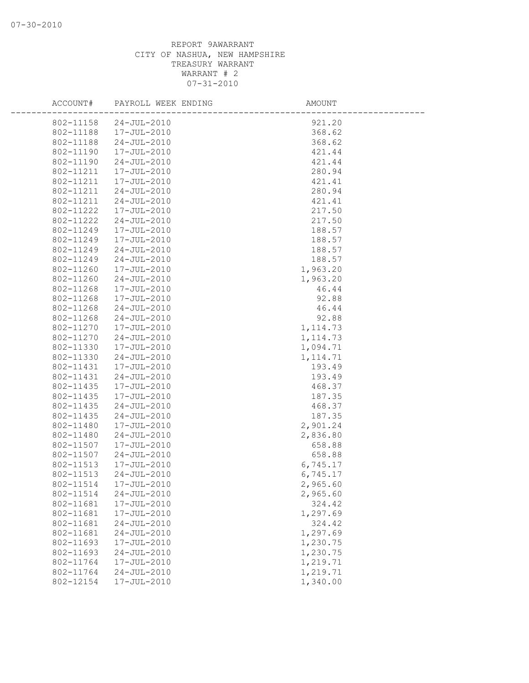| ACCOUNT#  | PAYROLL WEEK ENDING | AMOUNT    |  |
|-----------|---------------------|-----------|--|
| 802-11158 | $24 - JUL - 2010$   | 921.20    |  |
| 802-11188 | 17-JUL-2010         | 368.62    |  |
| 802-11188 | $24 - JUL - 2010$   | 368.62    |  |
| 802-11190 | 17-JUL-2010         | 421.44    |  |
| 802-11190 | $24 - JUL - 2010$   | 421.44    |  |
| 802-11211 | 17-JUL-2010         | 280.94    |  |
| 802-11211 | 17-JUL-2010         | 421.41    |  |
| 802-11211 | $24 - JUL - 2010$   | 280.94    |  |
| 802-11211 | $24 - JUL - 2010$   | 421.41    |  |
| 802-11222 | 17-JUL-2010         | 217.50    |  |
| 802-11222 | $24 - JUL - 2010$   | 217.50    |  |
| 802-11249 | 17-JUL-2010         | 188.57    |  |
| 802-11249 | 17-JUL-2010         | 188.57    |  |
| 802-11249 | $24 - JUL - 2010$   | 188.57    |  |
| 802-11249 | $24 - JUL - 2010$   | 188.57    |  |
| 802-11260 | 17-JUL-2010         | 1,963.20  |  |
| 802-11260 | $24 - JUL - 2010$   | 1,963.20  |  |
| 802-11268 | 17-JUL-2010         | 46.44     |  |
| 802-11268 | 17-JUL-2010         | 92.88     |  |
| 802-11268 | $24 - JUL - 2010$   | 46.44     |  |
| 802-11268 | $24 - JUL - 2010$   | 92.88     |  |
| 802-11270 | 17-JUL-2010         | 1, 114.73 |  |
| 802-11270 | $24 - JUL - 2010$   | 1, 114.73 |  |
| 802-11330 | 17-JUL-2010         | 1,094.71  |  |
| 802-11330 | $24 - JUL - 2010$   | 1, 114.71 |  |
| 802-11431 | 17-JUL-2010         | 193.49    |  |
| 802-11431 | $24 - JUL - 2010$   | 193.49    |  |
| 802-11435 | 17-JUL-2010         | 468.37    |  |
| 802-11435 | 17-JUL-2010         | 187.35    |  |
| 802-11435 | $24 - JUL - 2010$   | 468.37    |  |
| 802-11435 | $24 - JUL - 2010$   | 187.35    |  |
| 802-11480 | 17-JUL-2010         | 2,901.24  |  |
| 802-11480 | $24 - JUL - 2010$   | 2,836.80  |  |
| 802-11507 | 17-JUL-2010         | 658.88    |  |
| 802-11507 | $24 - JUL - 2010$   | 658.88    |  |
| 802-11513 | 17-JUL-2010         | 6,745.17  |  |
| 802-11513 | $24 - JUL - 2010$   | 6,745.17  |  |
| 802-11514 | 17-JUL-2010         | 2,965.60  |  |
| 802-11514 | $24 - JUL - 2010$   | 2,965.60  |  |
| 802-11681 | 17-JUL-2010         | 324.42    |  |
| 802-11681 | 17-JUL-2010         | 1,297.69  |  |
| 802-11681 | $24 - JUL - 2010$   | 324.42    |  |
| 802-11681 | $24 - JUL - 2010$   | 1,297.69  |  |
| 802-11693 | 17-JUL-2010         | 1,230.75  |  |
| 802-11693 | $24 - JUL - 2010$   | 1,230.75  |  |
| 802-11764 | 17-JUL-2010         | 1,219.71  |  |
| 802-11764 | $24 - JUL - 2010$   | 1,219.71  |  |
| 802-12154 | 17-JUL-2010         | 1,340.00  |  |